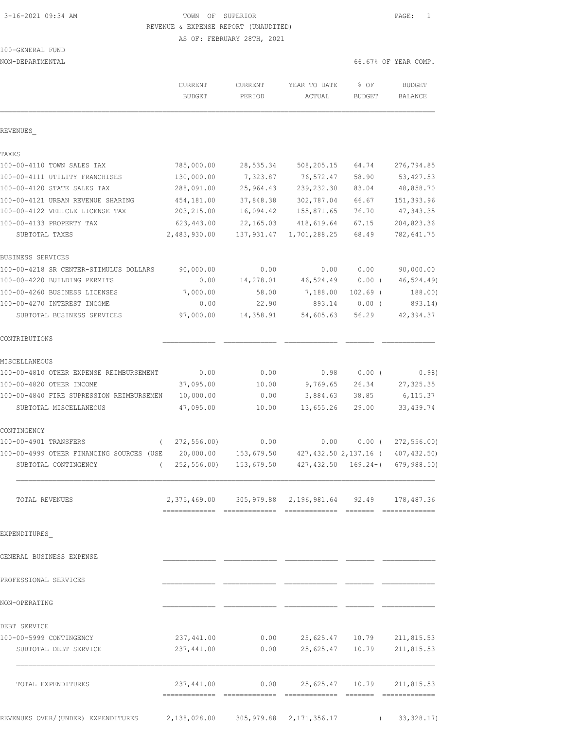# 3-16-2021 09:34 AM TOWN OF SUPERIOR PAGE: 1 REVENUE & EXPENSE REPORT (UNAUDITED)

AS OF: FEBRUARY 28TH, 2021

# 100-GENERAL FUND

NON-DEPARTMENTAL 66.67% OF YEAR COMP.

|                                                                    | CURRENT<br><b>BUDGET</b>                                    | <b>CURRENT</b><br>PERIOD | YEAR TO DATE<br>ACTUAL            | % OF<br><b>BUDGET</b> | <b>BUDGET</b><br><b>BALANCE</b> |
|--------------------------------------------------------------------|-------------------------------------------------------------|--------------------------|-----------------------------------|-----------------------|---------------------------------|
| REVENUES                                                           |                                                             |                          |                                   |                       |                                 |
| TAXES                                                              |                                                             |                          |                                   |                       |                                 |
| 100-00-4110 TOWN SALES TAX                                         | 785,000.00                                                  | 28,535.34                | 508,205.15                        | 64.74                 | 276,794.85                      |
| 100-00-4111 UTILITY FRANCHISES                                     | 130,000.00                                                  | 7,323.87                 | 76,572.47                         | 58.90                 | 53, 427.53                      |
| 100-00-4120 STATE SALES TAX                                        | 288,091.00                                                  | 25,964.43                | 239, 232.30                       | 83.04                 | 48,858.70                       |
| 100-00-4121 URBAN REVENUE SHARING                                  | 454,181.00                                                  | 37,848.38                | 302,787.04                        | 66.67                 | 151,393.96                      |
| 100-00-4122 VEHICLE LICENSE TAX                                    | 203, 215.00                                                 | 16,094.42                | 155,871.65                        | 76.70                 | 47, 343.35                      |
| 100-00-4133 PROPERTY TAX                                           | 623, 443.00                                                 | 22, 165.03               | 418,619.64                        | 67.15                 | 204,823.36                      |
| SUBTOTAL TAXES                                                     | 2,483,930.00                                                | 137,931.47               | 1,701,288.25                      | 68.49                 | 782,641.75                      |
| BUSINESS SERVICES                                                  |                                                             |                          |                                   |                       |                                 |
| 100-00-4218 SR CENTER-STIMULUS DOLLARS                             | 90,000.00                                                   | 0.00                     | 0.00                              | 0.00                  | 90,000.00                       |
| 100-00-4220 BUILDING PERMITS                                       | 0.00                                                        | 14,278.01                | 46,524.49                         | 0.00(                 | 46,524.49)                      |
| 100-00-4260 BUSINESS LICENSES                                      | 7,000.00                                                    | 58.00                    | 7,188.00                          | $102.69$ (            | 188.00)                         |
| 100-00-4270 INTEREST INCOME                                        | 0.00                                                        | 22.90                    | 893.14                            | $0.00$ (              | 893.14)                         |
| SUBTOTAL BUSINESS SERVICES                                         | 97,000.00                                                   | 14,358.91                | 54,605.63                         | 56.29                 | 42,394.37                       |
| CONTRIBUTIONS                                                      |                                                             |                          |                                   |                       |                                 |
| MISCELLANEOUS                                                      |                                                             |                          |                                   |                       |                                 |
| 100-00-4810 OTHER EXPENSE REIMBURSEMENT                            | 0.00                                                        | 0.00                     | 0.98                              | $0.00$ (              | 0.98)                           |
| 100-00-4820 OTHER INCOME                                           | 37,095.00                                                   | 10.00                    | 9,769.65                          | 26.34                 | 27, 325.35                      |
| 100-00-4840 FIRE SUPRESSION REIMBURSEMEN<br>SUBTOTAL MISCELLANEOUS | 10,000.00<br>47,095.00                                      | 0.00<br>10.00            | 3,884.63<br>13,655.26             | 38.85<br>29.00        | 6, 115.37<br>33, 439.74         |
|                                                                    |                                                             |                          |                                   |                       |                                 |
| CONTINGENCY<br>100-00-4901 TRANSFERS<br>$\left($                   | 272, 556.00                                                 | 0.00                     | 0.00                              | $0.00$ (              | 272, 556.00                     |
| 100-00-4999 OTHER FINANCING SOURCES (USE                           | 20,000.00                                                   | 153,679.50               |                                   | 427,432.50 2,137.16 ( | 407, 432.50)                    |
| SUBTOTAL CONTINGENCY<br>$\left($                                   | 252, 556.00                                                 | 153,679.50               | 427,432.50                        | $169.24 - ($          | 679,988.50)                     |
| TOTAL REVENUES                                                     | 2, 375, 469.00 305, 979.88 2, 196, 981.64 92.49 178, 487.36 |                          |                                   |                       |                                 |
| EXPENDITURES                                                       |                                                             |                          |                                   |                       |                                 |
| GENERAL BUSINESS EXPENSE                                           |                                                             |                          |                                   |                       |                                 |
| PROFESSIONAL SERVICES                                              |                                                             |                          |                                   |                       |                                 |
| NON-OPERATING                                                      |                                                             |                          |                                   |                       |                                 |
| DEBT SERVICE                                                       |                                                             |                          |                                   |                       |                                 |
| 100-00-5999 CONTINGENCY                                            | 237,441.00                                                  |                          | $0.00$ 25,625.47 10.79 211,815.53 |                       |                                 |
| SUBTOTAL DEBT SERVICE                                              | 237,441.00                                                  | 0.00                     |                                   | 25,625.47 10.79       | 211,815.53                      |
| TOTAL EXPENDITURES                                                 | 237,441.00                                                  | 0.00                     |                                   | 25,625.47 10.79       | 211,815.53                      |
|                                                                    |                                                             |                          |                                   |                       |                                 |

REVENUES OVER/(UNDER) EXPENDITURES 2,138,028.00 305,979.88 2,171,356.17 ( 33,328.17)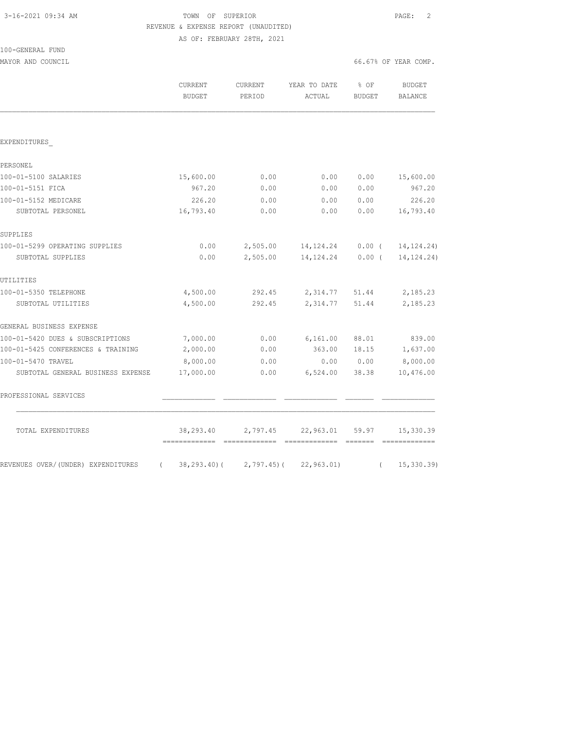### 3-16-2021 09:34 AM TOWN OF SUPERIOR PAGE: 2 REVENUE & EXPENSE REPORT (UNAUDITED) AS OF: FEBRUARY 28TH, 2021

100-GENERAL FUND MAYOR AND COUNCIL COUNCIL COUNCIL COMP.

|                                    | <b>CURRENT</b><br><b>BUDGET</b> | <b>CURRENT</b><br>PERIOD    | YEAR TO DATE<br>ACTUAL | % OF<br><b>BUDGET</b> | BUDGET<br><b>BALANCE</b> |
|------------------------------------|---------------------------------|-----------------------------|------------------------|-----------------------|--------------------------|
|                                    |                                 |                             |                        |                       |                          |
| EXPENDITURES                       |                                 |                             |                        |                       |                          |
| PERSONEL                           |                                 |                             |                        |                       |                          |
| 100-01-5100 SALARIES               | 15,600.00                       | 0.00                        | 0.00                   | 0.00                  | 15,600.00                |
| 100-01-5151 FICA                   | 967.20                          | 0.00                        | 0.00                   | 0.00                  | 967.20                   |
| 100-01-5152 MEDICARE               | 226.20                          | 0.00                        | 0.00                   | 0.00                  | 226.20                   |
| SUBTOTAL PERSONEL                  | 16,793.40                       | 0.00                        | 0.00                   | 0.00                  | 16,793.40                |
| SUPPLIES                           |                                 |                             |                        |                       |                          |
| 100-01-5299 OPERATING SUPPLIES     | 0.00                            | 2,505.00                    | 14, 124. 24            | $0.00$ (              | 14, 124. 24)             |
| SUBTOTAL SUPPLIES                  | 0.00                            | 2,505.00                    | 14, 124. 24            | $0.00$ (              | 14, 124. 24)             |
| UTILITIES                          |                                 |                             |                        |                       |                          |
| 100-01-5350 TELEPHONE              | 4,500.00                        | 292.45                      | 2,314.77               | 51.44                 | 2,185.23                 |
| SUBTOTAL UTILITIES                 | 4,500.00                        | 292.45                      | 2,314.77               | 51.44                 | 2,185.23                 |
| GENERAL BUSINESS EXPENSE           |                                 |                             |                        |                       |                          |
| 100-01-5420 DUES & SUBSCRIPTIONS   | 7,000.00                        | 0.00                        | 6,161.00               | 88.01                 | 839.00                   |
| 100-01-5425 CONFERENCES & TRAINING | 2,000.00                        | 0.00                        | 363.00                 | 18.15                 | 1,637.00                 |
| 100-01-5470 TRAVEL                 | 8,000.00                        | 0.00                        | 0.00                   | 0.00                  | 8,000.00                 |
| SUBTOTAL GENERAL BUSINESS EXPENSE  | 17,000.00                       | 0.00                        | 6,524.00               | 38.38                 | 10,476.00                |
| PROFESSIONAL SERVICES              |                                 |                             |                        |                       |                          |
| TOTAL EXPENDITURES                 | 38,293.40                       | 2,797.45                    | 22,963.01              | 59.97                 | 15,330.39                |
| REVENUES OVER/(UNDER) EXPENDITURES | $\left($                        | $38, 293, 40$ ( 2,797.45) ( | 22, 963.01             | $\left($              | 15, 330.39               |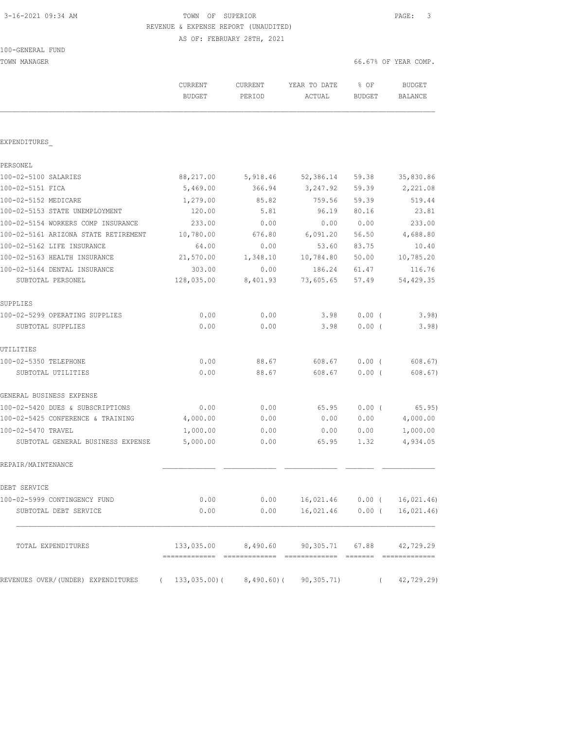### 3-16-2021 09:34 AM TOWN OF SUPERIOR PAGE: 3 REVENUE & EXPENSE REPORT (UNAUDITED) AS OF: FEBRUARY 28TH, 2021

TOWN MANAGER 66.67% OF YEAR COMP.

|                                                                      | CURRENT<br><b>BUDGET</b> | <b>CURRENT</b><br>PERIOD | YEAR TO DATE<br>ACTUAL                        | % OF<br><b>BUDGET</b> | <b>BUDGET</b><br><b>BALANCE</b> |
|----------------------------------------------------------------------|--------------------------|--------------------------|-----------------------------------------------|-----------------------|---------------------------------|
|                                                                      |                          |                          |                                               |                       |                                 |
| EXPENDITURES                                                         |                          |                          |                                               |                       |                                 |
| PERSONEL                                                             |                          |                          |                                               |                       |                                 |
| 100-02-5100 SALARIES                                                 | 88,217.00                | 5,918.46                 | 52,386.14                                     | 59.38                 | 35,830.86                       |
| 100-02-5151 FICA                                                     | 5,469.00                 | 366.94                   | 3,247.92                                      | 59.39                 | 2,221.08                        |
| 100-02-5152 MEDICARE                                                 | 1,279.00                 | 85.82                    | 759.56                                        | 59.39                 | 519.44                          |
| 100-02-5153 STATE UNEMPLOYMENT                                       | 120.00                   | 5.81                     | 96.19                                         | 80.16                 | 23.81                           |
| 100-02-5154 WORKERS COMP INSURANCE                                   | 233.00                   | 0.00                     | 0.00                                          | 0.00                  | 233.00                          |
| 100-02-5161 ARIZONA STATE RETIREMENT                                 | 10,780.00                | 676.80                   | 6,091.20                                      | 56.50                 | 4,688.80                        |
| 100-02-5162 LIFE INSURANCE                                           | 64.00                    | 0.00                     | 53.60                                         | 83.75                 | 10.40                           |
| 100-02-5163 HEALTH INSURANCE                                         | 21,570.00                | 1,348.10                 | 10,784.80                                     | 50.00                 | 10,785.20                       |
| 100-02-5164 DENTAL INSURANCE                                         | 303.00                   | 0.00                     | 186.24                                        | 61.47                 | 116.76                          |
| SUBTOTAL PERSONEL                                                    | 128,035.00               | 8,401.93                 | 73,605.65                                     | 57.49                 | 54,429.35                       |
| SUPPLIES                                                             |                          |                          |                                               |                       |                                 |
| 100-02-5299 OPERATING SUPPLIES                                       | 0.00                     | 0.00                     | 3.98                                          | $0.00$ (              | 3.98)                           |
| SUBTOTAL SUPPLIES                                                    | 0.00                     | 0.00                     | 3.98                                          | $0.00$ (              | 3.98)                           |
| UTILITIES                                                            |                          |                          |                                               |                       |                                 |
| 100-02-5350 TELEPHONE                                                | 0.00                     | 88.67                    | 608.67                                        | $0.00$ (              | 608.67)                         |
| SUBTOTAL UTILITIES                                                   | 0.00                     | 88.67                    | 608.67                                        | 0.00(                 | 608.67)                         |
| GENERAL BUSINESS EXPENSE                                             |                          |                          |                                               |                       |                                 |
| 100-02-5420 DUES & SUBSCRIPTIONS                                     | 0.00                     | 0.00                     | 65.95                                         | $0.00$ (              | 65.95)                          |
| 100-02-5425 CONFERENCE & TRAINING                                    | 4,000.00                 | 0.00                     | 0.00                                          | 0.00                  | 4,000.00                        |
| 100-02-5470 TRAVEL                                                   | 1,000.00                 | 0.00                     | 0.00                                          | 0.00                  | 1,000.00                        |
| SUBTOTAL GENERAL BUSINESS EXPENSE                                    | 5,000.00                 | 0.00                     | 65.95                                         | 1.32                  | 4,934.05                        |
| REPAIR/MAINTENANCE                                                   |                          |                          |                                               |                       |                                 |
| DEBT SERVICE                                                         |                          |                          |                                               |                       |                                 |
| 100-02-5999 CONTINGENCY FUND                                         | 0.00                     |                          | $0.00$ 16,021.46 0.00 ( 16,021.46)            |                       |                                 |
| SUBTOTAL DEBT SERVICE                                                | 0.00                     | 0.00                     | $16,021.46$ 0.00 (                            |                       | 16,021.46)                      |
| TOTAL EXPENDITURES                                                   |                          |                          | 133,035.00 8,490.60 90,305.71 67.88 42,729.29 |                       |                                 |
| REVENUES OVER/(UNDER) EXPENDITURES (133,035.00)(8,490.60)(90,305.71) |                          |                          |                                               | $\left($              | 42,729.29)                      |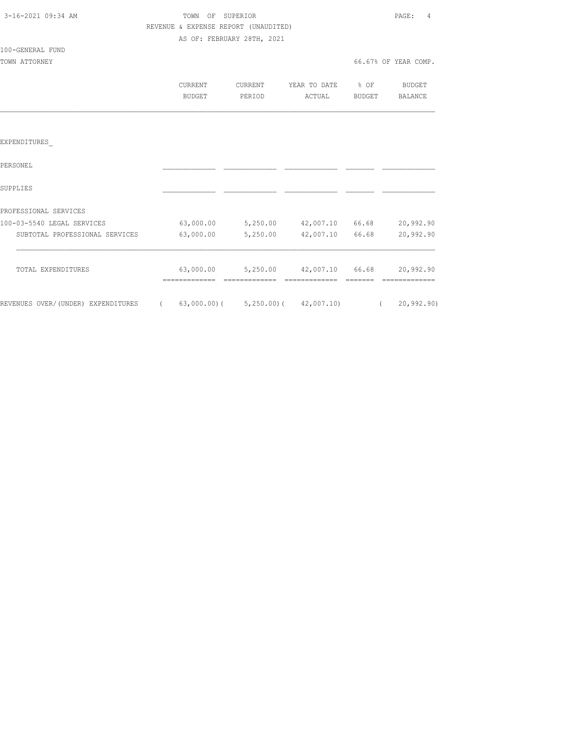| 3-16-2021 09:34 AM |  |
|--------------------|--|
|                    |  |

100-GENERAL FUND

# TOWN OF SUPERIOR **PAGE:** 4 REVENUE & EXPENSE REPORT (UNAUDITED) AS OF: FEBRUARY 28TH, 2021

| TOWN ATTORNEY |                          |                   |                        |                | 66.67% OF YEAR COMP.     |
|---------------|--------------------------|-------------------|------------------------|----------------|--------------------------|
|               | CURRENT<br><b>BUDGET</b> | CURRENT<br>PERIOD | YEAR TO DATE<br>ACTUAL | % OF<br>BUDGET | <b>BUDGET</b><br>BALANCE |
|               |                          |                   |                        |                |                          |
| EXPENDITURES  |                          |                   |                        |                |                          |

| PERSONEL                           |                |                |            |       |              |
|------------------------------------|----------------|----------------|------------|-------|--------------|
| SUPPLIES                           |                |                |            |       |              |
| PROFESSIONAL SERVICES              |                |                |            |       |              |
| 100-03-5540 LEGAL SERVICES         | 63,000.00      | 5,250.00       | 42,007.10  | 66.68 | 20,992.90    |
| SUBTOTAL PROFESSIONAL SERVICES     | 63,000.00      | 5,250.00       | 42,007.10  | 66.68 | 20,992.90    |
| TOTAL EXPENDITURES                 | 63,000.00      | 5,250.00       | 42,007.10  | 66.68 | 20,992.90    |
|                                    |                |                |            |       |              |
| REVENUES OVER/(UNDER) EXPENDITURES | $63,000.00)$ ( | $5,250.00$ ) ( | 42,007.10) |       | 20, 992, 90) |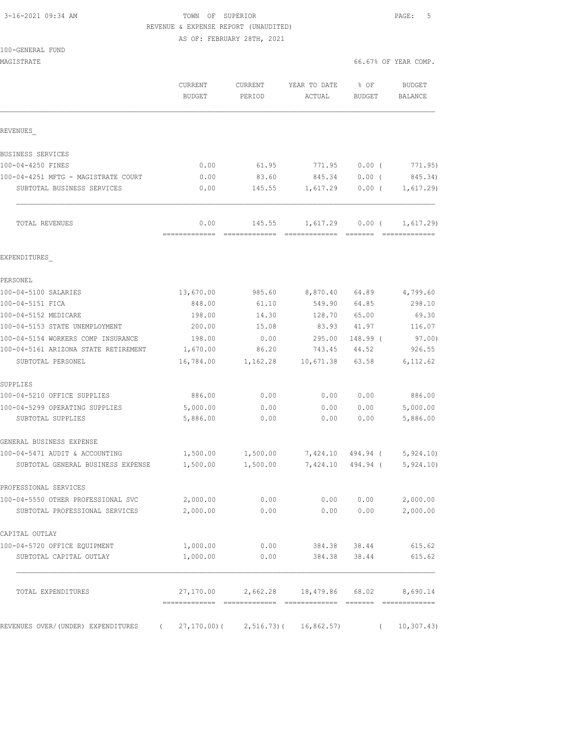# 3-16-2021 09:34 AM **TOWN** OF SUPERIOR **PAGE:** 5 REVENUE & EXPENSE REPORT (UNAUDITED)

AS OF: FEBRUARY 28TH, 2021

| 100-GENERAL FUND |  |
|------------------|--|
|------------------|--|

| MAGISTRATE                                                          |                          |                         |                                     |                       | 66.67% OF YEAR COMP.     |
|---------------------------------------------------------------------|--------------------------|-------------------------|-------------------------------------|-----------------------|--------------------------|
|                                                                     | <b>CURRENT</b><br>BUDGET | CURRENT<br>PERIOD       | YEAR TO DATE<br>ACTUAL              | % OF<br><b>BUDGET</b> | <b>BUDGET</b><br>BALANCE |
| REVENUES                                                            |                          |                         |                                     |                       |                          |
| BUSINESS SERVICES                                                   |                          |                         |                                     |                       |                          |
| 100-04-4250 FINES                                                   | 0.00                     | 61.95                   | 771.95                              | $0.00$ (              | 771.95)                  |
| 100-04-4251 MFTG - MAGISTRATE COURT                                 | 0.00                     | 83.60                   | 845.34                              | $0.00$ (              | 845.34)                  |
| SUBTOTAL BUSINESS SERVICES                                          | 0.00                     | 145.55                  | 1,617.29                            |                       | $0.00$ ( $1,617.29$ )    |
| TOTAL REVENUES                                                      | 0.00<br>=============    | 145.55<br>============= | 1,617.29<br>======================= | 0.00(                 | 1,617.29                 |
| EXPENDITURES                                                        |                          |                         |                                     |                       |                          |
| PERSONEL                                                            |                          |                         |                                     |                       |                          |
| 100-04-5100 SALARIES                                                | 13,670.00                | 985.60                  | 8,870.40                            | 64.89                 | 4,799.60                 |
| 100-04-5151 FICA                                                    | 848.00                   | 61.10                   | 549.90                              | 64.85                 | 298.10                   |
| 100-04-5152 MEDICARE                                                | 198.00                   | 14.30                   | 128.70                              | 65.00                 | 69.30                    |
| 100-04-5153 STATE UNEMPLOYMENT                                      | 200.00                   | 15.08                   | 83.93                               | 41.97                 | 116.07                   |
| 100-04-5154 WORKERS COMP INSURANCE                                  | 198.00                   | 0.00                    | 295.00                              | 148.99 (              | 97.00)                   |
| 100-04-5161 ARIZONA STATE RETIREMENT                                | 1,670.00                 | 86.20                   | 743.45                              | 44.52                 | 926.55                   |
| SUBTOTAL PERSONEL                                                   | 16,784.00                | 1,162.28                | 10,671.38                           | 63.58                 | 6,112.62                 |
| SUPPLIES                                                            |                          |                         |                                     |                       |                          |
| 100-04-5210 OFFICE SUPPLIES                                         | 886.00                   | 0.00                    | 0.00                                | 0.00                  | 886.00                   |
| 100-04-5299 OPERATING SUPPLIES                                      | 5,000.00                 | 0.00                    | 0.00                                | 0.00                  | 5,000.00                 |
| SUBTOTAL SUPPLIES                                                   | 5,886.00                 | 0.00                    | 0.00                                | 0.00                  | 5,886.00                 |
| GENERAL BUSINESS EXPENSE                                            |                          |                         |                                     |                       |                          |
| 100-04-5471 AUDIT & ACCOUNTING                                      | 1,500.00                 | 1,500.00                | 7,424.10 494.94 (5,924.10)          |                       |                          |
| SUBTOTAL GENERAL BUSINESS EXPENSE                                   | 1,500.00                 | 1,500.00                | 7,424.10 494.94 (                   |                       | 5,924.10                 |
| PROFESSIONAL SERVICES                                               |                          |                         |                                     |                       |                          |
| 100-04-5550 OTHER PROFESSIONAL SVC 2,000.00                         |                          | 0.00                    | 0.00                                | 0.00                  | 2,000.00                 |
| SUBTOTAL PROFESSIONAL SERVICES                                      | 2,000.00                 | 0.00                    | 0.00                                | 0.00                  | 2,000.00                 |
| CAPITAL OUTLAY                                                      |                          |                         |                                     |                       |                          |
| 100-04-5720 OFFICE EQUIPMENT                                        | 1,000.00                 | 0.00                    |                                     | 384.38 38.44          | 615.62                   |
| SUBTOTAL CAPITAL OUTLAY                                             | 1,000.00                 | 0.00                    |                                     | 384.38 38.44          | 615.62                   |
| TOTAL EXPENDITURES                                                  |                          |                         | 27,170.00 2,662.28 18,479.86 68.02  |                       | 8,690.14                 |
| REVENUES OVER/(UNDER) EXPENDITURES (27,170.00)(2,516.73)(16,862.57) |                          |                         |                                     |                       | (10, 307.43)             |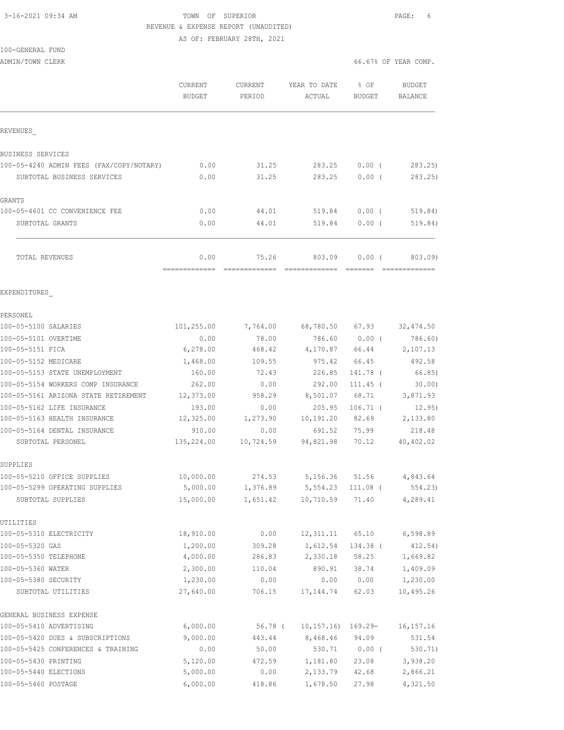## 3-16-2021 09:34 AM TOWN OF SUPERIOR PAGE: 6 REVENUE & EXPENSE REPORT (UNAUDITED) AS OF: FEBRUARY 28TH, 2021

### 100-GENERAL FUND ADMIN/TOWN CLERK

|  |  | 66.67% OF YEAR COMP. |
|--|--|----------------------|
|  |  |                      |

|                                                   | <b>CURRENT</b><br><b>BUDGET</b> | CURRENT<br>PERIOD | YEAR TO DATE<br>ACTUAL                        | % OF<br>BUDGET  | <b>BUDGET</b><br><b>BALANCE</b>                                                                                                                                                                                                                                                                                                                                                                                                                                                                   |
|---------------------------------------------------|---------------------------------|-------------------|-----------------------------------------------|-----------------|---------------------------------------------------------------------------------------------------------------------------------------------------------------------------------------------------------------------------------------------------------------------------------------------------------------------------------------------------------------------------------------------------------------------------------------------------------------------------------------------------|
| REVENUES                                          |                                 |                   |                                               |                 |                                                                                                                                                                                                                                                                                                                                                                                                                                                                                                   |
| BUSINESS SERVICES                                 |                                 |                   |                                               |                 |                                                                                                                                                                                                                                                                                                                                                                                                                                                                                                   |
| 100-05-4240 ADMIN FEES (FAX/COPY/NOTARY)          | 0.00                            | 31.25             | 283.25                                        | $0.00$ (        | 283.25)                                                                                                                                                                                                                                                                                                                                                                                                                                                                                           |
| SUBTOTAL BUSINESS SERVICES                        | 0.00                            | 31.25             | 283.25                                        | 0.00(           | 283.25                                                                                                                                                                                                                                                                                                                                                                                                                                                                                            |
| GRANTS                                            |                                 |                   |                                               |                 |                                                                                                                                                                                                                                                                                                                                                                                                                                                                                                   |
| 100-05-4601 CC CONVENIENCE FEE                    | 0.00                            | 44.01             | 519.84                                        | $0.00$ (        | 519.84)                                                                                                                                                                                                                                                                                                                                                                                                                                                                                           |
| SUBTOTAL GRANTS                                   | 0.00                            | 44.01             | 519.84                                        | $0.00$ (        | 519.84)                                                                                                                                                                                                                                                                                                                                                                                                                                                                                           |
| TOTAL REVENUES                                    | 0.00<br>=============           | 75.26             | 803.09<br>-------------- ------------- ------ | $0.00$ (        | 803.09)<br>$\begin{array}{cccccccccccccc} \multicolumn{2}{c}{} & \multicolumn{2}{c}{} & \multicolumn{2}{c}{} & \multicolumn{2}{c}{} & \multicolumn{2}{c}{} & \multicolumn{2}{c}{} & \multicolumn{2}{c}{} & \multicolumn{2}{c}{} & \multicolumn{2}{c}{} & \multicolumn{2}{c}{} & \multicolumn{2}{c}{} & \multicolumn{2}{c}{} & \multicolumn{2}{c}{} & \multicolumn{2}{c}{} & \multicolumn{2}{c}{} & \multicolumn{2}{c}{} & \multicolumn{2}{c}{} & \multicolumn{2}{c}{} & \multicolumn{2}{c}{} & \$ |
| EXPENDITURES                                      |                                 |                   |                                               |                 |                                                                                                                                                                                                                                                                                                                                                                                                                                                                                                   |
| PERSONEL                                          |                                 |                   |                                               |                 |                                                                                                                                                                                                                                                                                                                                                                                                                                                                                                   |
| 100-05-5100 SALARIES                              | 101,255.00                      | 7,764.00          |                                               | 68,780.50 67.93 | 32, 474.50                                                                                                                                                                                                                                                                                                                                                                                                                                                                                        |
| 100-05-5101 OVERTIME                              | 0.00                            | 78.00             | 786.60                                        | $0.00$ (        | 786.60)                                                                                                                                                                                                                                                                                                                                                                                                                                                                                           |
| 100-05-5151 FICA                                  | 6,278.00                        | 468.42            | 4,170.87                                      | 66.44           | 2,107.13                                                                                                                                                                                                                                                                                                                                                                                                                                                                                          |
| 100-05-5152 MEDICARE                              | 1,468.00                        | 109.55            | 975.42                                        | 66.45           | 492.58                                                                                                                                                                                                                                                                                                                                                                                                                                                                                            |
| 100-05-5153 STATE UNEMPLOYMENT                    | 160.00                          | 72.43             | 226.85                                        | 141.78 (        | 66.85)                                                                                                                                                                                                                                                                                                                                                                                                                                                                                            |
| 100-05-5154 WORKERS COMP INSURANCE                | 262.00                          | 0.00              | 292.00                                        | $111.45$ (      | $30.00$ )                                                                                                                                                                                                                                                                                                                                                                                                                                                                                         |
| 100-05-5161 ARIZONA STATE RETIREMENT              | 12,373.00                       | 958.29            | 8,501.07                                      | 68.71           | 3,871.93                                                                                                                                                                                                                                                                                                                                                                                                                                                                                          |
| 100-05-5162 LIFE INSURANCE                        | 193.00                          | 0.00              | 205.95                                        | $106.71$ (      | 12.95)                                                                                                                                                                                                                                                                                                                                                                                                                                                                                            |
| 100-05-5163 HEALTH INSURANCE                      | 12,325.00                       | 1,273.90          | 10, 191.20                                    | 82.69           | 2,133.80                                                                                                                                                                                                                                                                                                                                                                                                                                                                                          |
| 100-05-5164 DENTAL INSURANCE<br>SUBTOTAL PERSONEL | 910.00<br>135,224.00            | 0.00<br>10,724.59 | 691.52<br>94,821.98                           | 75.99<br>70.12  | 218.48<br>40, 402.02                                                                                                                                                                                                                                                                                                                                                                                                                                                                              |
| SUPPLIES                                          |                                 |                   |                                               |                 |                                                                                                                                                                                                                                                                                                                                                                                                                                                                                                   |
| 100-05-5210 OFFICE SUPPLIES                       | 10,000.00                       | 274.53            | 5,156.36 51.56                                |                 | 4,843.64                                                                                                                                                                                                                                                                                                                                                                                                                                                                                          |
| 100-05-5299 OPERATING SUPPLIES                    | 5,000.00                        | 1,376.89          | 5,554.23 111.08 (                             |                 | 554.23)                                                                                                                                                                                                                                                                                                                                                                                                                                                                                           |
| SUBTOTAL SUPPLIES                                 | 15,000.00                       | 1,651.42          | 10,710.59                                     | 71.40           | 4,289.41                                                                                                                                                                                                                                                                                                                                                                                                                                                                                          |
| UTILITIES                                         |                                 |                   |                                               |                 |                                                                                                                                                                                                                                                                                                                                                                                                                                                                                                   |
| 100-05-5310 ELECTRICITY                           | 18,910.00                       | 0.00              | 12,311.11                                     | 65.10           | 6,598.89                                                                                                                                                                                                                                                                                                                                                                                                                                                                                          |
| 100-05-5320 GAS                                   | 1,200.00                        | 309.28            | 1,612.54                                      | 134.38 (        | 412.54)                                                                                                                                                                                                                                                                                                                                                                                                                                                                                           |
| 100-05-5350 TELEPHONE                             | 4,000.00                        | 286.83            | 2,330.18                                      | 58.25           | 1,669.82                                                                                                                                                                                                                                                                                                                                                                                                                                                                                          |
| 100-05-5360 WATER                                 | 2,300.00                        | 110.04            | 890.91                                        | 38.74           | 1,409.09                                                                                                                                                                                                                                                                                                                                                                                                                                                                                          |
| 100-05-5380 SECURITY                              | 1,230.00                        | 0.00              | 0.00                                          | 0.00            | 1,230.00                                                                                                                                                                                                                                                                                                                                                                                                                                                                                          |
| SUBTOTAL UTILITIES                                | 27,640.00                       | 706.15            | 17, 144.74                                    | 62.03           | 10,495.26                                                                                                                                                                                                                                                                                                                                                                                                                                                                                         |
| GENERAL BUSINESS EXPENSE                          |                                 |                   |                                               |                 |                                                                                                                                                                                                                                                                                                                                                                                                                                                                                                   |
| 100-05-5410 ADVERTISING                           | 6,000.00                        | 56.78 (           | $10, 157.16$ ) $169.29-$                      |                 | 16, 157. 16                                                                                                                                                                                                                                                                                                                                                                                                                                                                                       |
| 100-05-5420 DUES & SUBSCRIPTIONS                  | 9,000.00                        | 443.44            | 8,468.46                                      | 94.09           | 531.54                                                                                                                                                                                                                                                                                                                                                                                                                                                                                            |
| 100-05-5425 CONFERENCES & TRAINING                | 0.00                            | 50.00             | 530.71                                        | $0.00$ (        | 530.71)                                                                                                                                                                                                                                                                                                                                                                                                                                                                                           |
| 100-05-5430 PRINTING<br>100-05-5440 ELECTIONS     | 5,120.00<br>5,000.00            | 472.59<br>0.00    | 1,181.80<br>2,133.79                          | 23.08<br>42.68  | 3,938.20<br>2,866.21                                                                                                                                                                                                                                                                                                                                                                                                                                                                              |
| 100-05-5460 POSTAGE                               | 6,000.00                        | 418.86            | 1,678.50                                      | 27.98           | 4,321.50                                                                                                                                                                                                                                                                                                                                                                                                                                                                                          |
|                                                   |                                 |                   |                                               |                 |                                                                                                                                                                                                                                                                                                                                                                                                                                                                                                   |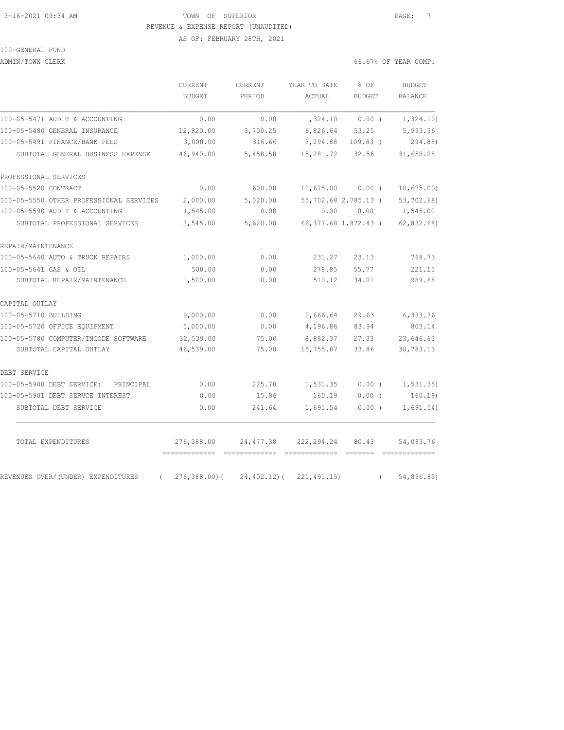## 3-16-2021 09:34 AM **TOWN** OF SUPERIOR **PAGE:** 7 REVENUE & EXPENSE REPORT (UNAUDITED) AS OF: FEBRUARY 28TH, 2021

100-GENERAL FUND

ADMIN/TOWN CLERK 66

| $6.67\%$ OF YEAR COMP. |  |
|------------------------|--|

|                                                  | CURRENT<br><b>BUDGET</b>                    | CURRENT<br>PERIOD                              | YEAR TO DATE<br>ACTUAL              | % OF<br><b>BUDGET</b> |            | <b>BUDGET</b><br><b>BALANCE</b> |
|--------------------------------------------------|---------------------------------------------|------------------------------------------------|-------------------------------------|-----------------------|------------|---------------------------------|
| 100-05-5471 AUDIT & ACCOUNTING                   | 0.00                                        | 0.00                                           | 1,324.10                            | $0.00$ (              |            | 1,324.10)                       |
| 100-05-5480 GENERAL INSURANCE                    | 12,820.00                                   | 3,700.25                                       | 6,826.64 53.25                      |                       |            | 5,993.36                        |
| 100-05-5491 FINANCE/BANK FEES                    | 3,000.00                                    | 316.66                                         | 3,294.88                            | $109.83$ (            |            | 294.88)                         |
| SUBTOTAL GENERAL BUSINESS EXPENSE                | 46,940.00                                   | 5,458.58                                       | 15,281.72                           | 32.56                 |            | 31,658.28                       |
| PROFESSIONAL SERVICES                            |                                             |                                                |                                     |                       |            |                                 |
| 100-05-5520 CONTRACT                             | 0.00                                        | 600.00                                         | $10,675.00$ 0.00 (                  |                       |            | 10,675.00                       |
| 100-05-5550 OTHER PROFESSIONAL SERVICES          | 2,000.00                                    | 5,020.00                                       | 55,702.68 2,785.13 (                |                       |            | 53,702.68)                      |
| 100-05-5590 AUDIT & ACCOUNTING                   | 1,545.00                                    | 0.00                                           |                                     |                       |            | $0.00$ $0.00$ $1,545.00$        |
| SUBTOTAL PROFESSIONAL SERVICES                   | 3,545.00                                    | 5,620.00                                       | 66,377.68 1,872.43 (                |                       |            | 62, 832.68                      |
| REPAIR/MAINTENANCE                               |                                             |                                                |                                     |                       |            |                                 |
| 100-05-5640 AUTO & TRUCK REPAIRS                 | 1,000.00                                    | 0.00                                           | 231.27                              | 23.13                 |            | 768.73                          |
| 100-05-5641 GAS & OIL                            | 500.00                                      | 0.00                                           | 278.85                              | 55.77                 |            | 221.15                          |
| SUBTOTAL REPAIR/MAINTENANCE                      | 1,500.00                                    | 0.00                                           | 510.12                              | 34.01                 |            | 989.88                          |
| CAPITAL OUTLAY                                   |                                             |                                                |                                     |                       |            |                                 |
| 100-05-5710 BUILDING                             | 9,000.00                                    | 0.00                                           | 2,666.64                            | 29.63                 |            | 6,333.36                        |
| 100-05-5720 OFFICE EQUIPMENT                     | 5,000.00                                    | 0.00                                           | 4,196.86                            | 83.94                 |            | 803.14                          |
| 100-05-5780 COMPUTER/INCODE SOFTWARE             | 32,539.00                                   | 75.00                                          | 8,892.37                            | 27.33                 |            | 23,646.63                       |
| SUBTOTAL CAPITAL OUTLAY                          | 46,539.00                                   | 75.00                                          | 15,755.87                           | 33.86                 |            | 30,783.13                       |
| DEBT SERVICE                                     |                                             |                                                |                                     |                       |            |                                 |
| 100-05-5900 DEBT SERVICE:<br>PRINCIPAL           | 0.00                                        | 225.78                                         | 1,531.35                            | $0.00$ (              |            | 1, 531.35)                      |
| 100-05-5901 DEBT SERVCE INTEREST                 | 0.00                                        | 15.86                                          | 160.19                              | $0.00$ (              |            | 160.19                          |
| SUBTOTAL DEBT SERVICE                            | 0.00                                        | 241.64                                         | 1,691.54                            | $0.00$ (              |            | 1,691.54)                       |
| TOTAL EXPENDITURES                               | 276,388.00<br>-------------- -------------- | 24,477.38                                      | 222,294.24<br>2222222222222 2222222 | 80.43                 |            | 54,093.76                       |
| REVENUES OVER/(UNDER) EXPENDITURES<br>$\sqrt{2}$ |                                             | $276, 388.00$ ( $24, 402.12$ ( $221, 491.15$ ) |                                     |                       | $\sqrt{2}$ | 54,896.85)                      |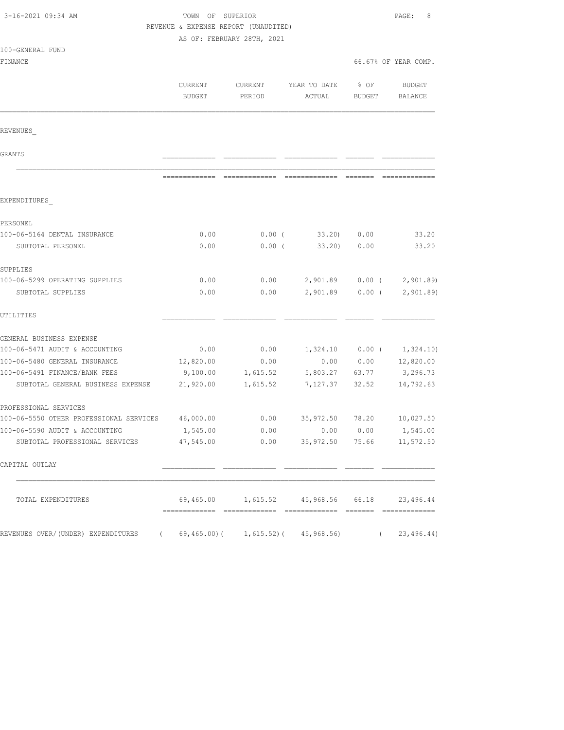| 3-16-2021 09:34 AM                      | TOWN OF SUPERIOR<br>REVENUE & EXPENSE REPORT (UNAUDITED)<br>AS OF: FEBRUARY 28TH, 2021 |                   | PAGE:<br>8                                    |                       |                          |
|-----------------------------------------|----------------------------------------------------------------------------------------|-------------------|-----------------------------------------------|-----------------------|--------------------------|
| 100-GENERAL FUND<br>FINANCE             |                                                                                        |                   |                                               |                       | 66.67% OF YEAR COMP.     |
|                                         | CURRENT<br>BUDGET                                                                      | CURRENT<br>PERIOD | YEAR TO DATE<br>ACTUAL                        | % OF<br><b>BUDGET</b> | BUDGET<br>BALANCE        |
| REVENUES                                |                                                                                        |                   |                                               |                       |                          |
| GRANTS                                  |                                                                                        |                   |                                               |                       |                          |
|                                         |                                                                                        |                   |                                               |                       |                          |
| EXPENDITURES                            |                                                                                        |                   |                                               |                       |                          |
| PERSONEL                                |                                                                                        |                   |                                               |                       |                          |
| 100-06-5164 DENTAL INSURANCE            | 0.00                                                                                   | $0.00$ (          | 33.20) 0.00                                   |                       | 33.20                    |
| SUBTOTAL PERSONEL                       | 0.00                                                                                   | $0.00$ (          | 33.20                                         | 0.00                  | 33.20                    |
| SUPPLIES                                |                                                                                        |                   |                                               |                       |                          |
| 100-06-5299 OPERATING SUPPLIES          | 0.00                                                                                   | 0.00              | 2,901.89 0.00 (                               |                       | 2,901.89                 |
| SUBTOTAL SUPPLIES                       | 0.00                                                                                   | 0.00              | 2,901.89 0.00 (                               |                       | 2,901.89                 |
| UTILITIES                               |                                                                                        |                   |                                               |                       |                          |
| GENERAL BUSINESS EXPENSE                |                                                                                        |                   |                                               |                       |                          |
| 100-06-5471 AUDIT & ACCOUNTING          | 0.00                                                                                   | 0.00              | $1,324.10$ 0.00 (                             |                       | 1,324.10)                |
| 100-06-5480 GENERAL INSURANCE           | 12,820.00                                                                              | 0.00              | 0.00                                          | 0.00                  | 12,820.00                |
| 100-06-5491 FINANCE/BANK FEES           | 9,100.00                                                                               | 1,615.52          | 5,803.27 63.77                                |                       | 3,296.73                 |
| SUBTOTAL GENERAL BUSINESS EXPENSE       | 21,920.00                                                                              | 1,615.52          | 7,127.37 32.52                                |                       | 14,792.63                |
| PROFESSIONAL SERVICES                   |                                                                                        |                   |                                               |                       |                          |
| 100-06-5550 OTHER PROFESSIONAL SERVICES | 46,000.00                                                                              | 0.00              | 35,972.50                                     | 78.20                 | 10,027.50                |
| 100-06-5590 AUDIT & ACCOUNTING          | 1,545.00                                                                               | 0.00              |                                               |                       | $0.00$ $0.00$ $1,545.00$ |
| SUBTOTAL PROFESSIONAL SERVICES          | 47,545.00                                                                              | 0.00              | 35,972.50                                     | 75.66                 | 11,572.50                |
| CAPITAL OUTLAY                          |                                                                                        |                   |                                               |                       |                          |
| TOTAL EXPENDITURES                      |                                                                                        |                   | 69,465.00 1,615.52 45,968.56 66.18 23,496.44  |                       |                          |
| REVENUES OVER/(UNDER) EXPENDITURES      |                                                                                        |                   | $69, 465.00$ ( $1, 615.52$ ) ( $45, 968.56$ ) |                       | 23,496.44)               |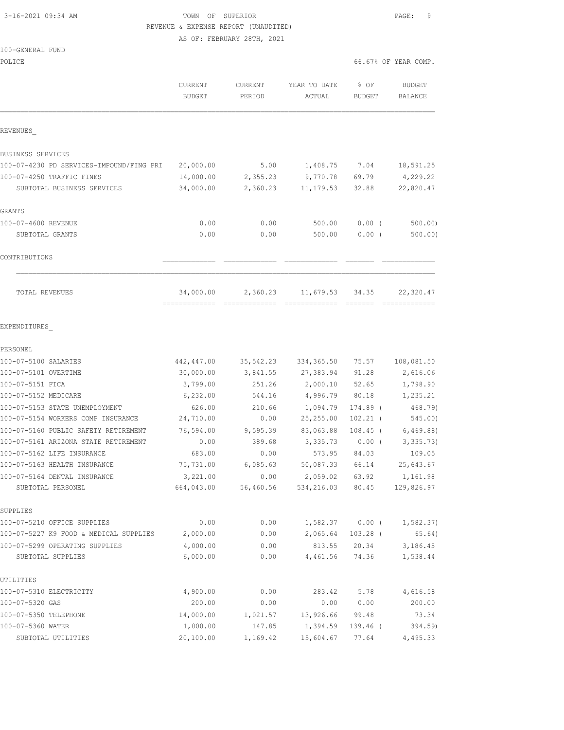# 3-16-2021 09:34 AM TOWN OF SUPERIOR PAGE: 9 REVENUE & EXPENSE REPORT (UNAUDITED)

AS OF: FEBRUARY 28TH, 2021

#### 100-GENERAL FUND

| POLICE                                   |                          |                          |                        | 66.67% OF YEAR COMP.  |                          |  |
|------------------------------------------|--------------------------|--------------------------|------------------------|-----------------------|--------------------------|--|
|                                          | CURRENT<br><b>BUDGET</b> | <b>CURRENT</b><br>PERIOD | YEAR TO DATE<br>ACTUAL | % OF<br><b>BUDGET</b> | <b>BUDGET</b><br>BALANCE |  |
| REVENUES                                 |                          |                          |                        |                       |                          |  |
| BUSINESS SERVICES                        |                          |                          |                        |                       |                          |  |
| 100-07-4230 PD SERVICES-IMPOUND/FING PRI | 20,000.00                | 5.00                     | 1,408.75               | 7.04                  | 18,591.25                |  |
| 100-07-4250 TRAFFIC FINES                | 14,000.00                | 2,355.23                 | 9,770.78               | 69.79                 | 4,229.22                 |  |
| SUBTOTAL BUSINESS SERVICES               | 34,000.00                | 2,360.23                 | 11, 179.53             | 32.88                 | 22,820.47                |  |
| GRANTS                                   |                          |                          |                        |                       |                          |  |
| 100-07-4600 REVENUE                      | 0.00                     | 0.00                     | 500.00                 | $0.00$ (              | 500.00                   |  |
| SUBTOTAL GRANTS                          | 0.00                     | 0.00                     | 500.00                 | $0.00$ (              | 500.00)                  |  |
| CONTRIBUTIONS                            |                          |                          |                        |                       |                          |  |
| TOTAL REVENUES                           | 34,000.00                | 2,360.23                 | 11,679.53              | 34.35                 | 22,320.47                |  |
| EXPENDITURES                             |                          |                          |                        |                       |                          |  |
| PERSONEL                                 |                          |                          |                        |                       |                          |  |
| 100-07-5100 SALARIES                     | 442,447.00               | 35,542.23                | 334, 365.50            | 75.57                 | 108,081.50               |  |
| 100-07-5101 OVERTIME                     | 30,000.00                | 3,841.55                 | 27,383.94              | 91.28                 | 2,616.06                 |  |
| 100-07-5151 FICA                         | 3,799.00                 | 251.26                   | 2,000.10               | 52.65                 | 1,798.90                 |  |
| 100-07-5152 MEDICARE                     | 6,232.00                 | 544.16                   | 4,996.79               | 80.18                 | 1,235.21                 |  |
| 100-07-5153 STATE UNEMPLOYMENT           | 626.00                   | 210.66                   | 1,094.79               | 174.89 (              | 468.79)                  |  |
| 100-07-5154 WORKERS COMP INSURANCE       | 24,710.00                | 0.00                     | 25, 255.00             | $102.21$ (            | 545.00)                  |  |
| 100-07-5160 PUBLIC SAFETY RETIREMENT     | 76,594.00                | 9,595.39                 | 83,063.88              | $108.45$ (            | 6, 469.88)               |  |
| 100-07-5161 ARIZONA STATE RETIREMENT     | 0.00                     | 389.68                   | 3,335.73               | $0.00$ (              | 3,335.73)                |  |
| 100-07-5162 LIFE INSURANCE               | 683.00                   | 0.00                     | 573.95                 | 84.03                 | 109.05                   |  |
| 100-07-5163 HEALTH INSURANCE             | 75,731.00                | 6,085.63                 | 50,087.33              | 66.14                 | 25,643.67                |  |
| 100-07-5164 DENTAL INSURANCE             | 3,221.00                 | 0.00                     | 2,059.02               | 63.92                 | 1,161.98                 |  |
| SUBTOTAL PERSONEL                        | 664,043.00               | 56,460.56                | 534,216.03             | 80.45                 | 129,826.97               |  |
| SUPPLIES                                 |                          |                          |                        |                       |                          |  |
| 100-07-5210 OFFICE SUPPLIES              | 0.00                     | 0.00                     | 1,582.37               | $0.00$ (              | 1,582.37)                |  |
| 100-07-5227 K9 FOOD & MEDICAL SUPPLIES   | 2,000.00                 | 0.00                     | 2,065.64               | $103.28$ (            | 65.64)                   |  |
| 100-07-5299 OPERATING SUPPLIES           | 4,000.00                 | 0.00                     | 813.55                 | 20.34                 | 3,186.45                 |  |
| SUBTOTAL SUPPLIES                        | 6,000.00                 | 0.00                     | 4,461.56               | 74.36                 | 1,538.44                 |  |
| UTILITIES                                |                          |                          |                        |                       |                          |  |
| 100-07-5310 ELECTRICITY                  | 4,900.00                 | 0.00                     | 283.42                 | 5.78                  | 4,616.58                 |  |
| 100-07-5320 GAS                          | 200.00                   | 0.00                     | 0.00                   | 0.00                  | 200.00                   |  |
| 100-07-5350 TELEPHONE                    | 14,000.00                | 1,021.57                 | 13,926.66              | 99.48                 | 73.34                    |  |
| 100-07-5360 WATER                        | 1,000.00                 | 147.85                   | 1,394.59               | 139.46 (              | 394.59)                  |  |
| SUBTOTAL UTILITIES                       | 20,100.00                | 1,169.42                 | 15,604.67              | 77.64                 | 4,495.33                 |  |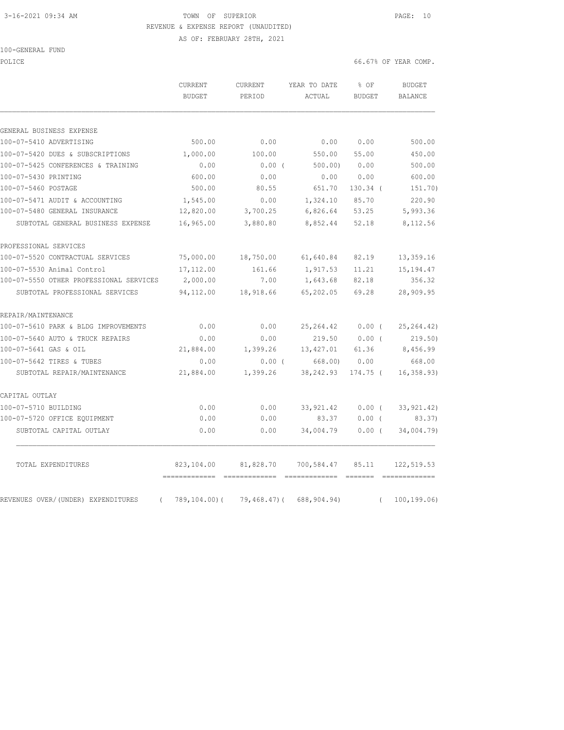# 3-16-2021 09:34 AM TOWN OF SUPERIOR PAGE: 10 REVENUE & EXPENSE REPORT (UNAUDITED)

AS OF: FEBRUARY 28TH, 2021

POLICE 66.67% OF YEAR COMP.

| GENERAL BUSINESS EXPENSE<br>500.00<br>1,000.00<br>0.00<br>600.00<br>500.00<br>1,545.00<br>12,820.00<br>SUBTOTAL GENERAL BUSINESS EXPENSE<br>16,965.00<br>75,000.00<br>17,112.00<br>2,000.00<br>94,112.00<br>SUBTOTAL PROFESSIONAL SERVICES                                                                                                                                      | 0.00<br>100.00<br>$0.00$ (<br>0.00<br>80.55 | 0.00<br>550.00<br>500.00) | 0.00<br>55.00<br>0.00   | 500.00<br>450.00 |
|---------------------------------------------------------------------------------------------------------------------------------------------------------------------------------------------------------------------------------------------------------------------------------------------------------------------------------------------------------------------------------|---------------------------------------------|---------------------------|-------------------------|------------------|
| 100-07-5410 ADVERTISING<br>100-07-5420 DUES & SUBSCRIPTIONS<br>100-07-5425 CONFERENCES & TRAINING<br>100-07-5430 PRINTING<br>100-07-5460 POSTAGE<br>100-07-5471 AUDIT & ACCOUNTING<br>100-07-5480 GENERAL INSURANCE<br>PROFESSIONAL SERVICES<br>100-07-5520 CONTRACTUAL SERVICES<br>100-07-5530 Animal Control<br>100-07-5550 OTHER PROFESSIONAL SERVICES<br>REPAIR/MAINTENANCE |                                             |                           |                         |                  |
|                                                                                                                                                                                                                                                                                                                                                                                 |                                             |                           |                         |                  |
|                                                                                                                                                                                                                                                                                                                                                                                 |                                             |                           |                         |                  |
|                                                                                                                                                                                                                                                                                                                                                                                 |                                             |                           |                         |                  |
|                                                                                                                                                                                                                                                                                                                                                                                 |                                             |                           |                         | 500.00           |
|                                                                                                                                                                                                                                                                                                                                                                                 |                                             | 0.00                      | 0.00                    | 600.00           |
|                                                                                                                                                                                                                                                                                                                                                                                 |                                             | 651.70                    | $130.34$ (              | 151.70)          |
|                                                                                                                                                                                                                                                                                                                                                                                 | 0.00                                        | 1,324.10                  | 85.70                   | 220.90           |
|                                                                                                                                                                                                                                                                                                                                                                                 | 3,700.25                                    | 6,826.64                  | 53.25                   | 5,993.36         |
|                                                                                                                                                                                                                                                                                                                                                                                 | 3,880.80                                    | 8,852.44                  | 52.18                   | 8,112.56         |
|                                                                                                                                                                                                                                                                                                                                                                                 |                                             |                           |                         |                  |
|                                                                                                                                                                                                                                                                                                                                                                                 | 18,750.00                                   | 61,640.84                 | 82.19                   | 13,359.16        |
|                                                                                                                                                                                                                                                                                                                                                                                 | 161.66                                      | 1,917.53                  | 11.21                   | 15, 194.47       |
|                                                                                                                                                                                                                                                                                                                                                                                 | 7.00                                        | 1,643.68                  | 82.18                   | 356.32           |
|                                                                                                                                                                                                                                                                                                                                                                                 | 18,918.66                                   | 65,202.05                 | 69.28                   | 28,909.95        |
|                                                                                                                                                                                                                                                                                                                                                                                 |                                             |                           |                         |                  |
| 100-07-5610 PARK & BLDG IMPROVEMENTS<br>0.00                                                                                                                                                                                                                                                                                                                                    | 0.00                                        | 25, 264.42                | $0.00$ (                | 25, 264.42)      |
| 100-07-5640 AUTO & TRUCK REPAIRS<br>0.00                                                                                                                                                                                                                                                                                                                                        | 0.00                                        | 219.50                    | 0.00(                   | 219.50)          |
| 100-07-5641 GAS & OIL<br>21,884.00                                                                                                                                                                                                                                                                                                                                              | 1,399.26                                    | 13,427.01                 | 61.36                   | 8,456.99         |
| 100-07-5642 TIRES & TUBES<br>0.00                                                                                                                                                                                                                                                                                                                                               | $0.00$ (                                    | 668.00)                   | 0.00                    | 668.00           |
| SUBTOTAL REPAIR/MAINTENANCE<br>21,884.00                                                                                                                                                                                                                                                                                                                                        | 1,399.26                                    | 38, 242.93                | 174.75 (                | 16, 358.93)      |
| CAPITAL OUTLAY                                                                                                                                                                                                                                                                                                                                                                  |                                             |                           |                         |                  |
| 100-07-5710 BUILDING<br>0.00                                                                                                                                                                                                                                                                                                                                                    | 0.00                                        | 33, 921.42                | $0.00$ (                | 33, 921.42)      |
| 100-07-5720 OFFICE EQUIPMENT<br>0.00                                                                                                                                                                                                                                                                                                                                            | 0.00                                        | 83.37                     | $0.00$ (                | 83.37)           |
| SUBTOTAL CAPITAL OUTLAY<br>0.00                                                                                                                                                                                                                                                                                                                                                 | 0.00                                        | 34,004.79                 | 0.00(                   | 34,004.79)       |
| TOTAL EXPENDITURES<br>823,104.00                                                                                                                                                                                                                                                                                                                                                | 81,828.70                                   | 700,584.47                | 85.11                   | 122,519.53       |
| =============<br>REVENUES OVER/(UNDER) EXPENDITURES<br>789,104.00)(<br>$\left($                                                                                                                                                                                                                                                                                                 |                                             |                           | 688,904.94)<br>$\left($ | 100, 199.06      |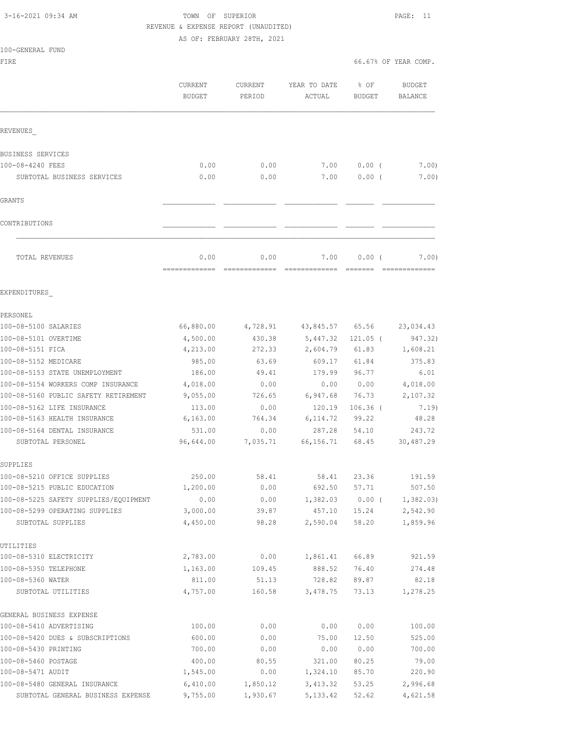# 3-16-2021 09:34 AM TOWN OF SUPERIOR PAGE: 11 REVENUE & EXPENSE REPORT (UNAUDITED)

AS OF: FEBRUARY 28TH, 2021

### 100-GENERAL FUND

FIRE **FIRE FIRE FIRE FIRE** 

|                                       | CURRENT<br><b>BUDGET</b> | CURRENT<br>PERIOD | YEAR TO DATE<br>ACTUAL | % OF<br>BUDGET | <b>BUDGET</b><br>BALANCE |
|---------------------------------------|--------------------------|-------------------|------------------------|----------------|--------------------------|
| REVENUES                              |                          |                   |                        |                |                          |
| BUSINESS SERVICES                     |                          |                   |                        |                |                          |
| 100-08-4240 FEES                      | 0.00                     | 0.00              | 7.00                   | $0.00$ (       | 7.00)                    |
| SUBTOTAL BUSINESS SERVICES            | 0.00                     | 0.00              | 7.00                   | 0.00(          | 7.00)                    |
| GRANTS                                |                          |                   |                        |                |                          |
| CONTRIBUTIONS                         |                          |                   |                        |                |                          |
| TOTAL REVENUES                        | 0.00                     | 0.00              | 7.00                   | $0.00$ (       | 7.00)                    |
| EXPENDITURES                          |                          |                   |                        |                |                          |
| PERSONEL                              |                          |                   |                        |                |                          |
| 100-08-5100 SALARIES                  | 66,880.00                | 4,728.91          | 43,845.57              | 65.56          | 23,034.43                |
| 100-08-5101 OVERTIME                  | 4,500.00                 | 430.38            | 5,447.32               | $121.05$ (     | 947.32)                  |
| 100-08-5151 FICA                      | 4,213.00                 | 272.33            | 2,604.79               | 61.83          | 1,608.21                 |
| 100-08-5152 MEDICARE                  | 985.00                   | 63.69             | 609.17                 | 61.84          | 375.83                   |
| 100-08-5153 STATE UNEMPLOYMENT        | 186.00                   | 49.41             | 179.99                 | 96.77          | 6.01                     |
| 100-08-5154 WORKERS COMP INSURANCE    | 4,018.00                 | 0.00              | 0.00                   | 0.00           | 4,018.00                 |
| 100-08-5160 PUBLIC SAFETY RETIREMENT  | 9,055.00                 | 726.65            | 6,947.68               | 76.73          | 2,107.32                 |
| 100-08-5162 LIFE INSURANCE            | 113.00                   | 0.00              | 120.19                 | $106.36$ (     | 7.19)                    |
| 100-08-5163 HEALTH INSURANCE          | 6,163.00                 | 764.34            | 6,114.72               | 99.22          | 48.28                    |
| 100-08-5164 DENTAL INSURANCE          | 531.00                   | 0.00              | 287.28                 | 54.10          | 243.72                   |
| SUBTOTAL PERSONEL                     | 96,644.00                | 7,035.71          | 66,156.71              | 68.45          | 30,487.29                |
| SUPPLIES                              |                          |                   |                        |                |                          |
| 100-08-5210 OFFICE SUPPLIES           | 250.00                   | 58.41             | 58.41                  | 23.36          | 191.59                   |
| 100-08-5215 PUBLIC EDUCATION          | 1,200.00                 | 0.00              | 692.50                 | 57.71          | 507.50                   |
| 100-08-5225 SAFETY SUPPLIES/EQUIPMENT | 0.00                     | 0.00              | 1,382.03               | $0.00$ (       | 1,382.03)                |
| 100-08-5299 OPERATING SUPPLIES        | 3,000.00                 | 39.87             | 457.10                 | 15.24          | 2,542.90                 |
| SUBTOTAL SUPPLIES                     | 4,450.00                 | 98.28             | 2,590.04               | 58.20          | 1,859.96                 |
| UTILITIES                             |                          |                   |                        |                |                          |
| 100-08-5310 ELECTRICITY               | 2,783.00                 | 0.00              | 1,861.41               | 66.89          | 921.59                   |
| 100-08-5350 TELEPHONE                 | 1,163.00                 | 109.45            | 888.52                 | 76.40          | 274.48                   |
| 100-08-5360 WATER                     | 811.00                   | 51.13             | 728.82                 | 89.87          | 82.18                    |
| SUBTOTAL UTILITIES                    | 4,757.00                 | 160.58            | 3,478.75               | 73.13          | 1,278.25                 |
| GENERAL BUSINESS EXPENSE              |                          |                   |                        |                |                          |
| 100-08-5410 ADVERTISING               | 100.00                   | 0.00              | 0.00                   | 0.00           | 100.00                   |
| 100-08-5420 DUES & SUBSCRIPTIONS      | 600.00                   | 0.00              | 75.00                  | 12.50          | 525.00                   |
| 100-08-5430 PRINTING                  | 700.00                   | 0.00              | 0.00                   | 0.00           | 700.00                   |
| 100-08-5460 POSTAGE                   | 400.00                   | 80.55             | 321.00                 | 80.25          | 79.00                    |
| 100-08-5471 AUDIT                     | 1,545.00                 | 0.00              | 1,324.10               | 85.70          | 220.90                   |
| 100-08-5480 GENERAL INSURANCE         | 6,410.00                 | 1,850.12          | 3,413.32               | 53.25          | 2,996.68                 |

SUBTOTAL GENERAL BUSINESS EXPENSE 9,755.00 1,930.67 5,133.42 52.62 4,621.58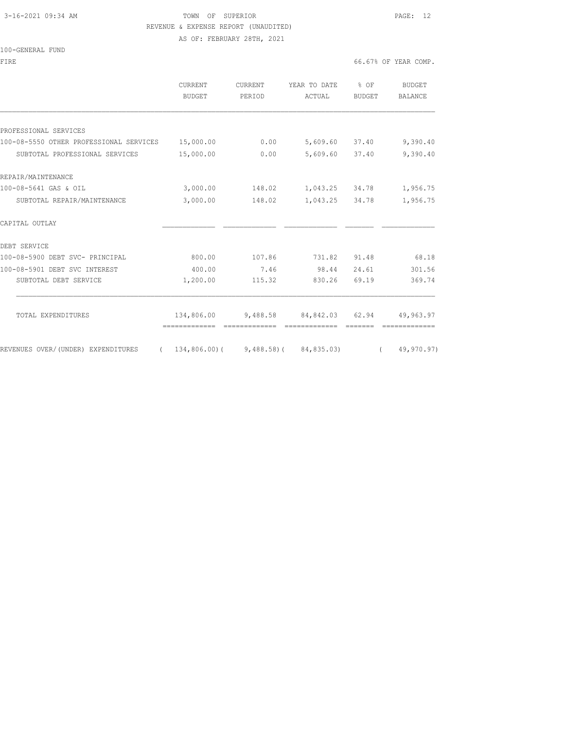# 3-16-2021 09:34 AM TOWN OF SUPERIOR PAGE: 12 REVENUE & EXPENSE REPORT (UNAUDITED)

AS OF: FEBRUARY 28TH, 2021

#### 100-GENERAL FUND

|                                                   | <b>CURRENT</b><br>BUDGET | <b>CURRENT</b><br>PERIOD | YEAR TO DATE<br>ACTUAL              | % OF<br><b>BUDGET</b> | <b>BUDGET</b><br><b>BALANCE</b> |
|---------------------------------------------------|--------------------------|--------------------------|-------------------------------------|-----------------------|---------------------------------|
|                                                   |                          |                          |                                     |                       |                                 |
| PROFESSIONAL SERVICES                             |                          |                          |                                     |                       |                                 |
| 100-08-5550 OTHER PROFESSIONAL SERVICES 15,000.00 |                          | 0.00                     | 5,609.60 37.40                      |                       | 9,390.40                        |
| SUBTOTAL PROFESSIONAL SERVICES                    | 15,000.00                | 0.00                     | 5,609.60 37.40                      |                       | 9,390.40                        |
| REPAIR/MAINTENANCE                                |                          |                          |                                     |                       |                                 |
| 100-08-5641 GAS & OIL                             | 3,000.00                 |                          | 148.02 1,043.25 34.78               |                       | 1,956.75                        |
| SUBTOTAL REPAIR/MAINTENANCE                       | 3,000.00                 | 148.02                   | 1,043.25 34.78                      |                       | 1,956.75                        |
| CAPITAL OUTLAY                                    |                          |                          |                                     |                       |                                 |
| DEBT SERVICE                                      |                          |                          |                                     |                       |                                 |
| 100-08-5900 DEBT SVC- PRINCIPAL                   | 800.00                   | 107.86                   | 731.82                              | 91.48                 | 68.18                           |
| 100-08-5901 DEBT SVC INTEREST                     | 400.00                   | 7.46                     | 98.44                               | 24.61                 | 301.56                          |
| SUBTOTAL DEBT SERVICE                             | 1,200.00                 | 115.32                   | 830.26                              | 69.19                 | 369.74                          |
|                                                   |                          |                          |                                     |                       |                                 |
| TOTAL EXPENDITURES                                | 134,806.00               |                          | 9,488.58 84,842.03 62.94            |                       | 49,963.97                       |
| REVENUES OVER/(UNDER) EXPENDITURES                |                          |                          | $134,806.00$ (9,488.58) (84,835.03) |                       | 49,970.97)                      |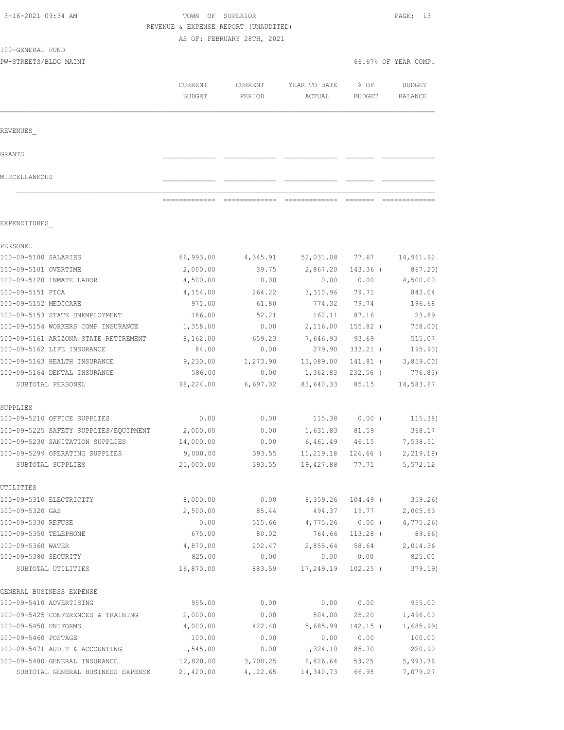|               | AS OF: FEBRUARY 28TH, 2021                                                                                                                           |                                                                                                                                                                                                                                                                                                                                                                                                                                                                                                                                                                                                               |                                                                                                                                       |                                                                                                                                                                         |
|---------------|------------------------------------------------------------------------------------------------------------------------------------------------------|---------------------------------------------------------------------------------------------------------------------------------------------------------------------------------------------------------------------------------------------------------------------------------------------------------------------------------------------------------------------------------------------------------------------------------------------------------------------------------------------------------------------------------------------------------------------------------------------------------------|---------------------------------------------------------------------------------------------------------------------------------------|-------------------------------------------------------------------------------------------------------------------------------------------------------------------------|
|               |                                                                                                                                                      |                                                                                                                                                                                                                                                                                                                                                                                                                                                                                                                                                                                                               |                                                                                                                                       |                                                                                                                                                                         |
|               |                                                                                                                                                      |                                                                                                                                                                                                                                                                                                                                                                                                                                                                                                                                                                                                               |                                                                                                                                       |                                                                                                                                                                         |
|               |                                                                                                                                                      |                                                                                                                                                                                                                                                                                                                                                                                                                                                                                                                                                                                                               |                                                                                                                                       | 66.67% OF YEAR COMP.                                                                                                                                                    |
|               |                                                                                                                                                      |                                                                                                                                                                                                                                                                                                                                                                                                                                                                                                                                                                                                               |                                                                                                                                       | <b>BUDGET</b>                                                                                                                                                           |
| <b>BUDGET</b> | PERIOD                                                                                                                                               | ACTUAL                                                                                                                                                                                                                                                                                                                                                                                                                                                                                                                                                                                                        | <b>BUDGET</b>                                                                                                                         | BALANCE                                                                                                                                                                 |
|               |                                                                                                                                                      |                                                                                                                                                                                                                                                                                                                                                                                                                                                                                                                                                                                                               |                                                                                                                                       |                                                                                                                                                                         |
|               |                                                                                                                                                      |                                                                                                                                                                                                                                                                                                                                                                                                                                                                                                                                                                                                               |                                                                                                                                       |                                                                                                                                                                         |
|               |                                                                                                                                                      |                                                                                                                                                                                                                                                                                                                                                                                                                                                                                                                                                                                                               |                                                                                                                                       |                                                                                                                                                                         |
|               |                                                                                                                                                      |                                                                                                                                                                                                                                                                                                                                                                                                                                                                                                                                                                                                               |                                                                                                                                       |                                                                                                                                                                         |
|               |                                                                                                                                                      | =============                                                                                                                                                                                                                                                                                                                                                                                                                                                                                                                                                                                                 |                                                                                                                                       | =============                                                                                                                                                           |
|               |                                                                                                                                                      |                                                                                                                                                                                                                                                                                                                                                                                                                                                                                                                                                                                                               |                                                                                                                                       |                                                                                                                                                                         |
|               |                                                                                                                                                      |                                                                                                                                                                                                                                                                                                                                                                                                                                                                                                                                                                                                               |                                                                                                                                       |                                                                                                                                                                         |
| 66,993.00     |                                                                                                                                                      | 52,031.08                                                                                                                                                                                                                                                                                                                                                                                                                                                                                                                                                                                                     | 77.67                                                                                                                                 | 14,961.92                                                                                                                                                               |
| 2,000.00      | 39.75                                                                                                                                                | 2,867.20                                                                                                                                                                                                                                                                                                                                                                                                                                                                                                                                                                                                      | 143.36 (                                                                                                                              | 867.20)                                                                                                                                                                 |
| 4,500.00      | 0.00                                                                                                                                                 | 0.00                                                                                                                                                                                                                                                                                                                                                                                                                                                                                                                                                                                                          | 0.00                                                                                                                                  | 4,500.00                                                                                                                                                                |
| 4,154.00      | 264.22                                                                                                                                               | 3,310.96                                                                                                                                                                                                                                                                                                                                                                                                                                                                                                                                                                                                      | 79.71                                                                                                                                 | 843.04                                                                                                                                                                  |
| 971.00        | 61.80                                                                                                                                                | 774.32                                                                                                                                                                                                                                                                                                                                                                                                                                                                                                                                                                                                        | 79.74                                                                                                                                 | 196.68                                                                                                                                                                  |
| 186.00        | 52.21                                                                                                                                                | 162.11                                                                                                                                                                                                                                                                                                                                                                                                                                                                                                                                                                                                        | 87.16                                                                                                                                 | 23.89                                                                                                                                                                   |
| 1,358.00      | 0.00                                                                                                                                                 |                                                                                                                                                                                                                                                                                                                                                                                                                                                                                                                                                                                                               | 155.82 (                                                                                                                              | 758.00)                                                                                                                                                                 |
| 8,162.00      | 659.23                                                                                                                                               | 7,646.93                                                                                                                                                                                                                                                                                                                                                                                                                                                                                                                                                                                                      | 93.69                                                                                                                                 | 515.07                                                                                                                                                                  |
| 84.00         | 0.00                                                                                                                                                 |                                                                                                                                                                                                                                                                                                                                                                                                                                                                                                                                                                                                               | $333.21$ (                                                                                                                            | 195.90)                                                                                                                                                                 |
| 9,230.00      | 1,273.90                                                                                                                                             | 13,089.00                                                                                                                                                                                                                                                                                                                                                                                                                                                                                                                                                                                                     |                                                                                                                                       | $141.81$ ( 3,859.00)                                                                                                                                                    |
| 586.00        | 0.00                                                                                                                                                 |                                                                                                                                                                                                                                                                                                                                                                                                                                                                                                                                                                                                               | 232.56 (                                                                                                                              | 776.83)                                                                                                                                                                 |
| 98,224.00     | 6,697.02                                                                                                                                             | 83,640.33                                                                                                                                                                                                                                                                                                                                                                                                                                                                                                                                                                                                     | 85.15                                                                                                                                 | 14,583.67                                                                                                                                                               |
|               |                                                                                                                                                      |                                                                                                                                                                                                                                                                                                                                                                                                                                                                                                                                                                                                               |                                                                                                                                       |                                                                                                                                                                         |
| 0.00          | 0.00                                                                                                                                                 | 115.38                                                                                                                                                                                                                                                                                                                                                                                                                                                                                                                                                                                                        | $0.00$ (                                                                                                                              | 115.38)                                                                                                                                                                 |
| 2,000.00      | 0.00                                                                                                                                                 | 1,631.83                                                                                                                                                                                                                                                                                                                                                                                                                                                                                                                                                                                                      | 81.59                                                                                                                                 | 368.17                                                                                                                                                                  |
|               |                                                                                                                                                      |                                                                                                                                                                                                                                                                                                                                                                                                                                                                                                                                                                                                               |                                                                                                                                       | 7,538.51                                                                                                                                                                |
|               |                                                                                                                                                      |                                                                                                                                                                                                                                                                                                                                                                                                                                                                                                                                                                                                               |                                                                                                                                       | 2, 219.18                                                                                                                                                               |
|               |                                                                                                                                                      |                                                                                                                                                                                                                                                                                                                                                                                                                                                                                                                                                                                                               |                                                                                                                                       | 5,572.12                                                                                                                                                                |
|               |                                                                                                                                                      |                                                                                                                                                                                                                                                                                                                                                                                                                                                                                                                                                                                                               |                                                                                                                                       |                                                                                                                                                                         |
|               |                                                                                                                                                      |                                                                                                                                                                                                                                                                                                                                                                                                                                                                                                                                                                                                               |                                                                                                                                       | 359.26)<br>2,005.63                                                                                                                                                     |
|               |                                                                                                                                                      |                                                                                                                                                                                                                                                                                                                                                                                                                                                                                                                                                                                                               |                                                                                                                                       | 4,775.26                                                                                                                                                                |
|               |                                                                                                                                                      |                                                                                                                                                                                                                                                                                                                                                                                                                                                                                                                                                                                                               |                                                                                                                                       | 89.66)                                                                                                                                                                  |
|               |                                                                                                                                                      |                                                                                                                                                                                                                                                                                                                                                                                                                                                                                                                                                                                                               |                                                                                                                                       |                                                                                                                                                                         |
|               |                                                                                                                                                      |                                                                                                                                                                                                                                                                                                                                                                                                                                                                                                                                                                                                               |                                                                                                                                       | 2,014.36                                                                                                                                                                |
| 16,870.00     | 883.59                                                                                                                                               | 17,249.19                                                                                                                                                                                                                                                                                                                                                                                                                                                                                                                                                                                                     | $102.25$ (                                                                                                                            | 825.00<br>379.19)                                                                                                                                                       |
|               |                                                                                                                                                      |                                                                                                                                                                                                                                                                                                                                                                                                                                                                                                                                                                                                               |                                                                                                                                       |                                                                                                                                                                         |
| 955.00        | 0.00                                                                                                                                                 | 0.00                                                                                                                                                                                                                                                                                                                                                                                                                                                                                                                                                                                                          | 0.00                                                                                                                                  | 955.00                                                                                                                                                                  |
| 2,000.00      |                                                                                                                                                      | 504.00                                                                                                                                                                                                                                                                                                                                                                                                                                                                                                                                                                                                        | 25.20                                                                                                                                 | 1,496.00                                                                                                                                                                |
|               |                                                                                                                                                      |                                                                                                                                                                                                                                                                                                                                                                                                                                                                                                                                                                                                               |                                                                                                                                       | 1,685.99                                                                                                                                                                |
|               |                                                                                                                                                      |                                                                                                                                                                                                                                                                                                                                                                                                                                                                                                                                                                                                               |                                                                                                                                       | 100.00                                                                                                                                                                  |
|               | CURRENT<br>=============<br>14,000.00<br>9,000.00<br>25,000.00<br>8,000.00<br>2,500.00<br>0.00<br>675.00<br>4,870.00<br>825.00<br>4,000.00<br>100.00 | CURRENT<br>$\begin{array}{cccccccccc} \multicolumn{2}{c}{} & \multicolumn{2}{c}{} & \multicolumn{2}{c}{} & \multicolumn{2}{c}{} & \multicolumn{2}{c}{} & \multicolumn{2}{c}{} & \multicolumn{2}{c}{} & \multicolumn{2}{c}{} & \multicolumn{2}{c}{} & \multicolumn{2}{c}{} & \multicolumn{2}{c}{} & \multicolumn{2}{c}{} & \multicolumn{2}{c}{} & \multicolumn{2}{c}{} & \multicolumn{2}{c}{} & \multicolumn{2}{c}{} & \multicolumn{2}{c}{} & \multicolumn{2}{c}{} & \multicolumn{2}{c}{} & \mult$<br>0.00<br>393.55<br>393.55<br>0.00<br>85.44<br>515.66<br>80.02<br>202.47<br>0.00<br>0.00<br>422.40<br>0.00 | YEAR TO DATE<br>4,345.91<br>6,461.49<br>19,427.88<br>8,359.26<br>494.37<br>4,775.26<br>764.66<br>2,855.64<br>0.00<br>5,685.99<br>0.00 | % OF<br>2,116.00<br>279.90<br>1,362.83<br>46.15<br>11,219.18<br>124.66 (<br>77.71<br>$104.49$ (<br>19.77<br>$0.00$ (<br>$113.28$ (<br>58.64<br>0.00<br>142.15 (<br>0.00 |

100-09-5471 AUDIT & ACCOUNTING 1,545.00 0.00 1,324.10 85.70 220.90 100-09-5480 GENERAL INSURANCE 12,820.00 3,700.25 6,826.64 53.25 5,993.36 SUBTOTAL GENERAL BUSINESS EXPENSE 21,420.00 4,122.65 14,340.73 66.95 7,079.27

3-16-2021 09:34 AM TOWN OF SUPERIOR PAGE: 13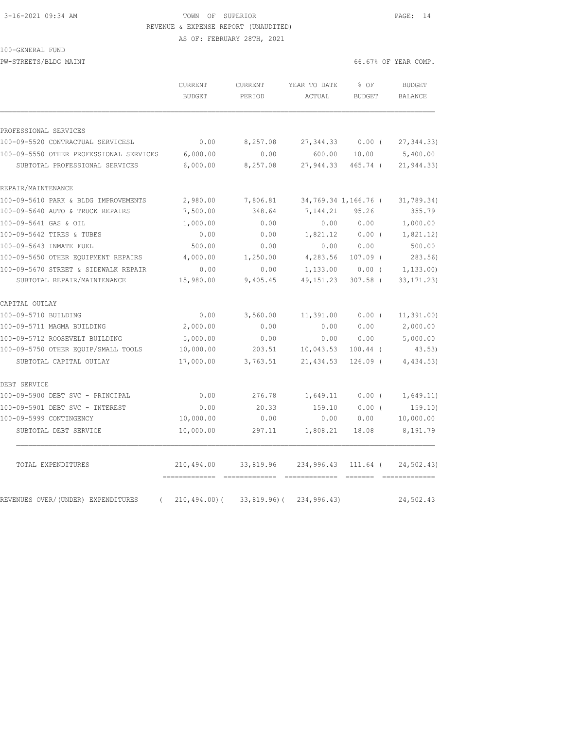## 3-16-2021 09:34 AM TOWN OF SUPERIOR PAGE: 14 REVENUE & EXPENSE REPORT (UNAUDITED) AS OF: FEBRUARY 28TH, 2021

### 100-GENERAL FUND

PW-STREETS/BLDG MAINT 66.67% OF YEAR COMP.

|                                         | CURRENT<br><b>BUDGET</b> | CURRENT<br>PERIOD            | YEAR TO DATE<br>ACTUAL | % OF<br><b>BUDGET</b> | <b>BUDGET</b><br>BALANCE |
|-----------------------------------------|--------------------------|------------------------------|------------------------|-----------------------|--------------------------|
| PROFESSIONAL SERVICES                   |                          |                              |                        |                       |                          |
| 100-09-5520 CONTRACTUAL SERVICESL       | 0.00                     | 8,257.08                     | 27, 344.33             | $0.00$ (              | 27, 344.33               |
| 100-09-5550 OTHER PROFESSIONAL SERVICES | 6,000.00                 | 0.00                         | 600.00                 | 10.00                 | 5,400.00                 |
| SUBTOTAL PROFESSIONAL SERVICES          | 6,000.00                 | 8,257.08                     | 27,944.33              | 465.74 (              | 21, 944.33)              |
| REPAIR/MAINTENANCE                      |                          |                              |                        |                       |                          |
| 100-09-5610 PARK & BLDG IMPROVEMENTS    | 2,980.00                 | 7,806.81                     |                        | 34,769.34 1,166.76 (  | 31,789.34)               |
| 100-09-5640 AUTO & TRUCK REPAIRS        | 7,500.00                 | 348.64                       | 7,144.21               | 95.26                 | 355.79                   |
| 100-09-5641 GAS & OIL                   | 1,000.00                 | 0.00                         | 0.00                   | 0.00                  | 1,000.00                 |
| 100-09-5642 TIRES & TUBES               | 0.00                     | 0.00                         | 1,821.12               | $0.00$ (              | 1,821.12)                |
| 100-09-5643 INMATE FUEL                 | 500.00                   | 0.00                         | 0.00                   | 0.00                  | 500.00                   |
| 100-09-5650 OTHER EQUIPMENT REPAIRS     | 4,000.00                 | 1,250.00                     | 4,283.56               | $107.09$ (            | 283.56                   |
| 100-09-5670 STREET & SIDEWALK REPAIR    | 0.00                     | 0.00                         | 1,133.00               | $0.00$ (              | 1,133.00)                |
| SUBTOTAL REPAIR/MAINTENANCE             | 15,980.00                | 9,405.45                     | 49, 151.23             | $307.58$ (            | 33, 171.23)              |
| CAPITAL OUTLAY                          |                          |                              |                        |                       |                          |
| 100-09-5710 BUILDING                    | 0.00                     | 3,560.00                     | 11,391.00              | 0.00(                 | 11, 391.00)              |
| 100-09-5711 MAGMA BUILDING              | 2,000.00                 | 0.00                         | 0.00                   | 0.00                  | 2,000.00                 |
| 100-09-5712 ROOSEVELT BUILDING          | 5,000.00                 | 0.00                         | 0.00                   | 0.00                  | 5,000.00                 |
| 100-09-5750 OTHER EQUIP/SMALL TOOLS     | 10,000.00                | 203.51                       | 10,043.53              | $100.44$ (            | 43.53)                   |
| SUBTOTAL CAPITAL OUTLAY                 | 17,000.00                | 3,763.51                     | 21,434.53              | $126.09$ (            | 4,434.53)                |
| DEBT SERVICE                            |                          |                              |                        |                       |                          |
| 100-09-5900 DEBT SVC - PRINCIPAL        | 0.00                     | 276.78                       | 1,649.11               | $0.00$ (              | 1,649.11)                |
| 100-09-5901 DEBT SVC - INTEREST         | 0.00                     | 20.33                        | 159.10                 | 0.00(                 | 159.10)                  |
| 100-09-5999 CONTINGENCY                 | 10,000.00                | 0.00                         | 0.00                   | 0.00                  | 10,000.00                |
| SUBTOTAL DEBT SERVICE                   | 10,000.00                | 297.11                       | 1,808.21               | 18.08                 | 8,191.79                 |
| TOTAL EXPENDITURES                      | 210,494.00               | 33,819.96<br>- ============= | 234,996.43             | 111.64 (<br>eessess   | 24,502.43)               |
| REVENUES OVER/(UNDER) EXPENDITURES      | $210, 494.00$ (          | $33,819.96$ (                | 234,996.43)            |                       | 24,502.43                |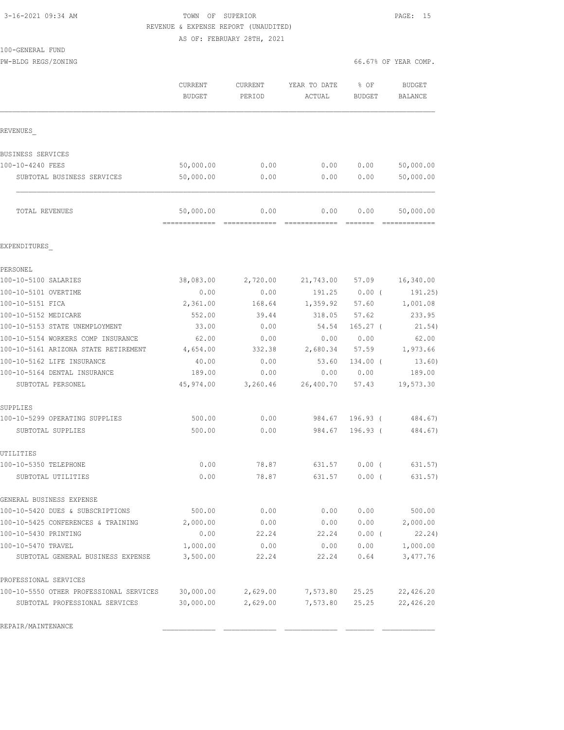# 3-16-2021 09:34 AM TOWN OF SUPERIOR PAGE: 15 REVENUE & EXPENSE REPORT (UNAUDITED)

AS OF: FEBRUARY 28TH, 2021

| 100-GENERAL FUND |  |
|------------------|--|
|                  |  |

PROFESSIONAL SERVICES

| 100-GENERAL FUND                     |                          |                   |                        |                       |                          |
|--------------------------------------|--------------------------|-------------------|------------------------|-----------------------|--------------------------|
| PW-BLDG REGS/ZONING                  |                          |                   |                        |                       | 66.67% OF YEAR COMP.     |
|                                      | CURRENT<br><b>BUDGET</b> | CURRENT<br>PERIOD | YEAR TO DATE<br>ACTUAL | % OF<br><b>BUDGET</b> | <b>BUDGET</b><br>BALANCE |
| REVENUES                             |                          |                   |                        |                       |                          |
| BUSINESS SERVICES                    |                          |                   |                        |                       |                          |
| 100-10-4240 FEES                     | 50,000.00                | 0.00              | 0.00                   | 0.00                  | 50,000.00                |
| SUBTOTAL BUSINESS SERVICES           | 50,000.00                | 0.00              | 0.00                   | 0.00                  | 50,000.00                |
| TOTAL REVENUES                       | 50,000.00                | 0.00              | 0.00                   | 0.00                  | 50,000.00                |
| EXPENDITURES                         |                          |                   |                        |                       |                          |
| PERSONEL                             |                          |                   |                        |                       |                          |
| 100-10-5100 SALARIES                 | 38,083.00                | 2,720.00          | 21,743.00 57.09        |                       | 16,340.00                |
| 100-10-5101 OVERTIME                 | 0.00                     | 0.00              | 191.25                 | $0.00$ (              | 191.25)                  |
| 100-10-5151 FICA                     | 2,361.00                 | 168.64            | 1,359.92               | 57.60                 | 1,001.08                 |
| 100-10-5152 MEDICARE                 | 552.00                   | 39.44             | 318.05                 | 57.62                 | 233.95                   |
| 100-10-5153 STATE UNEMPLOYMENT       | 33.00                    | 0.00              | 54.54                  | $165.27$ (            | 21.54)                   |
| 100-10-5154 WORKERS COMP INSURANCE   | 62.00                    | 0.00              | 0.00                   | 0.00                  | 62.00                    |
| 100-10-5161 ARIZONA STATE RETIREMENT | 4,654.00                 | 332.38            | 2,680.34               | 57.59                 | 1,973.66                 |
| 100-10-5162 LIFE INSURANCE           | 40.00                    | 0.00              | 53.60                  | 134.00 (              | 13.60)                   |
| 100-10-5164 DENTAL INSURANCE         | 189.00                   | 0.00              | 0.00                   | 0.00                  | 189.00                   |
| SUBTOTAL PERSONEL                    | 45,974.00                | 3,260.46          | 26,400.70              | 57.43                 | 19,573.30                |
| SUPPLIES                             |                          |                   |                        |                       |                          |
| 100-10-5299 OPERATING SUPPLIES       | 500.00                   | 0.00              | 984.67                 | 196.93 (              | 484.67)                  |
| SUBTOTAL SUPPLIES                    | 500.00                   | 0.00              | 984.67                 | $196.93$ (            | 484.67)                  |
| UTILITIES                            |                          |                   |                        |                       |                          |
| 100-10-5350 TELEPHONE                | 0.00                     | 78.87             | 631.57                 | $0.00$ (              | 631.57)                  |
| SUBTOTAL UTILITIES                   | 0.00                     | 78.87             | 631.57                 | $0.00$ (              | 631.57)                  |
| GENERAL BUSINESS EXPENSE             |                          |                   |                        |                       |                          |
| 100-10-5420 DUES & SUBSCRIPTIONS     | 500.00                   | 0.00              | 0.00                   | 0.00                  | 500.00                   |
| 100-10-5425 CONFERENCES & TRAINING   | 2,000.00                 | 0.00              | 0.00                   | 0.00                  | 2,000.00                 |
| 100-10-5430 PRINTING                 | 0.00                     | 22.24             | 22.24                  | 0.00(                 | 22.24)                   |

100-10-5470 TRAVEL 1,000.00 0.00 0.00 0.00 1,000.00 SUBTOTAL GENERAL BUSINESS EXPENSE 3,500.00 22.24 22.24 0.64 3,477.76

100-10-5550 OTHER PROFESSIONAL SERVICES 30,000.00 2,629.00 7,573.80 25.25 22,426.20 SUBTOTAL PROFESSIONAL SERVICES 30,000.00 2,629.00 7,573.80 25.25 22,426.20

REPAIR/MAINTENANCE \_\_\_\_\_\_\_\_\_\_\_\_\_ \_\_\_\_\_\_\_\_\_\_\_\_\_ \_\_\_\_\_\_\_\_\_\_\_\_\_ \_\_\_\_\_\_\_ \_\_\_\_\_\_\_\_\_\_\_\_\_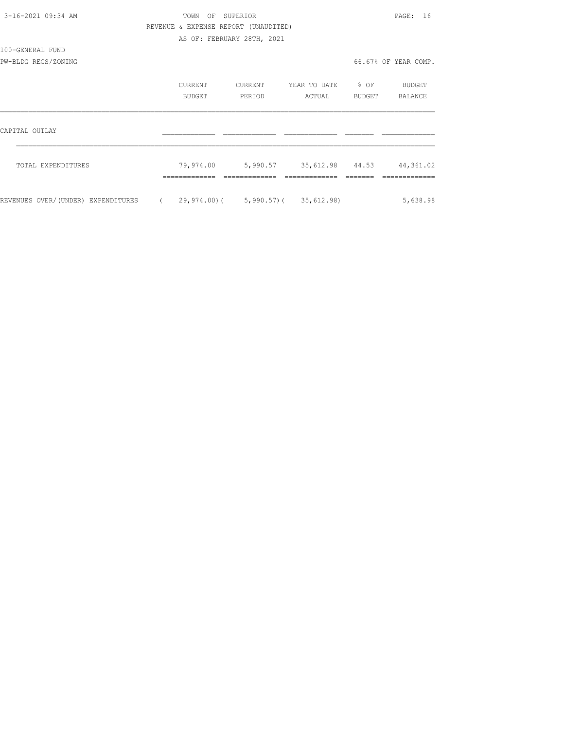| 3-16-2021 09:34 AM                 | TOWN                                  | OF SUPERIOR                |                                              |                  | PAGE: 16             |
|------------------------------------|---------------------------------------|----------------------------|----------------------------------------------|------------------|----------------------|
|                                    | REVENUE & EXPENSE REPORT (UNAUDITED)  |                            |                                              |                  |                      |
|                                    |                                       | AS OF: FEBRUARY 28TH, 2021 |                                              |                  |                      |
| 100-GENERAL FUND                   |                                       |                            |                                              |                  |                      |
| PW-BLDG REGS/ZONING                |                                       |                            |                                              |                  | 66.67% OF YEAR COMP. |
|                                    | CURRENT                               | CURRENT                    | YEAR TO DATE                                 | $\frac{1}{2}$ OF | BUDGET               |
|                                    | <b>BUDGET</b>                         | PERIOD                     | ACTUAL                                       | BUDGET           | BALANCE              |
| CAPITAL OUTLAY                     |                                       |                            |                                              |                  |                      |
|                                    |                                       |                            |                                              |                  |                      |
| TOTAL EXPENDITURES                 |                                       |                            | 79,974.00 5,990.57 35,612.98 44.53 44,361.02 |                  |                      |
| REVENUES OVER/(UNDER) EXPENDITURES | (29, 974.00) (5, 990.57) (35, 612.98) |                            |                                              |                  | 5,638.98             |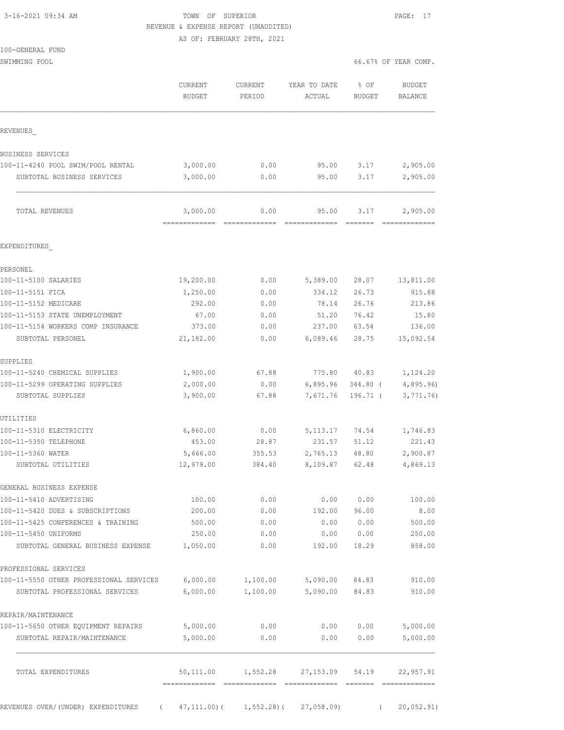# 3-16-2021 09:34 AM TOWN OF SUPERIOR PAGE: 17 REVENUE & EXPENSE REPORT (UNAUDITED)

AS OF: FEBRUARY 28TH, 2021

SWIMMING POOL 66.67% OF YEAR COMP.

|                                                           | <b>CURRENT</b><br><b>BUDGET</b>       | CURRENT<br>PERIOD | YEAR TO DATE<br>ACTUAL | % OF<br>BUDGET     | <b>BUDGET</b><br><b>BALANCE</b> |
|-----------------------------------------------------------|---------------------------------------|-------------------|------------------------|--------------------|---------------------------------|
| REVENUES                                                  |                                       |                   |                        |                    |                                 |
| BUSINESS SERVICES                                         |                                       |                   |                        |                    |                                 |
| 100-11-4240 POOL SWIM/POOL RENTAL                         | 3,000.00                              | 0.00              | 95.00                  | 3.17               | 2,905.00                        |
| SUBTOTAL BUSINESS SERVICES                                | 3,000.00                              | 0.00              | 95.00                  | 3.17               | 2,905.00                        |
| TOTAL REVENUES                                            | 3,000.00<br>=============             | 0.00              | 95.00                  | 3.17               | 2,905.00                        |
| EXPENDITURES                                              |                                       |                   |                        |                    |                                 |
| PERSONEL                                                  |                                       |                   |                        |                    |                                 |
| 100-11-5100 SALARIES                                      | 19,200.00                             | 0.00              | 5,389.00               | 28.07              | 13,811.00                       |
| 100-11-5151 FICA                                          | 1,250.00                              | 0.00              | 334.12                 | 26.73              | 915.88                          |
| 100-11-5152 MEDICARE                                      | 292.00                                | 0.00              | 78.14                  | 26.76              | 213.86                          |
| 100-11-5153 STATE UNEMPLOYMENT                            | 67.00                                 | 0.00              | 51.20                  | 76.42              | 15.80                           |
| 100-11-5154 WORKERS COMP INSURANCE                        | 373.00                                | 0.00              | 237.00                 | 63.54              | 136.00                          |
| SUBTOTAL PERSONEL                                         | 21,182.00                             | 0.00              | 6,089.46               | 28.75              | 15,092.54                       |
| SUPPLIES                                                  |                                       |                   |                        |                    |                                 |
| 100-11-5240 CHEMICAL SUPPLIES                             | 1,900.00                              | 67.88             | 775.80                 | 40.83              | 1,124.20                        |
| 100-11-5299 OPERATING SUPPLIES                            | 2,000.00                              | 0.00              | 6,895.96               | 344.80 (           | 4,895.96)                       |
| SUBTOTAL SUPPLIES                                         | 3,900.00                              | 67.88             | 7,671.76               | $196.71$ (         | 3,771.76                        |
| UTILITIES                                                 |                                       |                   |                        |                    |                                 |
| 100-11-5310 ELECTRICITY                                   | 6,860.00                              | 0.00              | 5,113.17               | 74.54              | 1,746.83                        |
| 100-11-5350 TELEPHONE                                     | 453.00                                | 28.87             | 231.57                 | 51.12              | 221.43                          |
| 100-11-5360 WATER                                         | 5,666.00                              | 355.53            | 2,765.13               | 48.80              | 2,900.87                        |
| SUBTOTAL UTILITIES                                        | 12,979.00                             | 384.40            | 8,109.87               | 62.48              | 4,869.13                        |
| GENERAL BUSINESS EXPENSE                                  |                                       |                   |                        |                    |                                 |
| 100-11-5410 ADVERTISING                                   | 100.00                                | 0.00              | 0.00                   | 0.00               | 100.00                          |
| 100-11-5420 DUES & SUBSCRIPTIONS                          | 200.00                                | 0.00              | 192.00                 | 96.00              | 8.00                            |
| 100-11-5425 CONFERENCES & TRAINING                        | 500.00                                | 0.00              | 0.00                   | 0.00               | 500.00                          |
| 100-11-5450 UNIFORMS<br>SUBTOTAL GENERAL BUSINESS EXPENSE | 250.00<br>1,050.00                    | 0.00<br>0.00      | 192.00                 | 0.00 0.00<br>18.29 | 250.00<br>858.00                |
|                                                           |                                       |                   |                        |                    |                                 |
| PROFESSIONAL SERVICES                                     |                                       |                   |                        |                    |                                 |
| 100-11-5550 OTHER PROFESSIONAL SERVICES                   | 6,000.00                              | 1,100.00          | 5,090.00               | 84.83              | 910.00                          |
| SUBTOTAL PROFESSIONAL SERVICES                            | 6,000.00                              | 1,100.00          | 5,090.00               | 84.83              | 910.00                          |
| REPAIR/MAINTENANCE                                        |                                       |                   |                        |                    |                                 |
| 100-11-5650 OTHER EQUIPMENT REPAIRS                       | 5,000.00                              | 0.00              |                        | 0.00 0.00          | 5,000.00                        |
| SUBTOTAL REPAIR/MAINTENANCE                               | 5,000.00                              | 0.00              | 0.00                   | 0.00               | 5,000.00                        |
| TOTAL EXPENDITURES                                        | 50,111.00                             | 1,552.28          | 27,153.09              | 54.19              | 22,957.91                       |
| REVENUES OVER/(UNDER) EXPENDITURES                        | (47, 111.00) (1, 552.28) (27, 058.09) |                   |                        | $\sqrt{2}$         | 20,052.91)                      |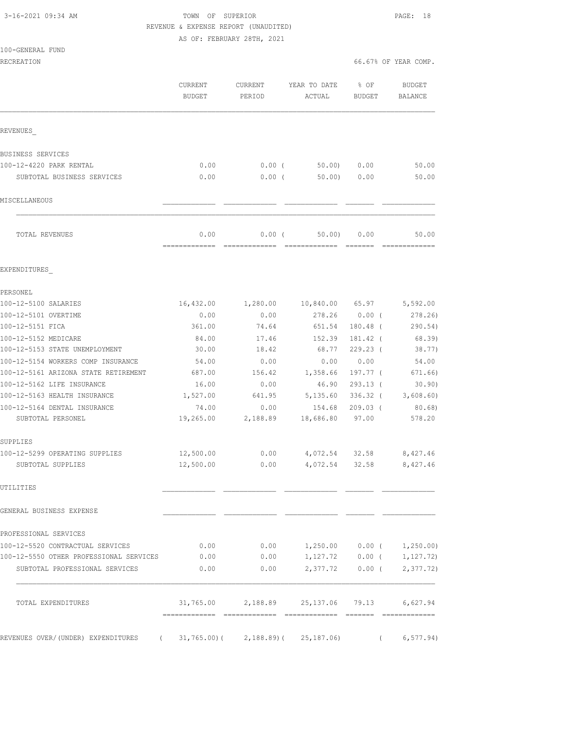# 3-16-2021 09:34 AM TOWN OF SUPERIOR PAGE: 18 REVENUE & EXPENSE REPORT (UNAUDITED)

AS OF: FEBRUARY 28TH, 2021

| RECREATION                              |                                               |          |                                               |                         | 66.67% OF YEAR COMP.        |  |  |
|-----------------------------------------|-----------------------------------------------|----------|-----------------------------------------------|-------------------------|-----------------------------|--|--|
|                                         | CURRENT<br><b>CURRENT</b><br>BUDGET<br>PERIOD |          | YEAR TO DATE<br>ACTUAL                        | $8$ OF<br><b>BUDGET</b> | BUDGET<br><b>BALANCE</b>    |  |  |
| REVENUES                                |                                               |          |                                               |                         |                             |  |  |
| BUSINESS SERVICES                       |                                               |          |                                               |                         |                             |  |  |
| 100-12-4220 PARK RENTAL                 | 0.00                                          | $0.00$ ( | 50.00)                                        | 0.00                    | 50.00                       |  |  |
| SUBTOTAL BUSINESS SERVICES              | 0.00                                          | $0.00$ ( | 50.00                                         | 0.00                    | 50.00                       |  |  |
| MISCELLANEOUS                           |                                               |          |                                               |                         |                             |  |  |
| TOTAL REVENUES                          | 0.00<br>=============                         | $0.00$ ( | 50.00                                         | 0.00                    | 50.00                       |  |  |
| EXPENDITURES                            |                                               |          |                                               |                         |                             |  |  |
| PERSONEL                                |                                               |          |                                               |                         |                             |  |  |
| 100-12-5100 SALARIES                    | 16,432.00                                     | 1,280.00 | 10,840.00 65.97                               |                         | 5,592.00                    |  |  |
| 100-12-5101 OVERTIME                    | 0.00                                          | 0.00     | 278.26                                        | $0.00$ (                | 278.26                      |  |  |
| 100-12-5151 FICA                        | 361.00                                        | 74.64    | 651.54                                        | $180.48$ (              | 290.54)                     |  |  |
| 100-12-5152 MEDICARE                    | 84.00                                         | 17.46    | 152.39                                        | 181.42 (                | 68.39)                      |  |  |
| 100-12-5153 STATE UNEMPLOYMENT          | 30.00                                         | 18.42    | 68.77                                         | $229.23$ (              | 38.77)                      |  |  |
| 100-12-5154 WORKERS COMP INSURANCE      | 54.00                                         | 0.00     | 0.00                                          | 0.00                    | 54.00                       |  |  |
| 100-12-5161 ARIZONA STATE RETIREMENT    | 687.00                                        | 156.42   | 1,358.66                                      | 197.77 (                | 671.66)                     |  |  |
| 100-12-5162 LIFE INSURANCE              | 16.00                                         | 0.00     | 46.90                                         | $293.13$ (              | 30.90)                      |  |  |
| 100-12-5163 HEALTH INSURANCE            | 1,527.00                                      | 641.95   | 5,135.60                                      |                         | $336.32$ ( 3,608.60)        |  |  |
| 100-12-5164 DENTAL INSURANCE            | 74.00                                         | 0.00     | 154.68                                        | $209.03$ (              | 80.68)                      |  |  |
| SUBTOTAL PERSONEL                       | 19,265.00                                     | 2,188.89 | 18,686.80                                     | 97.00                   | 578.20                      |  |  |
| SUPPLIES                                |                                               |          |                                               |                         |                             |  |  |
| 100-12-5299 OPERATING SUPPLIES          | 12,500.00                                     | 0.00     | 4,072.54                                      | 32.58                   | 8,427.46                    |  |  |
| SUBTOTAL SUPPLIES                       | 12,500.00                                     | 0.00     | 4,072.54                                      | 32.58                   | 8,427.46                    |  |  |
| UTILITIES                               |                                               |          |                                               |                         |                             |  |  |
| GENERAL BUSINESS EXPENSE                |                                               |          |                                               |                         |                             |  |  |
| PROFESSIONAL SERVICES                   |                                               |          |                                               |                         |                             |  |  |
| 100-12-5520 CONTRACTUAL SERVICES        | 0.00                                          | 0.00     |                                               |                         | $1,250.00$ 0.00 ( 1,250.00) |  |  |
| 100-12-5550 OTHER PROFESSIONAL SERVICES | 0.00                                          | 0.00     |                                               |                         | $1,127.72$ 0.00 ( 1,127.72) |  |  |
| SUBTOTAL PROFESSIONAL SERVICES          | 0.00                                          | 0.00     | 2,377.72                                      | $0.00$ (                | 2,377.72)                   |  |  |
| TOTAL EXPENDITURES                      |                                               |          | $31,765.00$ 2,188.89 25,137.06 79.13 6,627.94 |                         |                             |  |  |
|                                         |                                               |          |                                               |                         |                             |  |  |

REVENUES OVER/(UNDER) EXPENDITURES (31,765.00)(2,188.89)(25,187.06) (6,577.94)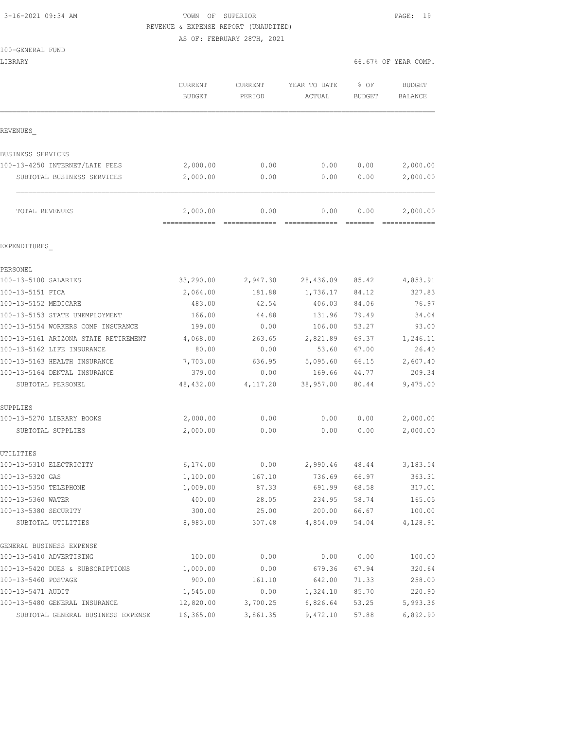100-GENERAL FUND

# 3-16-2021 09:34 AM TOWN OF SUPERIOR PAGE: 19 REVENUE & EXPENSE REPORT (UNAUDITED)

AS OF: FEBRUARY 28TH, 2021

LIBRARY 66.67% OF YEAR COMP.

|                                            | CURRENT<br><b>BUDGET</b> | <b>CURRENT</b><br>PERIOD | YEAR TO DATE<br>ACTUAL | % OF<br>BUDGET | <b>BUDGET</b><br>BALANCE |  |
|--------------------------------------------|--------------------------|--------------------------|------------------------|----------------|--------------------------|--|
| REVENUES                                   |                          |                          |                        |                |                          |  |
| BUSINESS SERVICES                          |                          |                          |                        |                |                          |  |
| 100-13-4250 INTERNET/LATE FEES             | 2,000.00                 | 0.00                     | 0.00                   | 0.00           | 2,000.00                 |  |
| SUBTOTAL BUSINESS SERVICES                 | 2,000.00                 | 0.00                     | 0.00                   | 0.00           | 2,000.00                 |  |
| TOTAL REVENUES                             | 2,000.00                 | 0.00                     | 0.00                   | 0.00           | 2,000.00                 |  |
| EXPENDITURES                               |                          |                          |                        |                |                          |  |
| PERSONEL                                   |                          |                          |                        |                |                          |  |
| 100-13-5100 SALARIES                       | 33,290.00                | 2,947.30                 | 28,436.09              | 85.42          | 4,853.91                 |  |
| 100-13-5151 FICA                           | 2,064.00                 | 181.88                   | 1,736.17               | 84.12          | 327.83                   |  |
| 100-13-5152 MEDICARE                       | 483.00                   | 42.54                    | 406.03                 | 84.06          | 76.97                    |  |
| 100-13-5153 STATE UNEMPLOYMENT             | 166.00                   | 44.88                    | 131.96                 | 79.49          | 34.04                    |  |
| 100-13-5154 WORKERS COMP INSURANCE         | 199.00                   | 0.00                     | 106.00                 | 53.27          | 93.00                    |  |
| 100-13-5161 ARIZONA STATE RETIREMENT       | 4,068.00                 | 263.65                   | 2,821.89               | 69.37          | 1,246.11                 |  |
| 100-13-5162 LIFE INSURANCE                 | 80.00                    | 0.00                     | 53.60                  | 67.00          | 26.40                    |  |
| 100-13-5163 HEALTH INSURANCE               | 7,703.00                 | 636.95                   | 5,095.60               | 66.15          | 2,607.40                 |  |
| 100-13-5164 DENTAL INSURANCE               | 379.00                   | 0.00                     | 169.66                 | 44.77          | 209.34                   |  |
| SUBTOTAL PERSONEL                          | 48,432.00                | 4,117.20                 | 38,957.00              | 80.44          | 9,475.00                 |  |
| SUPPLIES                                   |                          |                          |                        |                |                          |  |
| 100-13-5270 LIBRARY BOOKS                  | 2,000.00                 | 0.00                     | 0.00                   | 0.00           | 2,000.00                 |  |
| SUBTOTAL SUPPLIES                          | 2,000.00                 | 0.00                     | 0.00                   | 0.00           | 2,000.00                 |  |
| UTILITIES                                  |                          |                          |                        |                |                          |  |
| 100-13-5310 ELECTRICITY                    | 6,174.00                 | 0.00                     | 2,990.46 48.44         |                | 3,183.54                 |  |
| 100-13-5320 GAS                            | 1,100.00                 | 167.10                   | 736.69                 | 66.97          | 363.31                   |  |
| 100-13-5350 TELEPHONE                      | 1,009.00                 | 87.33                    | 691.99                 | 68.58          | 317.01                   |  |
| 100-13-5360 WATER                          | 400.00                   | 28.05                    | 234.95                 | 58.74          | 165.05                   |  |
| 100-13-5380 SECURITY<br>SUBTOTAL UTILITIES | 300.00<br>8,983.00       | 25.00<br>307.48          | 200.00<br>4,854.09     | 66.67<br>54.04 | 100.00<br>4,128.91       |  |
| GENERAL BUSINESS EXPENSE                   |                          |                          |                        |                |                          |  |
| 100-13-5410 ADVERTISING                    | 100.00                   | 0.00                     | 0.00                   | 0.00           | 100.00                   |  |
| 100-13-5420 DUES & SUBSCRIPTIONS           | 1,000.00                 | 0.00                     | 679.36                 | 67.94          | 320.64                   |  |
| 100-13-5460 POSTAGE                        | 900.00                   | 161.10                   | 642.00                 | 71.33          | 258.00                   |  |
| 100-13-5471 AUDIT                          | 1,545.00                 | 0.00                     | 1,324.10               | 85.70          | 220.90                   |  |
| 100-13-5480 GENERAL INSURANCE              | 12,820.00                | 3,700.25                 | 6,826.64               | 53.25          | 5,993.36                 |  |
| SUBTOTAL GENERAL BUSINESS EXPENSE          | 16,365.00                | 3,861.35                 | 9,472.10               | 57.88          | 6,892.90                 |  |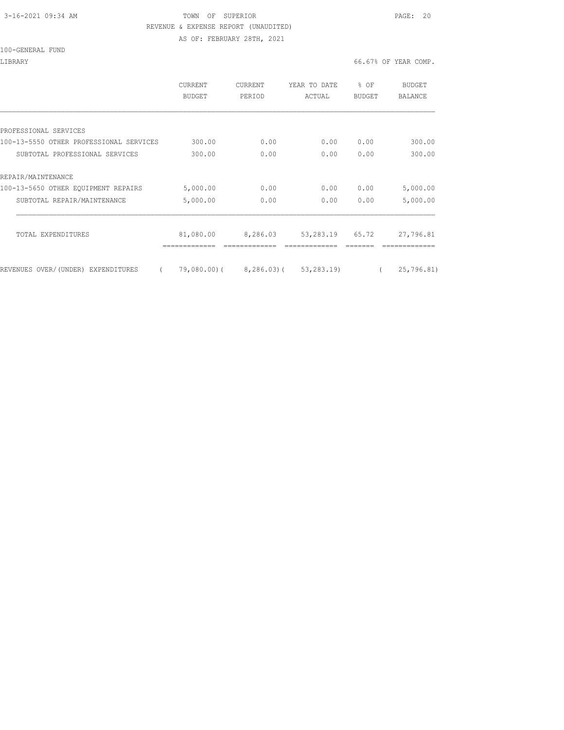# 3-16-2021 09:34 AM TOWN OF SUPERIOR PAGE: 20 REVENUE & EXPENSE REPORT (UNAUDITED)

AS OF: FEBRUARY 28TH, 2021

#### 100-GENERAL FUND

### LIBRARY 66.67% OF YEAR COMP.

|                                                | <b>CURRENT</b><br>BUDGET | <b>CURRENT</b><br>PERIOD | YEAR TO DATE<br>ACTUAL | $8$ OF<br><b>BUDGET</b> | BUDGET<br>BALANCE |
|------------------------------------------------|--------------------------|--------------------------|------------------------|-------------------------|-------------------|
|                                                |                          |                          |                        |                         |                   |
| PROFESSIONAL SERVICES                          |                          |                          |                        |                         |                   |
| 100-13-5550 OTHER PROFESSIONAL SERVICES        | 300.00                   | 0.00                     | 0.00                   | 0.00                    | 300.00            |
| SUBTOTAL PROFESSIONAL SERVICES                 | 300.00                   | 0.00                     | 0.00                   | 0.00                    | 300.00            |
| REPAIR/MAINTENANCE                             |                          |                          |                        |                         |                   |
| 100-13-5650 OTHER EQUIPMENT REPAIRS            | 5,000.00                 | 0.00                     | 0.00                   | 0.00                    | 5,000.00          |
| SUBTOTAL REPAIR/MAINTENANCE                    | 5,000.00                 | 0.00                     | 0.00                   | 0.00                    | 5,000.00          |
| TOTAL EXPENDITURES                             | 81,080.00                | 8,286.03                 | 53,283.19              | 65.72                   | 27,796.81         |
|                                                |                          |                          |                        |                         |                   |
| REVENUES OVER/(UNDER) EXPENDITURES<br>$\left($ | 79,080.00)(              | 8,286.03)(53,283.19)     |                        |                         | 25,796.81)        |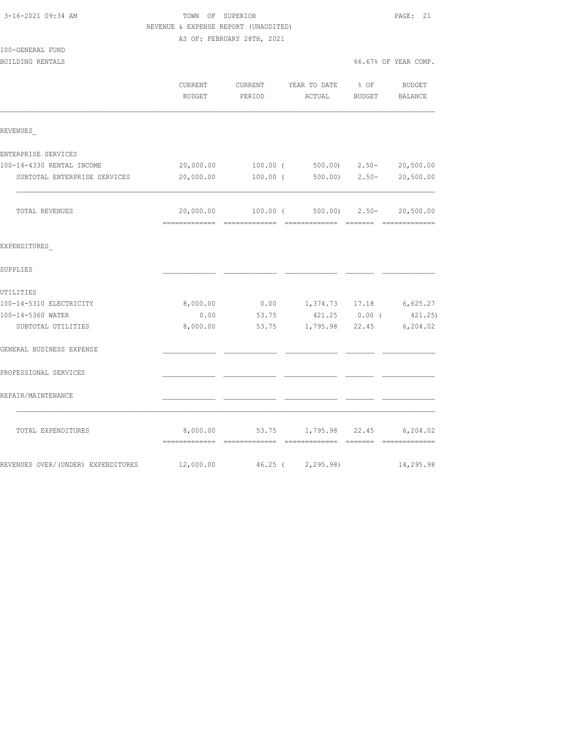|                                    | REVENUE & EXPENSE REPORT (UNAUDITED) |                            |                                        |               |                      |
|------------------------------------|--------------------------------------|----------------------------|----------------------------------------|---------------|----------------------|
|                                    |                                      | AS OF: FEBRUARY 28TH, 2021 |                                        |               |                      |
| 100-GENERAL FUND                   |                                      |                            |                                        |               |                      |
| BUILDING RENTALS                   |                                      |                            |                                        |               | 66.67% OF YEAR COMP. |
|                                    | CURRENT<br>BUDGET                    | CURRENT<br>PERIOD          | YEAR TO DATE % OF<br>ACTUAL            | <b>BUDGET</b> | BUDGET<br>BALANCE    |
| REVENUES                           |                                      |                            |                                        |               |                      |
| ENTERPRISE SERVICES                |                                      |                            |                                        |               |                      |
| 100-14-4330 RENTAL INCOME          | 20,000.00                            |                            | 100.00 (500.00) 2.50-                  |               | 20,500.00            |
| SUBTOTAL ENTERPRISE SERVICES       | 20,000.00                            | 100.00 (                   |                                        | 500.00) 2.50- | 20,500.00            |
| TOTAL REVENUES                     | 20,000.00                            |                            | $100.00$ (500.00) 2.50-                |               | 20,500.00            |
| EXPENDITURES                       |                                      |                            |                                        |               |                      |
| SUPPLIES                           |                                      |                            |                                        |               |                      |
| UTILITIES                          |                                      |                            |                                        |               |                      |
| 100-14-5310 ELECTRICITY            | 8,000.00                             |                            | $0.00$ 1,374.73 17.18                  |               | 6,625.27             |
| 100-14-5360 WATER                  | 0.00                                 | 53.75                      | 421.25 0.00 (                          |               | 421.25)              |
| SUBTOTAL UTILITIES                 | 8,000.00                             | 53.75                      | 1,795.98 22.45                         |               | 6, 204.02            |
| GENERAL BUSINESS EXPENSE           |                                      |                            |                                        |               |                      |
| PROFESSIONAL SERVICES              |                                      |                            |                                        |               |                      |
| REPAIR/MAINTENANCE                 |                                      |                            |                                        |               |                      |
| TOTAL EXPENDITURES                 |                                      |                            | 8,000.00 53.75 1,795.98 22.45 6,204.02 |               |                      |
| REVENUES OVER/(UNDER) EXPENDITURES | 12,000.00                            |                            | 46.25 ( 2,295.98)                      |               | 14,295.98            |

3-16-2021 09:34 AM TOWN OF SUPERIOR PAGE: 21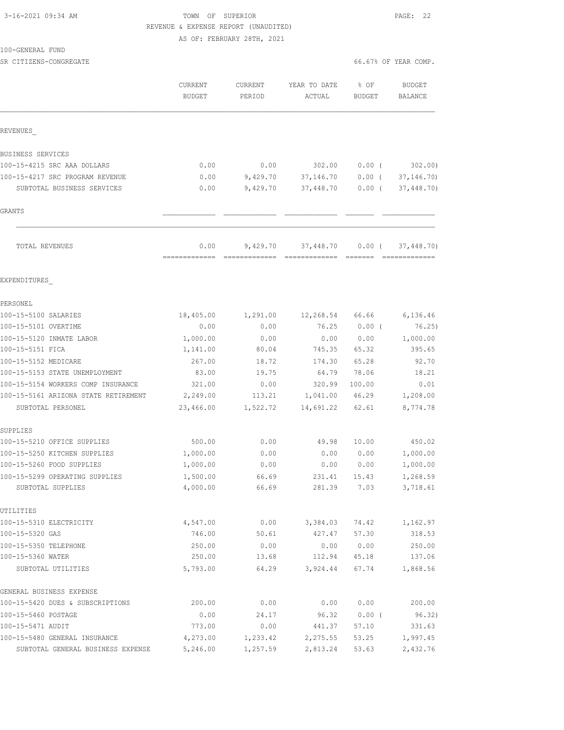# 3-16-2021 09:34 AM TOWN OF SUPERIOR PAGE: 22 REVENUE & EXPENSE REPORT (UNAUDITED)

AS OF: FEBRUARY 28TH, 2021

#### 100-GENERAL FUND

SR CITIZENS-CONGREGATE SERVICES AND RESOLUTION OF SERVICES AND RESOLUTION OF SERVICES AND SERVICES AND SERVICES

|                                                     | CURRENT<br><b>BUDGET</b> | CURRENT<br>PERIOD | YEAR TO DATE<br>ACTUAL                                                                                                                                                                                                                                                                                                                                                                                                                                                                              | % OF<br><b>BUDGET</b> | <b>BUDGET</b><br>BALANCE   |  |
|-----------------------------------------------------|--------------------------|-------------------|-----------------------------------------------------------------------------------------------------------------------------------------------------------------------------------------------------------------------------------------------------------------------------------------------------------------------------------------------------------------------------------------------------------------------------------------------------------------------------------------------------|-----------------------|----------------------------|--|
| REVENUES                                            |                          |                   |                                                                                                                                                                                                                                                                                                                                                                                                                                                                                                     |                       |                            |  |
| BUSINESS SERVICES                                   |                          |                   |                                                                                                                                                                                                                                                                                                                                                                                                                                                                                                     |                       |                            |  |
| 100-15-4215 SRC AAA DOLLARS                         | 0.00                     | 0.00              | 302.00                                                                                                                                                                                                                                                                                                                                                                                                                                                                                              | $0.00$ (              | 302.00                     |  |
| 100-15-4217 SRC PROGRAM REVENUE                     | 0.00                     | 9,429.70          | 37,146.70                                                                                                                                                                                                                                                                                                                                                                                                                                                                                           | $0.00$ (              | 37, 146.70                 |  |
| SUBTOTAL BUSINESS SERVICES                          | 0.00                     | 9,429.70          | 37,448.70                                                                                                                                                                                                                                                                                                                                                                                                                                                                                           | $0.00$ (              | 37,448.70)                 |  |
| GRANTS                                              |                          |                   |                                                                                                                                                                                                                                                                                                                                                                                                                                                                                                     |                       |                            |  |
| TOTAL REVENUES                                      | 0.00<br>-------------    | 9,429.70          | 37,448.70<br>$\begin{array}{cccccccccc} \multicolumn{2}{c}{} & \multicolumn{2}{c}{} & \multicolumn{2}{c}{} & \multicolumn{2}{c}{} & \multicolumn{2}{c}{} & \multicolumn{2}{c}{} & \multicolumn{2}{c}{} & \multicolumn{2}{c}{} & \multicolumn{2}{c}{} & \multicolumn{2}{c}{} & \multicolumn{2}{c}{} & \multicolumn{2}{c}{} & \multicolumn{2}{c}{} & \multicolumn{2}{c}{} & \multicolumn{2}{c}{} & \multicolumn{2}{c}{} & \multicolumn{2}{c}{} & \multicolumn{2}{c}{} & \multicolumn{2}{c}{} & \mult$ | $0.00$ (              | 37,448.70)<br>essessessess |  |
| EXPENDITURES                                        |                          |                   |                                                                                                                                                                                                                                                                                                                                                                                                                                                                                                     |                       |                            |  |
| PERSONEL                                            |                          |                   |                                                                                                                                                                                                                                                                                                                                                                                                                                                                                                     |                       |                            |  |
| 100-15-5100 SALARIES                                | 18,405.00                | 1,291.00          | 12,268.54 66.66                                                                                                                                                                                                                                                                                                                                                                                                                                                                                     |                       | 6,136.46                   |  |
| 100-15-5101 OVERTIME                                | 0.00                     | 0.00              | 76.25                                                                                                                                                                                                                                                                                                                                                                                                                                                                                               | $0.00$ (              | 76.25)                     |  |
| 100-15-5120 INMATE LABOR                            | 1,000.00                 | 0.00              | 0.00                                                                                                                                                                                                                                                                                                                                                                                                                                                                                                | 0.00                  | 1,000.00                   |  |
| 100-15-5151 FICA                                    | 1,141.00                 | 80.04             | 745.35                                                                                                                                                                                                                                                                                                                                                                                                                                                                                              | 65.32                 | 395.65                     |  |
| 100-15-5152 MEDICARE                                | 267.00                   | 18.72             | 174.30                                                                                                                                                                                                                                                                                                                                                                                                                                                                                              | 65.28                 | 92.70                      |  |
| 100-15-5153 STATE UNEMPLOYMENT                      | 83.00                    | 19.75             | 64.79                                                                                                                                                                                                                                                                                                                                                                                                                                                                                               | 78.06                 | 18.21                      |  |
| 100-15-5154 WORKERS COMP INSURANCE                  | 321.00                   | 0.00              | 320.99                                                                                                                                                                                                                                                                                                                                                                                                                                                                                              | 100.00                | 0.01                       |  |
| 100-15-5161 ARIZONA STATE RETIREMENT                | 2,249.00                 | 113.21            | 1,041.00                                                                                                                                                                                                                                                                                                                                                                                                                                                                                            | 46.29                 | 1,208.00                   |  |
| SUBTOTAL PERSONEL                                   | 23,466.00                | 1,522.72          | 14,691.22                                                                                                                                                                                                                                                                                                                                                                                                                                                                                           | 62.61                 | 8,774.78                   |  |
| SUPPLIES                                            |                          |                   |                                                                                                                                                                                                                                                                                                                                                                                                                                                                                                     |                       |                            |  |
| 100-15-5210 OFFICE SUPPLIES                         | 500.00                   | 0.00              | 49.98                                                                                                                                                                                                                                                                                                                                                                                                                                                                                               | 10.00                 | 450.02                     |  |
| 100-15-5250 KITCHEN SUPPLIES                        | 1,000.00                 | 0.00              | 0.00                                                                                                                                                                                                                                                                                                                                                                                                                                                                                                | 0.00                  | 1,000.00                   |  |
| 100-15-5260 FOOD SUPPLIES                           | 1,000.00                 | 0.00              | 0.00                                                                                                                                                                                                                                                                                                                                                                                                                                                                                                | 0.00                  | 1,000.00                   |  |
| 100-15-5299 OPERATING SUPPLIES<br>SUBTOTAL SUPPLIES | 1,500.00<br>4,000.00     | 66.69<br>66.69    | 231.41<br>281.39                                                                                                                                                                                                                                                                                                                                                                                                                                                                                    | 15.43<br>7.03         | 1,268.59<br>3,718.61       |  |
| UTILITIES                                           |                          |                   |                                                                                                                                                                                                                                                                                                                                                                                                                                                                                                     |                       |                            |  |
| 100-15-5310 ELECTRICITY                             | 4,547.00                 | 0.00              | 3,384.03                                                                                                                                                                                                                                                                                                                                                                                                                                                                                            | 74.42                 | 1,162.97                   |  |
| 100-15-5320 GAS                                     | 746.00                   | 50.61             | 427.47                                                                                                                                                                                                                                                                                                                                                                                                                                                                                              | 57.30                 | 318.53                     |  |
| 100-15-5350 TELEPHONE                               | 250.00                   | 0.00              | 0.00                                                                                                                                                                                                                                                                                                                                                                                                                                                                                                | 0.00                  | 250.00                     |  |
| 100-15-5360 WATER                                   | 250.00                   | 13.68             | 112.94                                                                                                                                                                                                                                                                                                                                                                                                                                                                                              | 45.18                 | 137.06                     |  |
| SUBTOTAL UTILITIES                                  | 5,793.00                 | 64.29             | 3,924.44                                                                                                                                                                                                                                                                                                                                                                                                                                                                                            | 67.74                 | 1,868.56                   |  |
| GENERAL BUSINESS EXPENSE                            |                          |                   |                                                                                                                                                                                                                                                                                                                                                                                                                                                                                                     |                       |                            |  |
| 100-15-5420 DUES & SUBSCRIPTIONS                    | 200.00                   | 0.00              | 0.00                                                                                                                                                                                                                                                                                                                                                                                                                                                                                                | 0.00                  | 200.00                     |  |
| 100-15-5460 POSTAGE                                 | 0.00                     | 24.17             | 96.32                                                                                                                                                                                                                                                                                                                                                                                                                                                                                               | $0.00$ (              | 96.32)                     |  |
| 100-15-5471 AUDIT                                   | 773.00                   | 0.00              | 441.37                                                                                                                                                                                                                                                                                                                                                                                                                                                                                              | 57.10                 | 331.63                     |  |
| 100-15-5480 GENERAL INSURANCE                       | 4,273.00                 | 1,233.42          | 2,275.55                                                                                                                                                                                                                                                                                                                                                                                                                                                                                            | 53.25                 | 1,997.45                   |  |
| SUBTOTAL GENERAL BUSINESS EXPENSE                   | 5,246.00                 | 1,257.59          | 2,813.24                                                                                                                                                                                                                                                                                                                                                                                                                                                                                            | 53.63                 | 2,432.76                   |  |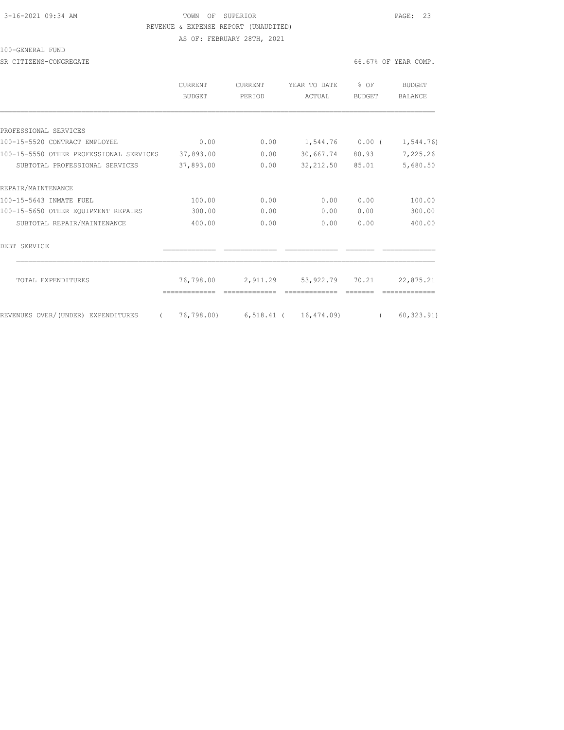## 3-16-2021 09:34 AM **TOWN** OF SUPERIOR **PAGE: 23**  REVENUE & EXPENSE REPORT (UNAUDITED) AS OF: FEBRUARY 28TH, 2021

100-GENERAL FUND

SR CITIZENS-CONGREGATE **66.67%** OF YEAR COMP.

|                                                | <b>CURRENT</b><br><b>BUDGET</b> | <b>CURRENT</b><br>PERIOD | YEAR TO DATE<br>ACTUAL           | % OF<br><b>BUDGET</b> | <b>BUDGET</b><br>BALANCE |
|------------------------------------------------|---------------------------------|--------------------------|----------------------------------|-----------------------|--------------------------|
|                                                |                                 |                          |                                  |                       |                          |
| PROFESSIONAL SERVICES                          |                                 |                          |                                  |                       |                          |
| 100-15-5520 CONTRACT EMPLOYEE                  | 0.00                            | 0.00                     | $1,544.76$ 0.00 (                |                       | 1,544.76)                |
| 100-15-5550 OTHER PROFESSIONAL SERVICES        | 37,893.00                       | 0.00                     | 30,667.74                        | 80.93                 | 7,225.26                 |
| SUBTOTAL PROFESSIONAL SERVICES                 | 37,893.00                       | 0.00                     | 32, 212.50 85.01                 |                       | 5,680.50                 |
| REPAIR/MAINTENANCE                             |                                 |                          |                                  |                       |                          |
| 100-15-5643 INMATE FUEL                        | 100.00                          | 0.00                     | 0.00                             | 0.00                  | 100.00                   |
| 100-15-5650 OTHER EQUIPMENT REPAIRS            | 300.00                          | 0.00                     | 0.00                             | 0.00                  | 300.00                   |
| SUBTOTAL REPAIR/MAINTENANCE                    | 400.00                          | 0.00                     | 0.00                             | 0.00                  | 400.00                   |
| DEBT SERVICE                                   |                                 |                          |                                  |                       |                          |
| TOTAL EXPENDITURES                             | 76,798.00                       | 2,911.29                 | 53,922.79                        | 70.21                 | 22,875.21                |
| REVENUES OVER/(UNDER) EXPENDITURES<br>$\left($ |                                 |                          | 76,798.00) 6,518.41 ( 16,474.09) | $\left($              | 60, 323.91)              |
|                                                |                                 |                          |                                  |                       |                          |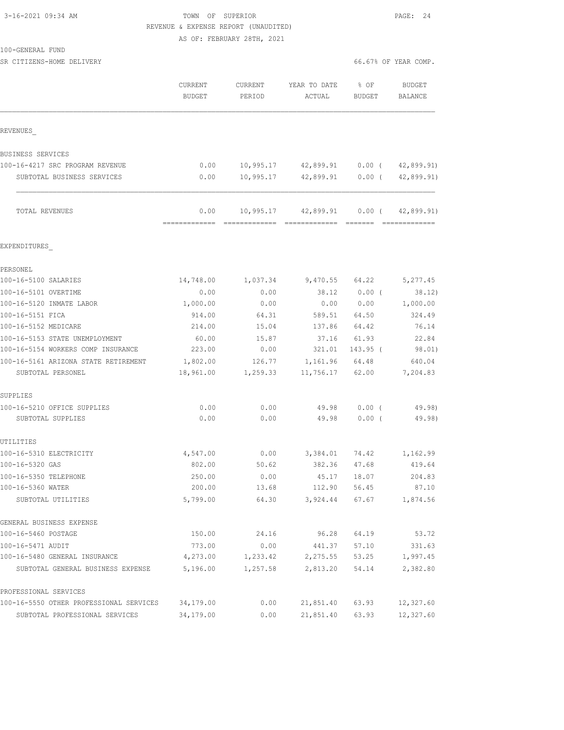# 3-16-2021 09:34 AM **TOWN** OF SUPERIOR **PAGE: 24** REVENUE & EXPENSE REPORT (UNAUDITED)

AS OF: FEBRUARY 28TH, 2021

|  | 100-GENERAL FUND |  |
|--|------------------|--|
|  |                  |  |

| SR CITIZENS-HOME DELIVERY               |                                 |                   |                            |                       | 66.67% OF YEAR COMP.     |  |  |  |
|-----------------------------------------|---------------------------------|-------------------|----------------------------|-----------------------|--------------------------|--|--|--|
|                                         | <b>CURRENT</b><br><b>BUDGET</b> | CURRENT<br>PERIOD | YEAR TO DATE<br>ACTUAL     | % OF<br><b>BUDGET</b> | BUDGET<br><b>BALANCE</b> |  |  |  |
| REVENUES                                |                                 |                   |                            |                       |                          |  |  |  |
| BUSINESS SERVICES                       |                                 |                   |                            |                       |                          |  |  |  |
| 100-16-4217 SRC PROGRAM REVENUE         | 0.00                            | 10,995.17         | 42,899.91                  | $0.00$ (              | 42,899.91)               |  |  |  |
| SUBTOTAL BUSINESS SERVICES              | 0.00                            | 10,995.17         | 42,899.91                  | $0.00$ (              | 42,899.91)               |  |  |  |
| TOTAL REVENUES                          | 0.00                            |                   | 10,995.17 42,899.91 0.00 ( |                       | 42,899.91)               |  |  |  |
| EXPENDITURES                            |                                 |                   |                            |                       |                          |  |  |  |
| PERSONEL                                |                                 |                   |                            |                       |                          |  |  |  |
| 100-16-5100 SALARIES                    | 14,748.00                       | 1,037.34          | 9,470.55                   | 64.22                 | 5,277.45                 |  |  |  |
| 100-16-5101 OVERTIME                    | 0.00                            | 0.00              | 38.12                      | $0.00$ (              | 38.12)                   |  |  |  |
| 100-16-5120 INMATE LABOR                | 1,000.00                        | 0.00              | 0.00                       | 0.00                  | 1,000.00                 |  |  |  |
| 100-16-5151 FICA                        | 914.00                          | 64.31             | 589.51                     | 64.50                 | 324.49                   |  |  |  |
| 100-16-5152 MEDICARE                    | 214.00                          | 15.04             | 137.86                     | 64.42                 | 76.14                    |  |  |  |
| 100-16-5153 STATE UNEMPLOYMENT          | 60.00                           | 15.87             | 37.16                      | 61.93                 | 22.84                    |  |  |  |
| 100-16-5154 WORKERS COMP INSURANCE      | 223.00                          | 0.00              | 321.01                     | 143.95 (              | 98.01)                   |  |  |  |
| 100-16-5161 ARIZONA STATE RETIREMENT    | 1,802.00                        | 126.77            | 1,161.96                   | 64.48                 | 640.04                   |  |  |  |
| SUBTOTAL PERSONEL                       | 18,961.00                       | 1,259.33          | 11,756.17                  | 62.00                 | 7,204.83                 |  |  |  |
| SUPPLIES                                |                                 |                   |                            |                       |                          |  |  |  |
| 100-16-5210 OFFICE SUPPLIES             | 0.00                            | 0.00              | 49.98                      | 0.00(                 | 49.98)                   |  |  |  |
| SUBTOTAL SUPPLIES                       | 0.00                            | 0.00              | 49.98                      | 0.00(                 | 49.98)                   |  |  |  |
| UTILITIES                               |                                 |                   |                            |                       |                          |  |  |  |
| 100-16-5310 ELECTRICITY                 | 4,547.00                        | 0.00              | 3,384.01                   | 74.42                 | 1,162.99                 |  |  |  |
| 100-16-5320 GAS                         | 802.00                          | 50.62             | 382.36                     | 47.68                 | 419.64                   |  |  |  |
| 100-16-5350 TELEPHONE                   | 250.00                          | 0.00              | 45.17                      | 18.07                 | 204.83                   |  |  |  |
| 100-16-5360 WATER<br>SUBTOTAL UTILITIES | 200.00<br>5,799.00              | 13.68<br>64.30    | 112.90<br>3,924.44         | 56.45<br>67.67        | 87.10<br>1,874.56        |  |  |  |
| GENERAL BUSINESS EXPENSE                |                                 |                   |                            |                       |                          |  |  |  |
| 100-16-5460 POSTAGE                     | 150.00                          | 24.16             | 96.28                      | 64.19                 | 53.72                    |  |  |  |
| 100-16-5471 AUDIT                       | 773.00                          | 0.00              | 441.37                     | 57.10                 | 331.63                   |  |  |  |
| 100-16-5480 GENERAL INSURANCE           | 4,273.00                        | 1,233.42          | 2,275.55                   | 53.25                 | 1,997.45                 |  |  |  |
| SUBTOTAL GENERAL BUSINESS EXPENSE       | 5,196.00                        | 1,257.58          | 2,813.20                   | 54.14                 | 2,382.80                 |  |  |  |
| PROFESSIONAL SERVICES                   |                                 |                   |                            |                       |                          |  |  |  |
| 100-16-5550 OTHER PROFESSIONAL SERVICES | 34,179.00                       | 0.00              | 21,851.40                  | 63.93                 | 12,327.60                |  |  |  |
| SUBTOTAL PROFESSIONAL SERVICES          | 34,179.00                       | 0.00              | 21,851.40                  | 63.93                 | 12,327.60                |  |  |  |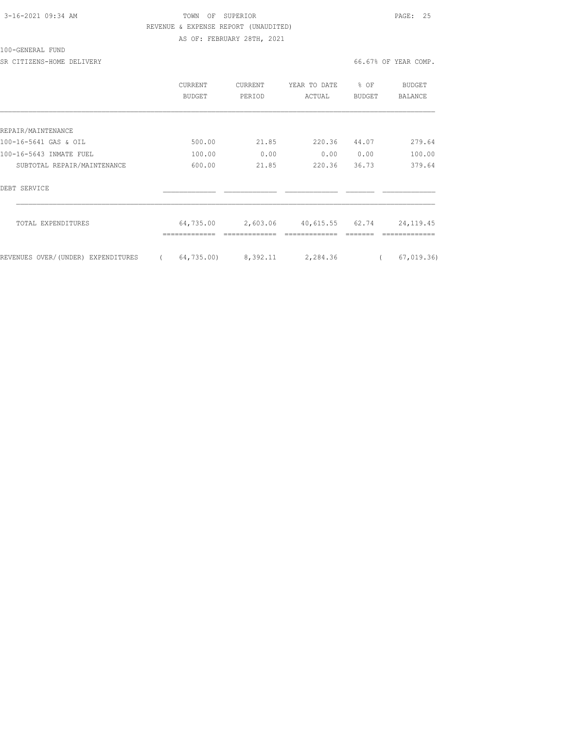## 3-16-2021 09:34 AM **TOWN OF SUPERIOR PAGE: 25**  REVENUE & EXPENSE REPORT (UNAUDITED) AS OF: FEBRUARY 28TH, 2021

### 100-GENERAL FUND

SR CITIZENS-HOME DELIVERY 66.67% OF YEAR COMP.

|                                    | CURRENT<br>BUDGET |            | <b>CURRENT</b><br>PERIOD |       | YEAR TO DATE<br>ACTUAL |          | % OF<br>BUDGET |  | BUDGET<br>BALANCE |  |
|------------------------------------|-------------------|------------|--------------------------|-------|------------------------|----------|----------------|--|-------------------|--|
|                                    |                   |            |                          |       |                        |          |                |  |                   |  |
| REPAIR/MAINTENANCE                 |                   |            |                          |       |                        |          |                |  |                   |  |
| 100-16-5641 GAS & OIL              |                   | 500.00     |                          | 21.85 |                        | 220.36   | 44.07          |  | 279.64            |  |
| 100-16-5643 INMATE FUEL            |                   | 100.00     |                          | 0.00  |                        | 0.00     | 0.00           |  | 100.00            |  |
| SUBTOTAL REPAIR/MAINTENANCE        |                   | 600.00     |                          | 21.85 |                        | 220.36   | 36.73          |  | 379.64            |  |
| DEBT SERVICE                       |                   |            |                          |       |                        |          |                |  |                   |  |
| TOTAL EXPENDITURES                 |                   | 64,735.00  | 2,603.06                 |       | 40,615.55 62.74        |          |                |  | 24, 119. 45       |  |
| REVENUES OVER/(UNDER) EXPENDITURES |                   | 64,735.00) | 8,392.11                 |       |                        | 2,284.36 |                |  | 67,019.36         |  |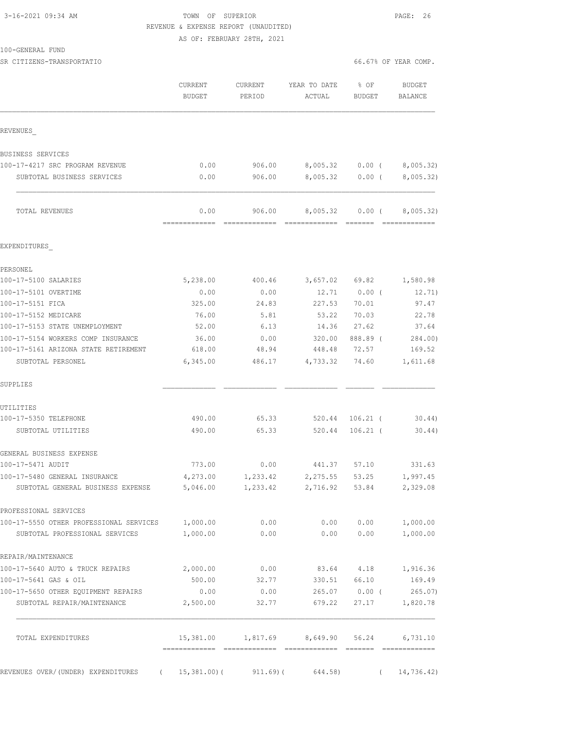### 3-16-2021 09:34 AM TOWN OF SUPERIOR PAGE: 26 REVENUE & EXPENSE REPORT (UNAUDITED) AS OF: FEBRUARY 28TH, 2021

| 100-GENERAL FUND |  |
|------------------|--|
|------------------|--|

SR CITIZENS-TRANSPORTATIO 66.67% OF YEAR COMP.

|                                                                    | CURRENT<br><b>BUDGET</b> | CURRENT<br>PERIOD       | YEAR TO DATE<br>ACTUAL                     | % OF<br>BUDGET         | <b>BUDGET</b><br>BALANCE |
|--------------------------------------------------------------------|--------------------------|-------------------------|--------------------------------------------|------------------------|--------------------------|
| REVENUES                                                           |                          |                         |                                            |                        |                          |
| BUSINESS SERVICES                                                  |                          |                         |                                            |                        |                          |
| 100-17-4217 SRC PROGRAM REVENUE                                    | 0.00                     | 906.00                  |                                            | 8,005.32 0.00 (        | 8,005.32)                |
| SUBTOTAL BUSINESS SERVICES                                         | 0.00                     | 906.00                  |                                            | 8,005.32 0.00 (        | 8,005.32)                |
| TOTAL REVENUES                                                     | 0.00<br>=============    | 906.00<br>------------- |                                            | 8,005.32 0.00 (        | 8,005.32)                |
| EXPENDITURES                                                       |                          |                         |                                            |                        |                          |
| PERSONEL                                                           |                          |                         |                                            |                        |                          |
| 100-17-5100 SALARIES                                               | 5,238.00                 | 400.46                  |                                            |                        | 3,657.02 69.82 1,580.98  |
| 100-17-5101 OVERTIME                                               | 0.00                     | 0.00                    | 12.71                                      | $0.00$ (               | 12.71)                   |
| 100-17-5151 FICA                                                   | 325.00                   | 24.83                   | 227.53                                     | 70.01                  | 97.47                    |
| 100-17-5152 MEDICARE                                               | 76.00                    | 5.81                    | 53.22                                      | 70.03                  | 22.78                    |
| 100-17-5153 STATE UNEMPLOYMENT                                     | 52.00                    | 6.13                    | 14.36                                      | 27.62                  | 37.64                    |
| 100-17-5154 WORKERS COMP INSURANCE                                 | 36.00                    | 0.00                    | 320.00                                     | 888.89 (               | 284.00)                  |
| 100-17-5161 ARIZONA STATE RETIREMENT<br>SUBTOTAL PERSONEL          | 618.00<br>6,345.00       | 48.94<br>486.17         | 448.48<br>4,733.32                         | 72.57<br>74.60         | 169.52<br>1,611.68       |
| SUPPLIES                                                           |                          |                         |                                            |                        |                          |
| UTILITIES                                                          |                          |                         |                                            |                        |                          |
| 100-17-5350 TELEPHONE                                              | 490.00                   | 65.33                   | 520.44                                     | $106.21$ (             | 30.44)                   |
| SUBTOTAL UTILITIES                                                 | 490.00                   | 65.33                   | 520.44                                     | $106.21$ (             | $30.44$ )                |
| GENERAL BUSINESS EXPENSE                                           |                          |                         |                                            |                        |                          |
| 100-17-5471 AUDIT                                                  | 773.00                   | 0.00                    | 441.37                                     | 57.10                  | 331.63                   |
| 100-17-5480 GENERAL INSURANCE<br>SUBTOTAL GENERAL BUSINESS EXPENSE | 4,273.00<br>5,046.00     | 1,233.42<br>1,233.42    | 2,275.55<br>2,716.92 53.84                 | 53.25                  | 1,997.45<br>2,329.08     |
| PROFESSIONAL SERVICES                                              |                          |                         |                                            |                        |                          |
| 100-17-5550 OTHER PROFESSIONAL SERVICES 1,000.00                   |                          | 0.00                    |                                            |                        | $0.00$ $0.00$ $1,000.00$ |
| SUBTOTAL PROFESSIONAL SERVICES                                     | 1,000.00                 | 0.00                    | 0.00                                       | 0.00                   | 1,000.00                 |
| REPAIR/MAINTENANCE                                                 |                          |                         |                                            |                        |                          |
| 100-17-5640 AUTO & TRUCK REPAIRS                                   | 2,000.00                 | 0.00                    |                                            |                        | 83.64 4.18 1,916.36      |
| 100-17-5641 GAS & OIL                                              | 500.00                   | 32.77                   | 330.51 66.10                               |                        | 169.49                   |
| 100-17-5650 OTHER EQUIPMENT REPAIRS<br>SUBTOTAL REPAIR/MAINTENANCE | 0.00<br>2,500.00         | 0.00<br>32.77           | 679.22                                     | 265.07 0.00 (<br>27.17 | 265.07<br>1,820.78       |
| TOTAL EXPENDITURES                                                 |                          |                         | 15,381.00 1,817.69 8,649.90 56.24 6,731.10 |                        |                          |
| REVENUES OVER/(UNDER) EXPENDITURES (15,381.00) (911.69) (          |                          |                         | 644.58)                                    | $\left($               | 14,736.42)               |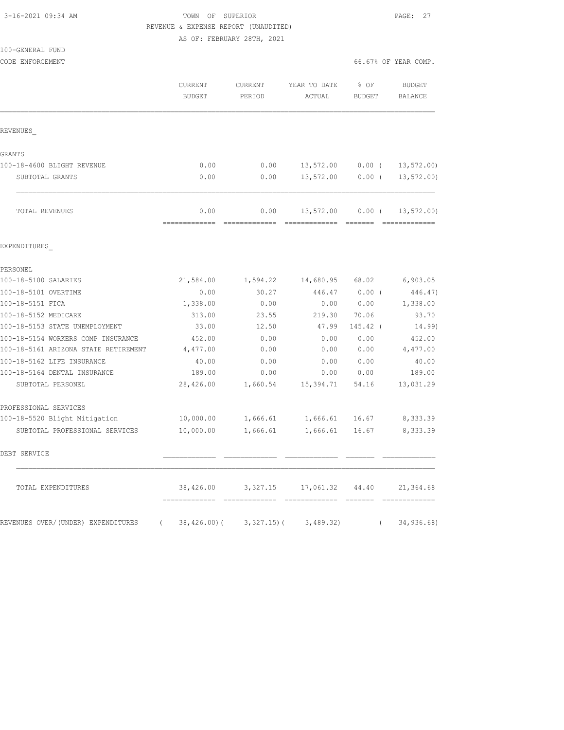# 3-16-2021 09:34 AM **TOWN** OF SUPERIOR **PAGE: 27** REVENUE & EXPENSE REPORT (UNAUDITED)

AS OF: FEBRUARY 28TH, 2021

| 100-GENERAL FUND |  |
|------------------|--|
|                  |  |

| CODE ENFORCEMENT                               |                          |                   |                                    | 66.67% OF YEAR COMP. |                               |
|------------------------------------------------|--------------------------|-------------------|------------------------------------|----------------------|-------------------------------|
|                                                | CURRENT<br><b>BUDGET</b> | CURRENT<br>PERIOD | YEAR TO DATE<br>ACTUAL             | % OF<br>BUDGET       | <b>BUDGET</b><br>BALANCE      |
| REVENUES                                       |                          |                   |                                    |                      |                               |
| GRANTS                                         |                          |                   |                                    |                      |                               |
| 100-18-4600 BLIGHT REVENUE                     | 0.00                     |                   | $0.00$ 13,572.00 0.00 ( 13,572.00) |                      |                               |
| SUBTOTAL GRANTS                                | 0.00                     | 0.00              |                                    |                      | 13,572.00   0.00   13,572.00) |
| TOTAL REVENUES                                 | 0.00                     | 0.00              | 13,572.00                          | $0.00$ (             | 13, 572.00                    |
| EXPENDITURES                                   |                          |                   |                                    |                      |                               |
| PERSONEL                                       |                          |                   |                                    |                      |                               |
| 100-18-5100 SALARIES                           | 21,584.00                |                   | 1,594.22 14,680.95                 | 68.02                | 6,903.05                      |
| 100-18-5101 OVERTIME                           | 0.00                     | 30.27             | 446.47                             | $0.00$ (             | 446.47)                       |
| 100-18-5151 FICA                               | 1,338.00                 | 0.00              | 0.00                               | 0.00                 | 1,338.00                      |
| 100-18-5152 MEDICARE                           | 313.00                   | 23.55             | 219.30                             | 70.06                | 93.70                         |
| 100-18-5153 STATE UNEMPLOYMENT                 | 33.00                    | 12.50             | 47.99                              | 145.42 (             | 14.99)                        |
| 100-18-5154 WORKERS COMP INSURANCE             | 452.00                   | 0.00              | 0.00                               | 0.00                 | 452.00                        |
| 100-18-5161 ARIZONA STATE RETIREMENT           | 4,477.00                 | 0.00              | 0.00                               | 0.00                 | 4,477.00                      |
| 100-18-5162 LIFE INSURANCE                     | 40.00                    | 0.00              | 0.00                               | 0.00                 | 40.00                         |
| 100-18-5164 DENTAL INSURANCE                   | 189.00                   | 0.00              | 0.00                               | 0.00                 | 189.00                        |
| SUBTOTAL PERSONEL                              | 28,426.00                | 1,660.54          | 15,394.71                          | 54.16                | 13,031.29                     |
| PROFESSIONAL SERVICES                          |                          |                   |                                    |                      |                               |
| 100-18-5520 Blight Mitigation                  | 10,000.00                |                   | 1,666.61 1,666.61                  | 16.67                | 8,333.39                      |
| SUBTOTAL PROFESSIONAL SERVICES                 | 10,000.00                |                   | 1,666.61 1,666.61                  | 16.67                | 8,333.39                      |
| DEBT SERVICE                                   |                          |                   |                                    |                      |                               |
| TOTAL EXPENDITURES                             | 38,426.00                | 3,327.15          | 17,061.32                          | 44.40                | 21,364.68                     |
| REVENUES OVER/(UNDER) EXPENDITURES<br>$\left($ | $38,426.00$ (            | $3,327.15$ ) (    | 3,489.32)                          | $\left($             | 34,936.68)                    |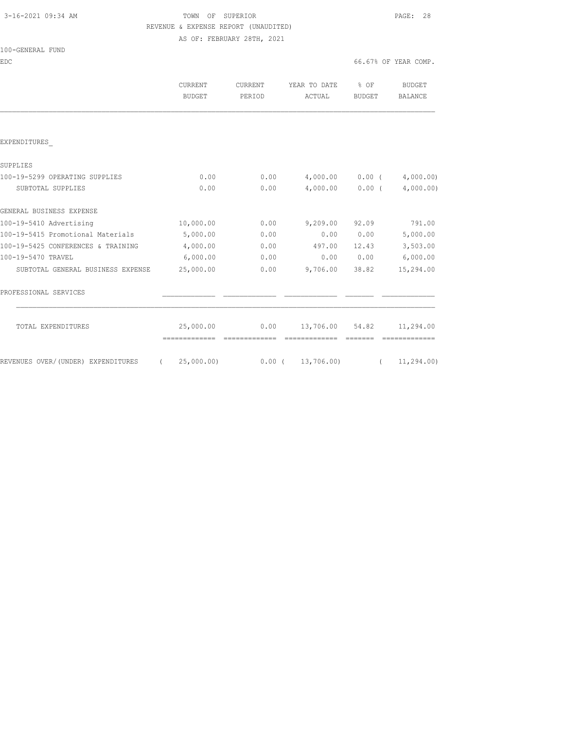100-GENERAL FUND

## 3-16-2021 09:34 AM TOWN OF SUPERIOR PAGE: 28 REVENUE & EXPENSE REPORT (UNAUDITED) AS OF: FEBRUARY 28TH, 2021

EDC 66.67% OF YEAR COMP.

|                                    | CURRENT<br>BUDGET | CURRENT<br>PERIOD | YEAR TO DATE<br>ACTUAL | $8$ OF<br><b>BUDGET</b> | <b>BUDGET</b><br><b>BALANCE</b> |
|------------------------------------|-------------------|-------------------|------------------------|-------------------------|---------------------------------|
|                                    |                   |                   |                        |                         |                                 |
| EXPENDITURES                       |                   |                   |                        |                         |                                 |
| SUPPLIES                           |                   |                   |                        |                         |                                 |
| 100-19-5299 OPERATING SUPPLIES     | 0.00              | 0.00              | 4,000.00               | $0.00$ (                | 4,000.00)                       |
| SUBTOTAL SUPPLIES                  | 0.00              | 0.00              | 4,000.00               | $0.00$ (                | 4,000.00)                       |
| GENERAL BUSINESS EXPENSE           |                   |                   |                        |                         |                                 |
| 100-19-5410 Advertising            | 10,000.00         | 0.00              | 9,209.00               | 92.09                   | 791.00                          |
| 100-19-5415 Promotional Materials  | 5,000.00          | 0.00              | 0.00                   | 0.00                    | 5,000.00                        |
| 100-19-5425 CONFERENCES & TRAINING | 4,000.00          | 0.00              | 497.00                 | 12.43                   | 3,503.00                        |
| 100-19-5470 TRAVEL                 | 6,000.00          | 0.00              | 0.00                   | 0.00                    | 6,000.00                        |
| SUBTOTAL GENERAL BUSINESS EXPENSE  | 25,000.00         | 0.00              | 9,706.00               | 38.82                   | 15,294.00                       |
| PROFESSIONAL SERVICES              |                   |                   |                        |                         |                                 |
| TOTAL EXPENDITURES                 | 25,000.00         | 0.00              | 13,706.00 54.82        |                         | 11,294.00                       |
| REVENUES OVER/(UNDER) EXPENDITURES | 25,000.00)        | $0.00$ (          | 13,706.00)             |                         | 11,294.00)                      |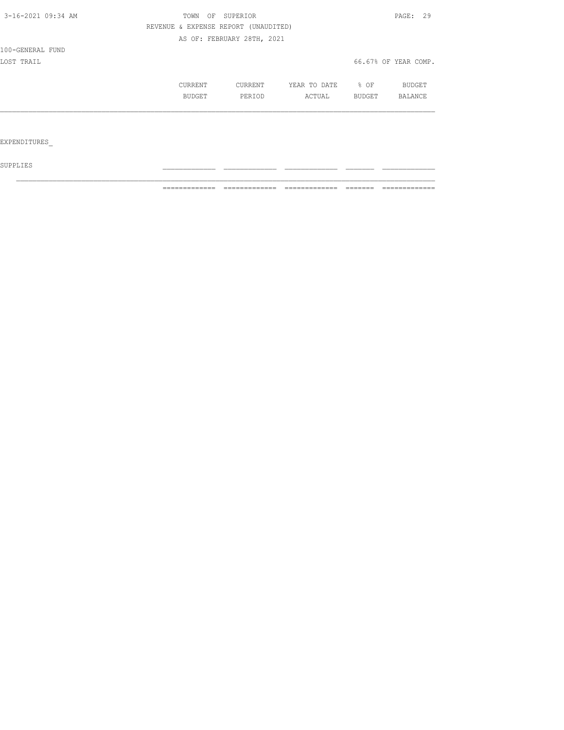| 3-16-2021 09:34 AM | SUPERIOR<br>TOWN<br>OF |                                      |              |        | PAGE: 29             |
|--------------------|------------------------|--------------------------------------|--------------|--------|----------------------|
|                    |                        | REVENUE & EXPENSE REPORT (UNAUDITED) |              |        |                      |
|                    |                        | AS OF: FEBRUARY 28TH, 2021           |              |        |                      |
| 100-GENERAL FUND   |                        |                                      |              |        |                      |
| LOST TRAIL         |                        |                                      |              |        | 66.67% OF YEAR COMP. |
|                    | CURRENT                | CURRENT                              | YEAR TO DATE | % OF   | BUDGET               |
|                    | BUDGET                 | PERIOD                               | ACTUAL       | BUDGET | BALANCE              |
|                    |                        |                                      |              |        |                      |
|                    |                        |                                      |              |        |                      |
| EXPENDITURES       |                        |                                      |              |        |                      |

 ${\tt SUPPLIES}$ 

============= ============= ============= ======= =============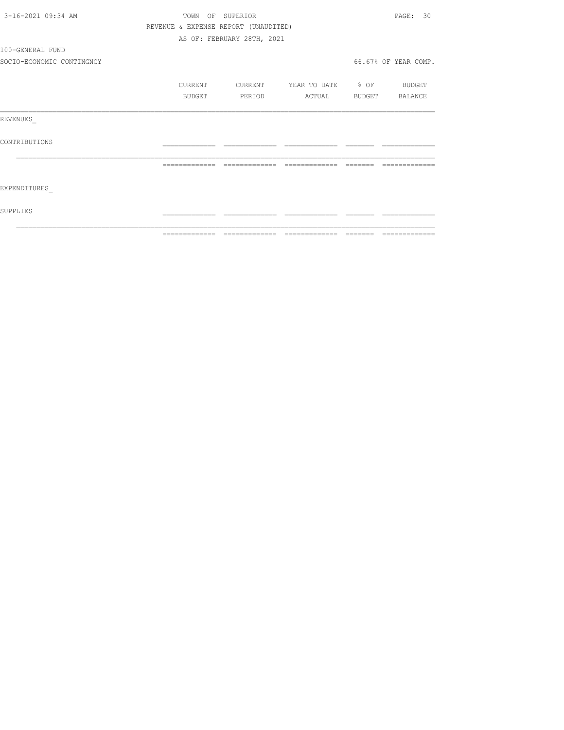| 3-16-2021 09:34 AM        |         | TOWN OF SUPERIOR                     |                          |                       | PAGE: 30             |
|---------------------------|---------|--------------------------------------|--------------------------|-----------------------|----------------------|
|                           |         | REVENUE & EXPENSE REPORT (UNAUDITED) |                          |                       |                      |
|                           |         | AS OF: FEBRUARY 28TH, 2021           |                          |                       |                      |
| 100-GENERAL FUND          |         |                                      |                          |                       |                      |
| SOCIO-ECONOMIC CONTINGNCY |         |                                      |                          |                       | 66.67% OF YEAR COMP. |
|                           | CURRENT | CURRENT                              | YEAR TO DATE % OF BUDGET |                       |                      |
|                           | BUDGET  | PERIOD                               |                          | ACTUAL BUDGET BALANCE |                      |
| REVENUES                  |         |                                      |                          |                       |                      |
| CONTRIBUTIONS             |         |                                      |                          |                       |                      |
|                           |         |                                      |                          | --------              | --------------       |
| EXPENDITURES              |         |                                      |                          |                       |                      |
| SUPPLIES                  |         |                                      |                          |                       |                      |
|                           |         |                                      |                          |                       |                      |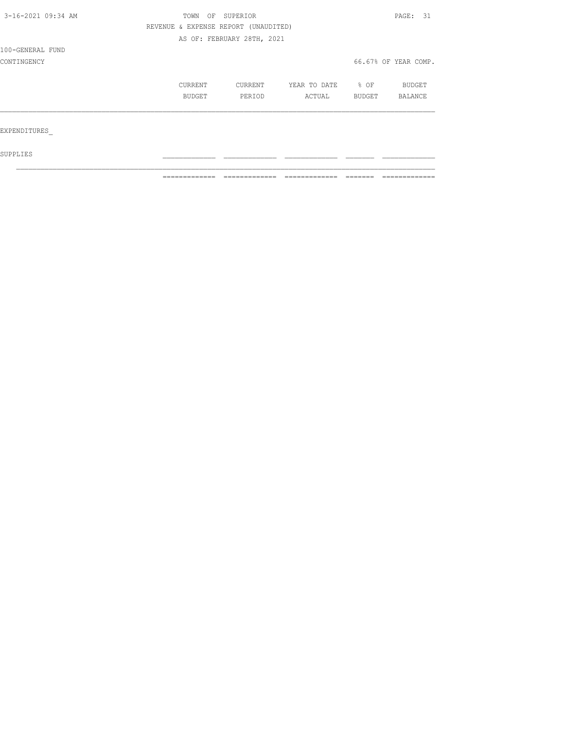| 3-16-2021 09:34 AM | TOWN<br>OF                           | SUPERIOR                   |              |        |                      |
|--------------------|--------------------------------------|----------------------------|--------------|--------|----------------------|
|                    | REVENUE & EXPENSE REPORT (UNAUDITED) |                            |              |        |                      |
|                    |                                      | AS OF: FEBRUARY 28TH, 2021 |              |        |                      |
| 100-GENERAL FUND   |                                      |                            |              |        |                      |
| CONTINGENCY        |                                      |                            |              |        | 66.67% OF YEAR COMP. |
|                    | CURRENT                              | CURRENT                    | YEAR TO DATE | % OF   | <b>BUDGET</b>        |
|                    | BUDGET                               | PERIOD                     | ACTUAL       | BUDGET | BALANCE              |
|                    |                                      |                            |              |        |                      |
| EXPENDITURES       |                                      |                            |              |        |                      |
| SUPPLIES           |                                      |                            |              |        |                      |

 $\mathcal{L}_\text{max}$ 

============= ============= ============= ======= =============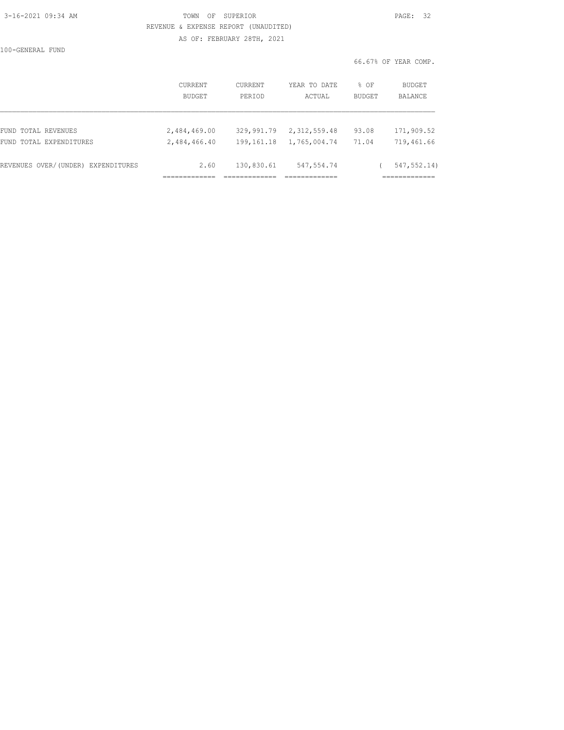## 3-16-2021 09:34 AM TOWN OF SUPERIOR PAGE: 32 REVENUE & EXPENSE REPORT (UNAUDITED) AS OF: FEBRUARY 28TH, 2021

100-GENERAL FUND

| ALT IT | ۰ |  |
|--------|---|--|
|        |   |  |

66.67% OF YEAR COMP.

|                                    | <b>CURRENT</b> | <b>CURRENT</b> | YEAR TO DATE | % OF          | <b>BUDGET</b> |
|------------------------------------|----------------|----------------|--------------|---------------|---------------|
|                                    | BUDGET         | PERIOD         | ACTUAL       | <b>BUDGET</b> | BALANCE       |
| FUND TOTAL REVENUES                | 2,484,469.00   | 329,991.79     | 2,312,559.48 | 93.08         | 171,909.52    |
| FUND TOTAL EXPENDITURES            | 2,484,466.40   | 199,161.18     | 1,765,004.74 | 71.04         | 719,461.66    |
| REVENUES OVER/(UNDER) EXPENDITURES | 2.60           | 130,830.61     | 547,554.74   |               | 547, 552.14)  |
|                                    |                |                |              |               |               |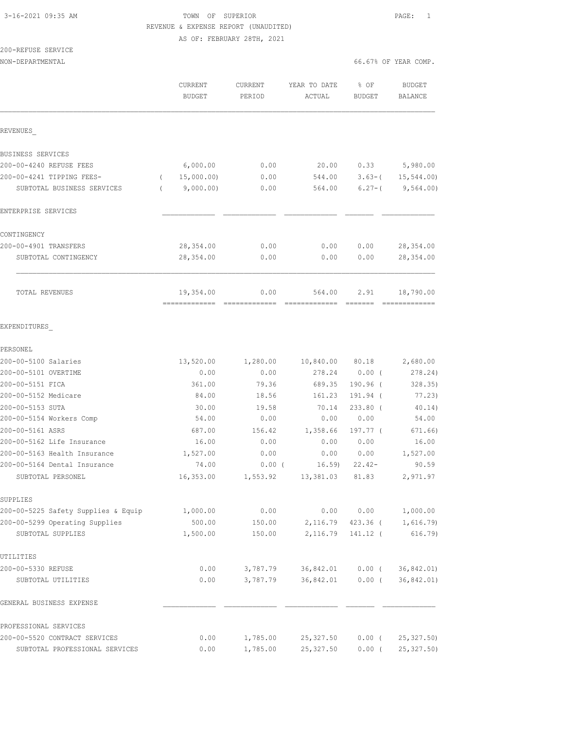## 3-16-2021 09:35 AM TOWN OF SUPERIOR PAGE: 1 REVENUE & EXPENSE REPORT (UNAUDITED) AS OF: FEBRUARY 28TH, 2021

### 200-REFUSE SERVICE NON-DEPARTMENTAL 66.67% OF YEAR COMP.

|                                                              | <b>CURRENT</b><br><b>BUDGET</b> | CURRENT<br>PERIOD | YEAR TO DATE<br>ACTUAL | % OF<br><b>BUDGET</b> | <b>BUDGET</b><br>BALANCE |
|--------------------------------------------------------------|---------------------------------|-------------------|------------------------|-----------------------|--------------------------|
| REVENUES                                                     |                                 |                   |                        |                       |                          |
| BUSINESS SERVICES                                            |                                 |                   |                        |                       |                          |
| 200-00-4240 REFUSE FEES                                      | 6,000.00                        | 0.00              | 20.00                  | 0.33                  | 5,980.00                 |
| 200-00-4241 TIPPING FEES-                                    | 15,000.00)                      | 0.00              | 544.00                 | $3.63 - ($            | 15, 544.00               |
| SUBTOTAL BUSINESS SERVICES                                   | 9,000.00)                       | 0.00              | 564.00                 | $6.27 - ($            | 9,564.00)                |
| ENTERPRISE SERVICES                                          |                                 |                   |                        |                       |                          |
| CONTINGENCY                                                  |                                 |                   |                        |                       |                          |
| 200-00-4901 TRANSFERS                                        | 28, 354.00                      | 0.00              | 0.00                   | 0.00                  | 28,354.00                |
| SUBTOTAL CONTINGENCY                                         | 28,354.00                       | 0.00              | 0.00                   | 0.00                  | 28,354.00                |
| TOTAL REVENUES                                               | 19,354.00                       | 0.00              | 564.00                 | 2.91                  | 18,790.00                |
| EXPENDITURES                                                 |                                 |                   |                        |                       |                          |
| PERSONEL                                                     |                                 |                   |                        |                       |                          |
| 200-00-5100 Salaries                                         | 13,520.00                       | 1,280.00          | 10,840.00              | 80.18                 | 2,680.00                 |
| 200-00-5101 OVERTIME                                         | 0.00                            | 0.00              | 278.24                 | $0.00$ (              | 278.24)                  |
| 200-00-5151 FICA                                             | 361.00                          | 79.36             | 689.35                 | $190.96$ (            | 328.35                   |
| 200-00-5152 Medicare                                         | 84.00                           | 18.56             | 161.23                 | 191.94 (              | 77.23)                   |
| 200-00-5153 SUTA                                             | 30.00                           | 19.58             | 70.14                  | $233.80$ (            | 40.14)                   |
| 200-00-5154 Workers Comp                                     | 54.00                           | 0.00              | 0.00                   | 0.00                  | 54.00                    |
| 200-00-5161 ASRS                                             | 687.00                          | 156.42<br>0.00    | 1,358.66               | 197.77 (              | 671.66)                  |
| 200-00-5162 Life Insurance                                   | 16.00                           | 0.00              | 0.00<br>0.00           | 0.00<br>0.00          | 16.00                    |
| 200-00-5163 Health Insurance<br>200-00-5164 Dental Insurance | 1,527.00<br>74.00               | $0.00$ (          | 16.59                  | $22.42-$              | 1,527.00<br>90.59        |
| SUBTOTAL PERSONEL                                            | 16,353.00                       | 1,553.92          | 13,381.03              | 81.83                 | 2,971.97                 |
| SUPPLIES                                                     |                                 |                   |                        |                       |                          |
| 200-00-5225 Safety Supplies & Equip                          | 1,000.00                        | 0.00              | 0.00                   | 0.00                  | 1,000.00                 |
| 200-00-5299 Operating Supplies                               | 500.00                          | 150.00            | 2,116.79               | $423.36$ (            | 1,616.79                 |
| SUBTOTAL SUPPLIES                                            | 1,500.00                        | 150.00            | 2,116.79               | 141.12 (              | $616.79$ )               |
| UTILITIES                                                    |                                 |                   |                        |                       |                          |
| 200-00-5330 REFUSE                                           | 0.00                            | 3,787.79          | 36,842.01              | $0.00$ (              | 36,842.01)               |
| SUBTOTAL UTILITIES                                           | 0.00                            | 3,787.79          | 36,842.01              | $0.00$ (              | 36,842.01)               |
| GENERAL BUSINESS EXPENSE                                     |                                 |                   |                        |                       |                          |
| PROFESSIONAL SERVICES                                        |                                 |                   |                        |                       |                          |
| 200-00-5520 CONTRACT SERVICES                                | 0.00                            | 1,785.00          | 25, 327.50             | 0.00(                 | 25, 327.50               |
| SUBTOTAL PROFESSIONAL SERVICES                               | 0.00                            | 1,785.00          | 25, 327.50             | $0.00$ (              | 25, 327.50               |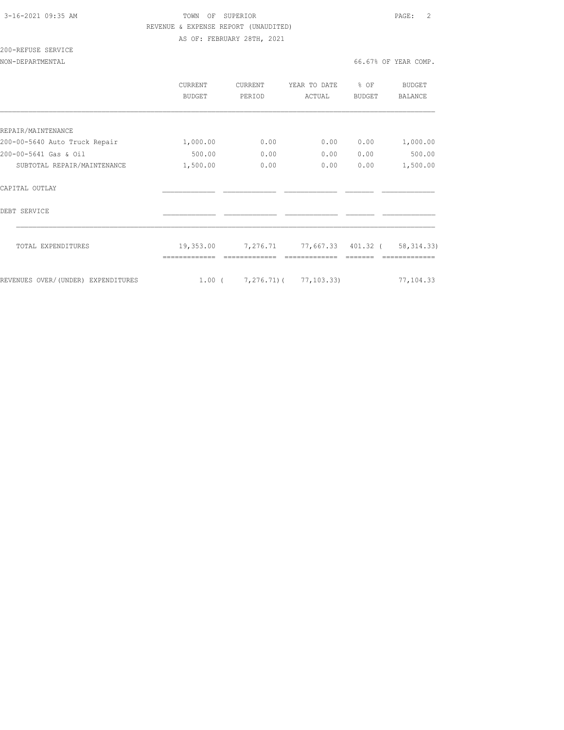### 3-16-2021 09:35 AM TOWN OF SUPERIOR PAGE: 2 REVENUE & EXPENSE REPORT (UNAUDITED) AS OF: FEBRUARY 28TH, 2021

# 200-REFUSE SERVICE

NON-DEPARTMENTAL 66.67% OF YEAR COMP.

|                                    | CURRENT<br>BUDGET | <b>CURRENT</b><br>PERIOD | YEAR TO DATE<br>ACTUAL         | % OF<br><b>BUDGET</b> | <b>BUDGET</b><br><b>BALANCE</b> |
|------------------------------------|-------------------|--------------------------|--------------------------------|-----------------------|---------------------------------|
|                                    |                   |                          |                                |                       |                                 |
| REPAIR/MAINTENANCE                 |                   |                          |                                |                       |                                 |
| 200-00-5640 Auto Truck Repair      | 1,000.00          | 0.00                     | 0.00                           | 0.00                  | 1,000.00                        |
| 200-00-5641 Gas & Oil              | 500.00            | 0.00                     | 0.00                           | 0.00                  | 500.00                          |
| SUBTOTAL REPAIR/MAINTENANCE        | 1,500.00          | 0.00                     | 0.00                           | 0.00                  | 1,500.00                        |
| CAPITAL OUTLAY                     |                   |                          |                                |                       |                                 |
| DEBT SERVICE                       |                   |                          |                                |                       |                                 |
| TOTAL EXPENDITURES                 | 19,353.00         | 7,276.71                 | 77,667.33 401.32 (             |                       | 58, 314.33)                     |
| REVENUES OVER/(UNDER) EXPENDITURES | $1.00$ (          |                          | $7, 276, 71$ ( $77, 103, 33$ ) |                       | 77,104.33                       |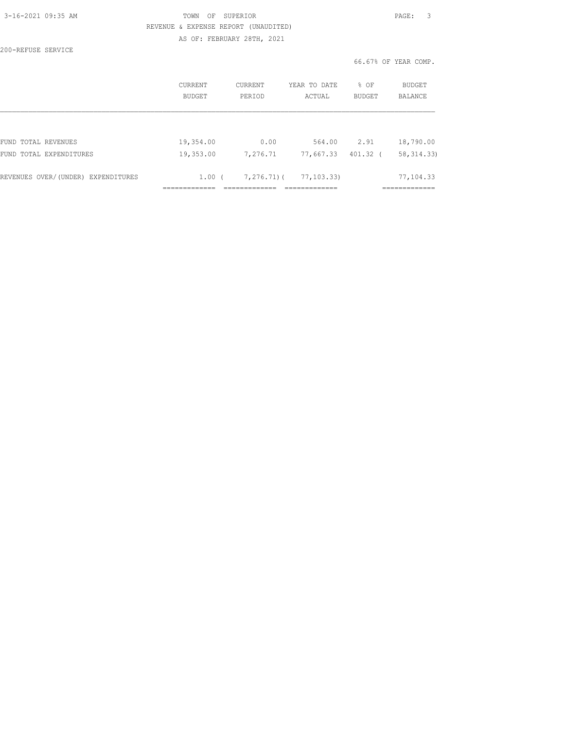| 3-16-2021 09:35 AM |  |
|--------------------|--|
|                    |  |

## TOWN OF SUPERIOR **PAGE:** 3 REVENUE & EXPENSE REPORT (UNAUDITED) AS OF: FEBRUARY 28TH, 2021

200-REFUSE SERVICE

66.67% OF YEAR COMP.

|                                    | CURRENT<br>BUDGET | <b>CURRENT</b><br>PERIOD | YEAR TO DATE<br>ACTUAL | % OF<br><b>BUDGET</b> | <b>BUDGET</b><br>BALANCE |
|------------------------------------|-------------------|--------------------------|------------------------|-----------------------|--------------------------|
|                                    |                   |                          |                        |                       |                          |
| FUND TOTAL REVENUES                | 19,354.00         | 0.00                     | 564.00                 | 2.91                  | 18,790.00                |
| FUND TOTAL EXPENDITURES            | 19,353.00         | 7,276.71                 | 77,667.33              | 401.32 (              | 58, 314.33)              |
| REVENUES OVER/(UNDER) EXPENDITURES | $1.00$ (          | 7,276.71)(               | 77, 103.33)            |                       | 77,104.33                |
|                                    |                   |                          |                        |                       |                          |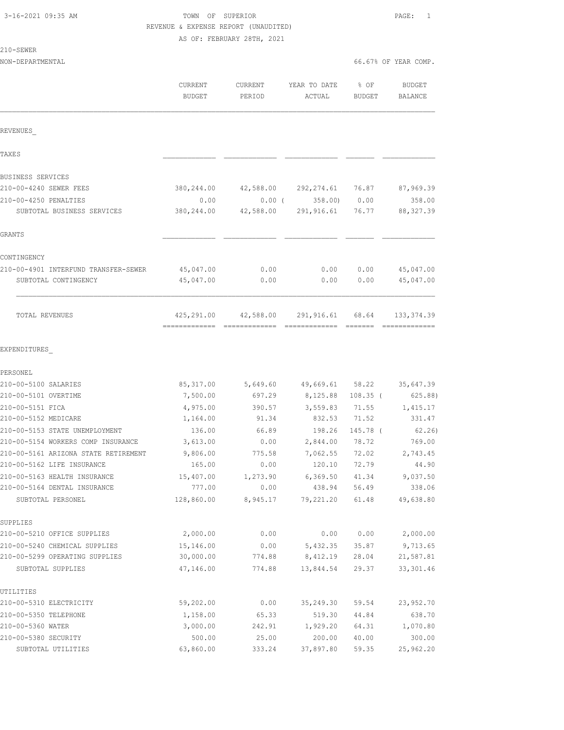210-SEWER

## TOWN OF SUPERIOR **Example 20:35 AM TOWN OF SUPERIOR**  REVENUE & EXPENSE REPORT (UNAUDITED) AS OF: FEBRUARY 28TH, 2021

NON-DEPARTMENTAL 66.67% OF YEAR COMP.

|                                                   | CURRENT<br><b>BUDGET</b> | <b>CURRENT</b><br>PERIOD | YEAR TO DATE<br>ACTUAL | % OF<br>BUDGET | <b>BUDGET</b><br>BALANCE |
|---------------------------------------------------|--------------------------|--------------------------|------------------------|----------------|--------------------------|
| REVENUES                                          |                          |                          |                        |                |                          |
| TAXE S                                            |                          |                          |                        |                |                          |
| BUSINESS SERVICES                                 |                          |                          |                        |                |                          |
| 210-00-4240 SEWER FEES                            | 380,244.00               |                          | 42,588.00 292,274.61   | 76.87          | 87,969.39                |
| 210-00-4250 PENALTIES                             | 0.00                     | 0.00(                    | 358.00)                | 0.00           | 358.00                   |
| SUBTOTAL BUSINESS SERVICES                        | 380,244.00               | 42,588.00                | 291,916.61             | 76.77          | 88, 327.39               |
| <b>GRANTS</b>                                     |                          |                          |                        |                |                          |
| CONTINGENCY                                       |                          |                          |                        |                |                          |
| 210-00-4901 INTERFUND TRANSFER-SEWER              | 45,047.00                | 0.00                     | 0.00                   | 0.00           | 45,047.00                |
| SUBTOTAL CONTINGENCY                              | 45,047.00                | 0.00                     | 0.00                   | 0.00           | 45,047.00                |
| TOTAL REVENUES                                    | 425,291.00               | 42,588.00                | 291,916.61             | 68.64          | 133, 374.39              |
|                                                   |                          |                          |                        |                |                          |
| EXPENDITURES<br>PERSONEL                          |                          |                          |                        |                |                          |
| 210-00-5100 SALARIES                              | 85, 317.00               | 5,649.60                 | 49,669.61              | 58.22          | 35,647.39                |
| 210-00-5101 OVERTIME                              | 7,500.00                 | 697.29                   | 8,125.88               | $108.35$ (     | 625.88)                  |
| 210-00-5151 FICA                                  | 4,975.00                 | 390.57                   | 3,559.83               | 71.55          | 1,415.17                 |
| 210-00-5152 MEDICARE                              | 1,164.00                 | 91.34                    | 832.53                 | 71.52          | 331.47                   |
| 210-00-5153 STATE UNEMPLOYMENT                    | 136.00                   | 66.89                    | 198.26                 | 145.78 (       | 62.26)                   |
| 210-00-5154 WORKERS COMP INSURANCE                | 3,613.00                 | 0.00                     | 2,844.00               | 78.72          | 769.00                   |
| 210-00-5161 ARIZONA STATE RETIREMENT              | 9,806.00                 | 775.58                   | 7,062.55               | 72.02          | 2,743.45                 |
| 210-00-5162 LIFE INSURANCE                        | 165.00                   | 0.00                     | 120.10                 | 72.79          | 44.90                    |
| 210-00-5163 HEALTH INSURANCE                      | 15,407.00                | 1,273.90                 | 6,369.50               | 41.34          | 9,037.50                 |
| 210-00-5164 DENTAL INSURANCE<br>SUBTOTAL PERSONEL | 777.00<br>128,860.00     | 0.00<br>8,945.17         | 438.94<br>79,221.20    | 56.49<br>61.48 | 338.06<br>49,638.80      |
| SUPPLIES                                          |                          |                          |                        |                |                          |
| 210-00-5210 OFFICE SUPPLIES                       | 2,000.00                 | 0.00                     | 0.00                   | 0.00           | 2,000.00                 |
| 210-00-5240 CHEMICAL SUPPLIES                     | 15,146.00                | 0.00                     | 5,432.35               | 35.87          | 9,713.65                 |
| 210-00-5299 OPERATING SUPPLIES                    | 30,000.00                | 774.88                   | 8,412.19               | 28.04          | 21,587.81                |
| SUBTOTAL SUPPLIES                                 | 47,146.00                | 774.88                   | 13,844.54              | 29.37          | 33, 301.46               |
| UTILITIES                                         |                          |                          |                        |                |                          |
| 210-00-5310 ELECTRICITY                           | 59,202.00                | 0.00                     | 35,249.30              | 59.54          | 23,952.70                |
| 210-00-5350 TELEPHONE                             | 1,158.00                 | 65.33                    | 519.30                 | 44.84          | 638.70                   |
| 210-00-5360 WATER                                 | 3,000.00                 | 242.91                   | 1,929.20               | 64.31          | 1,070.80                 |
| 210-00-5380 SECURITY                              | 500.00                   | 25.00                    | 200.00                 | 40.00          | 300.00                   |
| SUBTOTAL UTILITIES                                | 63,860.00                | 333.24                   | 37,897.80              | 59.35          | 25,962.20                |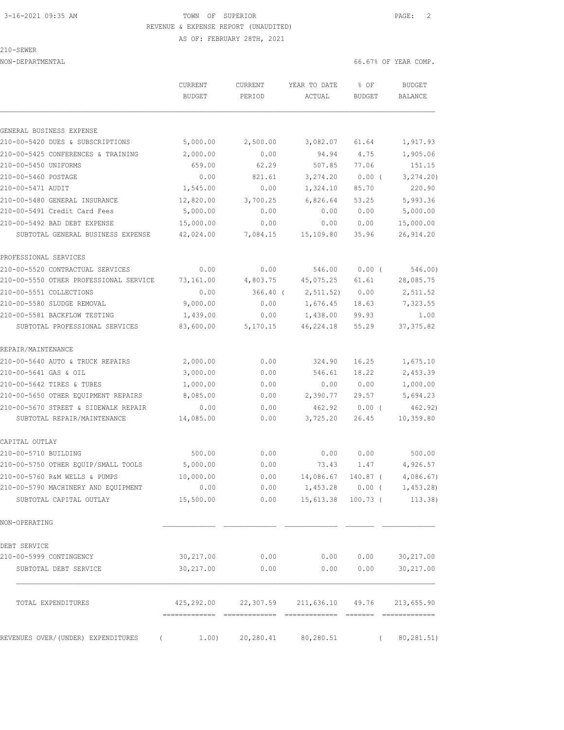AS OF: FEBRUARY 28TH, 2021

|  | × | 'H`W |  |
|--|---|------|--|
|  |   |      |  |

NON-DEPARTMENTAL 66.67% OF YEAR COMP.

| GENERAL BUSINESS EXPENSE<br>210-00-5420 DUES & SUBSCRIPTIONS<br>210-00-5425 CONFERENCES & TRAINING<br>210-00-5450 UNIFORMS<br>210-00-5460 POSTAGE<br>210-00-5471 AUDIT<br>210-00-5480 GENERAL INSURANCE<br>210-00-5491 Credit Card Fees<br>210-00-5492 BAD DEBT EXPENSE<br>SUBTOTAL GENERAL BUSINESS EXPENSE<br>PROFESSIONAL SERVICES<br>SUBTOTAL PROFESSIONAL SERVICES |                              |                                                                                                                                                                                                                                                                                                                                                                                                                                                                                                     |                             |                  |                                                                                                                                                                                                                                                                                                                                                                                                                                                                                                      |
|-------------------------------------------------------------------------------------------------------------------------------------------------------------------------------------------------------------------------------------------------------------------------------------------------------------------------------------------------------------------------|------------------------------|-----------------------------------------------------------------------------------------------------------------------------------------------------------------------------------------------------------------------------------------------------------------------------------------------------------------------------------------------------------------------------------------------------------------------------------------------------------------------------------------------------|-----------------------------|------------------|------------------------------------------------------------------------------------------------------------------------------------------------------------------------------------------------------------------------------------------------------------------------------------------------------------------------------------------------------------------------------------------------------------------------------------------------------------------------------------------------------|
|                                                                                                                                                                                                                                                                                                                                                                         |                              |                                                                                                                                                                                                                                                                                                                                                                                                                                                                                                     |                             |                  |                                                                                                                                                                                                                                                                                                                                                                                                                                                                                                      |
|                                                                                                                                                                                                                                                                                                                                                                         | 5,000.00                     | 2,500.00                                                                                                                                                                                                                                                                                                                                                                                                                                                                                            | 3,082.07                    | 61.64            | 1,917.93                                                                                                                                                                                                                                                                                                                                                                                                                                                                                             |
|                                                                                                                                                                                                                                                                                                                                                                         | 2,000.00                     | 0.00                                                                                                                                                                                                                                                                                                                                                                                                                                                                                                | 94.94                       | 4.75             | 1,905.06                                                                                                                                                                                                                                                                                                                                                                                                                                                                                             |
|                                                                                                                                                                                                                                                                                                                                                                         | 659.00                       | 62.29                                                                                                                                                                                                                                                                                                                                                                                                                                                                                               | 507.85                      | 77.06            | 151.15                                                                                                                                                                                                                                                                                                                                                                                                                                                                                               |
|                                                                                                                                                                                                                                                                                                                                                                         | 0.00                         | 821.61                                                                                                                                                                                                                                                                                                                                                                                                                                                                                              | 3,274.20                    | $0.00$ (         | 3, 274.20                                                                                                                                                                                                                                                                                                                                                                                                                                                                                            |
|                                                                                                                                                                                                                                                                                                                                                                         | 1,545.00                     | 0.00                                                                                                                                                                                                                                                                                                                                                                                                                                                                                                | 1,324.10                    | 85.70            | 220.90                                                                                                                                                                                                                                                                                                                                                                                                                                                                                               |
|                                                                                                                                                                                                                                                                                                                                                                         | 12,820.00                    | 3,700.25                                                                                                                                                                                                                                                                                                                                                                                                                                                                                            | 6,826.64                    | 53.25            | 5,993.36                                                                                                                                                                                                                                                                                                                                                                                                                                                                                             |
|                                                                                                                                                                                                                                                                                                                                                                         | 5,000.00                     | 0.00                                                                                                                                                                                                                                                                                                                                                                                                                                                                                                | 0.00                        | 0.00             | 5,000.00                                                                                                                                                                                                                                                                                                                                                                                                                                                                                             |
|                                                                                                                                                                                                                                                                                                                                                                         | 15,000.00                    | 0.00                                                                                                                                                                                                                                                                                                                                                                                                                                                                                                | 0.00                        | 0.00             | 15,000.00                                                                                                                                                                                                                                                                                                                                                                                                                                                                                            |
|                                                                                                                                                                                                                                                                                                                                                                         | 42,024.00                    | 7,084.15                                                                                                                                                                                                                                                                                                                                                                                                                                                                                            | 15,109.80                   | 35.96            | 26, 914.20                                                                                                                                                                                                                                                                                                                                                                                                                                                                                           |
| 210-00-5520 CONTRACTUAL SERVICES<br>210-00-5550 OTHER PROFESSIONAL SERVICE<br>210-00-5551 COLLECTIONS<br>210-00-5580 SLUDGE REMOVAL<br>210-00-5581 BACKFLOW TESTING                                                                                                                                                                                                     |                              |                                                                                                                                                                                                                                                                                                                                                                                                                                                                                                     |                             |                  |                                                                                                                                                                                                                                                                                                                                                                                                                                                                                                      |
|                                                                                                                                                                                                                                                                                                                                                                         | 0.00                         | 0.00                                                                                                                                                                                                                                                                                                                                                                                                                                                                                                | 546.00                      | 0.00(            | 546.00)                                                                                                                                                                                                                                                                                                                                                                                                                                                                                              |
|                                                                                                                                                                                                                                                                                                                                                                         | 73,161.00                    | 4,803.75                                                                                                                                                                                                                                                                                                                                                                                                                                                                                            | 45,075.25                   | 61.61            | 28,085.75                                                                                                                                                                                                                                                                                                                                                                                                                                                                                            |
|                                                                                                                                                                                                                                                                                                                                                                         | 0.00                         | $366.40$ (                                                                                                                                                                                                                                                                                                                                                                                                                                                                                          | 2, 511.52)                  | 0.00             | 2,511.52                                                                                                                                                                                                                                                                                                                                                                                                                                                                                             |
|                                                                                                                                                                                                                                                                                                                                                                         | 9,000.00                     | 0.00                                                                                                                                                                                                                                                                                                                                                                                                                                                                                                | 1,676.45                    | 18.63            | 7,323.55                                                                                                                                                                                                                                                                                                                                                                                                                                                                                             |
|                                                                                                                                                                                                                                                                                                                                                                         | 1,439.00                     | 0.00                                                                                                                                                                                                                                                                                                                                                                                                                                                                                                | 1,438.00                    | 99.93            | 1.00                                                                                                                                                                                                                                                                                                                                                                                                                                                                                                 |
|                                                                                                                                                                                                                                                                                                                                                                         | 83,600.00                    | 5,170.15                                                                                                                                                                                                                                                                                                                                                                                                                                                                                            | 46, 224.18                  | 55.29            | 37, 375.82                                                                                                                                                                                                                                                                                                                                                                                                                                                                                           |
| REPAIR/MAINTENANCE                                                                                                                                                                                                                                                                                                                                                      |                              |                                                                                                                                                                                                                                                                                                                                                                                                                                                                                                     |                             |                  |                                                                                                                                                                                                                                                                                                                                                                                                                                                                                                      |
| 210-00-5640 AUTO & TRUCK REPAIRS                                                                                                                                                                                                                                                                                                                                        | 2,000.00                     | 0.00                                                                                                                                                                                                                                                                                                                                                                                                                                                                                                | 324.90                      | 16.25            | 1,675.10                                                                                                                                                                                                                                                                                                                                                                                                                                                                                             |
| 210-00-5641 GAS & OIL                                                                                                                                                                                                                                                                                                                                                   | 3,000.00                     | 0.00                                                                                                                                                                                                                                                                                                                                                                                                                                                                                                | 546.61                      | 18.22            | 2,453.39                                                                                                                                                                                                                                                                                                                                                                                                                                                                                             |
| 210-00-5642 TIRES & TUBES                                                                                                                                                                                                                                                                                                                                               | 1,000.00                     | 0.00                                                                                                                                                                                                                                                                                                                                                                                                                                                                                                | 0.00                        | 0.00             | 1,000.00                                                                                                                                                                                                                                                                                                                                                                                                                                                                                             |
| 210-00-5650 OTHER EQUIPMENT REPAIRS                                                                                                                                                                                                                                                                                                                                     | 8,085.00                     | 0.00                                                                                                                                                                                                                                                                                                                                                                                                                                                                                                | 2,390.77                    | 29.57            | 5,694.23                                                                                                                                                                                                                                                                                                                                                                                                                                                                                             |
| 210-00-5670 STREET & SIDEWALK REPAIR                                                                                                                                                                                                                                                                                                                                    | 0.00                         | 0.00                                                                                                                                                                                                                                                                                                                                                                                                                                                                                                | 462.92                      | 0.00(            | 462.92)                                                                                                                                                                                                                                                                                                                                                                                                                                                                                              |
| SUBTOTAL REPAIR/MAINTENANCE                                                                                                                                                                                                                                                                                                                                             | 14,085.00                    | 0.00                                                                                                                                                                                                                                                                                                                                                                                                                                                                                                | 3,725.20                    | 26.45            | 10,359.80                                                                                                                                                                                                                                                                                                                                                                                                                                                                                            |
| CAPITAL OUTLAY                                                                                                                                                                                                                                                                                                                                                          |                              |                                                                                                                                                                                                                                                                                                                                                                                                                                                                                                     |                             |                  |                                                                                                                                                                                                                                                                                                                                                                                                                                                                                                      |
| 210-00-5710 BUILDING                                                                                                                                                                                                                                                                                                                                                    | 500.00                       | 0.00                                                                                                                                                                                                                                                                                                                                                                                                                                                                                                | 0.00                        | 0.00             | 500.00                                                                                                                                                                                                                                                                                                                                                                                                                                                                                               |
| 210-00-5750 OTHER EQUIP/SMALL TOOLS                                                                                                                                                                                                                                                                                                                                     | 5,000.00                     | 0.00                                                                                                                                                                                                                                                                                                                                                                                                                                                                                                | 73.43                       | 1.47             | 4,926.57                                                                                                                                                                                                                                                                                                                                                                                                                                                                                             |
| 210-00-5760 R&M WELLS & PUMPS                                                                                                                                                                                                                                                                                                                                           | 10,000.00                    | 0.00                                                                                                                                                                                                                                                                                                                                                                                                                                                                                                | 14,086.67                   | 140.87 (         | 4,086.67                                                                                                                                                                                                                                                                                                                                                                                                                                                                                             |
| 210-00-5790 MACHINERY AND EQUIPMENT                                                                                                                                                                                                                                                                                                                                     | 0.00                         | 0.00                                                                                                                                                                                                                                                                                                                                                                                                                                                                                                | $1,453.28$ 0.00 (           |                  | 1,453.28                                                                                                                                                                                                                                                                                                                                                                                                                                                                                             |
| SUBTOTAL CAPITAL OUTLAY                                                                                                                                                                                                                                                                                                                                                 | 15,500.00                    | 0.00                                                                                                                                                                                                                                                                                                                                                                                                                                                                                                | 15,613.38 100.73 (          |                  | 113.38)                                                                                                                                                                                                                                                                                                                                                                                                                                                                                              |
| NON-OPERATING                                                                                                                                                                                                                                                                                                                                                           |                              |                                                                                                                                                                                                                                                                                                                                                                                                                                                                                                     |                             |                  |                                                                                                                                                                                                                                                                                                                                                                                                                                                                                                      |
| DEBT SERVICE                                                                                                                                                                                                                                                                                                                                                            |                              |                                                                                                                                                                                                                                                                                                                                                                                                                                                                                                     |                             |                  |                                                                                                                                                                                                                                                                                                                                                                                                                                                                                                      |
| 210-00-5999 CONTINGENCY                                                                                                                                                                                                                                                                                                                                                 | 30, 217.00                   | 0.00                                                                                                                                                                                                                                                                                                                                                                                                                                                                                                | 0.00                        | 0.00             | 30,217.00                                                                                                                                                                                                                                                                                                                                                                                                                                                                                            |
| SUBTOTAL DEBT SERVICE                                                                                                                                                                                                                                                                                                                                                   | 30,217.00                    | 0.00                                                                                                                                                                                                                                                                                                                                                                                                                                                                                                | 0.00                        | 0.00             | 30,217.00                                                                                                                                                                                                                                                                                                                                                                                                                                                                                            |
| TOTAL EXPENDITURES                                                                                                                                                                                                                                                                                                                                                      | 425,292.00<br>-------------- | 22,307.59<br>$\begin{array}{cccccccccccccc} \multicolumn{2}{c}{} & \multicolumn{2}{c}{} & \multicolumn{2}{c}{} & \multicolumn{2}{c}{} & \multicolumn{2}{c}{} & \multicolumn{2}{c}{} & \multicolumn{2}{c}{} & \multicolumn{2}{c}{} & \multicolumn{2}{c}{} & \multicolumn{2}{c}{} & \multicolumn{2}{c}{} & \multicolumn{2}{c}{} & \multicolumn{2}{c}{} & \multicolumn{2}{c}{} & \multicolumn{2}{c}{} & \multicolumn{2}{c}{} & \multicolumn{2}{c}{} & \multicolumn{2}{c}{} & \multicolumn{2}{c}{} & \$ | 211,636.10<br>============= | 49.76<br>======= | 213,655.90<br>$\begin{array}{cccccccccccccc} \multicolumn{2}{c}{} & \multicolumn{2}{c}{} & \multicolumn{2}{c}{} & \multicolumn{2}{c}{} & \multicolumn{2}{c}{} & \multicolumn{2}{c}{} & \multicolumn{2}{c}{} & \multicolumn{2}{c}{} & \multicolumn{2}{c}{} & \multicolumn{2}{c}{} & \multicolumn{2}{c}{} & \multicolumn{2}{c}{} & \multicolumn{2}{c}{} & \multicolumn{2}{c}{} & \multicolumn{2}{c}{} & \multicolumn{2}{c}{} & \multicolumn{2}{c}{} & \multicolumn{2}{c}{} & \multicolumn{2}{c}{} & \$ |
| REVENUES OVER/ (UNDER) EXPENDITURES                                                                                                                                                                                                                                                                                                                                     |                              |                                                                                                                                                                                                                                                                                                                                                                                                                                                                                                     |                             |                  |                                                                                                                                                                                                                                                                                                                                                                                                                                                                                                      |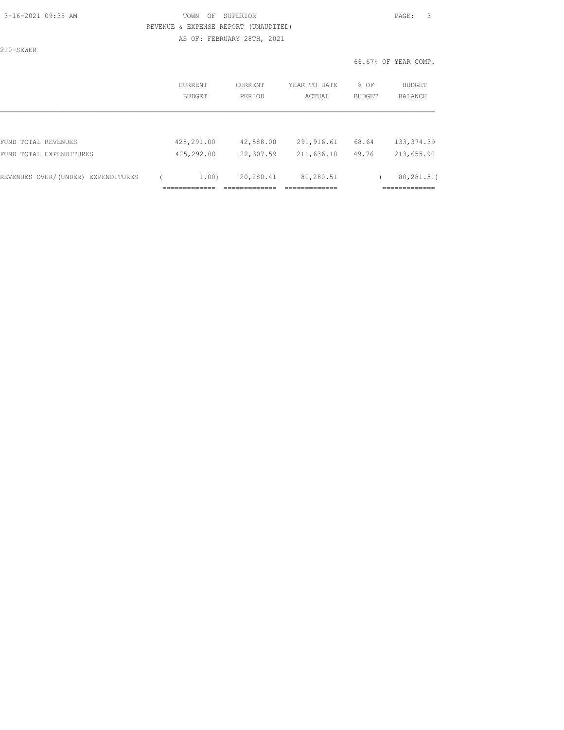### 3-16-2021 09:35 AM TOWN OF SUPERIOR PAGE: 3 REVENUE & EXPENSE REPORT (UNAUDITED) AS OF: FEBRUARY 28TH, 2021

210-SEWER

| CURRENT<br>BUDGET | CURRENT<br>PERIOD | YEAR TO DATE<br>ACTUAL | % OF<br><b>BUDGET</b> | BUDGET<br><b>BALANCE</b> |
|-------------------|-------------------|------------------------|-----------------------|--------------------------|
|                   |                   |                        |                       |                          |
|                   | 42,588.00         | 291, 916.61            | 68.64                 | 133, 374.39              |
| 425,292.00        | 22,307.59         | 211,636.10             | 49.76                 | 213,655.90               |
| 1.00)             | 20,280.41         | 80,280.51              |                       | 80,281.51)<br>________   |
|                   | 425,291.00        |                        |                       |                          |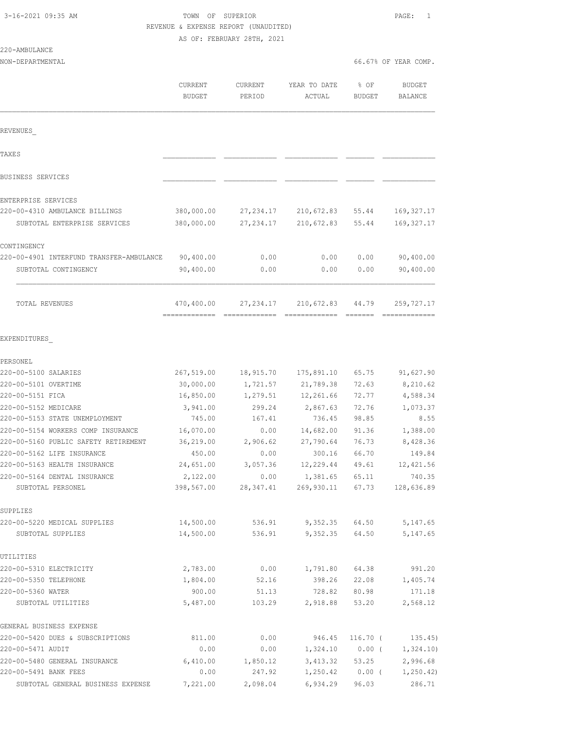|  |  |  |  | 3-16-2021 09:35 AM |  |
|--|--|--|--|--------------------|--|
|--|--|--|--|--------------------|--|

220-AMBULANCE

### TOWN OF SUPERIOR **PAGE:** 1 REVENUE & EXPENSE REPORT (UNAUDITED) AS OF: FEBRUARY 28TH, 2021

| NON-DEPARTMENTAL                                                           |                                 |                      |                        |                       | 66.67% OF YEAR COMP.            |
|----------------------------------------------------------------------------|---------------------------------|----------------------|------------------------|-----------------------|---------------------------------|
|                                                                            | <b>CURRENT</b><br><b>BUDGET</b> | CURRENT<br>PERIOD    | YEAR TO DATE<br>ACTUAL | % OF<br><b>BUDGET</b> | <b>BUDGET</b><br><b>BALANCE</b> |
| REVENUES                                                                   |                                 |                      |                        |                       |                                 |
| TAXE S                                                                     |                                 |                      |                        |                       |                                 |
| BUSINESS SERVICES                                                          |                                 |                      |                        |                       |                                 |
| ENTERPRISE SERVICES                                                        |                                 |                      |                        |                       |                                 |
| 220-00-4310 AMBULANCE BILLINGS                                             | 380,000.00                      | 27, 234.17           | 210,672.83             | 55.44                 | 169, 327.17                     |
| SUBTOTAL ENTERPRISE SERVICES                                               | 380,000.00                      | 27, 234.17           | 210,672.83             | 55.44                 | 169, 327.17                     |
| CONTINGENCY                                                                |                                 |                      |                        |                       |                                 |
| 220-00-4901 INTERFUND TRANSFER-AMBULANCE                                   | 90,400.00                       | 0.00                 | 0.00                   | 0.00                  | 90,400.00                       |
| SUBTOTAL CONTINGENCY                                                       | 90,400.00                       | 0.00                 | 0.00                   | 0.00                  | 90,400.00                       |
| <b>TOTAL REVENUES</b>                                                      | 470,400.00                      | 27, 234.17           | 210,672.83             | 44.79                 | 259,727.17                      |
| EXPENDITURES                                                               |                                 |                      |                        |                       |                                 |
| PERSONEL                                                                   |                                 |                      |                        |                       |                                 |
| 220-00-5100 SALARIES                                                       | 267,519.00                      | 18,915.70            | 175,891.10             | 65.75                 | 91,627.90                       |
| 220-00-5101 OVERTIME                                                       | 30,000.00                       | 1,721.57             | 21,789.38              | 72.63                 | 8,210.62                        |
| 220-00-5151 FICA                                                           | 16,850.00                       | 1,279.51             | 12,261.66              | 72.77                 | 4,588.34                        |
| 220-00-5152 MEDICARE                                                       | 3,941.00                        | 299.24               | 2,867.63               | 72.76                 | 1,073.37                        |
| 220-00-5153 STATE UNEMPLOYMENT                                             | 745.00                          | 167.41               | 736.45                 | 98.85                 | 8.55                            |
| 220-00-5154 WORKERS COMP INSURANCE<br>220-00-5160 PUBLIC SAFETY RETIREMENT | 16,070.00<br>36,219.00          | 0.00<br>2,906.62     | 14,682.00<br>27,790.64 | 91.36<br>76.73        | 1,388.00<br>8,428.36            |
| 220-00-5162 LIFE INSURANCE                                                 | 450.00                          | 0.00                 | 300.16                 | 66.70                 | 149.84                          |
| 220-00-5163 HEALTH INSURANCE                                               | 24,651.00                       | 3,057.36             | 12,229.44              | 49.61                 | 12, 421.56                      |
| 220-00-5164 DENTAL INSURANCE                                               | 2,122.00                        | 0.00                 | 1,381.65 65.11         |                       | 740.35                          |
| SUBTOTAL PERSONEL                                                          |                                 | 398,567.00 28,347.41 | 269,930.11 67.73       |                       | 128,636.89                      |
| SUPPLIES                                                                   |                                 |                      |                        |                       |                                 |
| 220-00-5220 MEDICAL SUPPLIES<br>SUBTOTAL SUPPLIES                          | 14,500.00<br>14,500.00          | 536.91<br>536.91     | $9,352.35$ 64.50       | 9,352.35 64.50        | 5,147.65<br>5, 147.65           |
| UTILITIES                                                                  |                                 |                      |                        |                       |                                 |
| 220-00-5310 ELECTRICITY                                                    | 2,783.00                        | 0.00                 | 1,791.80               | 64.38                 | 991.20                          |
| 220-00-5350 TELEPHONE                                                      | 1,804.00                        | 52.16                | 398.26                 | 22.08                 | 1,405.74                        |
| 220-00-5360 WATER                                                          | 900.00                          | 51.13                | 728.82                 | 80.98                 | 171.18                          |
| SUBTOTAL UTILITIES                                                         | 5,487.00                        | 103.29               | 2,918.88               | 53.20                 | 2,568.12                        |
| GENERAL BUSINESS EXPENSE                                                   |                                 |                      |                        |                       |                                 |
| 220-00-5420 DUES & SUBSCRIPTIONS                                           | 811.00                          | 0.00                 | 946.45                 | $116.70$ (            | 135.45)                         |
| 220-00-5471 AUDIT                                                          | 0.00                            | 0.00                 | 1,324.10               | $0.00$ (              | 1,324.10)                       |
| 220-00-5480 GENERAL INSURANCE                                              | 6,410.00                        | 1,850.12             |                        | 3,413.32 53.25        | 2,996.68                        |
| 220-00-5491 BANK FEES                                                      | 0.00                            | 247.92               | 1,250.42               |                       | $0.00$ ( $1,250.42$ )           |
| SUBTOTAL GENERAL BUSINESS EXPENSE                                          | 7,221.00                        | 2,098.04             | 6,934.29               | 96.03                 | 286.71                          |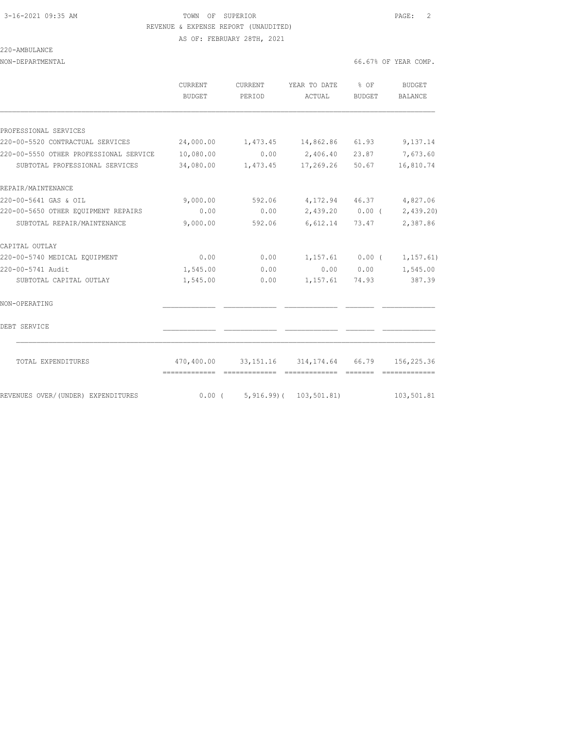AS OF: FEBRUARY 28TH, 2021

### 220-AMBULANCE

NON-DEPARTMENTAL 66.67% OF YEAR COMP.

|                                        | CURRENT<br>BUDGET            | CURRENT<br>PERIOD | YEAR TO DATE<br>ACTUAL                                 | $8$ OF<br>BUDGET | BUDGET<br>BALANCE                                                                                                                                                                                                                                                                                                                                                                                                                                                                                    |
|----------------------------------------|------------------------------|-------------------|--------------------------------------------------------|------------------|------------------------------------------------------------------------------------------------------------------------------------------------------------------------------------------------------------------------------------------------------------------------------------------------------------------------------------------------------------------------------------------------------------------------------------------------------------------------------------------------------|
|                                        |                              |                   |                                                        |                  |                                                                                                                                                                                                                                                                                                                                                                                                                                                                                                      |
| PROFESSIONAL SERVICES                  |                              |                   |                                                        |                  |                                                                                                                                                                                                                                                                                                                                                                                                                                                                                                      |
| 220-00-5520 CONTRACTUAL SERVICES       | 24,000.00                    |                   | 1,473.45 14,862.86 61.93                               |                  | 9,137.14                                                                                                                                                                                                                                                                                                                                                                                                                                                                                             |
| 220-00-5550 OTHER PROFESSIONAL SERVICE | 10,080.00                    | 0.00              | 2,406.40 23.87                                         |                  | 7,673.60                                                                                                                                                                                                                                                                                                                                                                                                                                                                                             |
| SUBTOTAL PROFESSIONAL SERVICES         | 34,080.00                    | 1,473.45          | 17,269.26                                              | 50.67            | 16,810.74                                                                                                                                                                                                                                                                                                                                                                                                                                                                                            |
| REPAIR/MAINTENANCE                     |                              |                   |                                                        |                  |                                                                                                                                                                                                                                                                                                                                                                                                                                                                                                      |
| 220-00-5641 GAS & OIL                  | 9,000.00                     | 592.06            |                                                        |                  | 4, 172.94 46.37 4, 827.06                                                                                                                                                                                                                                                                                                                                                                                                                                                                            |
| 220-00-5650 OTHER EQUIPMENT REPAIRS    | 0.00                         | 0.00              |                                                        |                  | 2,439.20 0.00 ( 2,439.20)                                                                                                                                                                                                                                                                                                                                                                                                                                                                            |
| SUBTOTAL REPAIR/MAINTENANCE            | 9,000.00                     | 592.06            | 6,612.14 73.47                                         |                  | 2,387.86                                                                                                                                                                                                                                                                                                                                                                                                                                                                                             |
| CAPITAL OUTLAY                         |                              |                   |                                                        |                  |                                                                                                                                                                                                                                                                                                                                                                                                                                                                                                      |
| 220-00-5740 MEDICAL EQUIPMENT          | 0.00                         | 0.00              | $1,157.61$ 0.00 (                                      |                  | 1, 157.61)                                                                                                                                                                                                                                                                                                                                                                                                                                                                                           |
| 220-00-5741 Audit                      | 1,545.00                     | 0.00              |                                                        |                  | $0.00$ $0.00$ $1,545.00$                                                                                                                                                                                                                                                                                                                                                                                                                                                                             |
| SUBTOTAL CAPITAL OUTLAY                | 1,545.00                     | 0.00              | 1,157.61                                               | 74.93            | 387.39                                                                                                                                                                                                                                                                                                                                                                                                                                                                                               |
| NON-OPERATING                          |                              |                   |                                                        |                  |                                                                                                                                                                                                                                                                                                                                                                                                                                                                                                      |
| DEBT SERVICE                           |                              |                   |                                                        |                  |                                                                                                                                                                                                                                                                                                                                                                                                                                                                                                      |
| TOTAL EXPENDITURES                     | -------------- ------------- |                   | 470,400.00 33,151.16 314,174.64 66.79<br>============= | --------         | 156,225.36<br>$\begin{array}{cccccccccccccc} \multicolumn{2}{c}{} & \multicolumn{2}{c}{} & \multicolumn{2}{c}{} & \multicolumn{2}{c}{} & \multicolumn{2}{c}{} & \multicolumn{2}{c}{} & \multicolumn{2}{c}{} & \multicolumn{2}{c}{} & \multicolumn{2}{c}{} & \multicolumn{2}{c}{} & \multicolumn{2}{c}{} & \multicolumn{2}{c}{} & \multicolumn{2}{c}{} & \multicolumn{2}{c}{} & \multicolumn{2}{c}{} & \multicolumn{2}{c}{} & \multicolumn{2}{c}{} & \multicolumn{2}{c}{} & \multicolumn{2}{c}{} & \$ |
| REVENUES OVER/(UNDER) EXPENDITURES     | $0.00$ (                     | $5,916.99$ (      | 103, 501.81)                                           |                  | 103,501.81                                                                                                                                                                                                                                                                                                                                                                                                                                                                                           |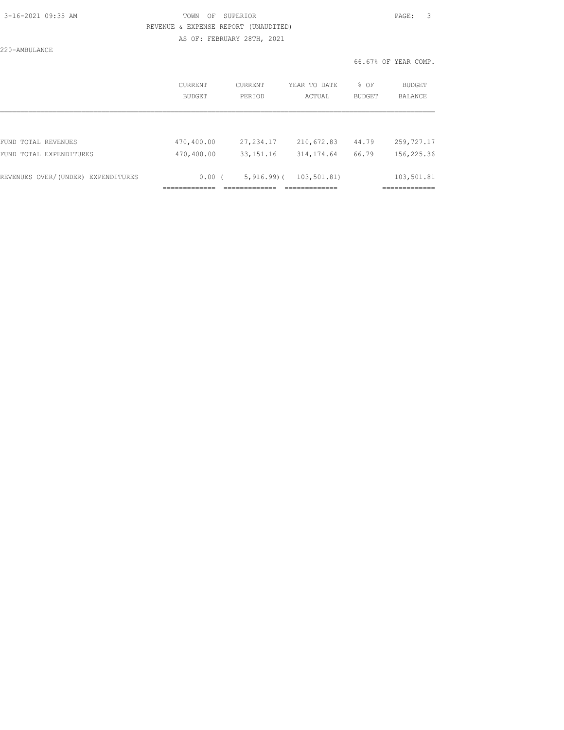220-AMBULANCE

### 3-16-2021 09:35 AM TOWN OF SUPERIOR PAGE: 3 REVENUE & EXPENSE REPORT (UNAUDITED) AS OF: FEBRUARY 28TH, 2021

|                                    | CURRENT<br><b>BUDGET</b> | CURRENT<br>PERTOD | YEAR TO DATE<br>ACTUAL | $8$ OF<br><b>BUDGET</b> | BUDGET<br>BALANCE |
|------------------------------------|--------------------------|-------------------|------------------------|-------------------------|-------------------|
|                                    |                          |                   |                        |                         |                   |
| FUND TOTAL REVENUES                | 470,400.00               | 27, 234.17        | 210,672.83             | 44.79                   | 259,727.17        |
| FUND TOTAL EXPENDITURES            | 470,400.00               | 33, 151. 16       | 314, 174.64            | 66.79                   | 156,225.36        |
| REVENUES OVER/(UNDER) EXPENDITURES | $0.00$ (                 | $5,916.99$ ) (    | 103,501.81)            |                         | 103,501.81        |
|                                    |                          |                   |                        |                         |                   |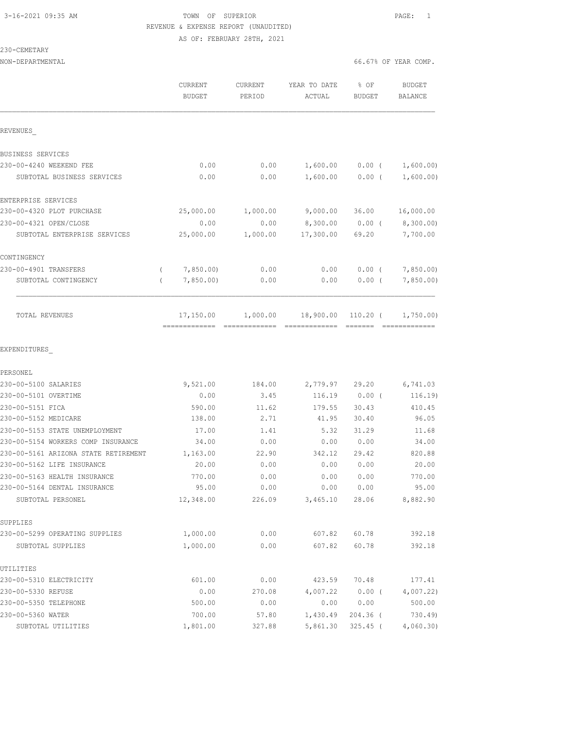230-CEMETARY

### 3-16-2021 09:35 AM TOWN OF SUPERIOR PAGE: 1 REVENUE & EXPENSE REPORT (UNAUDITED) AS OF: FEBRUARY 28TH, 2021

| NON-DEPARTMENTAL                     |                          |                          |                        |                       | 66.67% OF YEAR COMP.     |
|--------------------------------------|--------------------------|--------------------------|------------------------|-----------------------|--------------------------|
|                                      | CURRENT<br><b>BUDGET</b> | <b>CURRENT</b><br>PERIOD | YEAR TO DATE<br>ACTUAL | % OF<br><b>BUDGET</b> | BUDGET<br><b>BALANCE</b> |
| REVENUES                             |                          |                          |                        |                       |                          |
| BUSINESS SERVICES                    |                          |                          |                        |                       |                          |
| 230-00-4240 WEEKEND FEE              | 0.00                     | 0.00                     | 1,600.00               | $0.00$ (              | 1,600.00)                |
| SUBTOTAL BUSINESS SERVICES           | 0.00                     | 0.00                     | 1,600.00               | $0.00$ (              | 1,600.00)                |
| ENTERPRISE SERVICES                  |                          |                          |                        |                       |                          |
| 230-00-4320 PLOT PURCHASE            | 25,000.00                | 1,000.00                 | 9,000.00               | 36.00                 | 16,000.00                |
| 230-00-4321 OPEN/CLOSE               | 0.00                     | 0.00                     | 8,300.00               | $0.00$ (              | 8,300.00)                |
| SUBTOTAL ENTERPRISE SERVICES         | 25,000.00                | 1,000.00                 | 17,300.00              | 69.20                 | 7,700.00                 |
| CONTINGENCY                          |                          |                          |                        |                       |                          |
| 230-00-4901 TRANSFERS                | 7,850.00)<br>$\left($    | 0.00                     | 0.00                   |                       | $0.00$ ( $7,850.00$ )    |
| SUBTOTAL CONTINGENCY                 | 7,850.00<br>$\left($     | 0.00                     | 0.00                   | $0.00$ (              | 7,850.00                 |
| TOTAL REVENUES                       | 17,150.00                | 1,000.00                 | 18,900.00              | $110.20$ (            | 1,750.00                 |
| EXPENDITURES                         |                          |                          |                        |                       |                          |
| PERSONEL                             |                          |                          |                        |                       |                          |
| 230-00-5100 SALARIES                 | 9,521.00                 | 184.00                   | 2,779.97               | 29.20                 | 6,741.03                 |
| 230-00-5101 OVERTIME                 | 0.00                     | 3.45                     | 116.19                 | $0.00$ (              | 116.19)                  |
| 230-00-5151 FICA                     | 590.00                   | 11.62                    | 179.55                 | 30.43                 | 410.45                   |
| 230-00-5152 MEDICARE                 | 138.00                   | 2.71                     | 41.95                  | 30.40                 | 96.05                    |
| 230-00-5153 STATE UNEMPLOYMENT       | 17.00                    | 1.41                     | 5.32                   | 31.29                 | 11.68                    |
| 230-00-5154 WORKERS COMP INSURANCE   | 34.00                    | 0.00                     | 0.00                   | 0.00                  | 34.00                    |
| 230-00-5161 ARIZONA STATE RETIREMENT | 1,163.00                 | 22.90                    | 342.12                 | 29.42                 | 820.88                   |
| 230-00-5162 LIFE INSURANCE           | 20.00                    | 0.00                     | 0.00                   | 0.00                  | 20.00                    |
| 230-00-5163 HEALTH INSURANCE         | 770.00                   | 0.00                     | 0.00                   | 0.00                  | 770.00                   |
| 230-00-5164 DENTAL INSURANCE         | 95.00                    | 0.00                     | 0.00                   | 0.00                  | 95.00                    |
| SUBTOTAL PERSONEL                    | 12,348.00                | 226.09                   | 3,465.10               | 28.06                 | 8,882.90                 |
| SUPPLIES                             |                          |                          |                        |                       |                          |
| 230-00-5299 OPERATING SUPPLIES       | 1,000.00                 | 0.00                     | 607.82                 | 60.78                 | 392.18                   |
| SUBTOTAL SUPPLIES                    | 1,000.00                 | 0.00                     | 607.82                 | 60.78                 | 392.18                   |
| UTILITIES                            |                          |                          |                        |                       |                          |
| 230-00-5310 ELECTRICITY              | 601.00                   | 0.00                     | 423.59                 | 70.48                 | 177.41                   |
| 230-00-5330 REFUSE                   | 0.00                     | 270.08                   | 4,007.22               | $0.00$ (              | 4,007.22                 |
| 230-00-5350 TELEPHONE                | 500.00                   | 0.00                     | 0.00                   | 0.00                  | 500.00                   |
| 230-00-5360 WATER                    | 700.00                   | 57.80                    | 1,430.49               | 204.36 (              | 730.49)                  |

SUBTOTAL UTILITIES  $1,801.00$   $327.88$   $5,861.30$   $325.45$  (  $4,060.30)$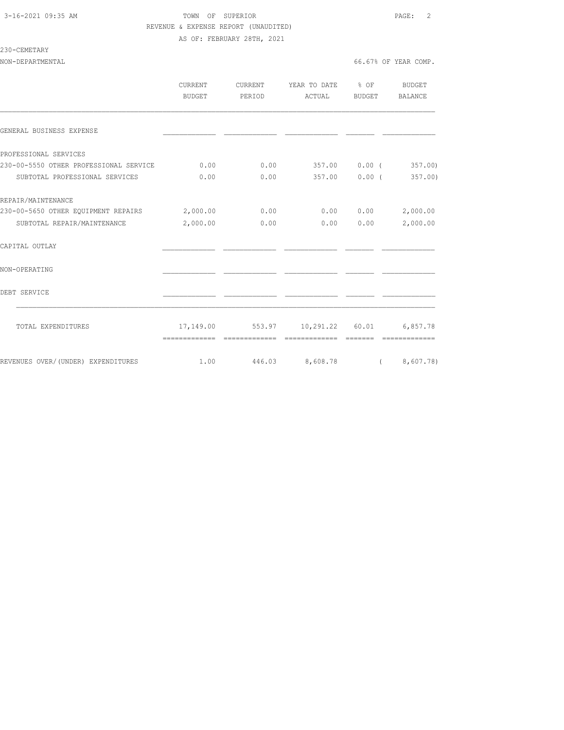### 3-16-2021 09:35 AM TOWN OF SUPERIOR PAGE: 2 REVENUE & EXPENSE REPORT (UNAUDITED) AS OF: FEBRUARY 28TH, 2021

#### 230-CEMETARY

|                                              | CURRENT<br>BUDGET | CURRENT<br>PERIOD | YEAR TO DATE % OF<br>ACTUAL      | BUDGET        | BUDGET<br>BALANCE |
|----------------------------------------------|-------------------|-------------------|----------------------------------|---------------|-------------------|
| GENERAL BUSINESS EXPENSE                     |                   |                   |                                  |               |                   |
| PROFESSIONAL SERVICES                        |                   |                   |                                  |               |                   |
| 230-00-5550 OTHER PROFESSIONAL SERVICE       | 0.00              | 0.00              | 357.00 0.00 (                    |               | 357.00            |
| SUBTOTAL PROFESSIONAL SERVICES               | 0.00              | 0.00              |                                  | 357.00 0.00 ( | 357.00            |
| REPAIR/MAINTENANCE                           |                   |                   |                                  |               |                   |
| 230-00-5650 OTHER EQUIPMENT REPAIRS 2,000.00 |                   | 0.00              |                                  | 0.000000      | 2,000.00          |
| SUBTOTAL REPAIR/MAINTENANCE                  | 2,000.00          | 0.00              | 0.00                             | 0.00          | 2,000.00          |
| CAPITAL OUTLAY                               |                   |                   |                                  |               |                   |
| NON-OPERATING                                |                   |                   |                                  |               |                   |
| DEBT SERVICE                                 |                   |                   |                                  |               |                   |
| TOTAL EXPENDITURES                           |                   |                   | 17,149.00 553.97 10,291.22 60.01 |               | 6,857.78          |
|                                              | -------------     | -------------     | --------------                   |               | -------------     |
| REVENUES OVER/(UNDER) EXPENDITURES           | 1.00              |                   | 446.03 8,608.78 (8,607.78)       |               |                   |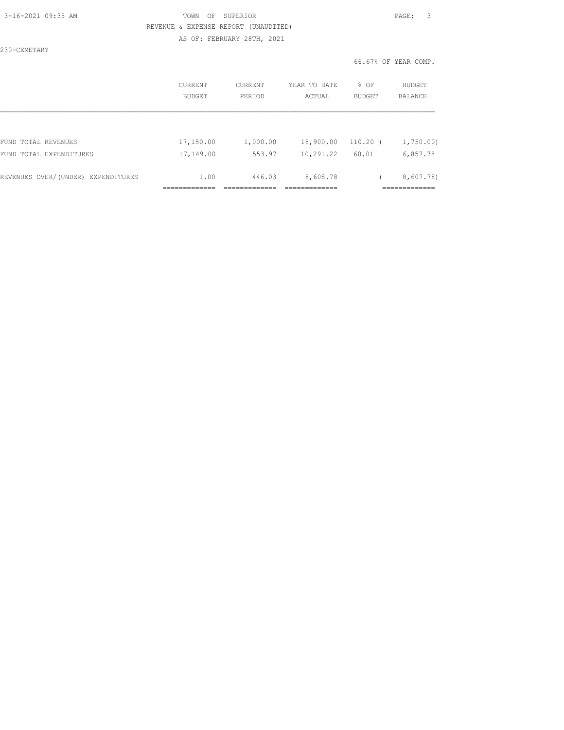230-CEMETARY

### 3-16-2021 09:35 AM TOWN OF SUPERIOR PAGE: 3 REVENUE & EXPENSE REPORT (UNAUDITED) AS OF: FEBRUARY 28TH, 2021

|                                    | <b>CURRENT</b><br>BUDGET | CURRENT<br>PERIOD | YEAR TO DATE<br>ACTUAL | % OF<br><b>BUDGET</b> | <b>BUDGET</b><br><b>BALANCE</b> |
|------------------------------------|--------------------------|-------------------|------------------------|-----------------------|---------------------------------|
|                                    |                          |                   |                        |                       |                                 |
| FUND TOTAL REVENUES                | 17,150.00                | 1,000.00          | 18,900.00              | $110.20$ (            | 1,750.00                        |
| FUND TOTAL EXPENDITURES            | 17,149.00                | 553.97            | 10,291.22              | 60.01                 | 6,857.78                        |
| REVENUES OVER/(UNDER) EXPENDITURES | 1.00                     | 446.03            | 8,608.78               |                       | 8,607.78)                       |
|                                    |                          |                   |                        |                       |                                 |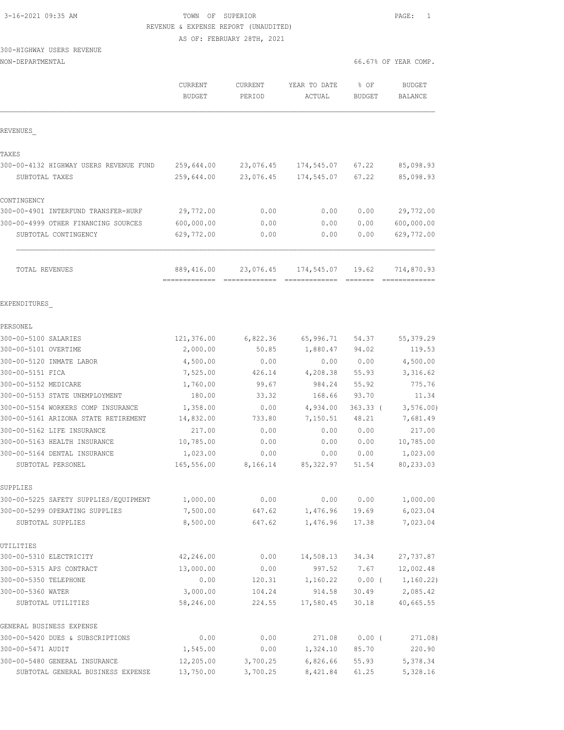| 3-16-2021 09:35 AM |  |
|--------------------|--|
|                    |  |

## TOWN OF SUPERIOR **PAGE:** 1 REVENUE & EXPENSE REPORT (UNAUDITED)

AS OF: FEBRUARY 28TH, 2021

### 300-HIGHWAY USERS REVENUE

| NON-DEPARTMENTAL |  |
|------------------|--|
|------------------|--|

|                                                                         | CURRENT<br><b>BUDGET</b> | <b>CURRENT</b><br>PERIOD | YEAR TO DATE<br>ACTUAL | % OF<br><b>BUDGET</b> | <b>BUDGET</b><br><b>BALANCE</b> |
|-------------------------------------------------------------------------|--------------------------|--------------------------|------------------------|-----------------------|---------------------------------|
| REVENUES                                                                |                          |                          |                        |                       |                                 |
| TAXES                                                                   |                          |                          |                        |                       |                                 |
| 300-00-4132 HIGHWAY USERS REVENUE FUND                                  | 259,644.00               | 23,076.45                | 174,545.07             | 67.22                 | 85,098.93                       |
| SUBTOTAL TAXES                                                          | 259,644.00               | 23,076.45                | 174,545.07             | 67.22                 | 85,098.93                       |
| CONTINGENCY                                                             |                          |                          |                        |                       |                                 |
| 300-00-4901 INTERFUND TRANSFER-HURF                                     | 29,772.00                | 0.00                     | 0.00                   | 0.00                  | 29,772.00                       |
| 300-00-4999 OTHER FINANCING SOURCES                                     | 600,000.00               | 0.00                     | 0.00                   | 0.00                  | 600,000.00                      |
| SUBTOTAL CONTINGENCY                                                    | 629,772.00               | 0.00                     | 0.00                   | 0.00                  | 629,772.00                      |
| TOTAL REVENUES                                                          | 889,416.00               | 23,076.45                | 174,545.07             | 19.62                 | 714,870.93                      |
| EXPENDITURES                                                            |                          |                          |                        |                       |                                 |
| PERSONEL                                                                |                          |                          |                        |                       |                                 |
| 300-00-5100 SALARIES                                                    | 121,376.00               | 6,822.36                 | 65,996.71              | 54.37                 | 55,379.29                       |
| 300-00-5101 OVERTIME                                                    | 2,000.00                 | 50.85                    | 1,880.47               | 94.02                 | 119.53                          |
| 300-00-5120 INMATE LABOR                                                | 4,500.00                 | 0.00                     | 0.00                   | 0.00                  | 4,500.00                        |
| 300-00-5151 FICA                                                        | 7,525.00                 | 426.14                   | 4,208.38               | 55.93                 | 3,316.62                        |
| 300-00-5152 MEDICARE                                                    | 1,760.00                 | 99.67                    | 984.24                 | 55.92                 | 775.76                          |
| 300-00-5153 STATE UNEMPLOYMENT                                          | 180.00                   | 33.32                    | 168.66                 | 93.70                 | 11.34                           |
| 300-00-5154 WORKERS COMP INSURANCE                                      | 1,358.00                 | 0.00                     | 4,934.00               | $363.33$ (            | 3, 576.00                       |
| 300-00-5161 ARIZONA STATE RETIREMENT                                    | 14,832.00                | 733.80                   | 7,150.51               | 48.21                 | 7,681.49                        |
| 300-00-5162 LIFE INSURANCE                                              | 217.00                   | 0.00                     | 0.00                   | 0.00                  | 217.00                          |
| 300-00-5163 HEALTH INSURANCE                                            | 10,785.00                | 0.00                     | 0.00                   | 0.00                  | 10,785.00                       |
| 300-00-5164 DENTAL INSURANCE                                            | 1,023.00                 | 0.00                     | 0.00                   | 0.00                  | 1,023.00                        |
| SUBTOTAL PERSONEL                                                       | 165,556.00               | 8,166.14                 | 85, 322.97             | 51.54                 | 80,233.03                       |
| SUPPLIES                                                                |                          |                          |                        |                       |                                 |
| 300-00-5225 SAFETY SUPPLIES/EQUIPMENT<br>300-00-5299 OPERATING SUPPLIES | 1,000.00<br>7,500.00     | 0.00<br>647.62           | 0.00<br>1,476.96       | 0.00<br>19.69         | 1,000.00<br>6,023.04            |
| SUBTOTAL SUPPLIES                                                       | 8,500.00                 | 647.62                   | 1,476.96               | 17.38                 | 7,023.04                        |
| UTILITIES                                                               |                          |                          |                        |                       |                                 |
| 300-00-5310 ELECTRICITY                                                 | 42,246.00                | 0.00                     | 14,508.13              | 34.34                 | 27, 737.87                      |
| 300-00-5315 APS CONTRACT                                                | 13,000.00                | 0.00                     | 997.52                 | 7.67                  | 12,002.48                       |
| 300-00-5350 TELEPHONE                                                   | 0.00                     | 120.31                   | 1,160.22               | $0.00$ (              | 1,160.22)                       |
| 300-00-5360 WATER                                                       | 3,000.00                 | 104.24                   | 914.58                 | 30.49                 | 2,085.42                        |
| SUBTOTAL UTILITIES                                                      | 58,246.00                | 224.55                   | 17,580.45              | 30.18                 | 40,665.55                       |
| GENERAL BUSINESS EXPENSE                                                |                          |                          |                        |                       |                                 |
| 300-00-5420 DUES & SUBSCRIPTIONS                                        | 0.00                     | 0.00                     | 271.08                 | 0.00(                 | 271.08)                         |
| 300-00-5471 AUDIT                                                       | 1,545.00                 | 0.00                     | 1,324.10               | 85.70                 | 220.90                          |
| 300-00-5480 GENERAL INSURANCE                                           | 12,205.00                | 3,700.25                 | 6,826.66               | 55.93                 | 5,378.34                        |
| SUBTOTAL GENERAL BUSINESS EXPENSE                                       | 13,750.00                | 3,700.25                 | 8,421.84               | 61.25                 | 5,328.16                        |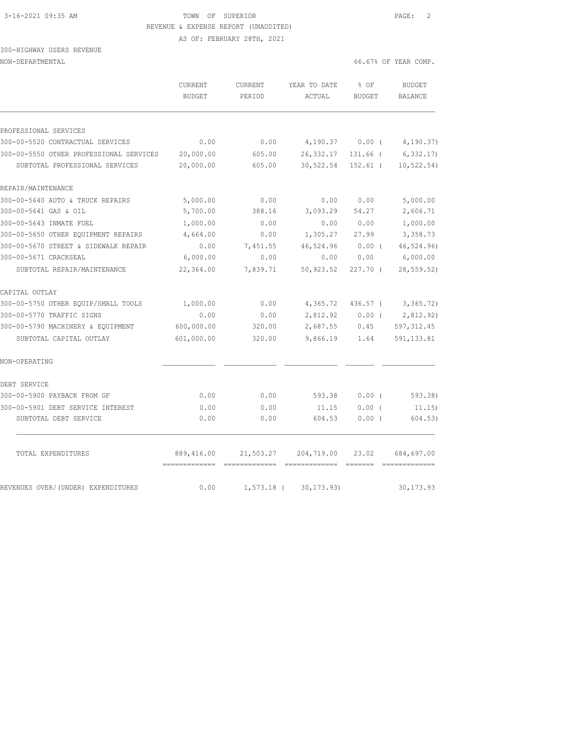AS OF: FEBRUARY 28TH, 2021

### 300-HIGHWAY USERS REVENUE NON-DEPARTMENTAL 66.67% OF YEAR COMP.

|                                         | CURRENT<br><b>BUDGET</b>    | <b>CURRENT</b><br>PERIOD | YEAR TO DATE<br>ACTUAL | % OF<br><b>BUDGET</b> | <b>BUDGET</b><br><b>BALANCE</b> |
|-----------------------------------------|-----------------------------|--------------------------|------------------------|-----------------------|---------------------------------|
|                                         |                             |                          |                        |                       |                                 |
| PROFESSIONAL SERVICES                   |                             |                          |                        |                       |                                 |
| 300-00-5520 CONTRACTUAL SERVICES        | 0.00                        | 0.00                     | 4,190.37               | 0.00(                 | 4, 190.37)                      |
| 300-00-5550 OTHER PROFESSIONAL SERVICES | 20,000.00                   | 605.00                   | 26, 332.17             | 131.66 (              | 6, 332.17                       |
| SUBTOTAL PROFESSIONAL SERVICES          | 20,000.00                   | 605.00                   | 30,522.54              | $152.61$ (            | 10, 522.54)                     |
| REPAIR/MAINTENANCE                      |                             |                          |                        |                       |                                 |
| 300-00-5640 AUTO & TRUCK REPAIRS        | 5,000.00                    | 0.00                     | 0.00                   | 0.00                  | 5,000.00                        |
| 300-00-5641 GAS & OIL                   | 5,700.00                    | 388.16                   | 3,093.29               | 54.27                 | 2,606.71                        |
| 300-00-5643 INMATE FUEL                 | 1,000.00                    | 0.00                     | 0.00                   | 0.00                  | 1,000.00                        |
| 300-00-5650 OTHER EQUIPMENT REPAIRS     | 4,664.00                    | 0.00                     | 1,305.27               | 27.99                 | 3,358.73                        |
| 300-00-5670 STREET & SIDEWALK REPAIR    | 0.00                        | 7,451.55                 | 46,524.96              | 0.00(                 | 46,524.96)                      |
| 300-00-5671 CRACKSEAL                   | 6,000.00                    | 0.00                     | 0.00                   | 0.00                  | 6,000.00                        |
| SUBTOTAL REPAIR/MAINTENANCE             | 22,364.00                   | 7,839.71                 | 50,923.52              | $227.70$ (            | 28, 559.52                      |
| CAPITAL OUTLAY                          |                             |                          |                        |                       |                                 |
| 300-00-5750 OTHER EQUIP/SMALL TOOLS     | 1,000.00                    | 0.00                     | 4,365.72               | 436.57 (              | 3,365.72)                       |
| 300-00-5770 TRAFFIC SIGNS               | 0.00                        | 0.00                     | 2,812.92               | 0.00(                 | 2,812.92)                       |
| 300-00-5790 MACHINERY & EQUIPMENT       | 600,000.00                  | 320.00                   | 2,687.55               | 0.45                  | 597, 312.45                     |
| SUBTOTAL CAPITAL OUTLAY                 | 601,000.00                  | 320.00                   | 9,866.19               | 1.64                  | 591, 133.81                     |
| NON-OPERATING                           |                             |                          |                        |                       |                                 |
| DEBT SERVICE                            |                             |                          |                        |                       |                                 |
| 300-00-5900 PAYBACK FROM GF             | 0.00                        | 0.00                     | 593.38                 | 0.00(                 | 593.38)                         |
| 300-00-5901 DEBT SERVICE INTEREST       | 0.00                        | 0.00                     | 11.15                  | 0.00(                 | 11.15)                          |
| SUBTOTAL DEBT SERVICE                   | 0.00                        | 0.00                     | 604.53                 | $0.00$ (              | 604.53)                         |
| TOTAL EXPENDITURES                      | 889,416.00<br>============= | 21,503.27                | 204,719.00             | 23.02                 | 684,697.00                      |
| REVENUES OVER/(UNDER) EXPENDITURES      | 0.00                        | $1,573.18$ (             | 30, 173.93)            |                       | 30, 173.93                      |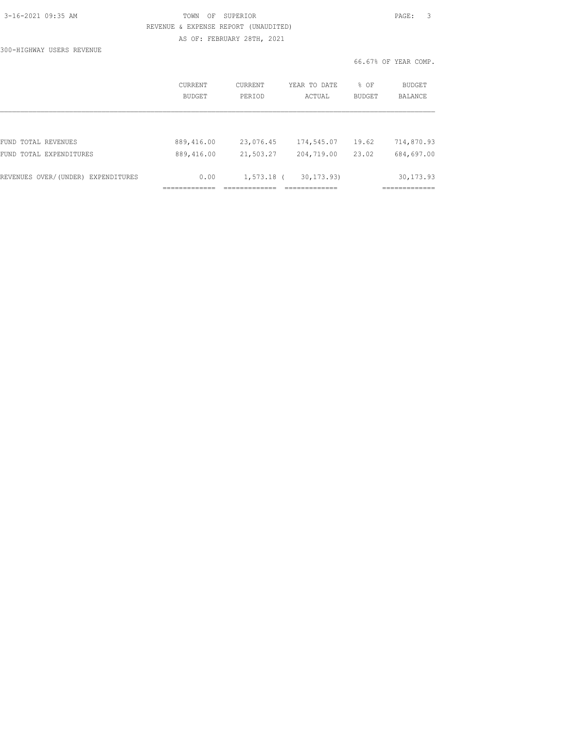| 3-16-2021 09:35 AM |  |
|--------------------|--|
|                    |  |

### TOWN OF SUPERIOR **PAGE:** 3 REVENUE & EXPENSE REPORT (UNAUDITED) AS OF: FEBRUARY 28TH, 2021

300-HIGHWAY USERS REVENUE

|                                    | <b>CURRENT</b><br><b>BUDGET</b> | CURRENT<br>PERIOD | YEAR TO DATE<br>ACTUAL | % OF<br><b>BUDGET</b> | BUDGET<br><b>BALANCE</b> |
|------------------------------------|---------------------------------|-------------------|------------------------|-----------------------|--------------------------|
|                                    |                                 |                   |                        |                       |                          |
| FUND TOTAL REVENUES                | 889,416.00                      | 23,076.45         | 174,545.07             | 19.62                 | 714,870.93               |
| FUND TOTAL EXPENDITURES            | 889,416.00                      | 21,503.27         | 204,719.00             | 23.02                 | 684,697.00               |
| REVENUES OVER/(UNDER) EXPENDITURES | 0.00                            | $1,573.18$ (      | 30, 173, 93)           |                       | 30, 173.93               |
|                                    |                                 |                   |                        |                       |                          |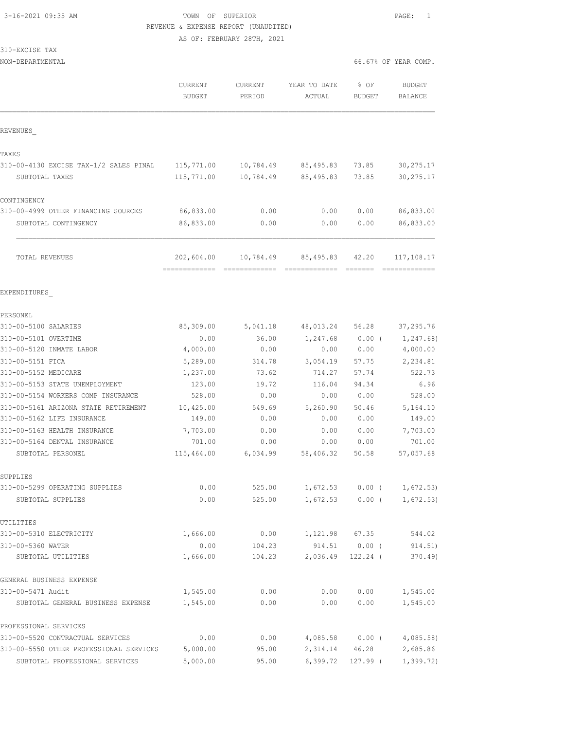AS OF: FEBRUARY 28TH, 2021

| 310-EXCISE TAX |  |
|----------------|--|
|                |  |

NON-DEPARTMENTAL 66.67% OF YEAR COMP.

|                                                                    | CURRENT<br><b>BUDGET</b>                   | CURRENT<br>PERIOD | YEAR TO DATE<br>ACTUAL             | % OF<br>BUDGET               | <b>BUDGET</b><br><b>BALANCE</b> |
|--------------------------------------------------------------------|--------------------------------------------|-------------------|------------------------------------|------------------------------|---------------------------------|
| REVENUES                                                           |                                            |                   |                                    |                              |                                 |
| TAXES                                                              |                                            |                   |                                    |                              |                                 |
| 310-00-4130 EXCISE TAX-1/2 SALES PINAL                             | 115,771.00                                 | 10,784.49         | 85,495.83                          | 73.85                        | 30, 275.17                      |
| SUBTOTAL TAXES                                                     | 115,771.00                                 | 10,784.49         | 85,495.83                          | 73.85                        | 30, 275.17                      |
| CONTINGENCY                                                        |                                            |                   |                                    |                              |                                 |
| 310-00-4999 OTHER FINANCING SOURCES                                | 86,833.00                                  | 0.00              | 0.00                               | 0.00                         | 86,833.00                       |
| SUBTOTAL CONTINGENCY                                               | 86,833.00                                  | 0.00              | 0.00                               | 0.00                         | 86,833.00                       |
| TOTAL REVENUES                                                     | 202,604.00<br>-------------- ------------- | 10,784.49         | 85,495.83<br>--------------------- | 42.20                        | 117,108.17<br>=============     |
| EXPENDITURES                                                       |                                            |                   |                                    |                              |                                 |
| PERSONEL                                                           |                                            |                   |                                    |                              |                                 |
| 310-00-5100 SALARIES                                               | 85,309.00                                  | 5,041.18          | 48,013.24                          | 56.28                        | 37,295.76                       |
| 310-00-5101 OVERTIME                                               | 0.00                                       | 36.00             | 1,247.68                           | $0.00$ (                     | 1,247.68)                       |
| 310-00-5120 INMATE LABOR                                           | 4,000.00                                   | 0.00              | 0.00                               | 0.00                         | 4,000.00                        |
| 310-00-5151 FICA                                                   | 5,289.00                                   | 314.78            | 3,054.19                           | 57.75                        | 2,234.81                        |
| 310-00-5152 MEDICARE                                               | 1,237.00                                   | 73.62             | 714.27                             | 57.74                        | 522.73                          |
| 310-00-5153 STATE UNEMPLOYMENT                                     | 123.00                                     | 19.72             | 116.04                             | 94.34                        | 6.96                            |
| 310-00-5154 WORKERS COMP INSURANCE                                 | 528.00                                     | 0.00              | 0.00                               | 0.00                         | 528.00                          |
| 310-00-5161 ARIZONA STATE RETIREMENT<br>310-00-5162 LIFE INSURANCE | 10,425.00<br>149.00                        | 549.69<br>0.00    | 5,260.90<br>0.00                   | 50.46<br>0.00                | 5,164.10<br>149.00              |
| 310-00-5163 HEALTH INSURANCE                                       | 7,703.00                                   | 0.00              | 0.00                               | 0.00                         | 7,703.00                        |
| 310-00-5164 DENTAL INSURANCE                                       | 701.00                                     | 0.00              | 0.00                               | 0.00                         | 701.00                          |
| SUBTOTAL PERSONEL                                                  | 115,464.00                                 | 6,034.99          | 58,406.32                          | 50.58                        | 57,057.68                       |
| SUPPLIES                                                           |                                            |                   |                                    |                              |                                 |
| 310-00-5299 OPERATING SUPPLIES                                     | 0.00                                       | 525.00            |                                    | $1,672.53$ 0.00 (            | 1,672.53)                       |
| SUBTOTAL SUPPLIES                                                  | 0.00                                       | 525.00            |                                    | $1,672.53$ 0.00 (            | 1,672.53)                       |
| UTILITIES                                                          |                                            |                   |                                    |                              |                                 |
| 310-00-5310 ELECTRICITY                                            | 1,666.00                                   | 0.00              |                                    | 1,121.98 67.35               | 544.02                          |
| 310-00-5360 WATER<br>SUBTOTAL UTILITIES                            | 0.00<br>1,666.00                           | 104.23<br>104.23  | 2,036.49                           | 914.51  0.00 (<br>$122.24$ ( | 914.51)<br>370.49)              |
|                                                                    |                                            |                   |                                    |                              |                                 |
| GENERAL BUSINESS EXPENSE                                           |                                            |                   |                                    |                              |                                 |
| 310-00-5471 Audit                                                  | 1,545.00                                   | 0.00              | 0.00                               | 0.00                         | 1,545.00                        |
| SUBTOTAL GENERAL BUSINESS EXPENSE                                  | 1,545.00                                   | 0.00              | 0.00                               | 0.00                         | 1,545.00                        |
| PROFESSIONAL SERVICES                                              |                                            |                   |                                    |                              |                                 |
| 310-00-5520 CONTRACTUAL SERVICES                                   | 0.00                                       | 0.00              |                                    | $4,085.58$ 0.00 (            | 4,085.58)                       |
| 310-00-5550 OTHER PROFESSIONAL SERVICES                            | 5,000.00                                   | 95.00             | 2,314.14                           | 46.28                        | 2,685.86                        |
| SUBTOTAL PROFESSIONAL SERVICES                                     | 5,000.00                                   | 95.00             | 6,399.72                           | 127.99 (                     | 1,399.72)                       |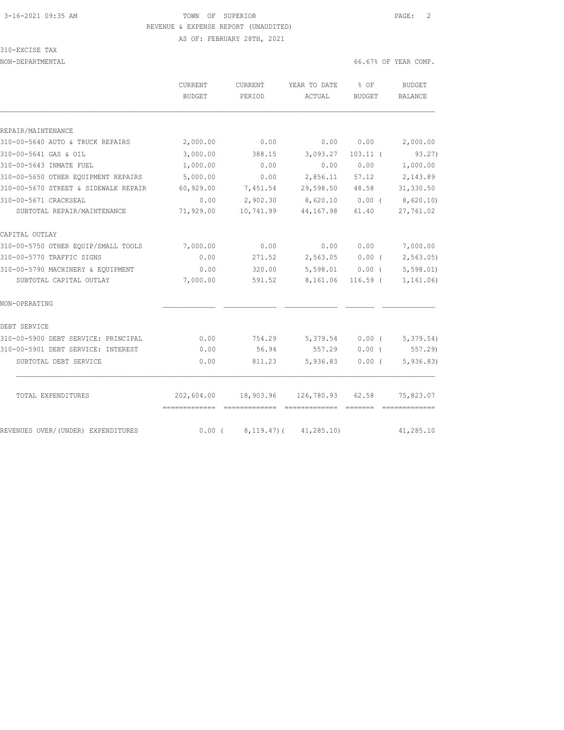AS OF: FEBRUARY 28TH, 2021

### 310-EXCISE TAX

NON-DEPARTMENTAL 66.

| 66.67% OF YEAR COMP. |  |
|----------------------|--|
|----------------------|--|

|                                      | CURRENT<br>BUDGET | CURRENT<br>PERIOD | YEAR TO DATE<br>ACTUAL       | % OF<br><b>BUDGET</b> | BUDGET<br><b>BALANCE</b> |
|--------------------------------------|-------------------|-------------------|------------------------------|-----------------------|--------------------------|
| REPAIR/MAINTENANCE                   |                   |                   |                              |                       |                          |
| 310-00-5640 AUTO & TRUCK REPAIRS     | 2,000.00          | 0.00              | 0.00                         | 0.00                  | 2,000.00                 |
| 310-00-5641 GAS & OIL                | 3,000.00          | 388.15            | 3,093.27                     | $103.11$ (            | 93.27)                   |
| 310-00-5643 INMATE FUEL              | 1,000.00          | 0.00              | 0.00                         | 0.00                  | 1,000.00                 |
| 310-00-5650 OTHER EQUIPMENT REPAIRS  | 5,000.00          | 0.00              | 2,856.11                     | 57.12                 | 2,143.89                 |
| 310-00-5670 STREET & SIDEWALK REPAIR | 60,929.00         | 7,451.54          | 29,598.50                    | 48.58                 | 31,330.50                |
| 310-00-5671 CRACKSEAL                | 0.00              | 2,902.30          | 8,620.10                     | $0.00$ (              | 8,620.10)                |
| SUBTOTAL REPAIR/MAINTENANCE          | 71,929.00         | 10,741.99         | 44,167.98                    | 61.40                 | 27,761.02                |
| CAPITAL OUTLAY                       |                   |                   |                              |                       |                          |
| 310-00-5750 OTHER EQUIP/SMALL TOOLS  | 7,000.00          | 0.00              | 0.00                         | 0.00                  | 7,000.00                 |
| 310-00-5770 TRAFFIC SIGNS            | 0.00              | 271.52            | 2,563.05                     | 0.00(                 | 2,563.05)                |
| 310-00-5790 MACHINERY & EQUIPMENT    | 0.00              | 320.00            | 5,598.01                     | $0.00$ (              | 5,598.01                 |
| SUBTOTAL CAPITAL OUTLAY              | 7,000.00          | 591.52            | 8,161.06                     | $116.59$ (            | 1, 161.06)               |
| NON-OPERATING                        |                   |                   |                              |                       |                          |
| DEBT SERVICE                         |                   |                   |                              |                       |                          |
| 310-00-5900 DEBT SERVICE: PRINCIPAL  | 0.00              | 754.29            | 5,379.54                     | $0.00$ (              | 5,379.54)                |
| 310-00-5901 DEBT SERVICE: INTEREST   | 0.00              | 56.94             | 557.29                       | 0.00(                 | 557.29                   |
| SUBTOTAL DEBT SERVICE                | 0.00              | 811.23            | 5,936.83                     | $0.00$ (              | 5,936.83)                |
| TOTAL EXPENDITURES                   | 202,604.00        |                   | 18,903.96 126,780.93 62.58   |                       | 75,823.07                |
| REVENUES OVER/(UNDER) EXPENDITURES   | $0.00$ (          |                   | $8, 119.47$ ( $41, 285.10$ ) |                       | 41,285.10                |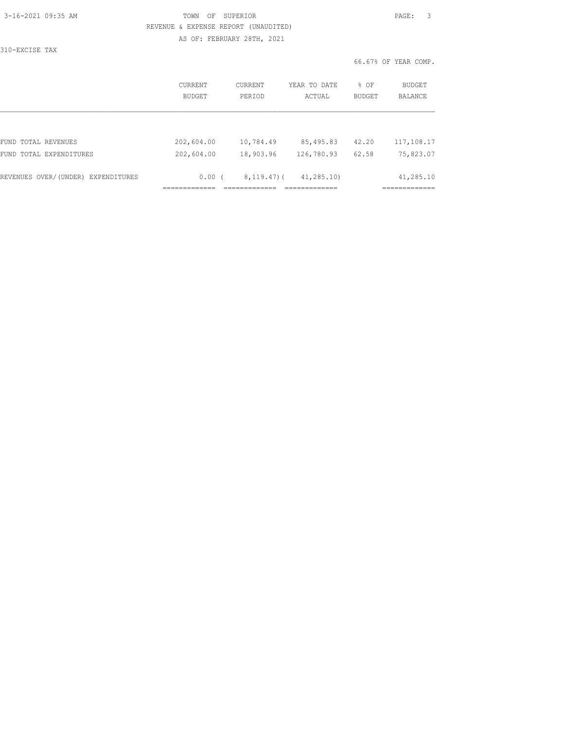| 3-16-2021 09:35 AM |  |
|--------------------|--|
|                    |  |

### TOWN OF SUPERIOR **PAGE:** 3 REVENUE & EXPENSE REPORT (UNAUDITED) AS OF: FEBRUARY 28TH, 2021

310-EXCISE TAX

|                                    | CURRENT<br>BUDGET | CURRENT<br>PERIOD | YEAR TO DATE<br>ACTUAL | % OF<br><b>BUDGET</b> | BUDGET<br><b>BALANCE</b> |
|------------------------------------|-------------------|-------------------|------------------------|-----------------------|--------------------------|
|                                    |                   |                   |                        |                       |                          |
| FUND TOTAL REVENUES                | 202,604.00        | 10,784.49         | 85,495.83              | 42.20                 | 117,108.17               |
| FUND TOTAL EXPENDITURES            | 202,604.00        | 18,903.96         | 126,780.93             | 62.58                 | 75,823.07                |
| REVENUES OVER/(UNDER) EXPENDITURES | 0.00(             | $8,119.47$ ) (    | 41, 285, 10)           |                       | 41,285.10                |
|                                    |                   |                   |                        |                       |                          |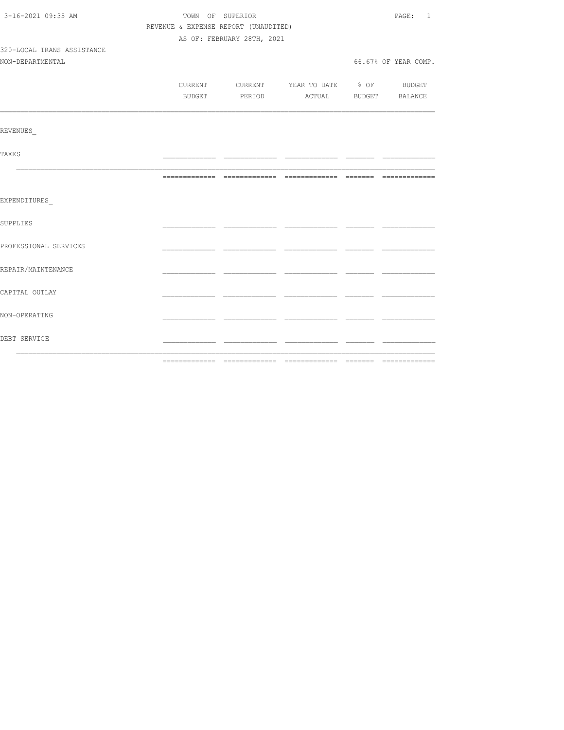| 3-16-2021 09:35 AM         | TOWN OF SUPERIOR                     |                                          |  | PAGE: 1              |  |
|----------------------------|--------------------------------------|------------------------------------------|--|----------------------|--|
|                            | REVENUE & EXPENSE REPORT (UNAUDITED) |                                          |  |                      |  |
|                            | AS OF: FEBRUARY 28TH, 2021           |                                          |  |                      |  |
| 320-LOCAL TRANS ASSISTANCE |                                      |                                          |  |                      |  |
| NON-DEPARTMENTAL           |                                      |                                          |  | 66.67% OF YEAR COMP. |  |
|                            |                                      |                                          |  |                      |  |
|                            |                                      | CURRENT CURRENT YEAR TO DATE % OF BUDGET |  |                      |  |
|                            |                                      | BUDGET PERIOD ACTUAL BUDGET BALANCE      |  |                      |  |
|                            |                                      |                                          |  |                      |  |
| <b>REVENUES</b>            |                                      |                                          |  |                      |  |
| <b>TAXES</b>               |                                      |                                          |  |                      |  |
|                            |                                      |                                          |  |                      |  |
| EXPENDITURES               |                                      |                                          |  |                      |  |
| <b>SUPPLIES</b>            |                                      |                                          |  |                      |  |
| PROFESSIONAL SERVICES      |                                      |                                          |  |                      |  |
| REPAIR/MAINTENANCE         |                                      |                                          |  |                      |  |
| CAPITAL OUTLAY             |                                      |                                          |  |                      |  |
| NON-OPERATING              |                                      |                                          |  |                      |  |
| DEBT SERVICE               |                                      |                                          |  |                      |  |
|                            |                                      |                                          |  |                      |  |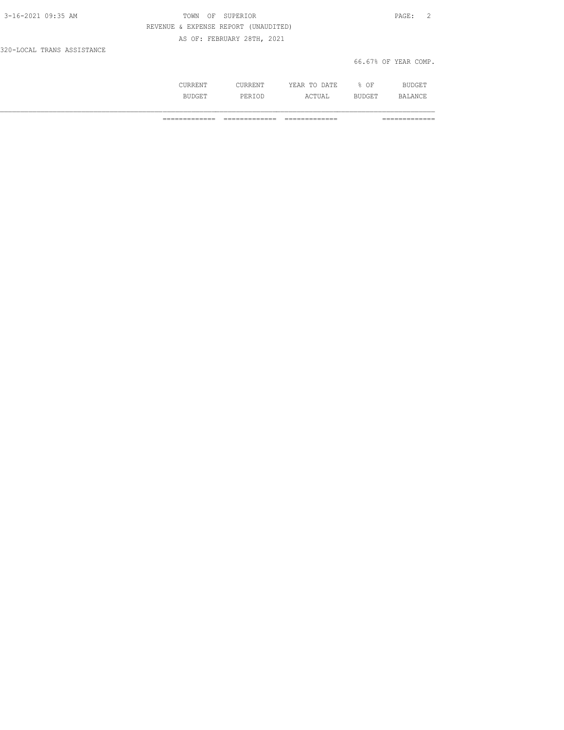| 3-16-2021 09:35 AM         | OF SUPERIOR<br>TOWN                  | PAGE: 2              |
|----------------------------|--------------------------------------|----------------------|
|                            | REVENUE & EXPENSE REPORT (UNAUDITED) |                      |
|                            | AS OF: FEBRUARY 28TH, 2021           |                      |
| 320-LOCAL TRANS ASSISTANCE |                                      |                      |
|                            |                                      | 66.67% OF YEAR COMP. |

| ' ' ' ∖ I\ Li I v … | . ומידי בו<br>m <sub>c</sub><br>. <b>.</b><br>----<br>-----<br>__ | $\bigcap$<br>. .<br>◡ | - * ⊤ * |
|---------------------|-------------------------------------------------------------------|-----------------------|---------|
| ◟∸◡∸                | $\land$ $\cap$ $\Box$<br>UAL                                      | ۔ ست                  | ANCT    |

============= ============= ============= =============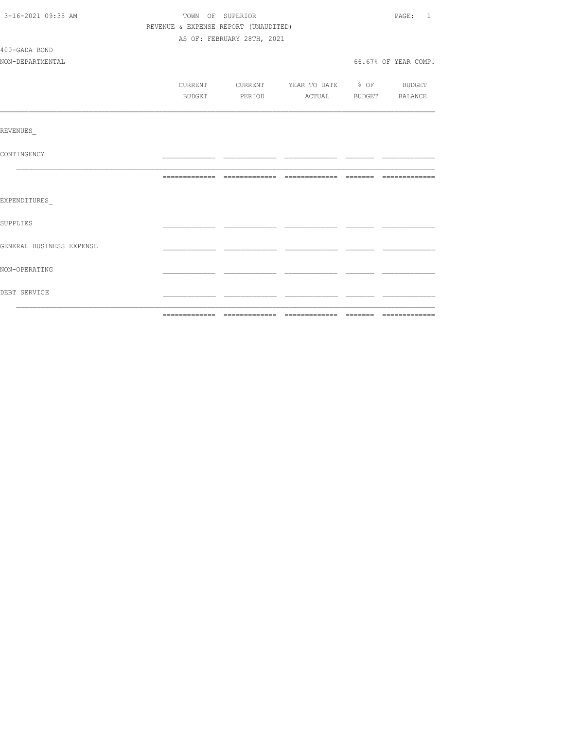| 3-16-2021 09:35 AM       | TOWN OF SUPERIOR<br>REVENUE & EXPENSE REPORT (UNAUDITED) |                            |                                  |  | PAGE: 1              |
|--------------------------|----------------------------------------------------------|----------------------------|----------------------------------|--|----------------------|
|                          |                                                          |                            |                                  |  |                      |
|                          |                                                          | AS OF: FEBRUARY 28TH, 2021 |                                  |  |                      |
| 400-GADA BOND            |                                                          |                            |                                  |  |                      |
| NON-DEPARTMENTAL         |                                                          |                            |                                  |  | 66.67% OF YEAR COMP. |
|                          |                                                          |                            |                                  |  |                      |
|                          | CURRENT                                                  |                            | CURRENT YEAR TO DATE % OF BUDGET |  |                      |
|                          | BUDGET                                                   | PERIOD                     | ACTUAL BUDGET BALANCE            |  |                      |
|                          |                                                          |                            |                                  |  |                      |
| <b>REVENUES</b>          |                                                          |                            |                                  |  |                      |
| CONTINGENCY              |                                                          |                            |                                  |  |                      |
|                          |                                                          |                            |                                  |  |                      |
| EXPENDITURES             |                                                          |                            |                                  |  |                      |
| <b>SUPPLIES</b>          |                                                          |                            |                                  |  |                      |
| GENERAL BUSINESS EXPENSE |                                                          |                            |                                  |  |                      |
| NON-OPERATING            |                                                          |                            |                                  |  |                      |
| DEBT SERVICE             |                                                          |                            |                                  |  |                      |
|                          |                                                          |                            |                                  |  |                      |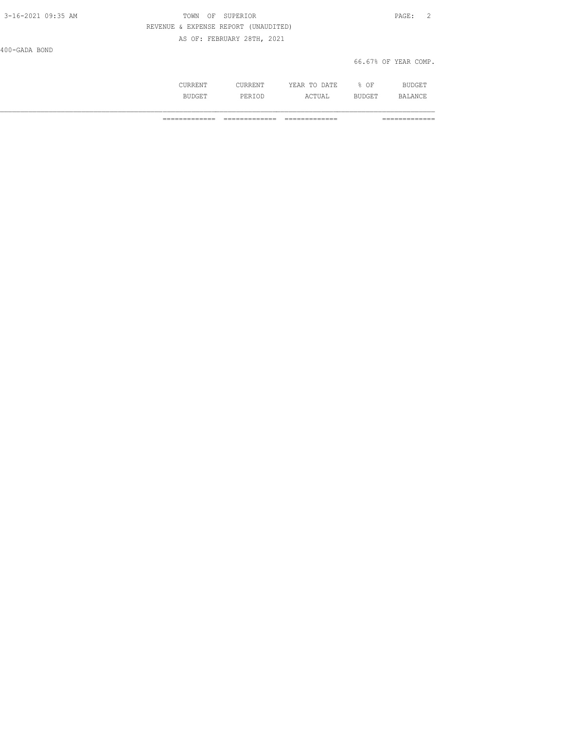| 3-16-2021 09:35 AM | TOWN OF SUPERIOR                     | PAGE: 2              |
|--------------------|--------------------------------------|----------------------|
|                    | REVENUE & EXPENSE REPORT (UNAUDITED) |                      |
|                    | AS OF: FEBRUARY 28TH, 2021           |                      |
| 400-GADA BOND      |                                      |                      |
|                    |                                      | 66.67% OF YEAR COMP. |

| . | . | יחד ה<br>∸<br>----<br>-----<br>__ | ∩F<br>◡ |      |
|---|---|-----------------------------------|---------|------|
|   | . | $\wedge$ $\wedge$ $\cdots$        |         | 12 ∧ |

============= ============= ============= =============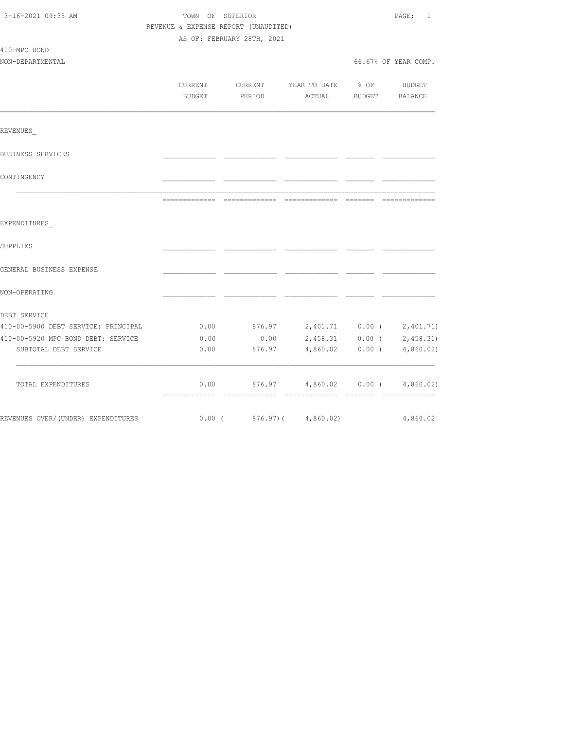| 3-16-2021 09:35 AM                  | TOWN OF SUPERIOR<br>REVENUE & EXPENSE REPORT (UNAUDITED) | AS OF: FEBRUARY 28TH, 2021                                                                                                                                                                                                                                                                                                                                                                                                                                                             |                                      |                       | PAGE: 1                                                                                                                                                                                                                                                                                                                                                                                                                                                                                      |
|-------------------------------------|----------------------------------------------------------|----------------------------------------------------------------------------------------------------------------------------------------------------------------------------------------------------------------------------------------------------------------------------------------------------------------------------------------------------------------------------------------------------------------------------------------------------------------------------------------|--------------------------------------|-----------------------|----------------------------------------------------------------------------------------------------------------------------------------------------------------------------------------------------------------------------------------------------------------------------------------------------------------------------------------------------------------------------------------------------------------------------------------------------------------------------------------------|
| 410-MPC BOND<br>NON-DEPARTMENTAL    |                                                          |                                                                                                                                                                                                                                                                                                                                                                                                                                                                                        |                                      |                       | 66.67% OF YEAR COMP.                                                                                                                                                                                                                                                                                                                                                                                                                                                                         |
|                                     | <b>CURRENT</b><br>BUDGET                                 | CURRENT<br>PERIOD                                                                                                                                                                                                                                                                                                                                                                                                                                                                      | YEAR TO DATE % OF                    | ACTUAL BUDGET BALANCE | BUDGET                                                                                                                                                                                                                                                                                                                                                                                                                                                                                       |
| REVENUES                            |                                                          |                                                                                                                                                                                                                                                                                                                                                                                                                                                                                        |                                      |                       |                                                                                                                                                                                                                                                                                                                                                                                                                                                                                              |
| BUSINESS SERVICES                   |                                                          |                                                                                                                                                                                                                                                                                                                                                                                                                                                                                        |                                      |                       |                                                                                                                                                                                                                                                                                                                                                                                                                                                                                              |
| CONTINGENCY                         |                                                          |                                                                                                                                                                                                                                                                                                                                                                                                                                                                                        |                                      |                       |                                                                                                                                                                                                                                                                                                                                                                                                                                                                                              |
|                                     | --------------                                           | $\begin{array}{cccccccccccccc} \multicolumn{2}{c}{} & \multicolumn{2}{c}{} & \multicolumn{2}{c}{} & \multicolumn{2}{c}{} & \multicolumn{2}{c}{} & \multicolumn{2}{c}{} & \multicolumn{2}{c}{} & \multicolumn{2}{c}{} & \multicolumn{2}{c}{} & \multicolumn{2}{c}{} & \multicolumn{2}{c}{} & \multicolumn{2}{c}{} & \multicolumn{2}{c}{} & \multicolumn{2}{c}{} & \multicolumn{2}{c}{} & \multicolumn{2}{c}{} & \multicolumn{2}{c}{} & \multicolumn{2}{c}{} & \multicolumn{2}{c}{} & \$ | --------------                       | --------              | $\begin{array}{c} \multicolumn{2}{c} {\textbf{1}} & \multicolumn{2}{c} {\textbf{2}} & \multicolumn{2}{c} {\textbf{3}} & \multicolumn{2}{c} {\textbf{4}} \\ \multicolumn{2}{c} {\textbf{2}} & \multicolumn{2}{c} {\textbf{3}} & \multicolumn{2}{c} {\textbf{4}} & \multicolumn{2}{c} {\textbf{5}} & \multicolumn{2}{c} {\textbf{6}} \\ \multicolumn{2}{c} {\textbf{4}} & \multicolumn{2}{c} {\textbf{5}} & \multicolumn{2}{c} {\textbf{6}} & \multicolumn{2}{c} {\textbf{6}} & \multicolumn{$ |
| EXPENDITURES                        |                                                          |                                                                                                                                                                                                                                                                                                                                                                                                                                                                                        |                                      |                       |                                                                                                                                                                                                                                                                                                                                                                                                                                                                                              |
| SUPPLIES                            |                                                          |                                                                                                                                                                                                                                                                                                                                                                                                                                                                                        |                                      |                       |                                                                                                                                                                                                                                                                                                                                                                                                                                                                                              |
| GENERAL BUSINESS EXPENSE            |                                                          |                                                                                                                                                                                                                                                                                                                                                                                                                                                                                        |                                      |                       |                                                                                                                                                                                                                                                                                                                                                                                                                                                                                              |
| NON-OPERATING                       |                                                          |                                                                                                                                                                                                                                                                                                                                                                                                                                                                                        |                                      |                       |                                                                                                                                                                                                                                                                                                                                                                                                                                                                                              |
| DEBT SERVICE                        |                                                          |                                                                                                                                                                                                                                                                                                                                                                                                                                                                                        |                                      |                       |                                                                                                                                                                                                                                                                                                                                                                                                                                                                                              |
| 410-00-5900 DEBT SERVICE: PRINCIPAL | 0.00                                                     |                                                                                                                                                                                                                                                                                                                                                                                                                                                                                        | $876.97$ 2, 401.71 0.00 ( 2, 401.71) |                       |                                                                                                                                                                                                                                                                                                                                                                                                                                                                                              |
| 410-00-5920 MPC BOND DEBT: SERVICE  | 0.00                                                     | 0.00                                                                                                                                                                                                                                                                                                                                                                                                                                                                                   | $2,458.31$ 0.00 ( 2,458.31)          |                       |                                                                                                                                                                                                                                                                                                                                                                                                                                                                                              |
| SUBTOTAL DEBT SERVICE               | 0.00                                                     | 876.97                                                                                                                                                                                                                                                                                                                                                                                                                                                                                 | 4,860.02 0.00 (4,860.02)             |                       |                                                                                                                                                                                                                                                                                                                                                                                                                                                                                              |
| TOTAL EXPENDITURES                  | 0.00                                                     |                                                                                                                                                                                                                                                                                                                                                                                                                                                                                        | 876.97 4,860.02 0.00 ( 4,860.02)     |                       |                                                                                                                                                                                                                                                                                                                                                                                                                                                                                              |
| REVENUES OVER/(UNDER) EXPENDITURES  |                                                          | $0.00$ ( $876.97$ ) ( $4,860.02$ )                                                                                                                                                                                                                                                                                                                                                                                                                                                     |                                      |                       | 4,860.02                                                                                                                                                                                                                                                                                                                                                                                                                                                                                     |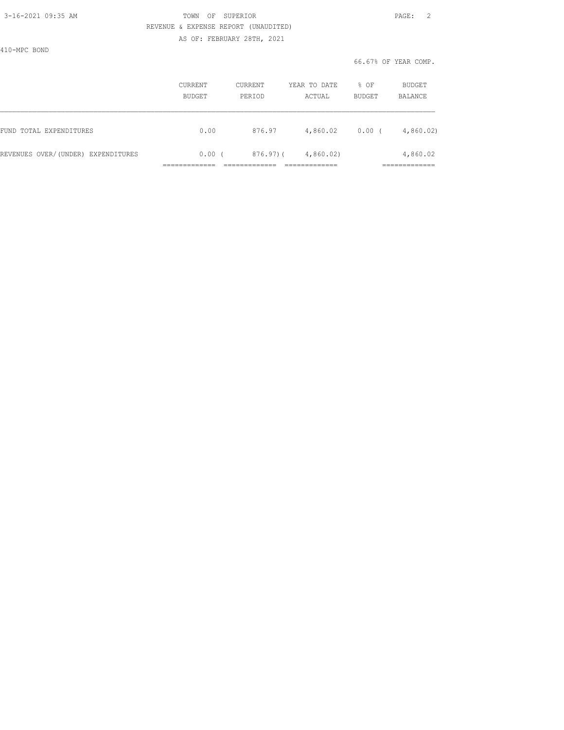### 3-16-2021 09:35 AM TOWN OF SUPERIOR PAGE: 2 REVENUE & EXPENSE REPORT (UNAUDITED) AS OF: FEBRUARY 28TH, 2021

410-MPC BOND

|                                    | <b>CURRENT</b><br>BUDGET | CURRENT<br>PERIOD | YEAR TO DATE<br>ACTUAL | % OF<br>BUDGET | BUDGET<br>BALANCE       |
|------------------------------------|--------------------------|-------------------|------------------------|----------------|-------------------------|
| FUND TOTAL EXPENDITURES            | 0.00                     | 876.97            | 4,860.02               | 0.00           | 4,860.02                |
| REVENUES OVER/(UNDER) EXPENDITURES | 0.00(                    | $876.97$ ) (      | 4,860.02               |                | 4,860.02<br>___________ |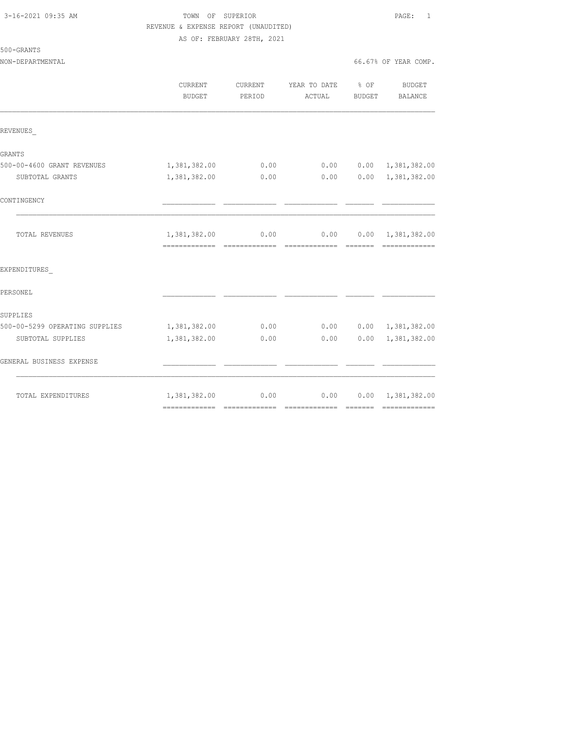### 3-16-2021 09:35 AM TOWN OF SUPERIOR PAGE: 1 REVENUE & EXPENSE REPORT (UNAUDITED) AS OF: FEBRUARY 28TH, 2021

NON-DEPARTMENTAL 66.67% OF YEAR COMP.

500-GRANTS

|                                | CURRENT<br><b>BUDGET</b> | CURRENT<br>PERIOD | YEAR TO DATE<br>ACTUAL | % OF<br>BUDGET | BUDGET<br>BALANCE         |
|--------------------------------|--------------------------|-------------------|------------------------|----------------|---------------------------|
| REVENUES                       |                          |                   |                        |                |                           |
| GRANTS                         |                          |                   |                        |                |                           |
| 500-00-4600 GRANT REVENUES     | 1,381,382.00             | 0.00              | 0.00                   |                | $0.00 \quad 1,381,382.00$ |
| SUBTOTAL GRANTS                | 1,381,382.00             | 0.00              | 0.00                   | 0.00           | 1,381,382.00              |
| CONTINGENCY                    |                          |                   |                        |                |                           |
| TOTAL REVENUES                 | 1,381,382.00             | 0.00              | 0.00<br>-------------- | --------       | $0.00 \quad 1,381,382.00$ |
| EXPENDITURES                   |                          |                   |                        |                |                           |
| PERSONEL                       |                          |                   |                        |                |                           |
| SUPPLIES                       |                          |                   |                        |                |                           |
| 500-00-5299 OPERATING SUPPLIES | 1,381,382.00             | 0.00              | 0.00                   |                | $0.00 \quad 1,381,382.00$ |
| SUBTOTAL SUPPLIES              | 1,381,382.00             | 0.00              | 0.00                   | 0.00           | 1,381,382.00              |
| GENERAL BUSINESS EXPENSE       |                          |                   |                        |                |                           |
| TOTAL EXPENDITURES             | 1,381,382.00             | 0.00              | 0.00                   |                | $0.00 \quad 1,381,382.00$ |
|                                |                          |                   |                        |                |                           |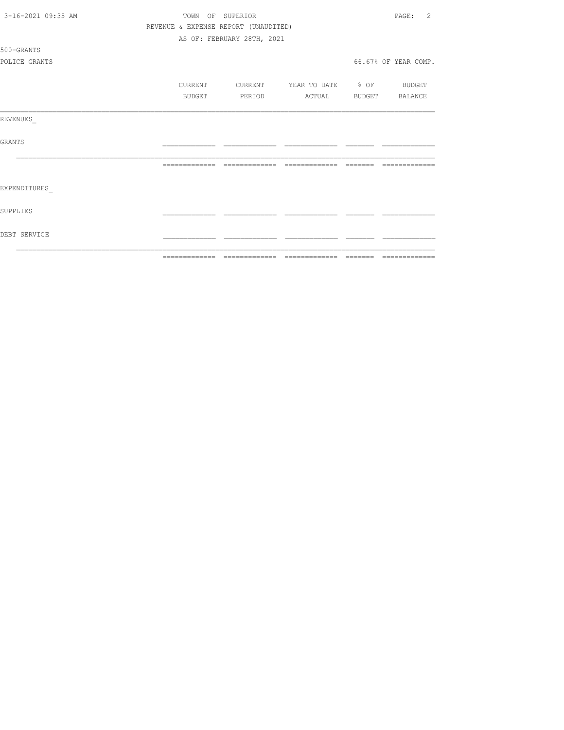| 3-16-2021 09:35 AM |                                      | TOWN OF SUPERIOR           |                          | -2<br>PAGE:          |
|--------------------|--------------------------------------|----------------------------|--------------------------|----------------------|
|                    | REVENUE & EXPENSE REPORT (UNAUDITED) |                            |                          |                      |
|                    |                                      | AS OF: FEBRUARY 28TH, 2021 |                          |                      |
| 500-GRANTS         |                                      |                            |                          |                      |
| POLICE GRANTS      |                                      |                            |                          | 66.67% OF YEAR COMP. |
|                    | CURRENT                              | CURRENT                    | YEAR TO DATE % OF BUDGET |                      |
|                    | <b>BUDGET</b>                        | PERIOD                     | ACTUAL                   | BUDGET BALANCE       |
| REVENUES           |                                      |                            |                          |                      |
| GRANTS             |                                      |                            |                          |                      |
|                    |                                      |                            |                          | --------------       |
| EXPENDITURES       |                                      |                            |                          |                      |
| SUPPLIES           |                                      |                            |                          |                      |
| DEBT SERVICE       |                                      |                            |                          |                      |
|                    |                                      |                            |                          |                      |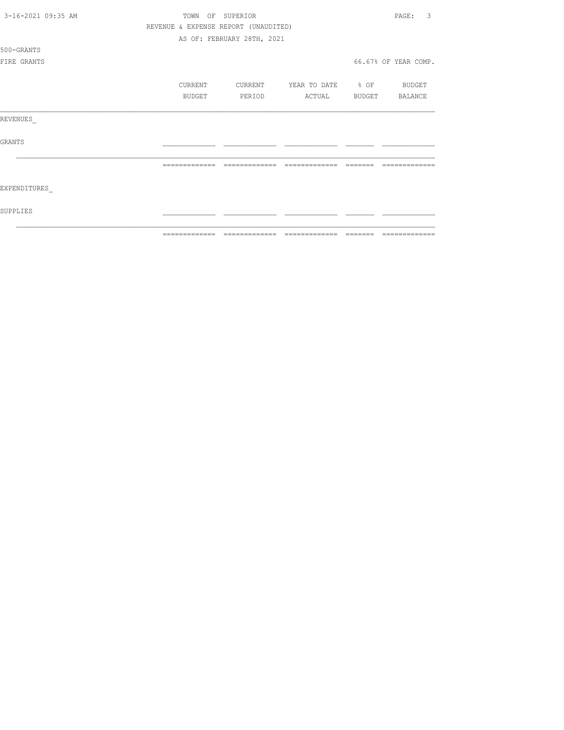|                    | ============= | ======                               | =======           |        |                      |
|--------------------|---------------|--------------------------------------|-------------------|--------|----------------------|
| SUPPLIES           |               |                                      |                   |        |                      |
| EXPENDITURES       |               |                                      |                   |        |                      |
|                    |               |                                      |                   |        |                      |
| <b>GRANTS</b>      |               |                                      |                   |        |                      |
| REVENUES           |               |                                      |                   |        |                      |
|                    | BUDGET        | PERIOD                               | ACTUAL            | BUDGET | BALANCE              |
|                    | CURRENT       | CURRENT                              | YEAR TO DATE % OF |        | BUDGET               |
| FIRE GRANTS        |               |                                      |                   |        | 66.67% OF YEAR COMP. |
| 500-GRANTS         |               |                                      |                   |        |                      |
|                    |               | AS OF: FEBRUARY 28TH, 2021           |                   |        |                      |
|                    |               | REVENUE & EXPENSE REPORT (UNAUDITED) |                   |        |                      |
| 3-16-2021 09:35 AM | TOWN          | OF SUPERIOR                          |                   |        | 3<br>PAGE:           |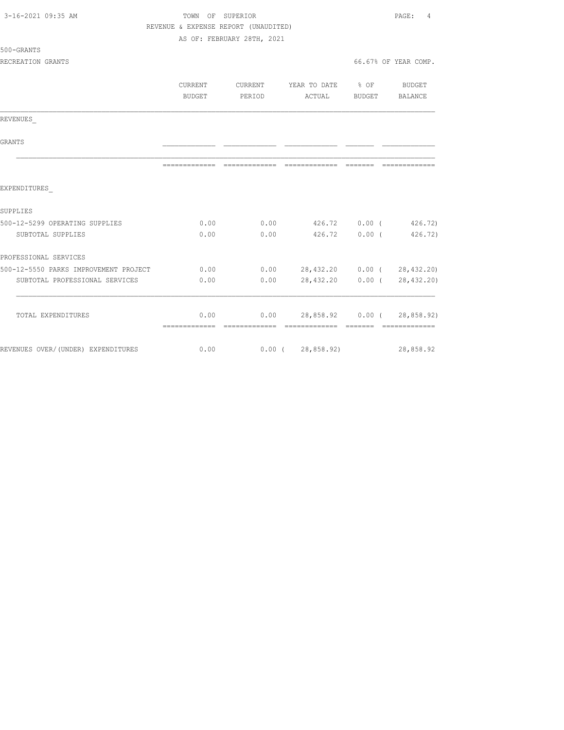| 3-16-2021 09:35 AM                    |                                      | TOWN OF SUPERIOR           |                            |                  | PAGE:<br>4           |
|---------------------------------------|--------------------------------------|----------------------------|----------------------------|------------------|----------------------|
|                                       | REVENUE & EXPENSE REPORT (UNAUDITED) |                            |                            |                  |                      |
|                                       |                                      | AS OF: FEBRUARY 28TH, 2021 |                            |                  |                      |
| 500-GRANTS                            |                                      |                            |                            |                  |                      |
| RECREATION GRANTS                     |                                      |                            |                            |                  | 66.67% OF YEAR COMP. |
|                                       | CURRENT                              | CURRENT                    | YEAR TO DATE               | $8$ OF           | BUDGET               |
|                                       | BUDGET                               | PERIOD                     | ACTUAL                     | BUDGET           | BALANCE              |
| REVENUES                              |                                      |                            |                            |                  |                      |
| <b>GRANTS</b>                         |                                      |                            |                            |                  |                      |
|                                       | =============                        |                            |                            |                  |                      |
| EXPENDITURES                          |                                      |                            |                            |                  |                      |
| SUPPLIES                              |                                      |                            |                            |                  |                      |
| 500-12-5299 OPERATING SUPPLIES        | 0.00                                 | 0.00                       |                            |                  | 426.72 0.00 (426.72) |
| SUBTOTAL SUPPLIES                     | 0.00                                 | 0.00                       | 426.72                     | 0.00(            | 426.72)              |
| PROFESSIONAL SERVICES                 |                                      |                            |                            |                  |                      |
| 500-12-5550 PARKS IMPROVEMENT PROJECT | 0.00                                 | 0.00                       | 28,432.20 0.00 (28,432.20) |                  |                      |
| SUBTOTAL PROFESSIONAL SERVICES        | 0.00                                 | 0.00                       | 28,432.20                  |                  | 0.00(28, 432, 20)    |
| TOTAL EXPENDITURES                    | 0.00                                 | 0.00                       |                            | 28,858.92 0.00 ( | 28,858.92)           |
|                                       | =============                        |                            |                            |                  |                      |
| REVENUES OVER/(UNDER) EXPENDITURES    | 0.00                                 | $0.00$ (                   | 28,858.92)                 |                  | 28,858.92            |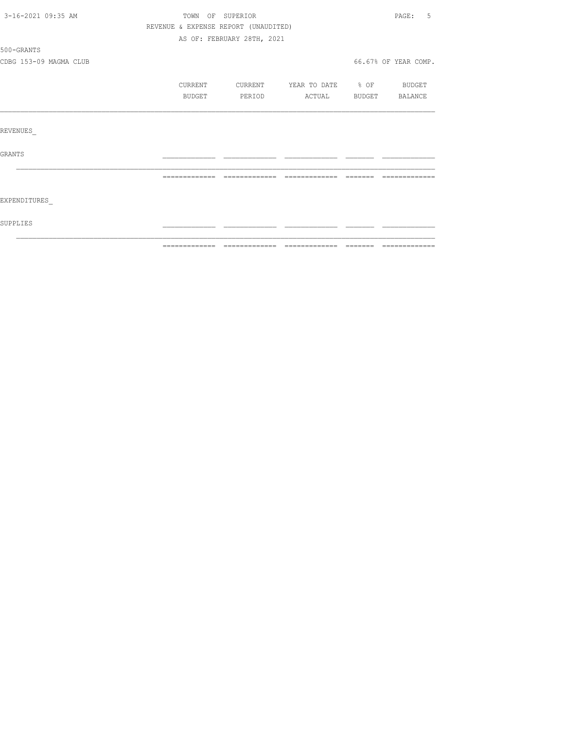| 3-16-2021 09:35 AM     | TOWN OF SUPERIOR                     |                                                                        |              |        | $\texttt{PAGE}$ :<br>.5 |
|------------------------|--------------------------------------|------------------------------------------------------------------------|--------------|--------|-------------------------|
|                        | REVENUE & EXPENSE REPORT (UNAUDITED) |                                                                        |              |        |                         |
|                        |                                      |                                                                        |              |        |                         |
| 500-GRANTS             |                                      |                                                                        |              |        |                         |
| CDBG 153-09 MAGMA CLUB |                                      |                                                                        |              |        |                         |
|                        | CURRENT                              | CURRENT                                                                | YEAR TO DATE |        | BUDGET                  |
|                        | BUDGET                               | PERIOD                                                                 | ACTUAL       | BUDGET | BALANCE                 |
|                        |                                      |                                                                        |              |        |                         |
| REVENUES               |                                      |                                                                        |              |        |                         |
| <b>GRANTS</b>          |                                      |                                                                        |              |        |                         |
|                        |                                      |                                                                        |              |        |                         |
| EXPENDITURES           |                                      |                                                                        |              |        |                         |
| SUPPLIES               |                                      |                                                                        |              |        |                         |
|                        |                                      | AS OF: FEBRUARY 28TH, 2021<br>66.67% OF YEAR COMP.<br>$\textdegree$ OF |              |        |                         |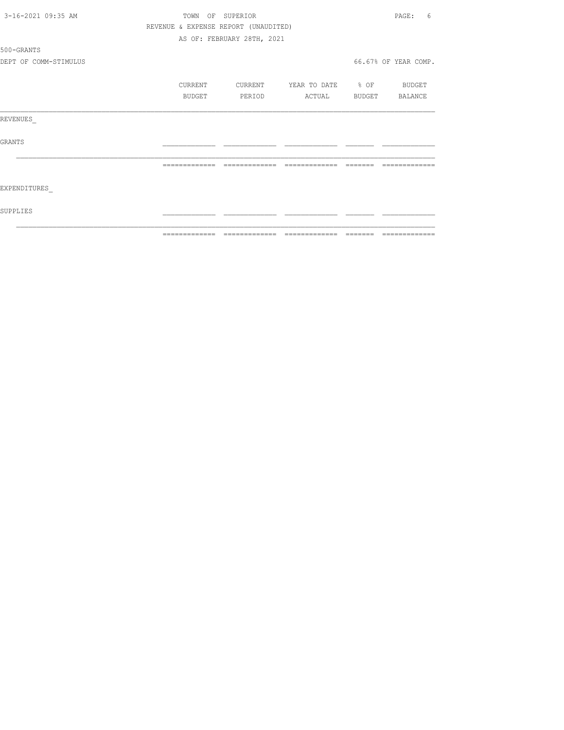| 3-16-2021 09:35 AM    |                                      | TOWN OF SUPERIOR           |                          |                | PAGE:<br>6           |
|-----------------------|--------------------------------------|----------------------------|--------------------------|----------------|----------------------|
|                       | REVENUE & EXPENSE REPORT (UNAUDITED) |                            |                          |                |                      |
|                       |                                      | AS OF: FEBRUARY 28TH, 2021 |                          |                |                      |
| 500-GRANTS            |                                      |                            |                          |                |                      |
| DEPT OF COMM-STIMULUS |                                      |                            |                          |                | 66.67% OF YEAR COMP. |
|                       | CURRENT                              | CURRENT                    | YEAR TO DATE % OF BUDGET |                |                      |
|                       | BUDGET                               | PERIOD                     | ACTUAL                   | BUDGET BALANCE |                      |
| REVENUES              |                                      |                            |                          |                |                      |
| GRANTS                |                                      |                            |                          |                |                      |
|                       | --------------                       | --------------             | =============            | --------       | -------------        |
| EXPENDITURES          |                                      |                            |                          |                |                      |
| SUPPLIES              |                                      |                            |                          |                |                      |
|                       |                                      |                            |                          |                |                      |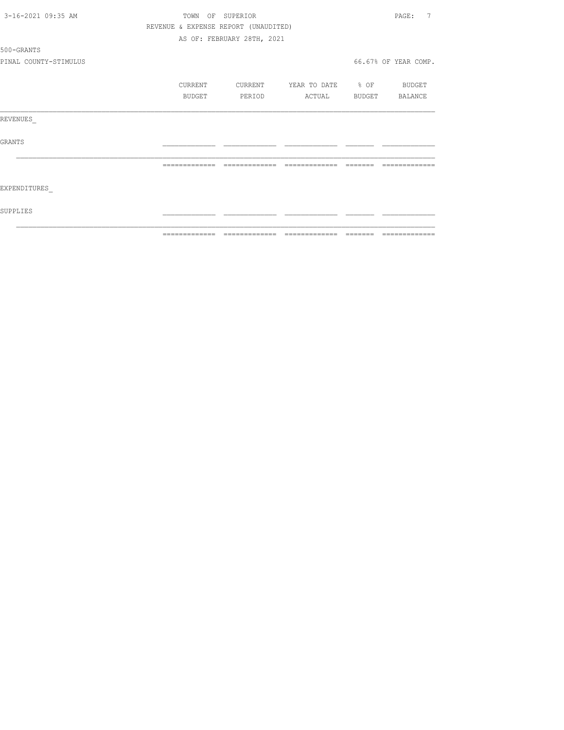| 3-16-2021 09:35 AM    | TOWN           | SUPERIOR<br>OF                       |                   |          | 7<br>PAGE:           |
|-----------------------|----------------|--------------------------------------|-------------------|----------|----------------------|
|                       |                | REVENUE & EXPENSE REPORT (UNAUDITED) |                   |          |                      |
|                       |                | AS OF: FEBRUARY 28TH, 2021           |                   |          |                      |
| 500-GRANTS            |                |                                      |                   |          |                      |
| PINAL COUNTY-STIMULUS |                |                                      |                   |          | 66.67% OF YEAR COMP. |
|                       | CURRENT        | CURRENT                              | YEAR TO DATE % OF |          | BUDGET               |
|                       | BUDGET         | PERIOD                               | ACTUAL            | BUDGET   | BALANCE              |
| REVENUES              |                |                                      |                   |          |                      |
| GRANTS                |                |                                      |                   |          |                      |
|                       | =============  | --------------                       | =============     |          |                      |
| EXPENDITURES          |                |                                      |                   |          |                      |
| SUPPLIES              |                |                                      |                   |          |                      |
|                       | -------------- |                                      |                   | -------- | -------------        |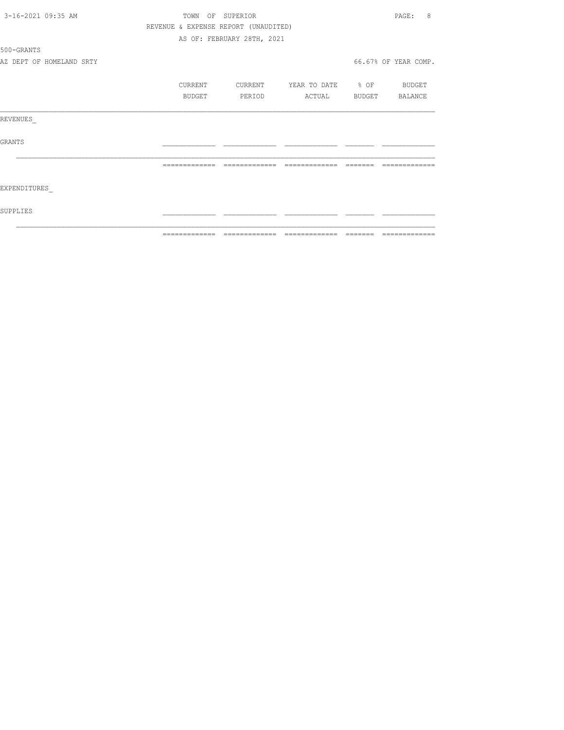| 3-16-2021 09:35 AM |                          |                | TOWN OF SUPERIOR                     |                          | PAGE:<br>8           |
|--------------------|--------------------------|----------------|--------------------------------------|--------------------------|----------------------|
|                    |                          |                | REVENUE & EXPENSE REPORT (UNAUDITED) |                          |                      |
|                    |                          |                | AS OF: FEBRUARY 28TH, 2021           |                          |                      |
| 500-GRANTS         |                          |                |                                      |                          |                      |
|                    | AZ DEPT OF HOMELAND SRTY |                |                                      |                          | 66.67% OF YEAR COMP. |
|                    |                          | CURRENT        | CURRENT                              | YEAR TO DATE % OF BUDGET |                      |
|                    |                          | BUDGET         | PERIOD                               | ACTUAL BUDGET BALANCE    |                      |
| REVENUES           |                          |                |                                      |                          |                      |
| GRANTS             |                          |                |                                      |                          |                      |
|                    |                          |                | --------------                       | --------------           |                      |
| EXPENDITURES       |                          |                |                                      |                          |                      |
| SUPPLIES           |                          |                |                                      |                          |                      |
|                    |                          | -------------- |                                      |                          |                      |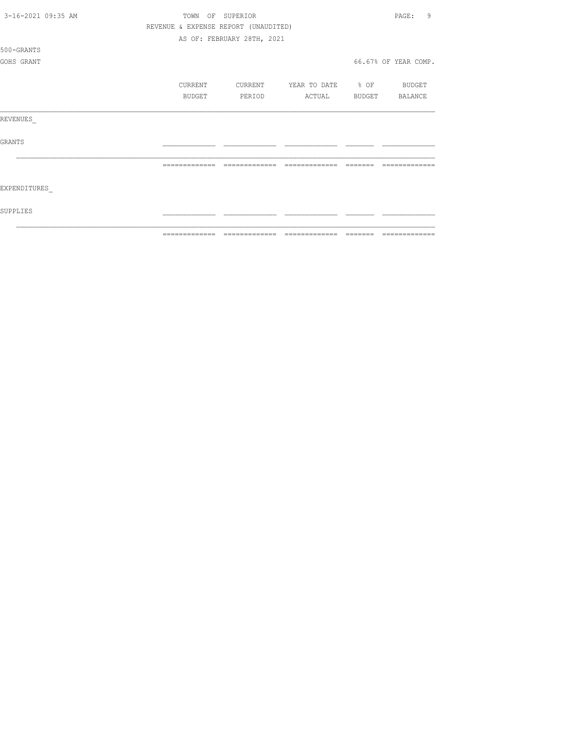| 3-16-2021 09:35 AM | TOWN<br>OF                           | SUPERIOR                   |                          |        | 9<br>PAGE:           |
|--------------------|--------------------------------------|----------------------------|--------------------------|--------|----------------------|
|                    | REVENUE & EXPENSE REPORT (UNAUDITED) |                            |                          |        |                      |
|                    |                                      | AS OF: FEBRUARY 28TH, 2021 |                          |        |                      |
| 500-GRANTS         |                                      |                            |                          |        |                      |
| GOHS GRANT         |                                      |                            |                          |        | 66.67% OF YEAR COMP. |
|                    |                                      |                            |                          |        |                      |
|                    | CURRENT                              | CURRENT                    | YEAR TO DATE % OF BUDGET |        |                      |
|                    | <b>BUDGET</b>                        | PERIOD                     | ACTUAL                   | BUDGET | BALANCE              |
|                    |                                      |                            |                          |        |                      |
| REVENUES           |                                      |                            |                          |        |                      |
|                    |                                      |                            |                          |        |                      |
| <b>GRANTS</b>      |                                      |                            |                          |        |                      |
|                    |                                      |                            |                          |        |                      |
|                    |                                      |                            |                          |        |                      |
|                    |                                      |                            |                          |        |                      |
| EXPENDITURES       |                                      |                            |                          |        |                      |
|                    |                                      |                            |                          |        |                      |
| SUPPLIES           |                                      |                            |                          |        |                      |
|                    |                                      |                            |                          |        |                      |
|                    | =============                        |                            | $=$ $=$ $=$ $=$ $=$      |        |                      |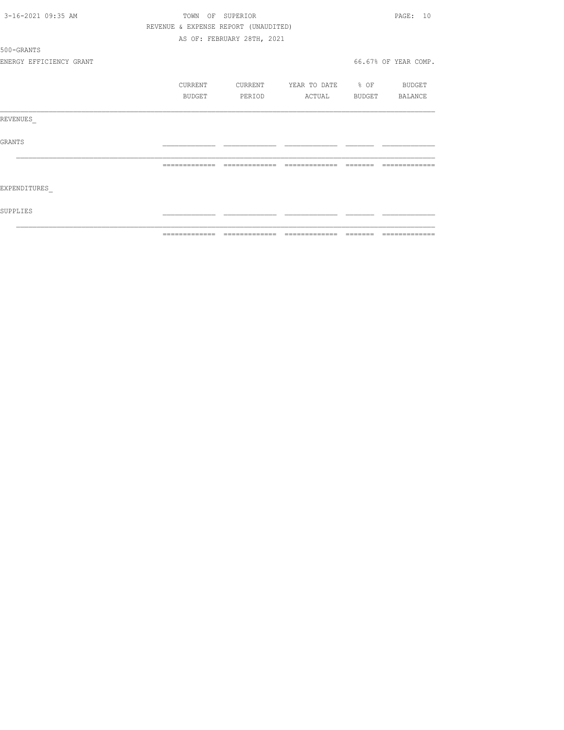| 3-16-2021 09:35 AM      |                                      | TOWN OF SUPERIOR           |                          |          | PAGE: 10             |
|-------------------------|--------------------------------------|----------------------------|--------------------------|----------|----------------------|
|                         | REVENUE & EXPENSE REPORT (UNAUDITED) |                            |                          |          |                      |
|                         |                                      | AS OF: FEBRUARY 28TH, 2021 |                          |          |                      |
| 500-GRANTS              |                                      |                            |                          |          |                      |
| ENERGY EFFICIENCY GRANT |                                      |                            |                          |          | 66.67% OF YEAR COMP. |
|                         | CURRENT                              | CURRENT                    | YEAR TO DATE % OF BUDGET |          |                      |
|                         | BUDGET                               | PERIOD                     | ACTUAL BUDGET BALANCE    |          |                      |
| REVENUES                |                                      |                            |                          |          |                      |
| GRANTS                  |                                      |                            |                          |          |                      |
|                         | --------------                       | --------------             | =============            | -------- | -------------        |
| EXPENDITURES            |                                      |                            |                          |          |                      |
| SUPPLIES                |                                      |                            |                          |          |                      |
|                         |                                      |                            |                          |          |                      |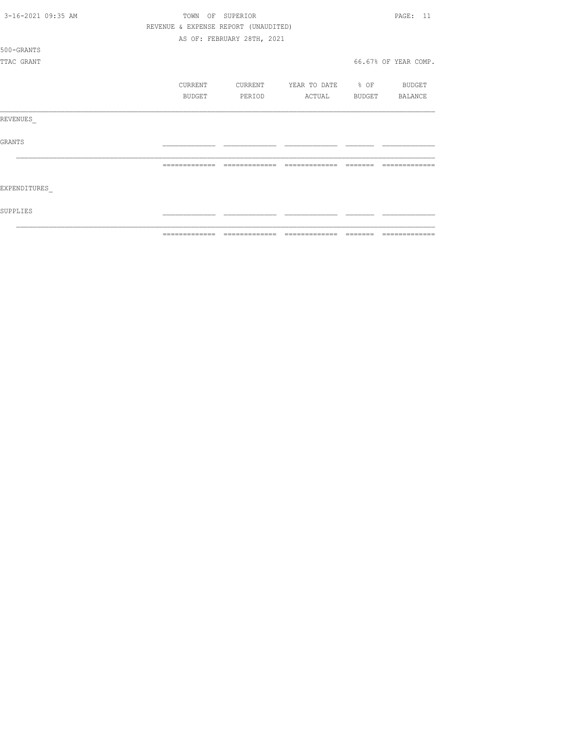|                    |  | ============= | ======                               | =============     |        |                      |
|--------------------|--|---------------|--------------------------------------|-------------------|--------|----------------------|
| SUPPLIES           |  |               |                                      |                   |        |                      |
| EXPENDITURES       |  |               |                                      |                   |        |                      |
|                    |  |               | -------------                        |                   |        |                      |
| <b>GRANTS</b>      |  |               |                                      |                   |        |                      |
| REVENUES           |  |               |                                      |                   |        |                      |
|                    |  | BUDGET        | PERIOD                               | ACTUAL            | BUDGET | BALANCE              |
|                    |  | CURRENT       | CURRENT                              | YEAR TO DATE % OF |        | BUDGET               |
| TTAC GRANT         |  |               |                                      |                   |        | 66.67% OF YEAR COMP. |
| 500-GRANTS         |  |               |                                      |                   |        |                      |
|                    |  |               | AS OF: FEBRUARY 28TH, 2021           |                   |        |                      |
|                    |  |               | REVENUE & EXPENSE REPORT (UNAUDITED) |                   |        |                      |
| 3-16-2021 09:35 AM |  | TOWN          | OF SUPERIOR                          |                   |        | <b>PAGE: 11</b>      |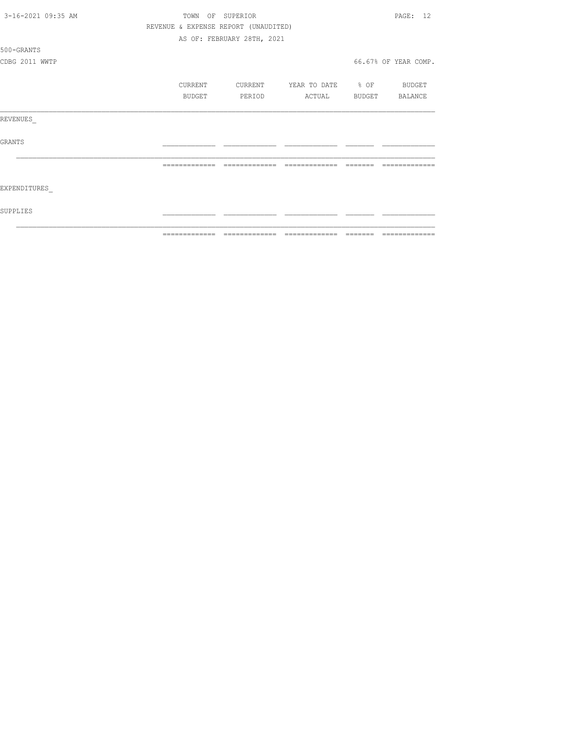| 3-16-2021 09:35 AM | TOWN<br>OF                           | SUPERIOR                   |                   |        | 12<br>PAGE:          |
|--------------------|--------------------------------------|----------------------------|-------------------|--------|----------------------|
|                    | REVENUE & EXPENSE REPORT (UNAUDITED) |                            |                   |        |                      |
|                    |                                      | AS OF: FEBRUARY 28TH, 2021 |                   |        |                      |
| 500-GRANTS         |                                      |                            |                   |        |                      |
| CDBG 2011 WWTP     |                                      |                            |                   |        | 66.67% OF YEAR COMP. |
|                    | CURRENT                              | CURRENT                    | YEAR TO DATE % OF |        | BUDGET               |
|                    | BUDGET                               | PERIOD                     | ACTUAL            | BUDGET | BALANCE              |
| REVENUES           |                                      |                            |                   |        |                      |
| <b>GRANTS</b>      |                                      |                            |                   |        |                      |
|                    |                                      |                            |                   |        |                      |
| EXPENDITURES       |                                      |                            |                   |        |                      |
| SUPPLIES           |                                      |                            |                   |        |                      |
|                    | -------------                        |                            | -------------     |        |                      |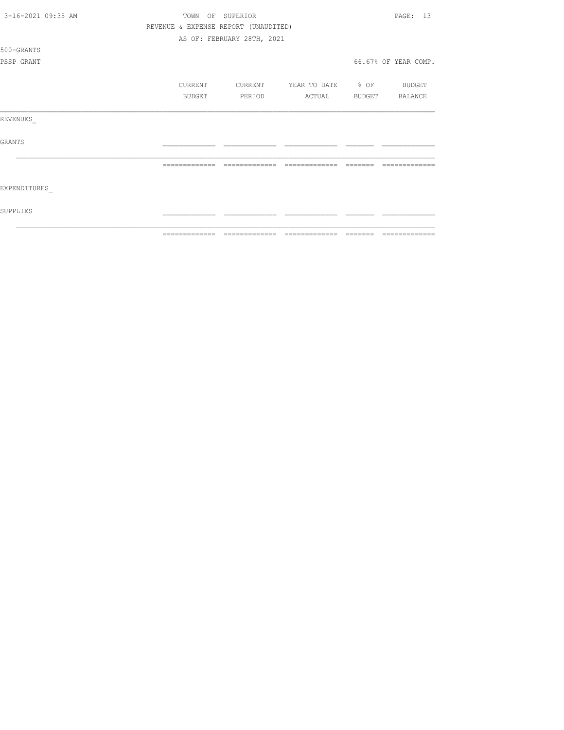| 3-16-2021 09:35 AM |                                      | TOWN OF SUPERIOR           |                                                                                                                                                                                                                                                                                                                                                                                                                                                                               |        | PAGE: 13             |
|--------------------|--------------------------------------|----------------------------|-------------------------------------------------------------------------------------------------------------------------------------------------------------------------------------------------------------------------------------------------------------------------------------------------------------------------------------------------------------------------------------------------------------------------------------------------------------------------------|--------|----------------------|
|                    | REVENUE & EXPENSE REPORT (UNAUDITED) |                            |                                                                                                                                                                                                                                                                                                                                                                                                                                                                               |        |                      |
|                    |                                      | AS OF: FEBRUARY 28TH, 2021 |                                                                                                                                                                                                                                                                                                                                                                                                                                                                               |        |                      |
| 500-GRANTS         |                                      |                            |                                                                                                                                                                                                                                                                                                                                                                                                                                                                               |        |                      |
| PSSP GRANT         |                                      |                            |                                                                                                                                                                                                                                                                                                                                                                                                                                                                               |        | 66.67% OF YEAR COMP. |
|                    | CURRENT                              | CURRENT                    | YEAR TO DATE % OF BUDGET                                                                                                                                                                                                                                                                                                                                                                                                                                                      |        |                      |
|                    | BUDGET                               | PERIOD                     | ACTUAL                                                                                                                                                                                                                                                                                                                                                                                                                                                                        | BUDGET | BALANCE              |
| REVENUES           |                                      |                            |                                                                                                                                                                                                                                                                                                                                                                                                                                                                               |        |                      |
| <b>GRANTS</b>      |                                      |                            |                                                                                                                                                                                                                                                                                                                                                                                                                                                                               |        |                      |
|                    |                                      | =============              |                                                                                                                                                                                                                                                                                                                                                                                                                                                                               |        |                      |
| EXPENDITURES       |                                      |                            |                                                                                                                                                                                                                                                                                                                                                                                                                                                                               |        |                      |
| SUPPLIES           |                                      |                            |                                                                                                                                                                                                                                                                                                                                                                                                                                                                               |        |                      |
|                    | =============                        | ======                     | $\begin{array}{c} \multicolumn{2}{c} {\textbf 1} & \multicolumn{2}{c} {\textbf 2} & \multicolumn{2}{c} {\textbf 3} & \multicolumn{2}{c} {\textbf 4} & \multicolumn{2}{c} {\textbf 5} & \multicolumn{2}{c} {\textbf 6} & \multicolumn{2}{c} {\textbf 7} & \multicolumn{2}{c} {\textbf 8} & \multicolumn{2}{c} {\textbf 9} & \multicolumn{2}{c} {\textbf 1} & \multicolumn{2}{c} {\textbf 1} & \multicolumn{2}{c} {\textbf 1} & \multicolumn{2}{c} {\textbf 1} & \multicolumn{$ |        | ======               |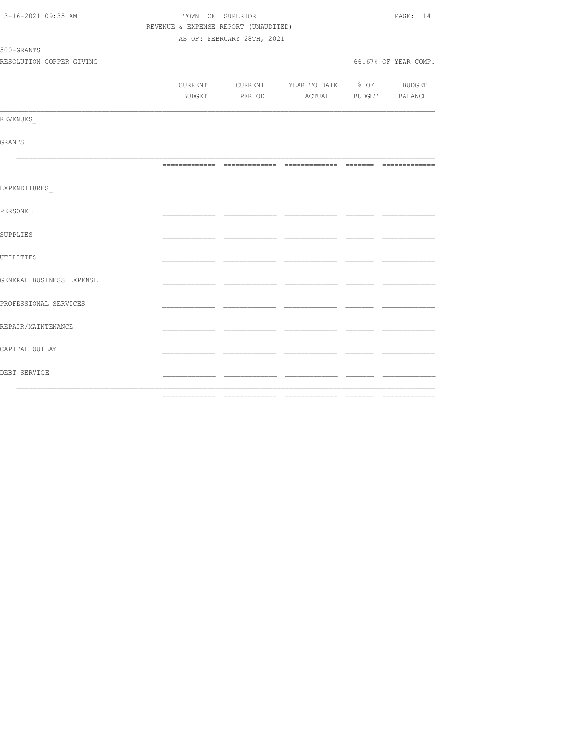| 3-16-2021 09:35 AM       |                                      | TOWN OF SUPERIOR           |                                          |     | PAGE: 14             |
|--------------------------|--------------------------------------|----------------------------|------------------------------------------|-----|----------------------|
|                          | REVENUE & EXPENSE REPORT (UNAUDITED) |                            |                                          |     |                      |
|                          |                                      | AS OF: FEBRUARY 28TH, 2021 |                                          |     |                      |
| 500-GRANTS               |                                      |                            |                                          |     |                      |
| RESOLUTION COPPER GIVING |                                      |                            |                                          |     | 66.67% OF YEAR COMP. |
|                          |                                      |                            |                                          |     |                      |
|                          |                                      |                            | CURRENT CURRENT YEAR TO DATE % OF BUDGET |     |                      |
|                          |                                      |                            | BUDGET PERIOD ACTUAL BUDGET BALANCE      |     |                      |
|                          |                                      |                            |                                          |     |                      |
| REVENUES                 |                                      |                            |                                          |     |                      |
|                          |                                      |                            |                                          |     |                      |
| GRANTS                   |                                      |                            |                                          | _ _ |                      |
|                          |                                      |                            |                                          |     |                      |
|                          |                                      |                            |                                          |     |                      |
| EXPENDITURES             |                                      |                            |                                          |     |                      |
|                          |                                      |                            |                                          |     |                      |
| PERSONEL                 |                                      |                            |                                          |     |                      |
|                          |                                      |                            |                                          |     |                      |
| SUPPLIES                 |                                      |                            |                                          |     |                      |
|                          |                                      |                            |                                          |     |                      |
| UTILITIES                |                                      |                            |                                          |     |                      |
|                          |                                      |                            |                                          |     |                      |
| GENERAL BUSINESS EXPENSE |                                      |                            |                                          | - - |                      |
|                          |                                      |                            |                                          |     |                      |
| PROFESSIONAL SERVICES    |                                      |                            |                                          |     |                      |
|                          |                                      |                            |                                          |     |                      |
| REPAIR/MAINTENANCE       |                                      |                            |                                          |     |                      |
|                          |                                      |                            |                                          |     |                      |
| CAPITAL OUTLAY           |                                      |                            |                                          |     |                      |
|                          |                                      |                            |                                          |     |                      |
| DEBT SERVICE             |                                      |                            |                                          | - - |                      |
|                          |                                      |                            |                                          |     |                      |
|                          |                                      |                            |                                          |     |                      |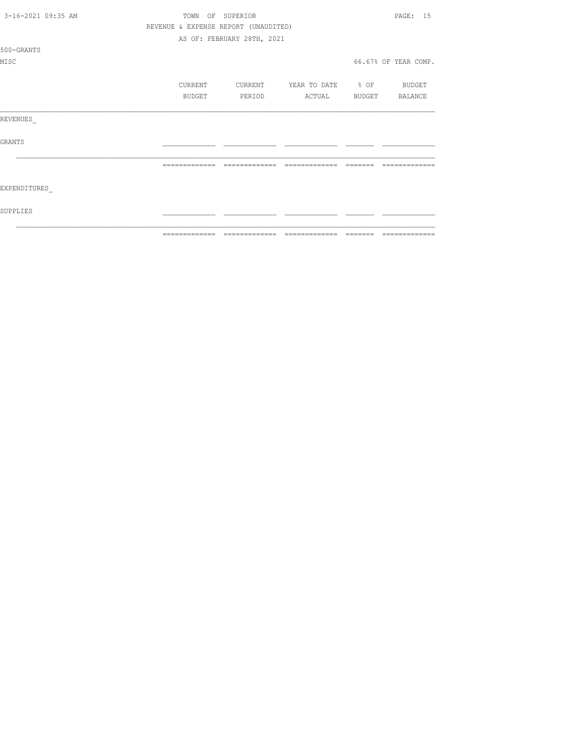| 3-16-2021 09:35 AM |               | TOWN OF SUPERIOR                     |                          |        | PAGE: 15             |
|--------------------|---------------|--------------------------------------|--------------------------|--------|----------------------|
|                    |               | REVENUE & EXPENSE REPORT (UNAUDITED) |                          |        |                      |
|                    |               | AS OF: FEBRUARY 28TH, 2021           |                          |        |                      |
| 500-GRANTS         |               |                                      |                          |        |                      |
| MISC               |               |                                      |                          |        | 66.67% OF YEAR COMP. |
|                    | CURRENT       | CURRENT                              | YEAR TO DATE % OF BUDGET |        |                      |
|                    | BUDGET        | PERIOD                               | ACTUAL                   | BUDGET | BALANCE              |
| REVENUES           |               |                                      |                          |        |                      |
| <b>GRANTS</b>      |               |                                      |                          |        |                      |
|                    |               |                                      |                          |        |                      |
| EXPENDITURES       |               |                                      |                          |        |                      |
| SUPPLIES           |               |                                      |                          |        |                      |
|                    | _____________ |                                      |                          |        |                      |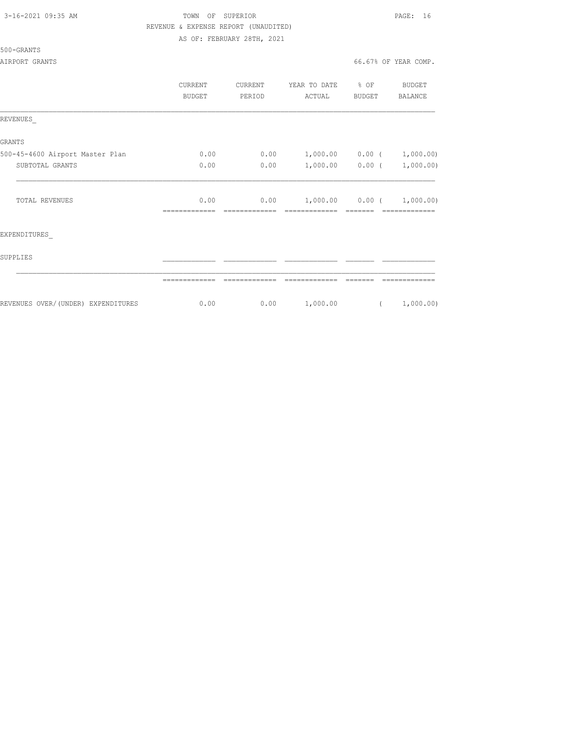# TOWN OF SUPERIOR **PAGE:** 16 REVENUE & EXPENSE REPORT (UNAUDITED)

AS OF: FEBRUARY 28TH, 2021

500-GRANTS

|                                    | CURRENT<br><b>BUDGET</b> | CURRENT<br>PERIOD | YEAR TO DATE<br>ACTUAL             | $\div$ OF<br>BUDGET | BUDGET<br><b>BALANCE</b> |
|------------------------------------|--------------------------|-------------------|------------------------------------|---------------------|--------------------------|
| REVENUES                           |                          |                   |                                    |                     |                          |
| GRANTS                             |                          |                   |                                    |                     |                          |
| 500-45-4600 Airport Master Plan    | 0.00                     | 0.00              | 1,000.00 0.00 (                    |                     | 1,000.00)                |
| SUBTOTAL GRANTS                    | 0.00                     | 0.00              | $1,000.00$ 0.00 (                  |                     | 1,000.00)                |
| <b>TOTAL REVENUES</b>              | 0.00                     | 0.00              | $1,000.00$ 0.00 (<br>============= |                     | 1,000.00)                |
| EXPENDITURES                       |                          |                   |                                    |                     |                          |
| SUPPLIES                           |                          |                   |                                    |                     |                          |
|                                    |                          |                   |                                    |                     |                          |
| REVENUES OVER/(UNDER) EXPENDITURES | 0.00                     | 0.00              | 1,000.00                           | $\left($            | 1,000.00)                |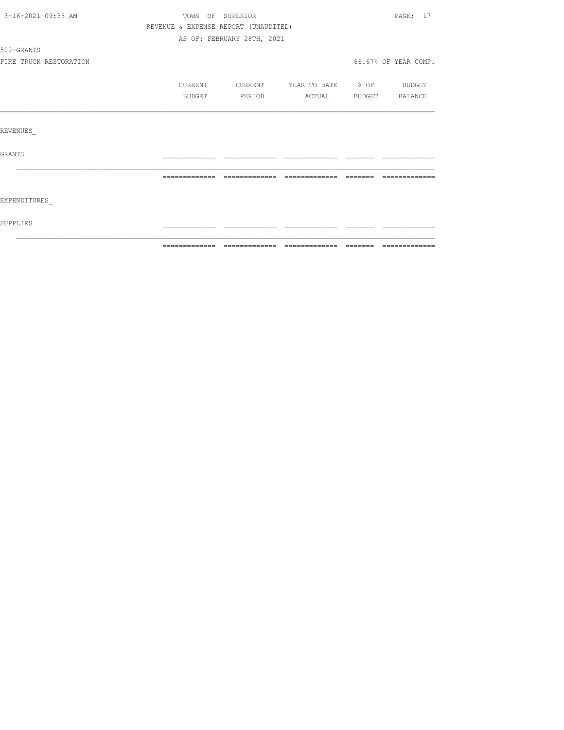| 3-16-2021 09:35 AM |                        | TOWN OF SUPERIOR |  |                                      |                   |                                                                                                                                                                                                                                                                                                                                                                                                                                                                                           |                      | PAGE: 17 |
|--------------------|------------------------|------------------|--|--------------------------------------|-------------------|-------------------------------------------------------------------------------------------------------------------------------------------------------------------------------------------------------------------------------------------------------------------------------------------------------------------------------------------------------------------------------------------------------------------------------------------------------------------------------------------|----------------------|----------|
|                    |                        |                  |  | REVENUE & EXPENSE REPORT (UNAUDITED) |                   |                                                                                                                                                                                                                                                                                                                                                                                                                                                                                           |                      |          |
|                    |                        |                  |  | AS OF: FEBRUARY 28TH, 2021           |                   |                                                                                                                                                                                                                                                                                                                                                                                                                                                                                           |                      |          |
| 500-GRANTS         |                        |                  |  |                                      |                   |                                                                                                                                                                                                                                                                                                                                                                                                                                                                                           |                      |          |
|                    | FIRE TRUCK RESTORATION |                  |  |                                      |                   |                                                                                                                                                                                                                                                                                                                                                                                                                                                                                           | 66.67% OF YEAR COMP. |          |
|                    |                        | CURRENT          |  | CURRENT                              | YEAR TO DATE % OF |                                                                                                                                                                                                                                                                                                                                                                                                                                                                                           | BUDGET               |          |
|                    |                        | BUDGET           |  | PERIOD                               | ACTUAL            | BUDGET                                                                                                                                                                                                                                                                                                                                                                                                                                                                                    | BALANCE              |          |
|                    |                        |                  |  |                                      |                   |                                                                                                                                                                                                                                                                                                                                                                                                                                                                                           |                      |          |
| REVENUES           |                        |                  |  |                                      |                   |                                                                                                                                                                                                                                                                                                                                                                                                                                                                                           |                      |          |
| <b>GRANTS</b>      |                        |                  |  |                                      |                   |                                                                                                                                                                                                                                                                                                                                                                                                                                                                                           |                      |          |
|                    |                        | -------------    |  | -------------                        | --------------    | $\qquad \qquad =\qquad \qquad =\qquad \qquad =\qquad \qquad =\qquad \qquad =\qquad \qquad =\qquad \qquad =\qquad \qquad =\qquad \qquad =\qquad \qquad =\qquad \qquad =\qquad \qquad =\qquad \qquad =\qquad \qquad =\qquad \qquad =\qquad \qquad =\qquad \qquad =\qquad \qquad =\qquad \qquad =\qquad \qquad =\qquad \qquad =\qquad \qquad =\qquad \qquad =\qquad \qquad =\qquad \qquad =\qquad \qquad =\qquad \qquad =\qquad \qquad =\qquad \qquad =\qquad \qquad =\qquad \qquad =\qquad$ | ----------           |          |
| EXPENDITURES       |                        |                  |  |                                      |                   |                                                                                                                                                                                                                                                                                                                                                                                                                                                                                           |                      |          |
| SUPPLIES           |                        |                  |  |                                      |                   |                                                                                                                                                                                                                                                                                                                                                                                                                                                                                           |                      |          |
|                    |                        |                  |  |                                      |                   |                                                                                                                                                                                                                                                                                                                                                                                                                                                                                           |                      |          |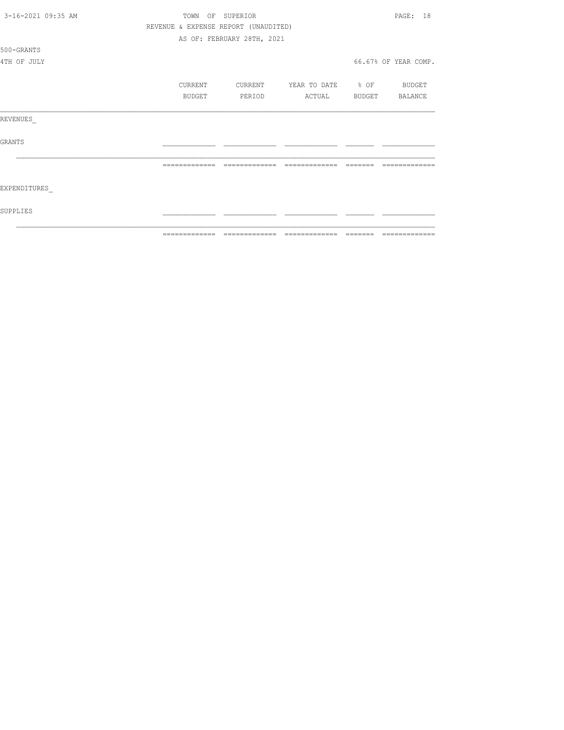|                    | ============= | ======                               |                          | ======= | =============        |  |  |
|--------------------|---------------|--------------------------------------|--------------------------|---------|----------------------|--|--|
| SUPPLIES           |               |                                      |                          |         |                      |  |  |
| EXPENDITURES       |               |                                      |                          |         |                      |  |  |
|                    |               | =============                        | =============            |         |                      |  |  |
| <b>GRANTS</b>      |               |                                      |                          |         |                      |  |  |
| REVENUES           |               |                                      |                          |         |                      |  |  |
|                    | BUDGET        | PERIOD                               | ACTUAL                   |         | BUDGET BALANCE       |  |  |
|                    | CURRENT       | CURRENT                              | YEAR TO DATE % OF BUDGET |         |                      |  |  |
| 4TH OF JULY        |               |                                      |                          |         | 66.67% OF YEAR COMP. |  |  |
| 500-GRANTS         |               |                                      |                          |         |                      |  |  |
|                    |               | AS OF: FEBRUARY 28TH, 2021           |                          |         |                      |  |  |
|                    |               | REVENUE & EXPENSE REPORT (UNAUDITED) |                          |         |                      |  |  |
| 3-16-2021 09:35 AM |               | OF SUPERIOR<br>TOWN                  |                          |         |                      |  |  |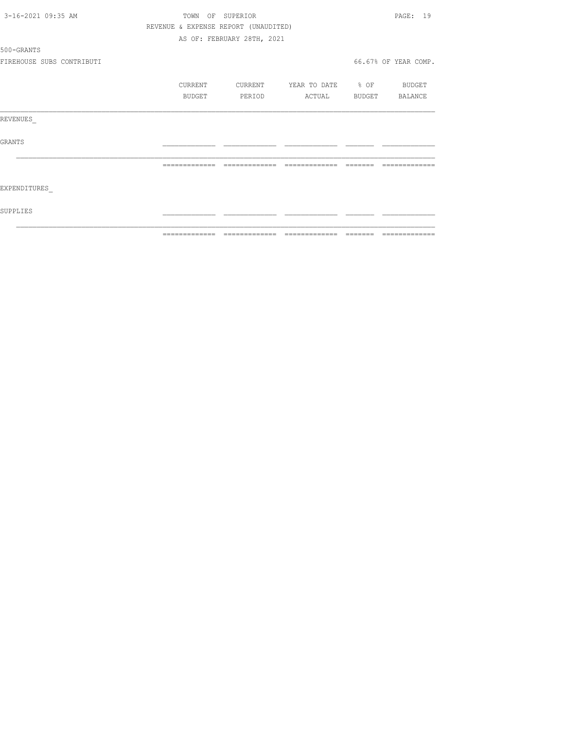| 3-16-2021 09:35 AM        | TOWN          | SUPERIOR<br>OF                       |                   |        | 19<br>PAGE:          |
|---------------------------|---------------|--------------------------------------|-------------------|--------|----------------------|
|                           |               | REVENUE & EXPENSE REPORT (UNAUDITED) |                   |        |                      |
|                           |               | AS OF: FEBRUARY 28TH, 2021           |                   |        |                      |
| 500-GRANTS                |               |                                      |                   |        |                      |
| FIREHOUSE SUBS CONTRIBUTI |               |                                      |                   |        | 66.67% OF YEAR COMP. |
|                           | CURRENT       | CURRENT                              | YEAR TO DATE % OF |        | BUDGET               |
|                           | BUDGET        | PERIOD                               | ACTUAL            | BUDGET | BALANCE              |
| REVENUES                  |               |                                      |                   |        |                      |
| <b>GRANTS</b>             |               |                                      |                   |        |                      |
|                           |               |                                      |                   |        |                      |
| EXPENDITURES              |               |                                      |                   |        |                      |
| SUPPLIES                  |               |                                      |                   |        |                      |
|                           | ------------- |                                      | -------------     |        |                      |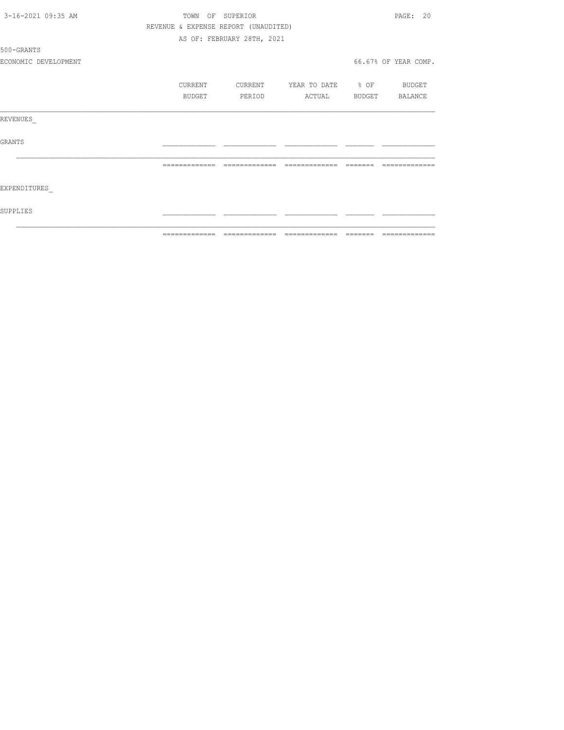| 3-16-2021 09:35 AM   |               | TOWN OF SUPERIOR                     |                          | PAGE: 20                                                                                                                                                                                                                                                                                                                                                                                                                                                                                     |
|----------------------|---------------|--------------------------------------|--------------------------|----------------------------------------------------------------------------------------------------------------------------------------------------------------------------------------------------------------------------------------------------------------------------------------------------------------------------------------------------------------------------------------------------------------------------------------------------------------------------------------------|
|                      |               | REVENUE & EXPENSE REPORT (UNAUDITED) |                          |                                                                                                                                                                                                                                                                                                                                                                                                                                                                                              |
|                      |               | AS OF: FEBRUARY 28TH, 2021           |                          |                                                                                                                                                                                                                                                                                                                                                                                                                                                                                              |
| 500-GRANTS           |               |                                      |                          |                                                                                                                                                                                                                                                                                                                                                                                                                                                                                              |
| ECONOMIC DEVELOPMENT |               |                                      |                          | 66.67% OF YEAR COMP.                                                                                                                                                                                                                                                                                                                                                                                                                                                                         |
|                      | CURRENT       | CURRENT                              | YEAR TO DATE % OF BUDGET |                                                                                                                                                                                                                                                                                                                                                                                                                                                                                              |
|                      | <b>BUDGET</b> | PERIOD                               | ACTUAL                   | BUDGET BALANCE                                                                                                                                                                                                                                                                                                                                                                                                                                                                               |
| REVENUES             |               |                                      |                          |                                                                                                                                                                                                                                                                                                                                                                                                                                                                                              |
| GRANTS               |               |                                      |                          |                                                                                                                                                                                                                                                                                                                                                                                                                                                                                              |
|                      | ============= | =============                        | =============            |                                                                                                                                                                                                                                                                                                                                                                                                                                                                                              |
| EXPENDITURES         |               |                                      |                          |                                                                                                                                                                                                                                                                                                                                                                                                                                                                                              |
| SUPPLIES             |               |                                      |                          |                                                                                                                                                                                                                                                                                                                                                                                                                                                                                              |
|                      | ============= |                                      |                          | $\begin{array}{c} \multicolumn{2}{c} {\textbf{1}} & \multicolumn{2}{c} {\textbf{2}} & \multicolumn{2}{c} {\textbf{3}} & \multicolumn{2}{c} {\textbf{4}} \\ \multicolumn{2}{c} {\textbf{5}} & \multicolumn{2}{c} {\textbf{6}} & \multicolumn{2}{c} {\textbf{7}} & \multicolumn{2}{c} {\textbf{8}} & \multicolumn{2}{c} {\textbf{9}} \\ \multicolumn{2}{c} {\textbf{1}} & \multicolumn{2}{c} {\textbf{1}} & \multicolumn{2}{c} {\textbf{1}} & \multicolumn{2}{c} {\textbf{1}} & \multicolumn{$ |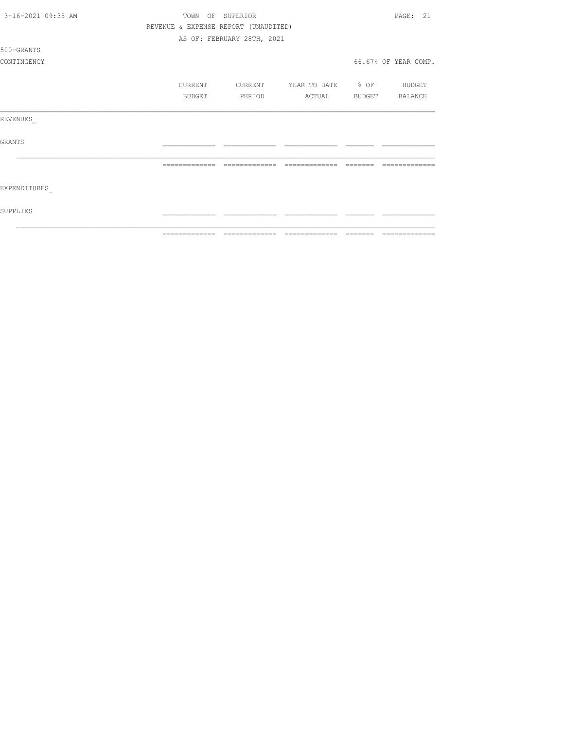| 3-16-2021 09:35 AM | TOWN          | OF SUPERIOR                          |                          | PAGE: 21             |
|--------------------|---------------|--------------------------------------|--------------------------|----------------------|
|                    |               | REVENUE & EXPENSE REPORT (UNAUDITED) |                          |                      |
|                    |               | AS OF: FEBRUARY 28TH, 2021           |                          |                      |
| 500-GRANTS         |               |                                      |                          |                      |
| CONTINGENCY        |               |                                      |                          | 66.67% OF YEAR COMP. |
|                    | CURRENT       | CURRENT                              | YEAR TO DATE % OF BUDGET |                      |
|                    | BUDGET        | PERIOD                               | ACTUAL                   | BUDGET BALANCE       |
| REVENUES           |               |                                      |                          |                      |
| <b>GRANTS</b>      |               |                                      |                          |                      |
|                    |               |                                      |                          |                      |
| EXPENDITURES       |               |                                      |                          |                      |
| SUPPLIES           |               |                                      |                          |                      |
|                    | ------------- |                                      | --------------           | -------------        |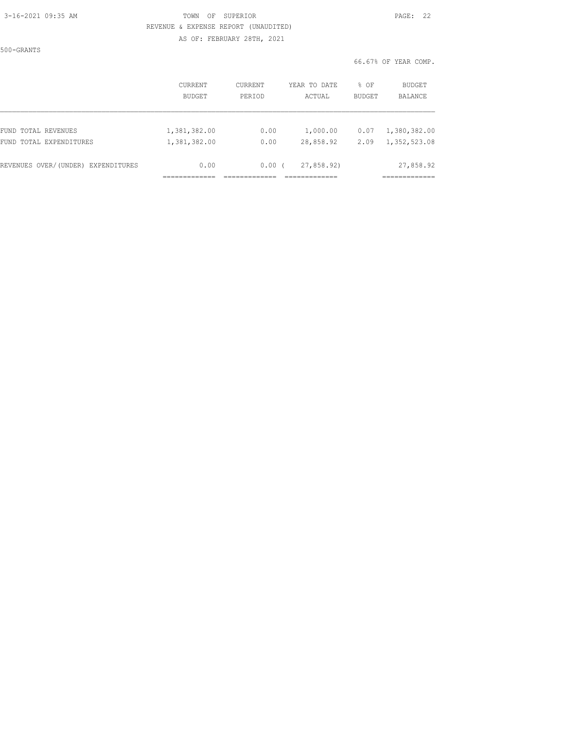#### 3-16-2021 09:35 AM TOWN OF SUPERIOR PAGE: 22 REVENUE & EXPENSE REPORT (UNAUDITED) AS OF: FEBRUARY 28TH, 2021

500-GRANTS

|                                    | <b>CURRENT</b> | <b>CURRENT</b> | YEAR TO DATE | % OF          | <b>BUDGET</b> |
|------------------------------------|----------------|----------------|--------------|---------------|---------------|
|                                    | <b>BUDGET</b>  | PERIOD         | ACTUAL       | <b>BUDGET</b> | BALANCE       |
| FUND TOTAL REVENUES                | 1,381,382.00   | 0.00           | 1,000.00     | 0.07          | 1,380,382.00  |
| FUND TOTAL EXPENDITURES            | 1,381,382.00   | 0.00           | 28,858.92    | 2.09          | 1,352,523.08  |
| REVENUES OVER/(UNDER) EXPENDITURES | 0.00           | 0.00           | 27,858.92)   |               | 27,858.92     |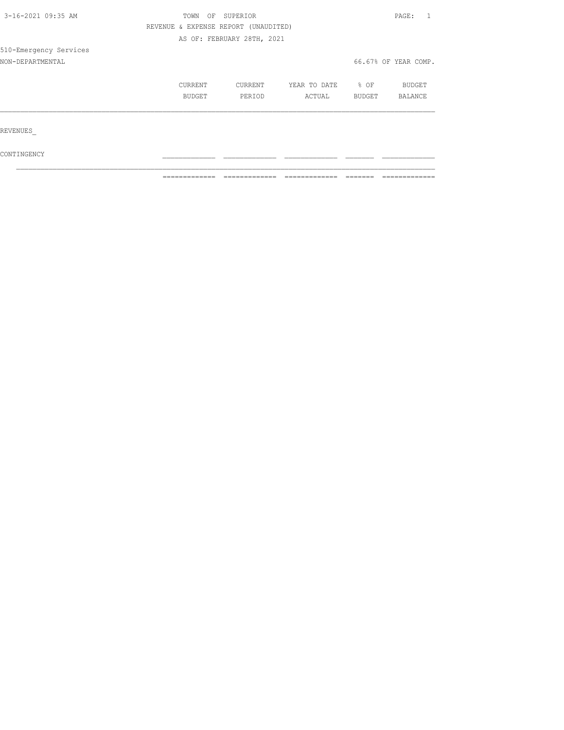| 3-16-2021 09:35 AM     | TOWN    | SUPERIOR<br>OF |                                      |              |        |                      |  |
|------------------------|---------|----------------|--------------------------------------|--------------|--------|----------------------|--|
|                        |         |                | REVENUE & EXPENSE REPORT (UNAUDITED) |              |        |                      |  |
|                        |         |                | AS OF: FEBRUARY 28TH, 2021           |              |        |                      |  |
| 510-Emergency Services |         |                |                                      |              |        |                      |  |
| NON-DEPARTMENTAL       |         |                |                                      |              |        | 66.67% OF YEAR COMP. |  |
|                        |         |                |                                      |              |        |                      |  |
|                        | CURRENT |                | CURRENT                              | YEAR TO DATE | % OF   | <b>BUDGET</b>        |  |
|                        | BUDGET  |                | PERIOD                               | ACTUAL       | BUDGET | <b>BALANCE</b>       |  |
|                        |         |                |                                      |              |        |                      |  |
| REVENUES               |         |                |                                      |              |        |                      |  |
| CONTINGENCY            |         |                |                                      |              |        |                      |  |

 $\mathcal{L}_\text{max}$ 

 $\blacksquare$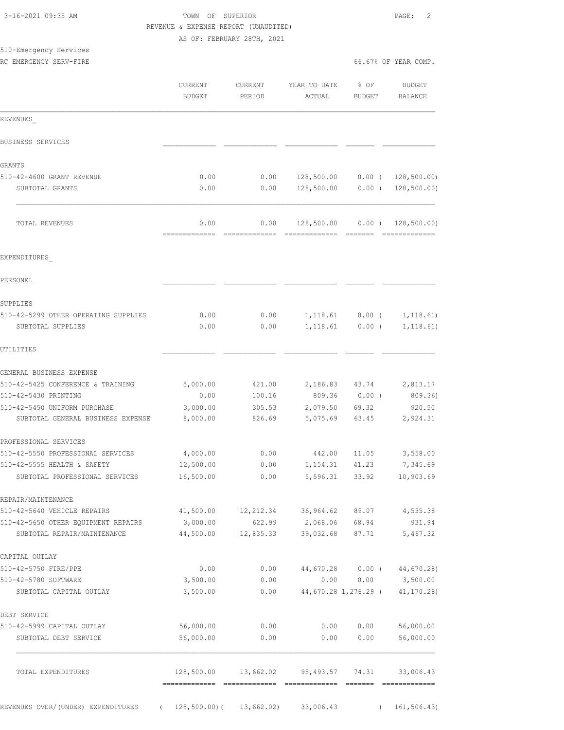|                                                                    |                          | AS OF: FEBRUARY 28TH, 2021 |                        |                               |                                                  |
|--------------------------------------------------------------------|--------------------------|----------------------------|------------------------|-------------------------------|--------------------------------------------------|
| 510-Emergency Services<br>RC EMERGENCY SERV-FIRE                   |                          |                            |                        |                               | 66.67% OF YEAR COMP.                             |
|                                                                    |                          |                            |                        |                               |                                                  |
|                                                                    | CURRENT<br><b>BUDGET</b> | CURRENT<br>PERIOD          | YEAR TO DATE<br>ACTUAL | % OF<br>BUDGET                | <b>BUDGET</b><br>BALANCE                         |
| REVENUES                                                           |                          |                            |                        |                               |                                                  |
| BUSINESS SERVICES                                                  |                          |                            |                        |                               |                                                  |
| GRANTS                                                             |                          |                            |                        |                               |                                                  |
| 510-42-4600 GRANT REVENUE                                          | 0.00                     | 0.00                       | 128,500.00             |                               | $0.00$ ( 128,500.00)                             |
| SUBTOTAL GRANTS                                                    | 0.00                     | 0.00                       | 128,500.00             |                               | $0.00$ ( 128,500.00)                             |
| TOTAL REVENUES                                                     | 0.00<br>------------     | 0.00<br>=============      |                        |                               | 128,500.00  0.00  ( 128,500.00)<br>============= |
| EXPENDITURES                                                       |                          |                            |                        |                               |                                                  |
| PERSONEL                                                           |                          |                            |                        |                               |                                                  |
| SUPPLIES                                                           |                          |                            |                        |                               |                                                  |
| 510-42-5299 OTHER OPERATING SUPPLIES<br>SUBTOTAL SUPPLIES          | 0.00<br>0.00             | 0.00<br>0.00               | 1,118.61               | $1,118.61$ 0.00 (<br>$0.00$ ( | 1, 118.61)<br>1, 118.61)                         |
| UTILITIES                                                          |                          |                            |                        |                               |                                                  |
| GENERAL BUSINESS EXPENSE                                           |                          |                            |                        |                               |                                                  |
| 510-42-5425 CONFERENCE & TRAINING                                  | 5,000.00                 | 421.00                     | 2, 186.83 43.74        |                               | 2,813.17                                         |
| 510-42-5430 PRINTING                                               | 0.00                     | 100.16                     |                        | 809.36 0.00 (                 | 809.36)                                          |
| 510-42-5450 UNIFORM PURCHASE<br>SUBTOTAL GENERAL BUSINESS EXPENSE  | 3,000.00<br>8,000.00     | 305.53<br>826.69           | 2,079.50<br>5,075.69   | 69.32<br>63.45                | 920.50<br>2,924.31                               |
| PROFESSIONAL SERVICES                                              |                          |                            |                        |                               |                                                  |
| 510-42-5550 PROFESSIONAL SERVICES                                  | 4,000.00                 | 0.00                       | 442.00                 | 11.05                         | 3,558.00                                         |
| 510-42-5555 HEALTH & SAFETY                                        | 12,500.00                | 0.00                       | 5, 154.31              | 41.23                         | 7,345.69                                         |
| SUBTOTAL PROFESSIONAL SERVICES                                     | 16,500.00                | 0.00                       | 5,596.31               | 33.92                         | 10,903.69                                        |
| REPAIR/MAINTENANCE                                                 |                          |                            |                        |                               |                                                  |
| 510-42-5640 VEHICLE REPAIRS                                        | 41,500.00                | 12,212.34                  | 36,964.62              | 89.07                         | 4,535.38                                         |
| 510-42-5650 OTHER EQUIPMENT REPAIRS<br>SUBTOTAL REPAIR/MAINTENANCE | 3,000.00<br>44,500.00    | 622.99<br>12,835.33        | 2,068.06<br>39,032.68  | 68.94<br>87.71                | 931.94<br>5,467.32                               |
| CAPITAL OUTLAY                                                     |                          |                            |                        |                               |                                                  |
| 510-42-5750 FIRE/PPE                                               | 0.00                     | 0.00                       | 44,670.28              | $0.00$ (                      | 44,670.28)                                       |
| 510-42-5780 SOFTWARE                                               | 3,500.00                 | 0.00                       | 0.00                   | 0.00                          | 3,500.00                                         |
| SUBTOTAL CAPITAL OUTLAY                                            | 3,500.00                 | 0.00                       |                        | 44,670.28 1,276.29 (          | $41, 170.28$ )                                   |
| DEBT SERVICE                                                       |                          |                            |                        |                               |                                                  |
| 510-42-5999 CAPITAL OUTLAY                                         | 56,000.00                | 0.00                       | 0.00                   | 0.00                          | 56,000.00                                        |
| SUBTOTAL DEBT SERVICE                                              | 56,000.00                | 0.00                       | 0.00                   | 0.00                          | 56,000.00                                        |
| TOTAL EXPENDITURES                                                 | 128,500.00               | 13,662.02                  | 95, 493.57             | 74.31                         | 33,006.43                                        |

 3-16-2021 09:35 AM TOWN OF SUPERIOR PAGE: 2 REVENUE & EXPENSE REPORT (UNAUDITED)

REVENUES OVER/(UNDER) EXPENDITURES ( 128,500.00)( 13,662.02) 33,006.43 ( 161,506.43)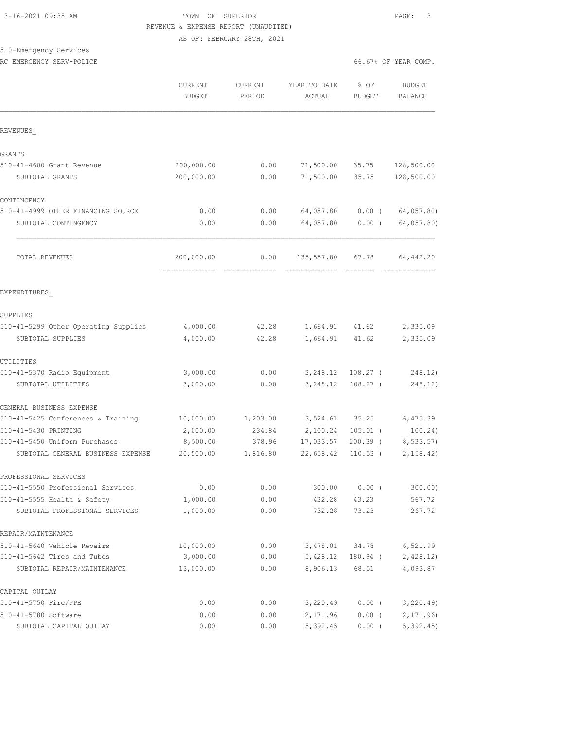#### 3-16-2021 09:35 AM TOWN OF SUPERIOR PAGE: 3 REVENUE & EXPENSE REPORT (UNAUDITED) AS OF: FEBRUARY 28TH, 2021

510-Emergency Services RC EMERGENCY SERV-POLICE **EXECUTE:**  $6.67%$  OF YEAR COMP.

|                                                               | <b>CURRENT</b><br><b>BUDGET</b> | <b>CURRENT</b><br>PERIOD | YEAR TO DATE<br>ACTUAL | % OF<br><b>BUDGET</b> | <b>BUDGET</b><br>BALANCE |
|---------------------------------------------------------------|---------------------------------|--------------------------|------------------------|-----------------------|--------------------------|
| REVENUES                                                      |                                 |                          |                        |                       |                          |
| GRANTS                                                        |                                 |                          |                        |                       |                          |
| 510-41-4600 Grant Revenue                                     | 200,000.00                      | 0.00                     | 71,500.00              | 35.75                 | 128,500.00               |
| SUBTOTAL GRANTS                                               | 200,000.00                      | 0.00                     | 71,500.00              | 35.75                 | 128,500.00               |
| CONTINGENCY                                                   |                                 |                          |                        |                       |                          |
| 510-41-4999 OTHER FINANCING SOURCE                            | 0.00                            | 0.00                     | 64,057.80              | $0.00$ (              | 64,057.80)               |
| SUBTOTAL CONTINGENCY                                          | 0.00                            | 0.00                     | 64,057.80              | $0.00$ (              | 64,057.80)               |
| TOTAL REVENUES                                                | 200,000.00<br>=============     | 0.00                     | 135,557.80             | 67.78                 | 64, 442.20               |
| EXPENDITURES                                                  |                                 |                          |                        |                       |                          |
| SUPPLIES                                                      |                                 |                          |                        |                       |                          |
| 510-41-5299 Other Operating Supplies                          | 4,000.00                        | 42.28                    | 1,664.91               | 41.62                 | 2,335.09                 |
| SUBTOTAL SUPPLIES                                             | 4,000.00                        | 42.28                    | 1,664.91               | 41.62                 | 2,335.09                 |
| UTILITIES                                                     |                                 |                          |                        |                       |                          |
| 510-41-5370 Radio Equipment                                   | 3,000.00                        | 0.00                     | 3,248.12               | $108.27$ (            | 248.12)                  |
| SUBTOTAL UTILITIES                                            | 3,000.00                        | 0.00                     | 3,248.12               | $108.27$ (            | 248.12)                  |
| GENERAL BUSINESS EXPENSE                                      |                                 |                          |                        |                       |                          |
| 510-41-5425 Conferences & Training                            | 10,000.00                       | 1,203.00                 | 3,524.61               | 35.25                 | 6,475.39                 |
| 510-41-5430 PRINTING                                          | 2,000.00                        | 234.84                   | 2,100.24               | $105.01$ (            | 100.24)                  |
| 510-41-5450 Uniform Purchases                                 | 8,500.00                        | 378.96                   | 17,033.57              | $200.39$ (            | 8, 533.57                |
| SUBTOTAL GENERAL BUSINESS EXPENSE                             | 20,500.00                       | 1,816.80                 | 22,658.42              | $110.53$ (            | 2, 158.42                |
| PROFESSIONAL SERVICES                                         |                                 |                          |                        |                       |                          |
| 510-41-5550 Professional Services                             | 0.00                            | 0.00                     | 300.00                 | $0.00$ (              | 300.00)                  |
| 510-41-5555 Health & Safety<br>SUBTOTAL PROFESSIONAL SERVICES | 1,000.00<br>1,000.00            | 0.00<br>0.00             | 432.28<br>732.28       | 43.23<br>73.23        | 567.72<br>267.72         |
| REPAIR/MAINTENANCE                                            |                                 |                          |                        |                       |                          |
| 510-41-5640 Vehicle Repairs                                   | 10,000.00                       | 0.00                     | 3,478.01               | 34.78                 | 6,521.99                 |
| 510-41-5642 Tires and Tubes                                   | 3,000.00                        | 0.00                     | 5,428.12               | 180.94 (              | 2,428.12                 |
| SUBTOTAL REPAIR/MAINTENANCE                                   | 13,000.00                       | 0.00                     | 8,906.13               | 68.51                 | 4,093.87                 |
| CAPITAL OUTLAY                                                |                                 |                          |                        |                       |                          |
| 510-41-5750 Fire/PPE                                          | 0.00                            | 0.00                     | 3,220.49               | $0.00$ (              | 3,220.49                 |
| 510-41-5780 Software                                          | 0.00                            | 0.00                     | 2,171.96               | $0.00$ (              | 2, 171.96                |
| SUBTOTAL CAPITAL OUTLAY                                       | 0.00                            | 0.00                     | 5,392.45               | $0.00$ (              | 5,392.45                 |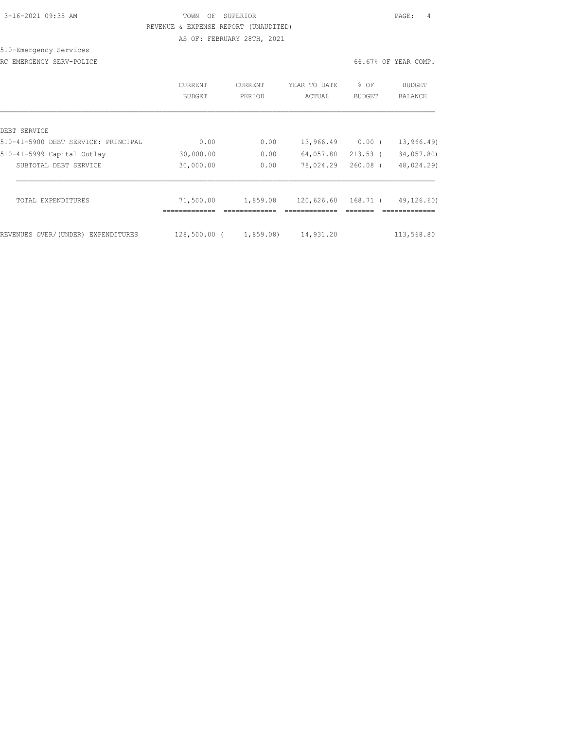# 3-16-2021 09:35 AM TOWN OF SUPERIOR PAGE: 4 REVENUE & EXPENSE REPORT (UNAUDITED) AS OF: FEBRUARY 28TH, 2021

# 510-Emergency Services

RC EMERGENCY SERV-POLICE COMP.

|                                     | CURRENT<br>BUDGET        | CURRENT<br>PERIOD | YEAR TO DATE<br>ACTUAL | $8$ OF<br><b>BUDGET</b> | BUDGET<br>BALANCE |
|-------------------------------------|--------------------------|-------------------|------------------------|-------------------------|-------------------|
| DEBT SERVICE                        |                          |                   |                        |                         |                   |
| 510-41-5900 DEBT SERVICE: PRINCIPAL | 0.00                     | 0.00              | 13,966.49              | $0.00$ (                | 13,966.49)        |
| 510-41-5999 Capital Outlay          | 30,000.00                | 0.00              | 64,057.80              | $213.53$ (              | 34,057.80)        |
| SUBTOTAL DEBT SERVICE               | 30,000.00                | 0.00              | 78,024.29              | $260.08$ (              | 48,024.29)        |
| TOTAL EXPENDITURES                  | 71,500.00<br>----------- | 1,859.08          | 120,626.60             | 168.71 (                | 49,126.60)        |
| REVENUES OVER/(UNDER) EXPENDITURES  | $128,500.00$ (           | 1,859.08)         | 14,931.20              |                         | 113,568.80        |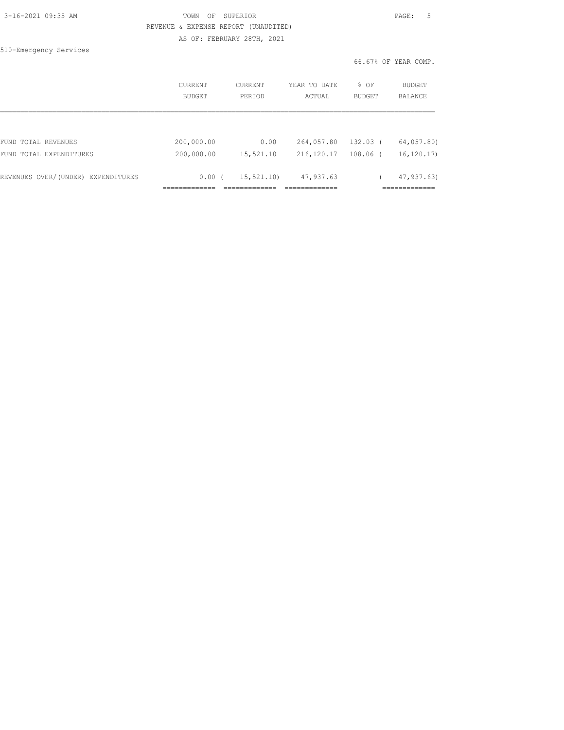| 3-16-2021 09:35 AM |  |
|--------------------|--|
|                    |  |

# TOWN OF SUPERIOR **PAGE:** 5 REVENUE & EXPENSE REPORT (UNAUDITED) AS OF: FEBRUARY 28TH, 2021

510-Emergency Services

|                                    | CURRENT<br>BUDGET | <b>CURRENT</b><br>PERIOD | YEAR TO DATE<br>ACTUAL | % OF<br><b>BUDGET</b> | <b>BUDGET</b><br><b>BALANCE</b> |
|------------------------------------|-------------------|--------------------------|------------------------|-----------------------|---------------------------------|
|                                    |                   |                          |                        |                       |                                 |
| FUND TOTAL REVENUES                | 200,000.00        | 0.00                     | 264,057.80             | 132.03 (              | 64,057.80)                      |
| FUND TOTAL EXPENDITURES            | 200,000.00        | 15,521.10                | 216, 120.17            | 108.06 (              | 16, 120, 17                     |
| REVENUES OVER/(UNDER) EXPENDITURES | 0.00(             | 15,521,10)               | 47,937.63              |                       | 47,937.63)                      |
|                                    |                   |                          |                        |                       |                                 |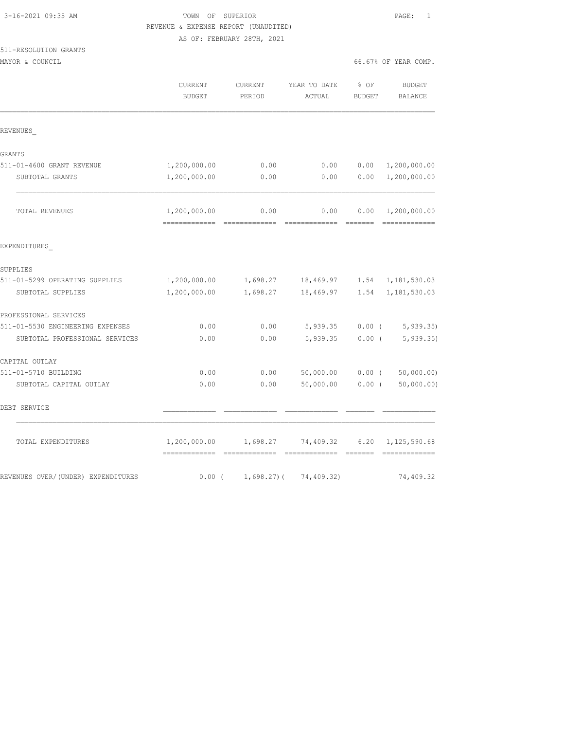| 3-16-2021 09:35 AM |  |
|--------------------|--|
|                    |  |

### TOWN OF SUPERIOR **PAGE:** 1 REVENUE & EXPENSE REPORT (UNAUDITED) AS OF: FEBRUARY 28TH, 2021

|  | 511-RESOLUTION GRANTS |
|--|-----------------------|
|  |                       |

MAYOR & COUNCIL COUNCIL COMP.

|                                    | CURRENT<br><b>BUDGET</b>                      | CURRENT<br>PERIOD | YEAR TO DATE<br>ACTUAL               | % OF<br><b>BUDGET</b> | <b>BUDGET</b><br><b>BALANCE</b> |
|------------------------------------|-----------------------------------------------|-------------------|--------------------------------------|-----------------------|---------------------------------|
| REVENUES                           |                                               |                   |                                      |                       |                                 |
| GRANTS                             |                                               |                   |                                      |                       |                                 |
| 511-01-4600 GRANT REVENUE          | 1,200,000.00                                  | 0.00              | 0.00                                 | 0.00                  | 1,200,000.00                    |
| SUBTOTAL GRANTS                    | 1,200,000.00                                  | 0.00              | 0.00                                 | 0.00                  | 1,200,000.00                    |
| TOTAL REVENUES                     | 1,200,000.00<br>-------------- -------------- | 0.00              | 0.00<br>=============                | 0.00<br>--------      | 1,200,000.00<br>=============   |
| EXPENDITURES                       |                                               |                   |                                      |                       |                                 |
| SUPPLIES                           |                                               |                   |                                      |                       |                                 |
| 511-01-5299 OPERATING SUPPLIES     | 1,200,000.00                                  |                   | 1,698.27 18,469.97 1.54 1,181,530.03 |                       |                                 |
| SUBTOTAL SUPPLIES                  | 1,200,000.00                                  | 1,698.27          | 18,469.97                            | 1.54                  | 1,181,530.03                    |
| PROFESSIONAL SERVICES              |                                               |                   |                                      |                       |                                 |
| 511-01-5530 ENGINEERING EXPENSES   | 0.00                                          | 0.00              | 5,939.35                             | $0.00$ (              | 5, 939.35                       |
| SUBTOTAL PROFESSIONAL SERVICES     | 0.00                                          | 0.00              | 5,939.35                             | $0.00$ (              | 5, 939.35                       |
| CAPITAL OUTLAY                     |                                               |                   |                                      |                       |                                 |
| 511-01-5710 BUILDING               | 0.00                                          | 0.00              | 50,000.00                            | $0.00$ (              | 50,000.00)                      |
| SUBTOTAL CAPITAL OUTLAY            | 0.00                                          | 0.00              | 50,000.00                            | $0.00$ (              | 50,000.00)                      |
| DEBT SERVICE                       |                                               |                   |                                      |                       |                                 |
| TOTAL EXPENDITURES                 | 1,200,000.00                                  |                   | 1,698.27 74,409.32 6.20 1,125,590.68 | -------               | =============                   |
| REVENUES OVER/(UNDER) EXPENDITURES | $0.00$ (                                      | $1,698.27$ ) (    | 74,409.32)                           |                       | 74,409.32                       |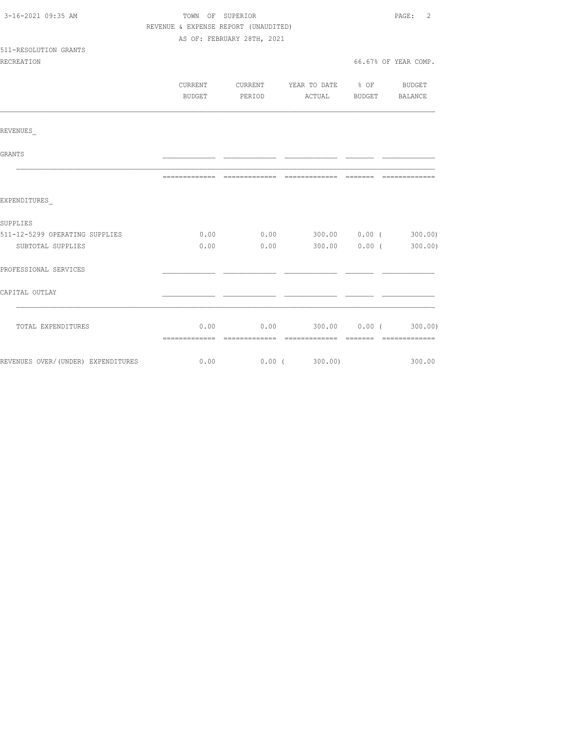| 3-16-2021 09:35 AM             | TOWN OF SUPERIOR                     |                            |                                             |               | $\overline{2}$<br>PAGE: |
|--------------------------------|--------------------------------------|----------------------------|---------------------------------------------|---------------|-------------------------|
|                                | REVENUE & EXPENSE REPORT (UNAUDITED) |                            |                                             |               |                         |
|                                |                                      | AS OF: FEBRUARY 28TH, 2021 |                                             |               |                         |
| 511-RESOLUTION GRANTS          |                                      |                            |                                             |               |                         |
| <b>RECREATION</b>              |                                      |                            |                                             |               | 66.67% OF YEAR COMP.    |
|                                |                                      |                            |                                             |               |                         |
|                                |                                      |                            | CURRENT CURRENT YEAR TO DATE % OF BUDGET    |               |                         |
|                                | BUDGET                               | PERIOD                     |                                             | ACTUAL BUDGET | BALANCE                 |
|                                |                                      |                            |                                             |               |                         |
| REVENUES                       |                                      |                            |                                             |               |                         |
| <b>GRANTS</b>                  |                                      |                            |                                             |               |                         |
|                                |                                      |                            |                                             |               |                         |
| EXPENDITURES                   |                                      |                            |                                             |               |                         |
| SUPPLIES                       |                                      |                            |                                             |               |                         |
| 511-12-5299 OPERATING SUPPLIES |                                      |                            | $0.00$ $0.00$ $300.00$ $0.00$ $($ $300.00)$ |               |                         |
| SUBTOTAL SUPPLIES              | 0.00                                 | 0.00                       |                                             | 300.00 0.00 ( | 300.00)                 |
| PROFESSIONAL SERVICES          |                                      |                            |                                             |               |                         |
| CAPITAL OUTLAY                 |                                      |                            |                                             |               |                         |
|                                |                                      |                            |                                             |               |                         |
| TOTAL EXPENDITURES             |                                      |                            | $0.00$ 0.00 300.00 0.00 (300.00)            |               |                         |
|                                |                                      |                            |                                             |               |                         |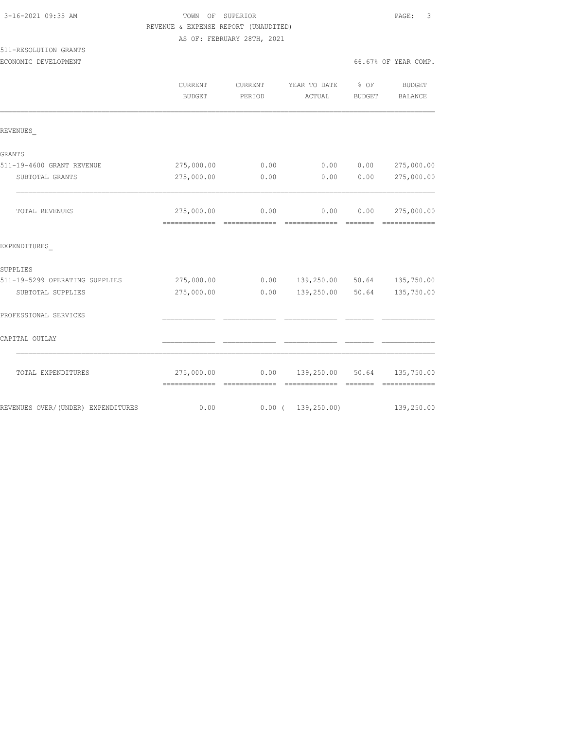511-RESOLUTION GRANTS

# TOWN OF SUPERIOR **Example 20:35 AM TOWN OF SUPERIOR**  REVENUE & EXPENSE REPORT (UNAUDITED) AS OF: FEBRUARY 28TH, 2021

ECONOMIC DEVELOPMENT 66.67% OF YEAR COMP.

|                                     | CURRENT<br><b>BUDGET</b>        | CURRENT<br>PERIOD | YEAR TO DATE<br>ACTUAL             | $\frac{1}{6}$ OF<br>BUDGET | BUDGET<br>BALANCE                                                                                                                                                                                                                                                                                                                                                                                                                                                                      |
|-------------------------------------|---------------------------------|-------------------|------------------------------------|----------------------------|----------------------------------------------------------------------------------------------------------------------------------------------------------------------------------------------------------------------------------------------------------------------------------------------------------------------------------------------------------------------------------------------------------------------------------------------------------------------------------------|
| REVENUES                            |                                 |                   |                                    |                            |                                                                                                                                                                                                                                                                                                                                                                                                                                                                                        |
| <b>GRANTS</b>                       |                                 |                   |                                    |                            |                                                                                                                                                                                                                                                                                                                                                                                                                                                                                        |
| 511-19-4600 GRANT REVENUE           | 275,000.00                      | 0.00              | 0.00                               | 0.00                       | 275,000.00                                                                                                                                                                                                                                                                                                                                                                                                                                                                             |
| SUBTOTAL GRANTS                     | 275,000.00                      | 0.00              | 0.00                               | 0.00                       | 275,000.00                                                                                                                                                                                                                                                                                                                                                                                                                                                                             |
| TOTAL REVENUES                      |                                 | 275,000.00 0.00   | 0.00                               | 0.00                       | 275,000.00                                                                                                                                                                                                                                                                                                                                                                                                                                                                             |
| EXPENDITURES                        |                                 |                   |                                    |                            |                                                                                                                                                                                                                                                                                                                                                                                                                                                                                        |
| SUPPLIES                            |                                 |                   |                                    |                            |                                                                                                                                                                                                                                                                                                                                                                                                                                                                                        |
| 511-19-5299 OPERATING SUPPLIES      | 275,000.00                      |                   | $0.00$ 139,250.00 50.64 135,750.00 |                            |                                                                                                                                                                                                                                                                                                                                                                                                                                                                                        |
| SUBTOTAL SUPPLIES                   | 275,000.00                      |                   | $0.00$ 139,250.00 50.64            |                            | 135,750.00                                                                                                                                                                                                                                                                                                                                                                                                                                                                             |
| PROFESSIONAL SERVICES               |                                 |                   |                                    |                            |                                                                                                                                                                                                                                                                                                                                                                                                                                                                                        |
| CAPITAL OUTLAY                      |                                 |                   |                                    |                            |                                                                                                                                                                                                                                                                                                                                                                                                                                                                                        |
| TOTAL EXPENDITURES                  | =============================== |                   |                                    | --------                   | $\begin{array}{cccccccccccccc} \multicolumn{2}{c}{} & \multicolumn{2}{c}{} & \multicolumn{2}{c}{} & \multicolumn{2}{c}{} & \multicolumn{2}{c}{} & \multicolumn{2}{c}{} & \multicolumn{2}{c}{} & \multicolumn{2}{c}{} & \multicolumn{2}{c}{} & \multicolumn{2}{c}{} & \multicolumn{2}{c}{} & \multicolumn{2}{c}{} & \multicolumn{2}{c}{} & \multicolumn{2}{c}{} & \multicolumn{2}{c}{} & \multicolumn{2}{c}{} & \multicolumn{2}{c}{} & \multicolumn{2}{c}{} & \multicolumn{2}{c}{} & \$ |
| REVENUES OVER/ (UNDER) EXPENDITURES | 0.00                            | $0.00$ (          | 139, 250.00                        |                            | 139,250.00                                                                                                                                                                                                                                                                                                                                                                                                                                                                             |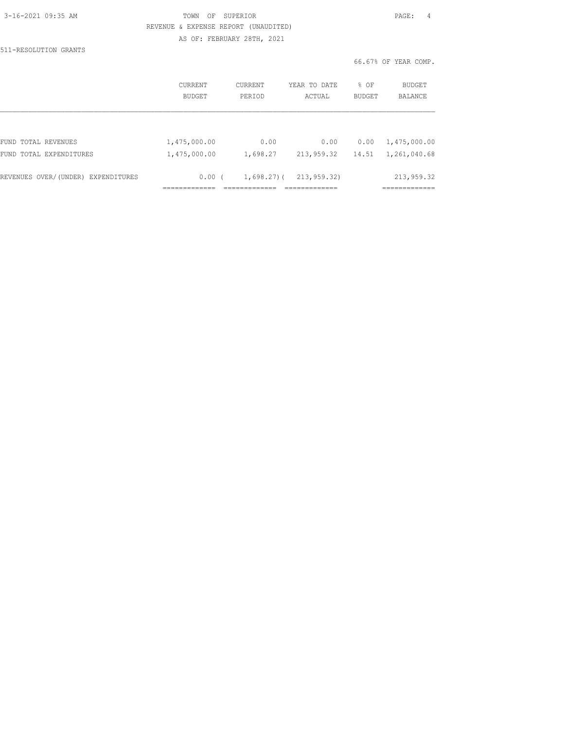| 3-16-2021 09:35 AM |  |
|--------------------|--|

511-RESOLUTION GRANTS

# TOWN OF SUPERIOR **PAGE:** 4 REVENUE & EXPENSE REPORT (UNAUDITED) AS OF: FEBRUARY 28TH, 2021

|                                    | CURRENT      | CURRENT        | YEAR TO DATE | % OF   | <b>BUDGET</b>          |
|------------------------------------|--------------|----------------|--------------|--------|------------------------|
|                                    | BUDGET       | PERIOD         | ACTUAL       | BUDGET | BALANCE                |
| FUND TOTAL REVENUES                | 1,475,000.00 | 0.00           | 0.00         | 0.00   | 1,475,000.00           |
| FUND TOTAL EXPENDITURES            | 1,475,000.00 | 1,698.27       | 213,959.32   | 14.51  | 1,261,040.68           |
| REVENUES OVER/(UNDER) EXPENDITURES | 0.00(        | $1,698,27$ ) ( | 213,959.32)  |        | 213,959.32             |
|                                    |              |                |              |        | __________<br>________ |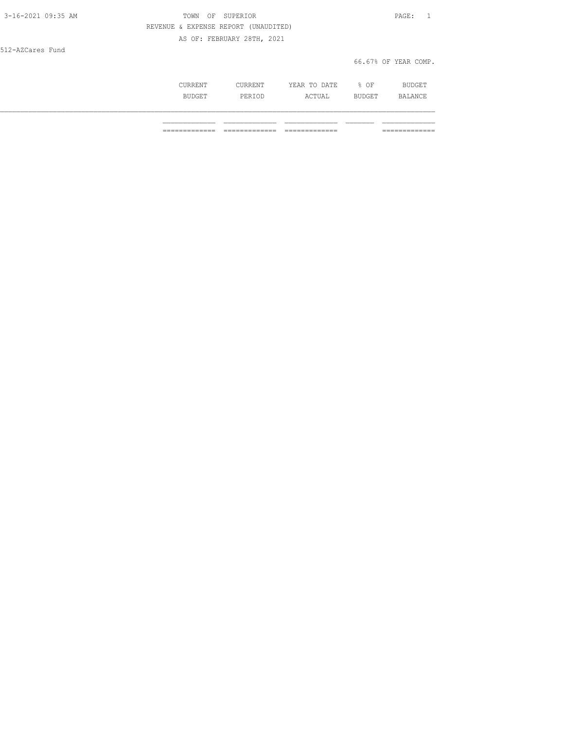| 3-16-2021 09:35 AM | TOWN OF SUPERIOR                     | PAGE: 1              |
|--------------------|--------------------------------------|----------------------|
|                    | REVENUE & EXPENSE REPORT (UNAUDITED) |                      |
|                    | AS OF: FEBRUARY 28TH, 2021           |                      |
| 512-AZCares Fund   |                                      |                      |
|                    |                                      | 66.67% OF YEAR COMP. |
|                    |                                      |                      |

| CURRENT | CURRENT | YEAR TO DATE | % OF   | BUDGET  |
|---------|---------|--------------|--------|---------|
| BUDGET  | PERIOD  | ACTUAL       | BUDGET | BALANCE |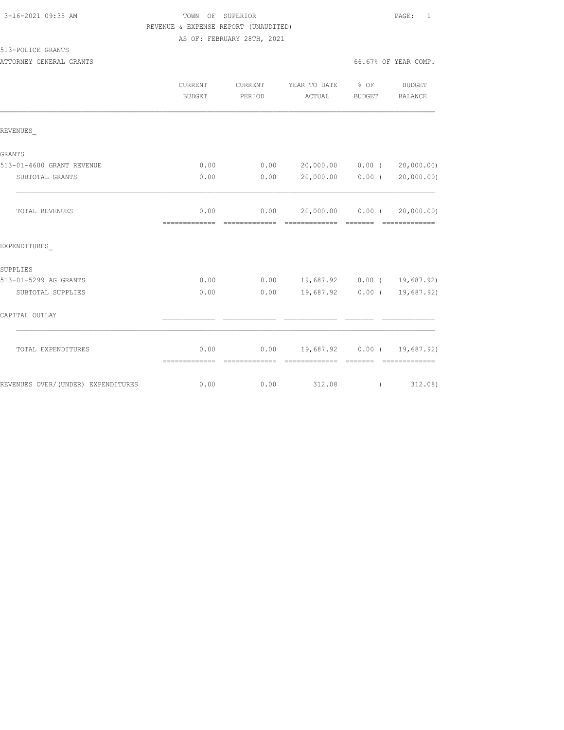| 3-16-2021 09:35 AM |  |
|--------------------|--|
|                    |  |

# TOWN OF SUPERIOR **PAGE:** 1 REVENUE & EXPENSE REPORT (UNAUDITED) AS OF: FEBRUARY 28TH, 2021

513-POLICE GRANTS

ATTORNEY GENERAL GRANTS **EXECUTE:** 66.67% OF YEAR COMP.

|                                    | CURRENT<br>BUDGET     | CURRENT<br>PERIOD | YEAR TO DATE % OF<br>ACTUAL        | BUDGET              | <b>BUDGET</b><br>BALANCE    |
|------------------------------------|-----------------------|-------------------|------------------------------------|---------------------|-----------------------------|
| REVENUES                           |                       |                   |                                    |                     |                             |
| GRANTS                             |                       |                   |                                    |                     |                             |
| 513-01-4600 GRANT REVENUE          | 0.00                  |                   | $0.00$ 20,000.00 0.00 ( 20,000.00) |                     |                             |
| SUBTOTAL GRANTS                    | 0.00                  | 0.00              | 20,000.00 0.00 (                   |                     | 20,000.00)                  |
| TOTAL REVENUES                     | 0.00                  |                   | $0.00$ 20,000.00 0.00 (            |                     | 20,000.00)                  |
| EXPENDITURES                       |                       |                   |                                    |                     |                             |
| SUPPLIES                           |                       |                   |                                    |                     |                             |
| 513-01-5299 AG GRANTS              | 0.00                  |                   | $0.00$ 19,687.92 0.00 ( 19,687.92) |                     |                             |
| SUBTOTAL SUPPLIES                  | 0.00                  | 0.00              |                                    |                     | 19,687.92 0.00 ( 19,687.92) |
| CAPITAL OUTLAY                     |                       |                   |                                    |                     |                             |
| TOTAL EXPENDITURES                 | 0.00<br>============= | =============     | $0.00$ 19,687.92 0.00 ( 19,687.92) | $=$ $=$ $=$ $=$ $=$ |                             |
| REVENUES OVER/(UNDER) EXPENDITURES | 0.00                  | 0.00              | 312.08                             | $\left($            | 312.08)                     |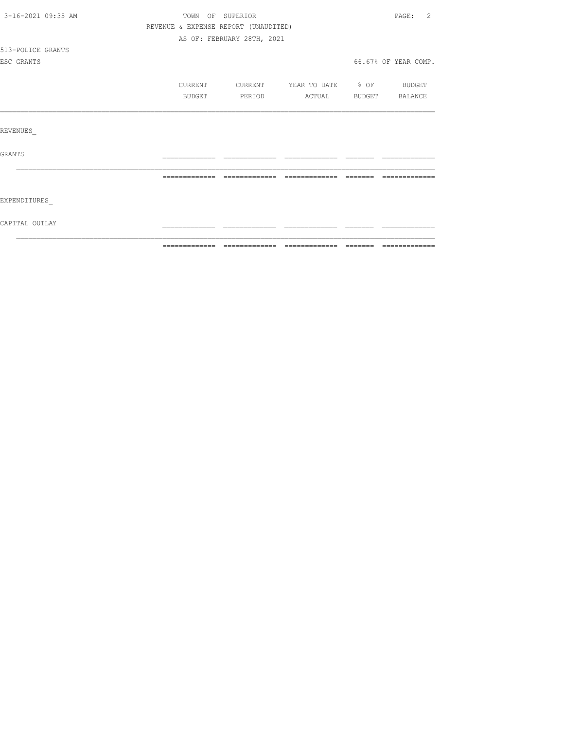| 3-16-2021 09:35 AM | TOWN OF SUPERIOR |                                      |              |                  | $\mathfrak{D}$<br>PAGE: |
|--------------------|------------------|--------------------------------------|--------------|------------------|-------------------------|
|                    |                  | REVENUE & EXPENSE REPORT (UNAUDITED) |              |                  |                         |
|                    |                  | AS OF: FEBRUARY 28TH, 2021           |              |                  |                         |
| 513-POLICE GRANTS  |                  |                                      |              |                  |                         |
| ESC GRANTS         |                  |                                      |              |                  | 66.67% OF YEAR COMP.    |
|                    | CURRENT          | CURRENT                              | YEAR TO DATE | $\frac{1}{2}$ OF | BUDGET                  |
|                    | BUDGET           | PERIOD                               | ACTUAL       | BUDGET           | BALANCE                 |
|                    |                  |                                      |              |                  |                         |
| REVENUES           |                  |                                      |              |                  |                         |
| <b>GRANTS</b>      |                  |                                      |              |                  |                         |
|                    |                  |                                      |              |                  |                         |
|                    |                  |                                      |              |                  |                         |
| EXPENDITURES       |                  |                                      |              |                  |                         |
| CAPITAL OUTLAY     |                  |                                      |              |                  |                         |
|                    |                  |                                      |              |                  |                         |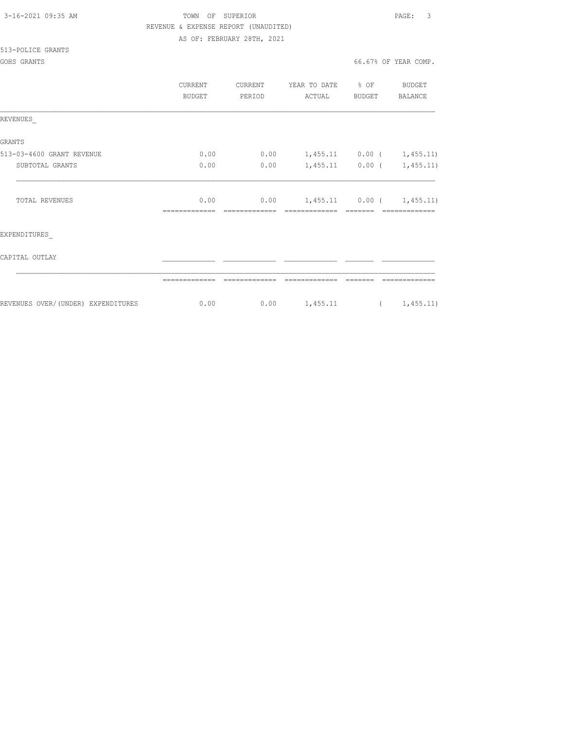| 3-16-2021 09:35 AM |  |
|--------------------|--|
|                    |  |

# TOWN OF SUPERIOR **PAGE:** 3 REVENUE & EXPENSE REPORT (UNAUDITED) AS OF: FEBRUARY 28TH, 2021

513-POLICE GRANTS

|                                     | CURRENT<br><b>BUDGET</b> | CURRENT<br>PERIOD | YEAR TO DATE<br>ACTUAL      | $\textdegree$ OF<br>BUDGET | BUDGET<br>BALANCE           |
|-------------------------------------|--------------------------|-------------------|-----------------------------|----------------------------|-----------------------------|
| REVENUES                            |                          |                   |                             |                            |                             |
| <b>GRANTS</b>                       |                          |                   |                             |                            |                             |
| 513-03-4600 GRANT REVENUE           | 0.00                     | 0.00              | $1,455.11$ 0.00 ( 1,455.11) |                            |                             |
| SUBTOTAL GRANTS                     | 0.00                     | 0.00              |                             |                            | $1,455.11$ 0.00 ( 1,455.11) |
| TOTAL REVENUES                      | 0.00<br>-------------    | 0.00              | $1,455.11$ 0.00 (           |                            | 1,455.11)                   |
| EXPENDITURES                        |                          |                   |                             |                            |                             |
| CAPITAL OUTLAY                      |                          |                   |                             |                            |                             |
|                                     |                          |                   |                             |                            |                             |
| REVENUES OVER/ (UNDER) EXPENDITURES | 0.00                     | 0.00              | 1,455.11                    | $\sqrt{2}$                 | 1,455.11)                   |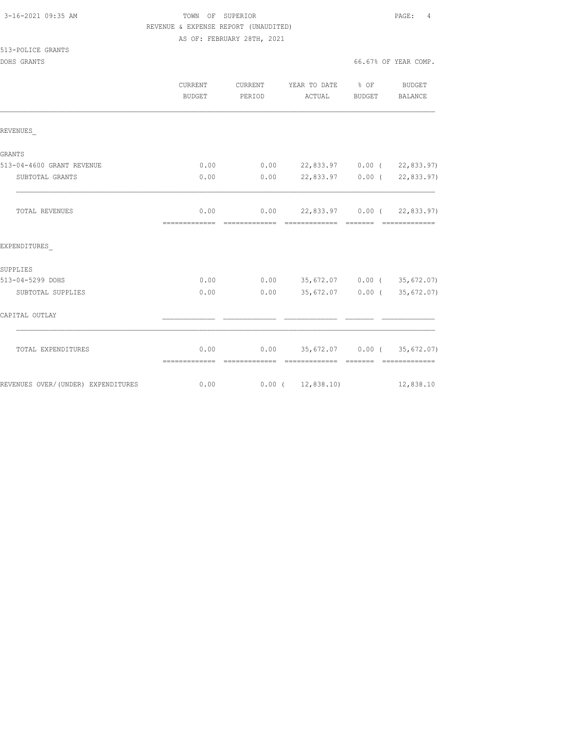| 3-16-2021 09:35 AM |  |
|--------------------|--|
|                    |  |

513-POLICE GRANTS

# TOWN OF SUPERIOR **Example 20:35 AM TOWN OF SUPERIOR**  REVENUE & EXPENSE REPORT (UNAUDITED) AS OF: FEBRUARY 28TH, 2021

DOHS GRANTS 66.67% OF YEAR COMP.

|                                    | <b>CURRENT</b><br>BUDGET | CURRENT<br>PERIOD | YEAR TO DATE % OF<br>ACTUAL                          | BUDGET   | BUDGET<br>BALANCE |
|------------------------------------|--------------------------|-------------------|------------------------------------------------------|----------|-------------------|
| REVENUES                           |                          |                   |                                                      |          |                   |
| <b>GRANTS</b>                      |                          |                   |                                                      |          |                   |
| 513-04-4600 GRANT REVENUE          | 0.00                     |                   | $0.00$ 22,833.97 0.00 ( 22,833.97)                   |          |                   |
| SUBTOTAL GRANTS                    | 0.00                     |                   | $0.00$ 22,833.97 0.00 ( 22,833.97)                   |          |                   |
| TOTAL REVENUES                     | 0.00                     |                   | $0.00$ 22,833.97 0.00 ( 22,833.97)                   |          |                   |
| EXPENDITURES                       |                          |                   |                                                      |          |                   |
| SUPPLIES                           |                          |                   |                                                      |          |                   |
| 513-04-5299 DOHS                   | 0.00                     |                   | $0.00$ 35,672.07 0.00 (35,672.07)                    |          |                   |
| SUBTOTAL SUPPLIES                  | 0.00                     | 0.00              | 35,672.07 0.00 (35,672.07)                           |          |                   |
| CAPITAL OUTLAY                     |                          |                   |                                                      |          |                   |
| TOTAL EXPENDITURES                 | 0.00<br>=============    | =============     | $0.00$ 35,672.07 0.00 (35,672.07)<br>- ============= | -------- | =============     |
| REVENUES OVER/(UNDER) EXPENDITURES |                          | 0.00              | $0.00$ ( $12,838.10$ )                               |          | 12,838.10         |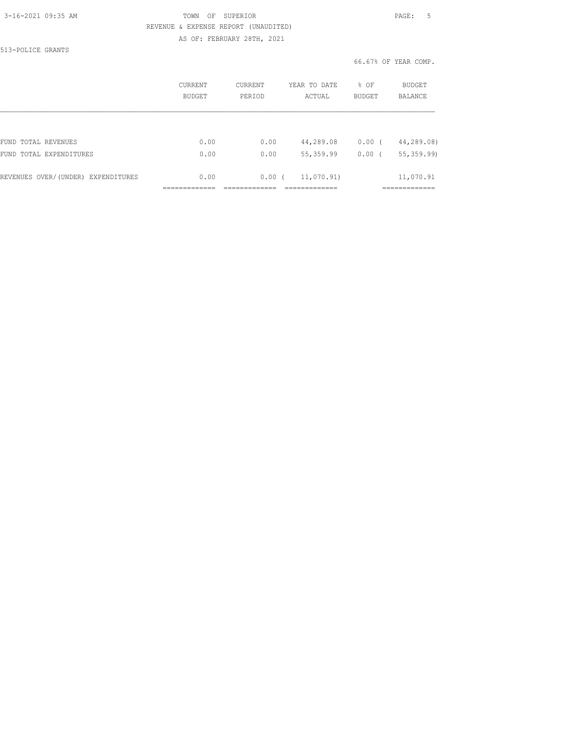#### 3-16-2021 09:35 AM TOWN OF SUPERIOR PAGE: 5 REVENUE & EXPENSE REPORT (UNAUDITED) AS OF: FEBRUARY 28TH, 2021

513-POLICE GRANTS

|                                    | CURRENT<br><b>BUDGET</b> | CURRENT<br>PERTOD | YEAR TO DATE<br>ACTUAL | % OF<br><b>BUDGET</b> | BUDGET<br>BALANCE |
|------------------------------------|--------------------------|-------------------|------------------------|-----------------------|-------------------|
|                                    |                          |                   |                        |                       |                   |
| FUND TOTAL REVENUES                | 0.00                     | 0.00              | 44,289.08              | 0.00                  | 44,289.08)        |
| FUND TOTAL EXPENDITURES            | 0.00                     | 0.00              | 55, 359.99             | 0.00                  | 55, 359.99)       |
| REVENUES OVER/(UNDER) EXPENDITURES | 0.00                     | 0.00(             | 11,070.91)             |                       | 11,070.91         |
|                                    |                          |                   |                        |                       |                   |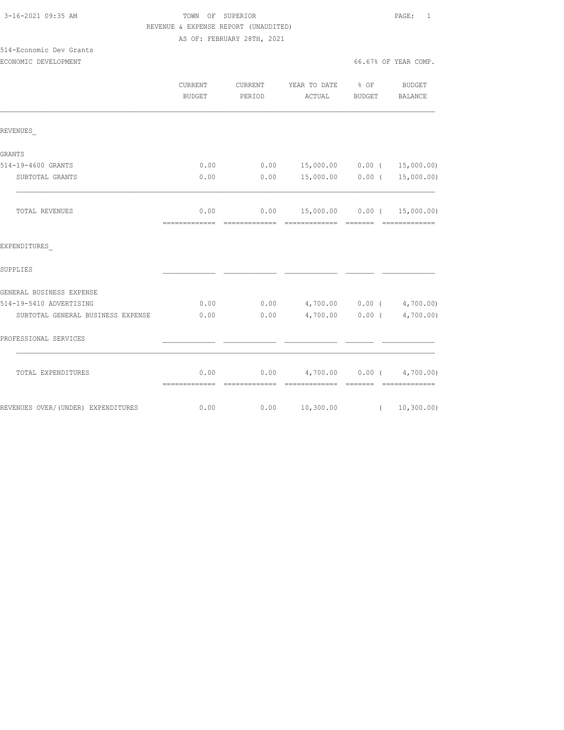| 3-16-2021 09:35 AM |  |
|--------------------|--|
|                    |  |

514-Economic Dev Grants

#### TOWN OF SUPERIOR **PAGE:** 1 REVENUE & EXPENSE REPORT (UNAUDITED) AS OF: FEBRUARY 28TH, 2021

ECONOMIC DEVELOPMENT 66.67% OF YEAR COMP.

|                                    | <b>CURRENT</b><br><b>BUDGET</b> | CURRENT<br>PERIOD     | YEAR TO DATE % OF<br>ACTUAL                       | <b>BUDGET</b> | BUDGET<br><b>BALANCE</b>        |
|------------------------------------|---------------------------------|-----------------------|---------------------------------------------------|---------------|---------------------------------|
| REVENUES                           |                                 |                       |                                                   |               |                                 |
| <b>GRANTS</b>                      |                                 |                       |                                                   |               |                                 |
| 514-19-4600 GRANTS                 | 0.00                            | 0.00                  |                                                   |               | 15,000.00   0.00 $($ 15,000.00) |
| SUBTOTAL GRANTS                    | 0.00                            | 0.00                  | 15,000.00 0.00 (                                  |               | 15,000.00)                      |
| TOTAL REVENUES                     | 0.00<br>=============           | 0.00<br>============= | - =============                                   | - =======     | --------------                  |
| EXPENDITURES                       |                                 |                       |                                                   |               |                                 |
| SUPPLIES                           |                                 |                       |                                                   |               |                                 |
| GENERAL BUSINESS EXPENSE           |                                 |                       |                                                   |               |                                 |
| 514-19-5410 ADVERTISING            | 0.00                            | 0.00                  | $4,700.00$ 0.00 ( $4,700.00$ )                    |               |                                 |
| SUBTOTAL GENERAL BUSINESS EXPENSE  | 0.00                            | 0.00                  | 4,700.00 0.00 (4,700.00)                          |               |                                 |
| PROFESSIONAL SERVICES              |                                 |                       |                                                   |               |                                 |
| TOTAL EXPENDITURES                 | 0.00                            |                       | $0.00$ $4,700.00$ $0.00$ $4,700.00)$<br>eccessess | <b>BEECEE</b> | - ==============                |
| REVENUES OVER/(UNDER) EXPENDITURES | 0.00                            | 0.00                  | 10,300.00                                         | $\sqrt{2}$    | 10, 300.00)                     |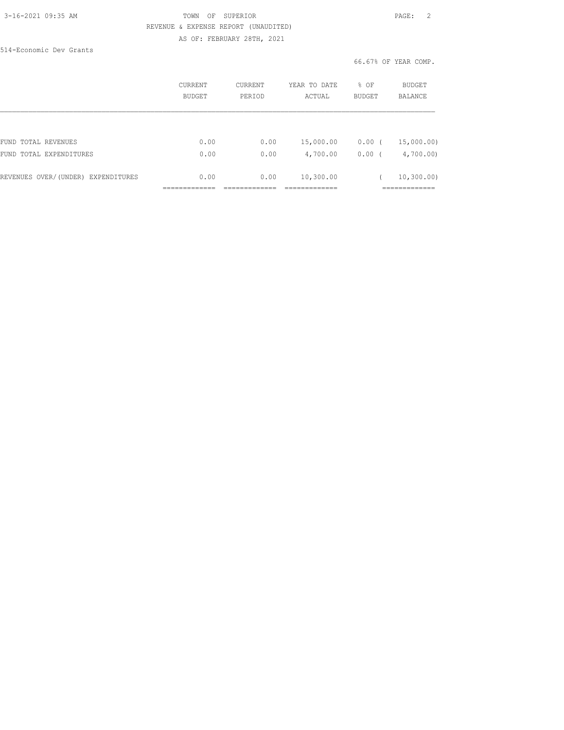#### 3-16-2021 09:35 AM TOWN OF SUPERIOR PAGE: 2 REVENUE & EXPENSE REPORT (UNAUDITED) AS OF: FEBRUARY 28TH, 2021

514-Economic Dev Grants

|                                    | <b>CURRENT</b><br>BUDGET | CURRENT<br>PERIOD | YEAR TO DATE<br>ACTUAL | % OF<br><b>BUDGET</b> | BUDGET<br><b>BALANCE</b> |
|------------------------------------|--------------------------|-------------------|------------------------|-----------------------|--------------------------|
|                                    |                          |                   |                        |                       |                          |
| FUND TOTAL REVENUES                | 0.00                     | 0.00              | 15,000.00              | 0.00<br>$\cdot$ (     | 15,000.00)               |
| FUND TOTAL EXPENDITURES            | 0.00                     | 0.00              | 4,700.00               | $0.00$ (              | 4,700.00                 |
| REVENUES OVER/(UNDER) EXPENDITURES | 0.00                     | 0.00              | 10,300.00              |                       | 10, 300, 00)             |
|                                    |                          |                   |                        |                       | __________               |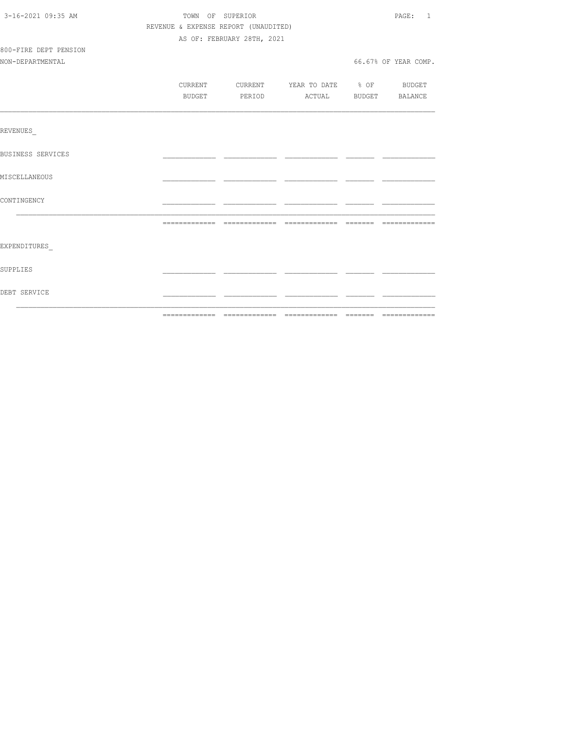| 3-16-2021 09:35 AM    | TOWN OF SUPERIOR                     |                                  |  |  | PAGE: 1              |  |
|-----------------------|--------------------------------------|----------------------------------|--|--|----------------------|--|
|                       | REVENUE & EXPENSE REPORT (UNAUDITED) |                                  |  |  |                      |  |
|                       | AS OF: FEBRUARY 28TH, 2021           |                                  |  |  |                      |  |
| 800-FIRE DEPT PENSION |                                      |                                  |  |  |                      |  |
| NON-DEPARTMENTAL      |                                      |                                  |  |  | 66.67% OF YEAR COMP. |  |
|                       |                                      |                                  |  |  |                      |  |
|                       | CURRENT                              | CURRENT YEAR TO DATE % OF BUDGET |  |  |                      |  |
|                       | BUDGET                               | PERIOD ACTUAL BUDGET BALANCE     |  |  |                      |  |
|                       |                                      |                                  |  |  |                      |  |
| REVENUES              |                                      |                                  |  |  |                      |  |
| BUSINESS SERVICES     |                                      |                                  |  |  |                      |  |
| MISCELLANEOUS         |                                      |                                  |  |  |                      |  |
| CONTINGENCY           |                                      |                                  |  |  |                      |  |
|                       |                                      |                                  |  |  |                      |  |
| EXPENDITURES          |                                      |                                  |  |  |                      |  |
| <b>SUPPLIES</b>       |                                      |                                  |  |  |                      |  |
| DEBT SERVICE          |                                      |                                  |  |  |                      |  |
|                       |                                      |                                  |  |  |                      |  |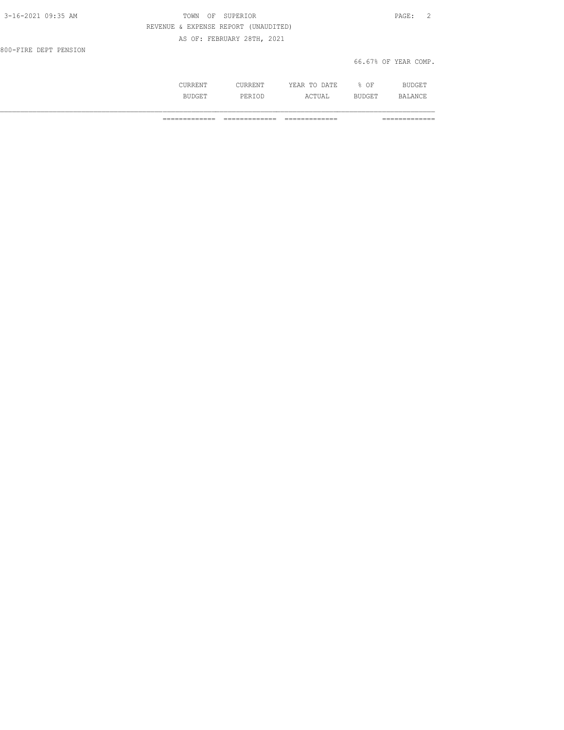| 3-16-2021 09:35 AM    | TOWN OF SUPERIOR                     | PAGE: 2              |
|-----------------------|--------------------------------------|----------------------|
|                       | REVENUE & EXPENSE REPORT (UNAUDITED) |                      |
|                       | AS OF: FEBRUARY 28TH, 2021           |                      |
| 800-FIRE DEPT PENSION |                                      |                      |
|                       |                                      | 66.67% OF YEAR COMP. |

|              | . .<br>.<br>----<br>---- | ΩF<br>-- |  |
|--------------|--------------------------|----------|--|
| -31.<br>- 14 | .                        | ---      |  |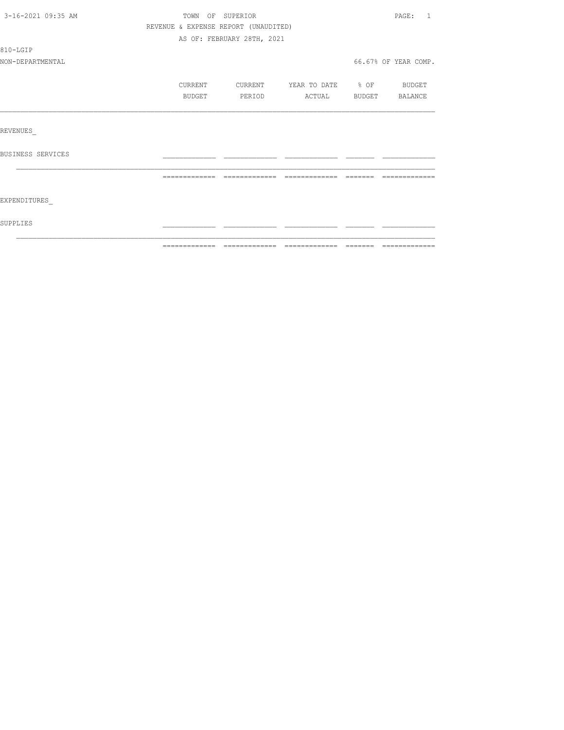| 3-16-2021 09:35 AM | TOWN OF SUPERIOR                     |                            |                   |          | PAGE:<br>$\overline{1}$ |
|--------------------|--------------------------------------|----------------------------|-------------------|----------|-------------------------|
|                    | REVENUE & EXPENSE REPORT (UNAUDITED) |                            |                   |          |                         |
|                    |                                      | AS OF: FEBRUARY 28TH, 2021 |                   |          |                         |
| 810-LGIP           |                                      |                            |                   |          |                         |
| NON-DEPARTMENTAL   |                                      |                            |                   |          | 66.67% OF YEAR COMP.    |
|                    | CURRENT                              | CURRENT                    | YEAR TO DATE % OF |          | <b>BUDGET</b>           |
|                    | <b>BUDGET</b>                        | PERIOD                     | ACTUAL            |          | BUDGET BALANCE          |
|                    |                                      |                            |                   |          |                         |
| REVENUES           |                                      |                            |                   |          |                         |
| BUSINESS SERVICES  |                                      |                            |                   |          |                         |
|                    |                                      |                            |                   | -------- | --------------          |
| EXPENDITURES       |                                      |                            |                   |          |                         |
| SUPPLIES           |                                      |                            |                   |          |                         |
|                    |                                      |                            |                   |          |                         |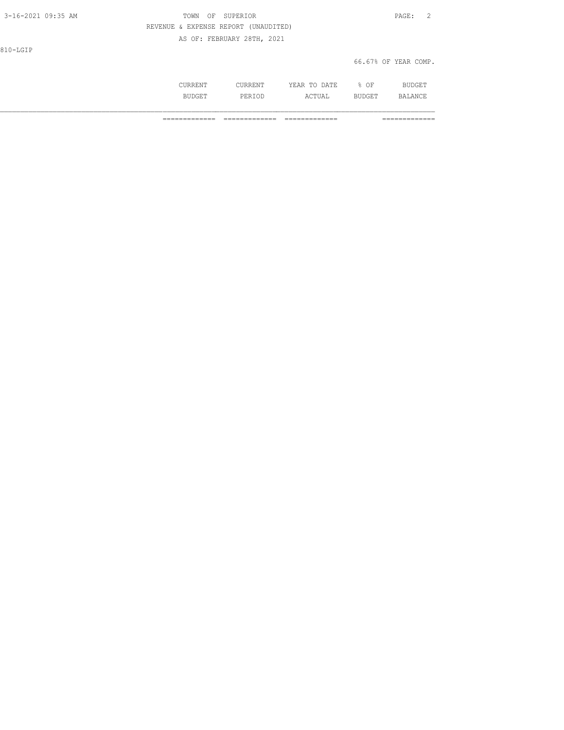| 3-16-2021 09:35 AM | OF SUPERIOR<br>TOWN                  | PAGE: 2              |
|--------------------|--------------------------------------|----------------------|
|                    | REVENUE & EXPENSE REPORT (UNAUDITED) |                      |
|                    | AS OF: FEBRUARY 28TH, 2021           |                      |
| 810-LGIP           |                                      |                      |
|                    |                                      | 66.67% OF YEAR COMP. |
|                    |                                      |                      |

 CURRENT CURRENT YEAR TO DATE % OF BUDGET BUDGET PERIOD ACTUAL BUDGET BALANCE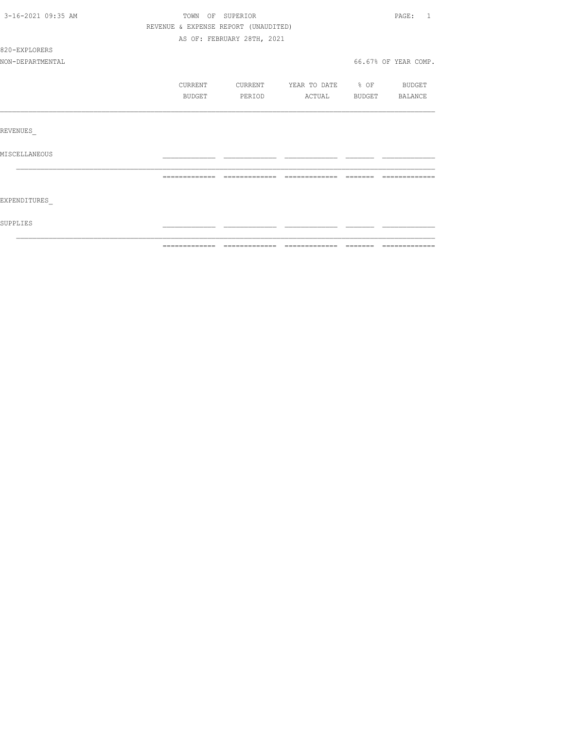| 3-16-2021 09:35 AM | TOWN OF SUPERIOR                     |                            |                          |                | PAGE:<br>1           |
|--------------------|--------------------------------------|----------------------------|--------------------------|----------------|----------------------|
|                    | REVENUE & EXPENSE REPORT (UNAUDITED) |                            |                          |                |                      |
|                    |                                      | AS OF: FEBRUARY 28TH, 2021 |                          |                |                      |
| 820-EXPLORERS      |                                      |                            |                          |                |                      |
| NON-DEPARTMENTAL   |                                      |                            |                          |                | 66.67% OF YEAR COMP. |
|                    | CURRENT                              | CURRENT                    | YEAR TO DATE % OF BUDGET |                |                      |
|                    | BUDGET                               | PERIOD                     | ACTUAL                   | BUDGET BALANCE |                      |
|                    |                                      |                            |                          |                |                      |
| REVENUES           |                                      |                            |                          |                |                      |
| MISCELLANEOUS      |                                      |                            |                          |                |                      |
|                    |                                      |                            |                          |                | --------------       |
|                    |                                      |                            |                          |                |                      |
| EXPENDITURES       |                                      |                            |                          |                |                      |
| SUPPLIES           |                                      |                            |                          |                |                      |
|                    |                                      |                            |                          |                |                      |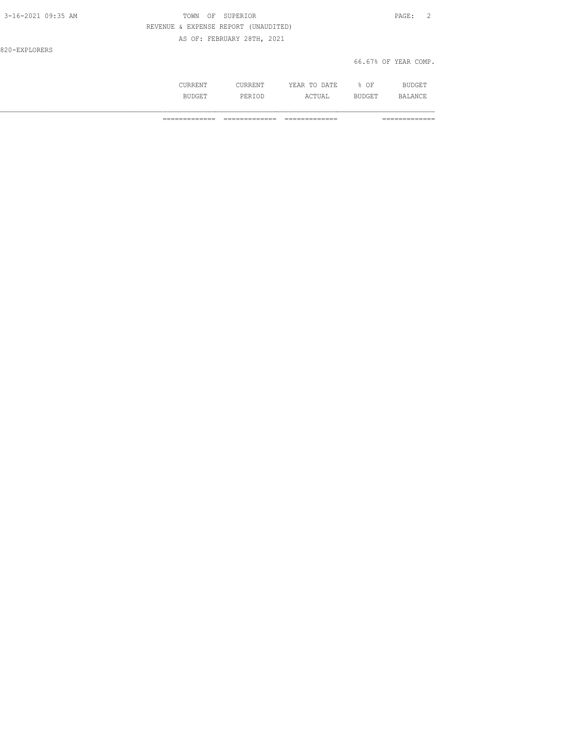| $3 - 16 - 2021$ 09:35 AM | TOWN OF SUPERIOR                     | PAGE: 2              |
|--------------------------|--------------------------------------|----------------------|
|                          | REVENUE & EXPENSE REPORT (UNAUDITED) |                      |
|                          | AS OF: FEBRUARY 28TH, 2021           |                      |
| 820-EXPLORERS            |                                      |                      |
|                          |                                      | 66.67% OF YEAR COMP. |

| . | . | - - -<br>$\Lambda$ $mT$<br>$\cdots$<br>----<br>----- | ∩F<br>◡ |              |
|---|---|------------------------------------------------------|---------|--------------|
|   |   | $\wedge$ $\wedge$ $\Box$<br>.                        |         | $\mathbf{u}$ |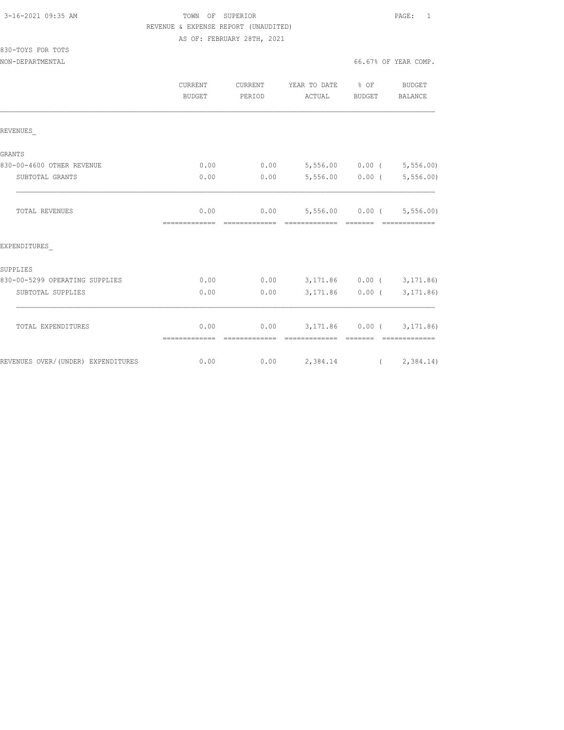830-TOYS FOR TOTS

### TOWN OF SUPERIOR **PAGE:** 1 REVENUE & EXPENSE REPORT (UNAUDITED) AS OF: FEBRUARY 28TH, 2021

NON-DEPARTMENTAL 66.67% OF YEAR COMP.

|                                    | <b>CURRENT</b><br><b>BUDGET</b> | CURRENT<br>PERIOD | YEAR TO DATE % OF<br>ACTUAL                        | BUDGET                      | <b>BUDGET</b><br>BALANCE    |
|------------------------------------|---------------------------------|-------------------|----------------------------------------------------|-----------------------------|-----------------------------|
| REVENUES                           |                                 |                   |                                                    |                             |                             |
| <b>GRANTS</b>                      |                                 |                   |                                                    |                             |                             |
| 830-00-4600 OTHER REVENUE          | 0.00                            |                   | $0.00$ 5,556.00 0.00 ( 5,556.00)                   |                             |                             |
| SUBTOTAL GRANTS                    | 0.00                            | 0.00              |                                                    |                             | $5,556.00$ 0.00 ( 5,556.00) |
| <b>TOTAL REVENUES</b>              | 0.00<br>=============           | =============     | $0.00$ 5,556.00 0.00 ( 5,556.00)<br>-------------- | $=$ $=$ $=$ $=$ $=$ $=$ $=$ | --------------              |
| EXPENDITURES                       |                                 |                   |                                                    |                             |                             |
| SUPPLIES                           |                                 |                   |                                                    |                             |                             |
| 830-00-5299 OPERATING SUPPLIES     | 0.00                            |                   | $0.00$ $3,171.86$ $0.00$ $($ $3,171.86)$           |                             |                             |
| SUBTOTAL SUPPLIES                  | 0.00                            | 0.00              |                                                    |                             | 3, 171.86 0.00 (3, 171.86)  |
| TOTAL EXPENDITURES                 | 0.00                            |                   | $0.00$ $3,171.86$ $0.00$ ( $3,171.86$ )            |                             |                             |
| REVENUES OVER/(UNDER) EXPENDITURES | 0.00                            |                   | $0.00$ 2,384.14 (2,384.14)                         |                             |                             |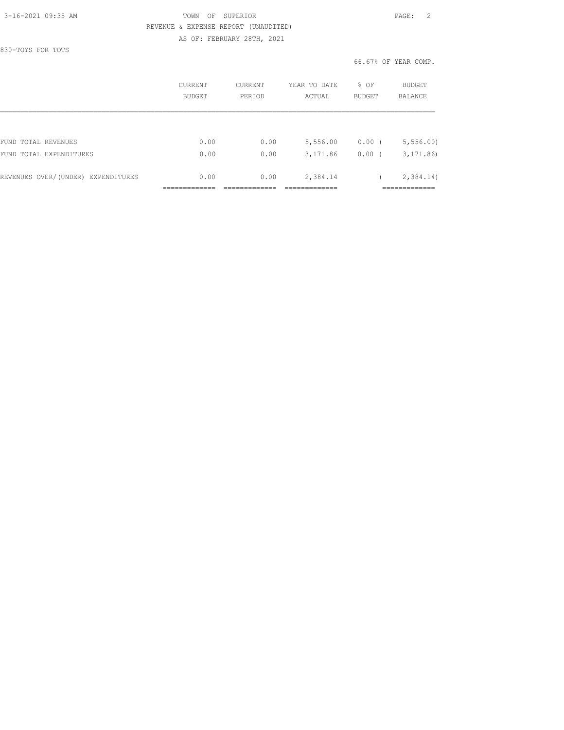830-TOYS FOR TOTS

#### 3-16-2021 09:35 AM TOWN OF SUPERIOR PAGE: 2 REVENUE & EXPENSE REPORT (UNAUDITED) AS OF: FEBRUARY 28TH, 2021

|                                    | CURRENT<br>BUDGET | CURRENT<br>PERIOD | YEAR TO DATE<br>ACTUAL | % OF<br><b>BUDGET</b> | BUDGET<br><b>BALANCE</b> |
|------------------------------------|-------------------|-------------------|------------------------|-----------------------|--------------------------|
|                                    |                   |                   |                        |                       |                          |
| FUND TOTAL REVENUES                | 0.00              | 0.00              | 5,556.00               | $0.00$ (              | 5, 556.00                |
| FUND<br>TOTAL EXPENDITURES         | 0.00              | 0.00              | 3,171.86               | 0.00                  | 3, 171.86                |
| REVENUES OVER/(UNDER) EXPENDITURES | 0.00              | 0.00              | 2,384.14               |                       | 2,384.14)                |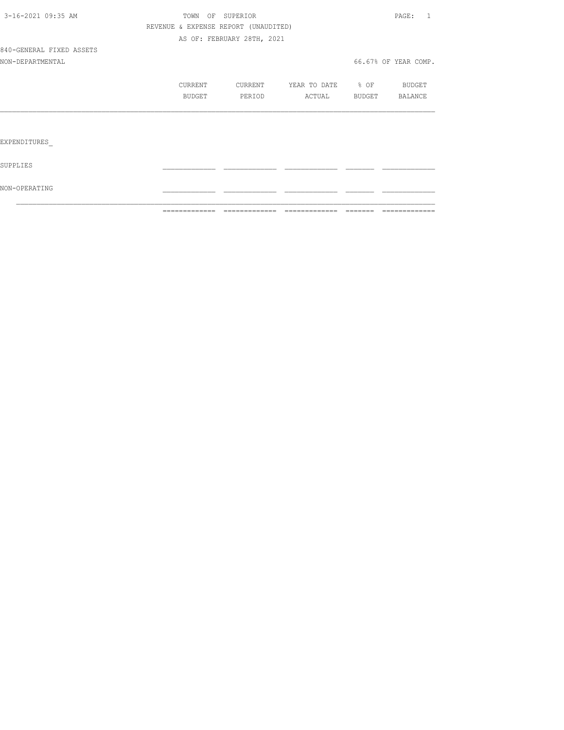|                          |                                      | ------------- ------------- | - cococococococo         | -------- | =============                       |
|--------------------------|--------------------------------------|-----------------------------|--------------------------|----------|-------------------------------------|
| NON-OPERATING            |                                      |                             |                          |          |                                     |
| SUPPLIES                 |                                      |                             |                          |          |                                     |
| EXPENDITURES             |                                      |                             |                          |          |                                     |
|                          |                                      |                             |                          |          |                                     |
|                          | BUDGET                               | PERIOD                      | ACTUAL                   | BUDGET   | BALANCE                             |
|                          | CURRENT                              | CURRENT                     | YEAR TO DATE % OF BUDGET |          |                                     |
| NON-DEPARTMENTAL         |                                      |                             |                          |          | 66.67% OF YEAR COMP.                |
| 840-GENERAL FIXED ASSETS |                                      |                             |                          |          |                                     |
|                          |                                      | AS OF: FEBRUARY 28TH, 2021  |                          |          |                                     |
|                          | REVENUE & EXPENSE REPORT (UNAUDITED) |                             |                          |          |                                     |
| 3-16-2021 09:35 AM       |                                      | TOWN OF SUPERIOR            |                          |          | $\mathtt{PAGE}$ :<br>$\overline{1}$ |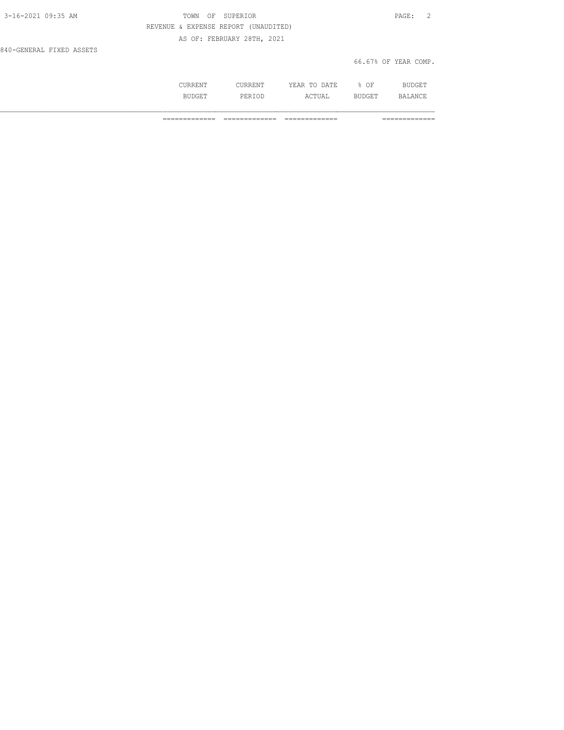| 3-16-2021 09:35 AM       | OF SUPERIOR<br>TOWN                  | PAGE: 2              |
|--------------------------|--------------------------------------|----------------------|
|                          | REVENUE & EXPENSE REPORT (UNAUDITED) |                      |
|                          | AS OF: FEBRUARY 28TH, 2021           |                      |
| 840-GENERAL FIXED ASSETS |                                      |                      |
|                          |                                      | 66.67% OF YEAR COMP. |

|   | m<br> | )F<br>◡ |   |
|---|-------|---------|---|
| . |       |         | ◡ |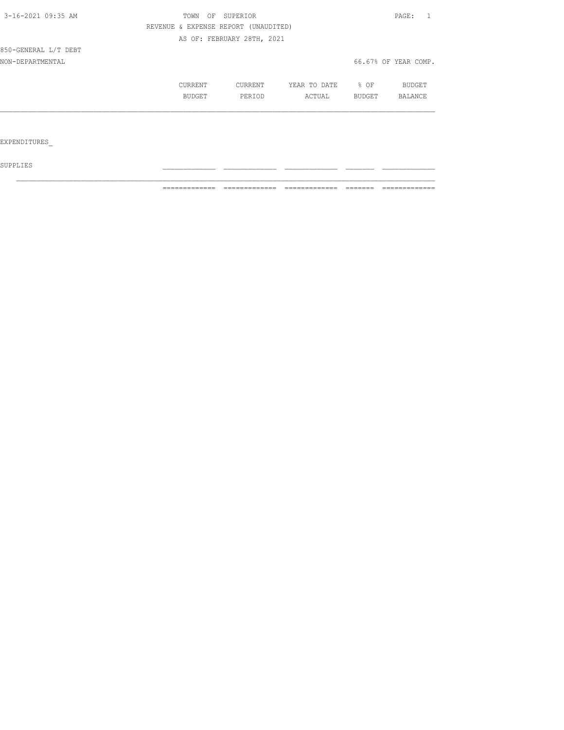| TOWN<br>OF |         |              |                                                                    | PAGE:                |
|------------|---------|--------------|--------------------------------------------------------------------|----------------------|
|            |         |              |                                                                    |                      |
|            |         |              |                                                                    |                      |
|            |         |              |                                                                    |                      |
|            |         |              |                                                                    | 66.67% OF YEAR COMP. |
| CURRENT    | CURRENT | YEAR TO DATE | % OF                                                               | BUDGET               |
| BUDGET     | PERIOD  | ACTUAL       | BUDGET                                                             | <b>BALANCE</b>       |
|            |         |              |                                                                    |                      |
|            |         |              |                                                                    |                      |
|            |         |              |                                                                    |                      |
|            |         | SUPERIOR     | REVENUE & EXPENSE REPORT (UNAUDITED)<br>AS OF: FEBRUARY 28TH, 2021 |                      |

 ${\tt SUPPLIES}$